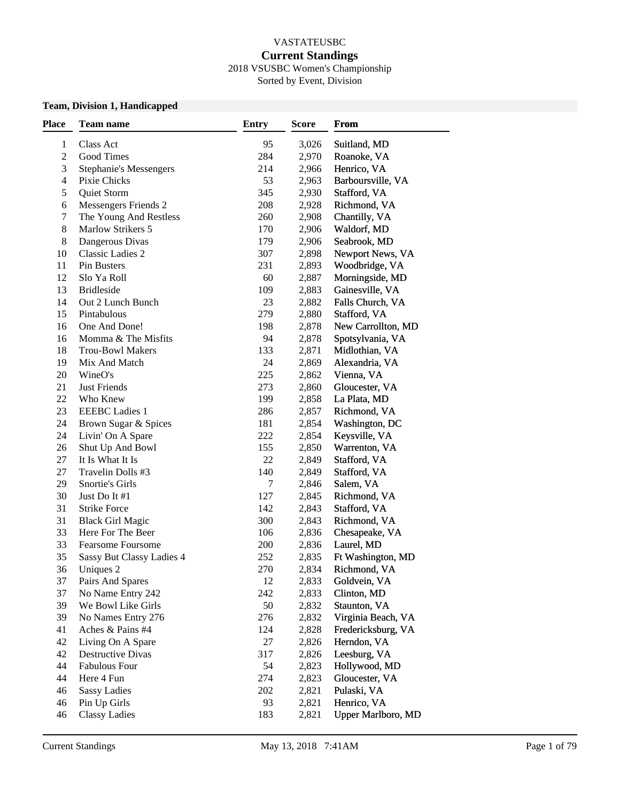#### VASTATEUSBC

### **Current Standings**

2018 VSUSBC Women's Championship Sorted by Event, Division

#### **Team, Division 1, Handicapped**

| <b>Place</b>     | Team name                                    | <b>Entry</b> | <b>Score</b>   | From                              |
|------------------|----------------------------------------------|--------------|----------------|-----------------------------------|
| $\mathbf{1}$     | Class Act                                    | 95           | 3,026          | Suitland, MD                      |
| $\mathfrak 2$    | Good Times                                   | 284          | 2,970          | Roanoke, VA                       |
| $\mathfrak 3$    | <b>Stephanie's Messengers</b>                | 214          | 2,966          | Henrico, VA                       |
| $\overline{4}$   | Pixie Chicks                                 | 53           | 2,963          | Barboursville, VA                 |
| $\sqrt{5}$       | Quiet Storm                                  | 345          | 2,930          | Stafford, VA                      |
| 6                | Messengers Friends 2                         | 208          | 2,928          | Richmond, VA                      |
| $\boldsymbol{7}$ | The Young And Restless                       | 260          | 2,908          | Chantilly, VA                     |
| 8                | <b>Marlow Strikers 5</b>                     | 170          | 2,906          | Waldorf, MD                       |
| 8                | Dangerous Divas                              | 179          | 2,906          | Seabrook, MD                      |
| 10               | Classic Ladies 2                             | 307          | 2,898          | Newport News, VA                  |
| 11               | Pin Busters                                  | 231          | 2,893          | Woodbridge, VA                    |
| 12               | Slo Ya Roll                                  | 60           | 2,887          | Morningside, MD                   |
| 13               | <b>Bridleside</b>                            | 109          | 2,883          | Gainesville, VA                   |
| 14               | Out 2 Lunch Bunch                            | 23           | 2,882          | Falls Church, VA                  |
| 15               | Pintabulous                                  | 279          | 2,880          | Stafford, VA                      |
| 16               | One And Done!                                | 198          | 2,878          | New Carrollton, MD                |
| 16               | Momma & The Misfits                          | 94           | 2,878          | Spotsylvania, VA                  |
| 18               | <b>Trou-Bowl Makers</b>                      | 133          | 2,871          | Midlothian, VA                    |
| 19               | Mix And Match                                | 24           | 2,869          | Alexandria, VA                    |
| 20               | WineO's                                      | 225          | 2,862          | Vienna, VA                        |
| 21               | <b>Just Friends</b>                          | 273          | 2,860          | Gloucester, VA                    |
| 22               | Who Knew                                     | 199          | 2,858          | La Plata, MD                      |
| 23               | <b>EEEBC</b> Ladies 1                        | 286          | 2,857          | Richmond, VA                      |
| 24               | Brown Sugar & Spices                         | 181          | 2,854          | Washington, DC                    |
| 24               | Livin' On A Spare                            | 222          | 2,854          | Keysville, VA                     |
| 26               | Shut Up And Bowl                             | 155          |                |                                   |
| 27               | It Is What It Is                             | 22           | 2,850<br>2,849 | Warrenton, VA<br>Stafford, VA     |
| $27\,$           | Travelin Dolls #3                            | 140          | 2,849          | Stafford, VA                      |
| 29               | Snortie's Girls                              | 7            | 2,846          | Salem, VA                         |
| 30               | Just Do It #1                                | 127          | 2,845          | Richmond, VA                      |
| 31               | <b>Strike Force</b>                          | 142          |                | Stafford, VA                      |
| 31               |                                              | 300          | 2,843          |                                   |
| 33               | <b>Black Girl Magic</b><br>Here For The Beer | 106          | 2,843          | Richmond, VA                      |
| 33               | <b>Fearsome Foursome</b>                     | 200          | 2,836          | Chesapeake, VA                    |
| 35               |                                              | 252          | 2,836          | Laurel, MD                        |
| 36               | Sassy But Classy Ladies 4                    | 270          | 2,835          | Ft Washington, MD<br>Richmond, VA |
|                  | Uniques 2                                    |              | 2,834          |                                   |
| 37               | Pairs And Spares                             | 12           | 2,833          | Goldvein, VA                      |
| 37               | No Name Entry 242                            | 242          | 2,833          | Clinton, MD                       |
| 39               | We Bowl Like Girls                           | 50           | 2,832          | Staunton, VA                      |
| 39               | No Names Entry 276                           | 276          | 2,832          | Virginia Beach, VA                |
| 41               | Aches & Pains #4                             | 124          | 2,828          | Fredericksburg, VA                |
| 42               | Living On A Spare                            | 27           | 2,826          | Herndon, VA                       |
| 42               | Destructive Divas                            | 317          | 2,826          | Leesburg, VA                      |
| 44               | <b>Fabulous Four</b>                         | 54           | 2,823          | Hollywood, MD                     |
| 44               | Here 4 Fun                                   | 274          | 2,823          | Gloucester, VA                    |
| 46               | <b>Sassy Ladies</b>                          | 202          | 2,821          | Pulaski, VA                       |
| 46               | Pin Up Girls                                 | 93           | 2,821          | Henrico, VA                       |
| 46               | <b>Classy Ladies</b>                         | 183          | 2,821          | <b>Upper Marlboro, MD</b>         |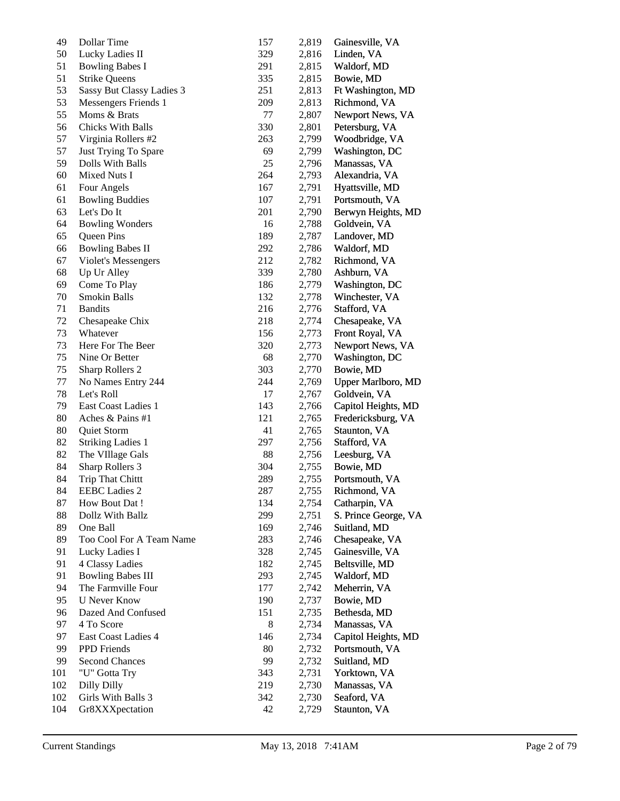| 49  | Dollar Time               | 157 | 2,819 | Gainesville, VA      |
|-----|---------------------------|-----|-------|----------------------|
| 50  | Lucky Ladies II           | 329 | 2,816 | Linden, VA           |
| 51  | <b>Bowling Babes I</b>    | 291 | 2,815 | Waldorf, MD          |
| 51  | <b>Strike Queens</b>      | 335 | 2,815 | Bowie, MD            |
| 53  | Sassy But Classy Ladies 3 | 251 | 2,813 | Ft Washington, MD    |
| 53  | Messengers Friends 1      | 209 | 2,813 | Richmond, VA         |
| 55  | Moms & Brats              | 77  | 2,807 | Newport News, VA     |
| 56  | Chicks With Balls         | 330 | 2,801 | Petersburg, VA       |
| 57  | Virginia Rollers #2       | 263 | 2,799 | Woodbridge, VA       |
| 57  | Just Trying To Spare      | 69  | 2,799 | Washington, DC       |
| 59  | Dolls With Balls          | 25  | 2,796 | Manassas, VA         |
| 60  | Mixed Nuts I              | 264 | 2,793 | Alexandria, VA       |
| 61  | Four Angels               | 167 | 2,791 | Hyattsville, MD      |
| 61  | <b>Bowling Buddies</b>    | 107 | 2,791 | Portsmouth, VA       |
| 63  | Let's Do It               | 201 | 2,790 | Berwyn Heights, MD   |
| 64  | <b>Bowling Wonders</b>    | 16  | 2,788 | Goldvein, VA         |
| 65  | Queen Pins                | 189 | 2,787 | Landover, MD         |
| 66  | <b>Bowling Babes II</b>   | 292 | 2,786 | Waldorf, MD          |
| 67  | Violet's Messengers       | 212 | 2,782 | Richmond, VA         |
| 68  | Up Ur Alley               | 339 | 2,780 | Ashburn, VA          |
| 69  |                           | 186 |       | Washington, DC       |
| 70  | Come To Play              |     | 2,779 | Winchester, VA       |
|     | Smokin Balls              | 132 | 2,778 |                      |
| 71  | <b>Bandits</b>            | 216 | 2,776 | Stafford, VA         |
| 72  | Chesapeake Chix           | 218 | 2,774 | Chesapeake, VA       |
| 73  | Whatever                  | 156 | 2,773 | Front Royal, VA      |
| 73  | Here For The Beer         | 320 | 2,773 | Newport News, VA     |
| 75  | Nine Or Better            | 68  | 2,770 | Washington, DC       |
| 75  | Sharp Rollers 2           | 303 | 2,770 | Bowie, MD            |
| 77  | No Names Entry 244        | 244 | 2,769 | Upper Marlboro, MD   |
| 78  | Let's Roll                | 17  | 2,767 | Goldvein, VA         |
| 79  | East Coast Ladies 1       | 143 | 2,766 | Capitol Heights, MD  |
| 80  | Aches & Pains #1          | 121 | 2,765 | Fredericksburg, VA   |
| 80  | Quiet Storm               | 41  | 2,765 | Staunton, VA         |
| 82  | <b>Striking Ladies 1</b>  | 297 | 2,756 | Stafford, VA         |
| 82  | The VIllage Gals          | 88  | 2,756 | Leesburg, VA         |
| 84  | Sharp Rollers 3           | 304 | 2,755 | Bowie, MD            |
| 84  | <b>Trip That Chittt</b>   | 289 | 2,755 | Portsmouth, VA       |
| 84  | <b>EEBC</b> Ladies 2      | 287 | 2,755 | Richmond, VA         |
| 87  | How Bout Dat!             | 134 | 2,754 | Catharpin, VA        |
| 88  | Dollz With Ballz          | 299 | 2,751 | S. Prince George, VA |
| 89  | One Ball                  | 169 | 2,746 | Suitland, MD         |
| 89  | Too Cool For A Team Name  | 283 | 2,746 | Chesapeake, VA       |
| 91  | Lucky Ladies I            | 328 | 2,745 | Gainesville, VA      |
| 91  | 4 Classy Ladies           | 182 | 2,745 | Beltsville, MD       |
| 91  | <b>Bowling Babes III</b>  | 293 | 2,745 | Waldorf, MD          |
| 94  | The Farmville Four        | 177 | 2,742 | Meherrin, VA         |
| 95  | <b>U</b> Never Know       | 190 | 2,737 | Bowie, MD            |
| 96  | Dazed And Confused        | 151 | 2,735 | Bethesda, MD         |
| 97  | 4 To Score                | 8   | 2,734 | Manassas, VA         |
| 97  | East Coast Ladies 4       | 146 | 2,734 | Capitol Heights, MD  |
| 99  | PPD Friends               | 80  | 2,732 | Portsmouth, VA       |
| 99  | <b>Second Chances</b>     | 99  | 2,732 | Suitland, MD         |
| 101 | "U" Gotta Try             | 343 | 2,731 | Yorktown, VA         |
| 102 | <b>Dilly Dilly</b>        | 219 | 2,730 | Manassas, VA         |
| 102 | Girls With Balls 3        | 342 | 2,730 | Seaford, VA          |
| 104 | Gr8XXXpectation           | 42  | 2,729 | Staunton, VA         |
|     |                           |     |       |                      |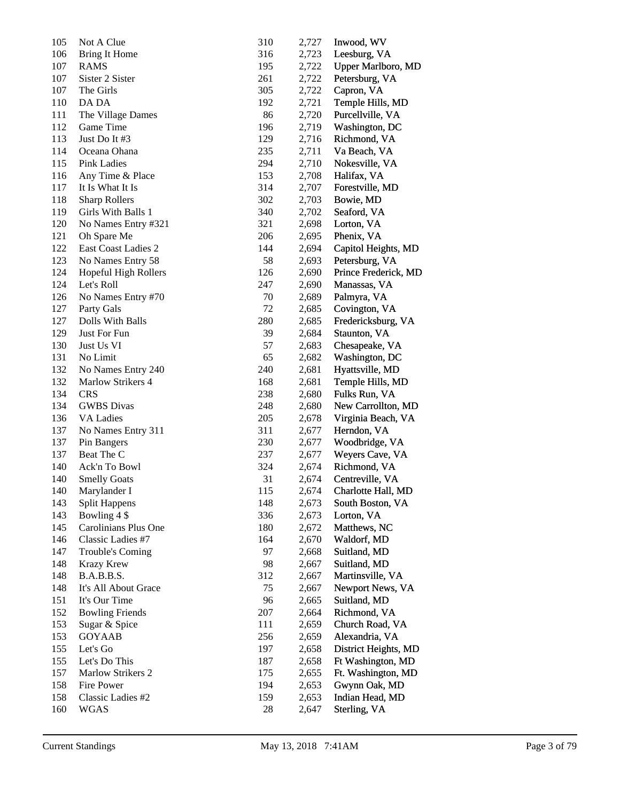| 105 | Not A Clue              | 310       | 2,727          | Inwood, WV                       |
|-----|-------------------------|-----------|----------------|----------------------------------|
| 106 | <b>Bring It Home</b>    | 316       | 2,723          | Leesburg, VA                     |
| 107 | <b>RAMS</b>             | 195       | 2,722          | <b>Upper Marlboro, MD</b>        |
| 107 | Sister 2 Sister         | 261       | 2,722          | Petersburg, VA                   |
| 107 | The Girls               | 305       | 2,722          | Capron, VA                       |
| 110 | DA DA                   | 192       | 2,721          | Temple Hills, MD                 |
| 111 | The Village Dames       | 86        | 2,720          | Purcellville, VA                 |
| 112 | Game Time               | 196       | 2,719          | Washington, DC                   |
| 113 | Just Do It #3           | 129       | 2,716          | Richmond, VA                     |
| 114 | Oceana Ohana            | 235       | 2,711          | Va Beach, VA                     |
| 115 | <b>Pink Ladies</b>      | 294       | 2,710          | Nokesville, VA                   |
| 116 | Any Time & Place        | 153       | 2,708          | Halifax, VA                      |
| 117 | It Is What It Is        | 314       | 2,707          | Forestville, MD                  |
| 118 | <b>Sharp Rollers</b>    | 302       | 2,703          | Bowie, MD                        |
| 119 | Girls With Balls 1      | 340       | 2,702          | Seaford, VA                      |
| 120 | No Names Entry #321     | 321       | 2,698          | Lorton, VA                       |
| 121 | Oh Spare Me             | 206       | 2,695          | Phenix, VA                       |
| 122 | East Coast Ladies 2     | 144       | 2,694          | Capitol Heights, MD              |
| 123 | No Names Entry 58       | 58        | 2,693          | Petersburg, VA                   |
| 124 | Hopeful High Rollers    | 126       | 2,690          | Prince Frederick, MD             |
| 124 | Let's Roll              | 247       | 2,690          | Manassas, VA                     |
| 126 | No Names Entry #70      | 70        | 2,689          | Palmyra, VA                      |
| 127 | Party Gals              | 72        | 2,685          | Covington, VA                    |
| 127 | Dolls With Balls        | 280       | 2,685          | Fredericksburg, VA               |
| 129 | Just For Fun            | 39        | 2,684          | Staunton, VA                     |
| 130 | Just Us VI              | 57        | 2,683          | Chesapeake, VA                   |
| 131 | No Limit                | 65        | 2,682          | Washington, DC                   |
| 132 | No Names Entry 240      | 240       | 2,681          | Hyattsville, MD                  |
| 132 | Marlow Strikers 4       | 168       | 2,681          | Temple Hills, MD                 |
| 134 | <b>CRS</b>              | 238       | 2,680          | Fulks Run, VA                    |
| 134 | <b>GWBS</b> Divas       | 248       | 2,680          | New Carrollton, MD               |
| 136 | VA Ladies               | 205       | 2,678          | Virginia Beach, VA               |
| 137 | No Names Entry 311      | 311       | 2,677          | Herndon, VA                      |
| 137 | Pin Bangers             | 230       | 2,677          | Woodbridge, VA                   |
| 137 | Beat The C              | 237       | 2,677          | Weyers Cave, VA                  |
| 140 | Ack'n To Bowl           | 324       | 2,674          | Richmond, VA                     |
| 140 | <b>Smelly Goats</b>     | 31        | 2,674          | Centreville, VA                  |
| 140 | Marylander I            | 115       | 2,674          | Charlotte Hall, MD               |
| 143 | <b>Split Happens</b>    | 148       | 2,673          | South Boston, VA                 |
| 143 | Bowling 4 \$            | 336       | 2,673          | Lorton, VA                       |
| 145 | Carolinians Plus One    | 180       | 2,672          | Matthews, NC                     |
| 146 | Classic Ladies #7       | 164       | 2,670          | Waldorf, MD                      |
| 147 | <b>Trouble's Coming</b> | 97        | 2,668          | Suitland, MD                     |
| 148 | Krazy Krew              | 98        | 2,667          | Suitland, MD                     |
| 148 | B.A.B.B.S.              | 312       | 2,667          | Martinsville, VA                 |
| 148 | It's All About Grace    | 75        | 2,667          | Newport News, VA                 |
| 151 | It's Our Time           | 96        | 2,665          | Suitland, MD                     |
| 152 | <b>Bowling Friends</b>  | 207       | 2,664          | Richmond, VA                     |
| 153 | Sugar & Spice           | 111       | 2,659          | Church Road, VA                  |
| 153 | <b>GOYAAB</b>           | 256       |                | Alexandria, VA                   |
| 155 | Let's Go                | 197       | 2,659<br>2,658 | District Heights, MD             |
| 155 | Let's Do This           | 187       | 2,658          | Ft Washington, MD                |
| 157 | Marlow Strikers 2       | 175       |                |                                  |
| 158 | Fire Power              |           | 2,655          | Ft. Washington, MD               |
| 158 | Classic Ladies #2       | 194       | 2,653          | Gwynn Oak, MD<br>Indian Head, MD |
| 160 | <b>WGAS</b>             | 159<br>28 | 2,653          |                                  |
|     |                         |           | 2,647          | Sterling, VA                     |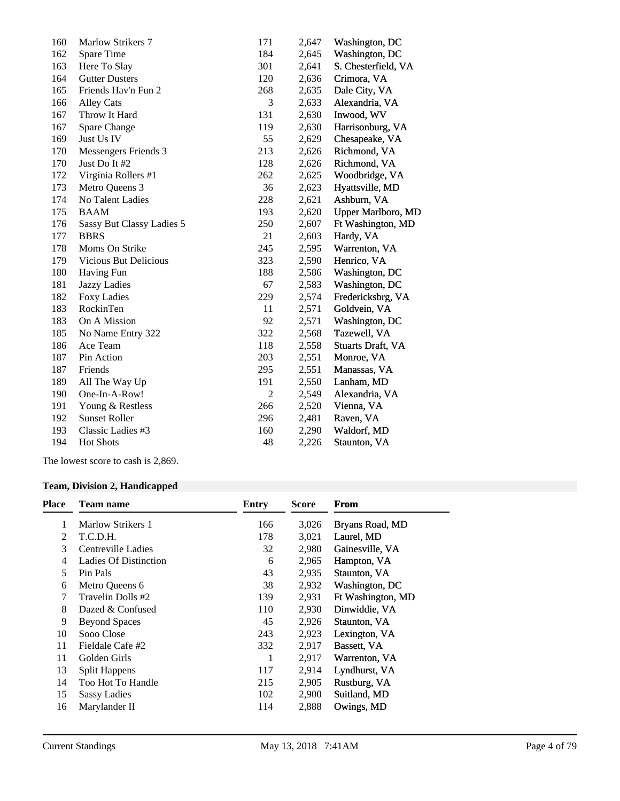| 160 | Marlow Strikers 7            | 171            | 2,647 | Washington, DC      |
|-----|------------------------------|----------------|-------|---------------------|
| 162 | Spare Time                   | 184            | 2,645 | Washington, DC      |
| 163 | Here To Slay                 | 301            | 2,641 | S. Chesterfield, VA |
| 164 | <b>Gutter Dusters</b>        | 120            | 2,636 | Crimora, VA         |
| 165 | Friends Hav'n Fun 2          | 268            | 2,635 | Dale City, VA       |
| 166 | <b>Alley Cats</b>            | 3              | 2,633 | Alexandria, VA      |
| 167 | Throw It Hard                | 131            | 2,630 | Inwood, WV          |
| 167 | Spare Change                 | 119            | 2,630 | Harrisonburg, VA    |
| 169 | Just Us IV                   | 55             | 2,629 | Chesapeake, VA      |
| 170 | Messengers Friends 3         | 213            | 2,626 | Richmond, VA        |
| 170 | Just Do It #2                | 128            | 2,626 | Richmond, VA        |
| 172 | Virginia Rollers #1          | 262            | 2,625 | Woodbridge, VA      |
| 173 | Metro Queens 3               | 36             | 2,623 | Hyattsville, MD     |
| 174 | No Talent Ladies             | 228            | 2,621 | Ashburn, VA         |
| 175 | <b>BAAM</b>                  | 193            | 2,620 | Upper Marlboro, MD  |
| 176 | Sassy But Classy Ladies 5    | 250            | 2,607 | Ft Washington, MD   |
| 177 | <b>BBRS</b>                  | 21             | 2,603 | Hardy, VA           |
| 178 | Moms On Strike               | 245            | 2,595 | Warrenton, VA       |
| 179 | <b>Vicious But Delicious</b> | 323            | 2,590 | Henrico, VA         |
| 180 | Having Fun                   | 188            | 2,586 | Washington, DC      |
| 181 | <b>Jazzy Ladies</b>          | 67             | 2,583 | Washington, DC      |
| 182 | <b>Foxy Ladies</b>           | 229            | 2,574 | Fredericksbrg, VA   |
| 183 | RockinTen                    | 11             | 2,571 | Goldvein, VA        |
| 183 | On A Mission                 | 92             | 2,571 | Washington, DC      |
| 185 | No Name Entry 322            | 322            | 2,568 | Tazewell, VA        |
| 186 | Ace Team                     | 118            | 2,558 | Stuarts Draft, VA   |
| 187 | Pin Action                   | 203            | 2,551 | Monroe, VA          |
| 187 | Friends                      | 295            | 2,551 | Manassas, VA        |
| 189 | All The Way Up               | 191            | 2,550 | Lanham, MD          |
| 190 | One-In-A-Row!                | $\overline{2}$ | 2,549 | Alexandria, VA      |
| 191 | Young & Restless             | 266            | 2,520 | Vienna, VA          |
| 192 | <b>Sunset Roller</b>         | 296            | 2,481 | Raven, VA           |
| 193 | Classic Ladies #3            | 160            | 2,290 | Waldorf, MD         |
| 194 | <b>Hot Shots</b>             | 48             | 2,226 | Staunton, VA        |
|     |                              |                |       |                     |

The lowest score to cash is 2,869.

## **Team, Division 2, Handicapped**

| Place | Team name                    | Entry | <b>Score</b> | From              |
|-------|------------------------------|-------|--------------|-------------------|
| 1     | Marlow Strikers 1            | 166   | 3,026        | Bryans Road, MD   |
| 2     | T.C.D.H.                     | 178   | 3,021        | Laurel, MD        |
| 3     | Centreville Ladies           | 32    | 2,980        | Gainesville, VA   |
| 4     | <b>Ladies Of Distinction</b> | 6     | 2,965        | Hampton, VA       |
| 5     | Pin Pals                     | 43    | 2,935        | Staunton, VA      |
| 6     | Metro Queens 6               | 38    | 2,932        | Washington, DC    |
| 7     | Travelin Dolls #2            | 139   | 2,931        | Ft Washington, MD |
| 8     | Dazed & Confused             | 110   | 2,930        | Dinwiddie, VA     |
| 9     | <b>Beyond Spaces</b>         | 45    | 2,926        | Staunton, VA      |
| 10    | Sooo Close                   | 243   | 2,923        | Lexington, VA     |
| 11    | Fieldale Cafe #2             | 332   | 2,917        | Bassett, VA       |
| 11    | Golden Girls                 | 1     | 2,917        | Warrenton, VA     |
| 13    | <b>Split Happens</b>         | 117   | 2,914        | Lyndhurst, VA     |
| 14    | Too Hot To Handle            | 215   | 2,905        | Rustburg, VA      |
| 15    | <b>Sassy Ladies</b>          | 102   | 2,900        | Suitland, MD      |
| 16    | Marylander II                | 114   | 2,888        | Owings, MD        |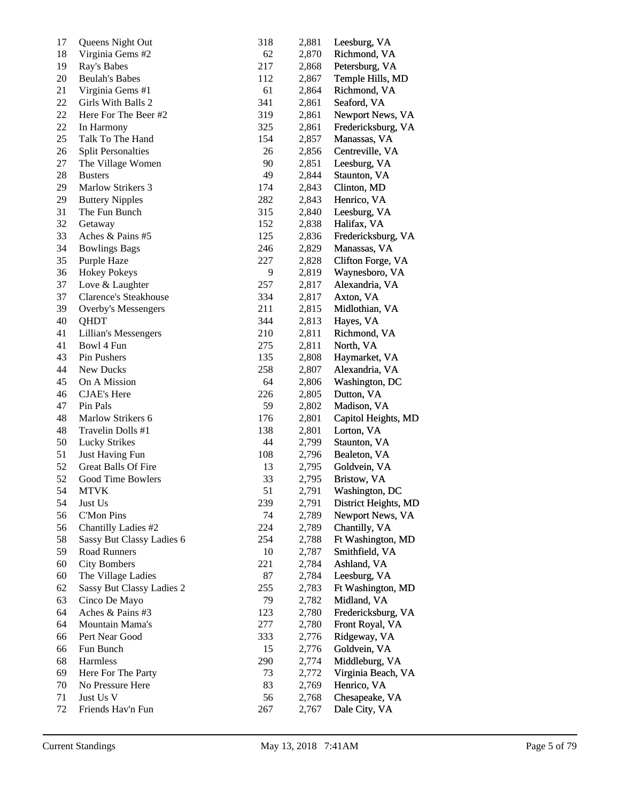| 17 | Queens Night Out          | 318 | 2,881 | Leesburg, VA         |
|----|---------------------------|-----|-------|----------------------|
| 18 | Virginia Gems #2          | 62  | 2,870 | Richmond, VA         |
| 19 | Ray's Babes               | 217 | 2,868 | Petersburg, VA       |
| 20 | <b>Beulah's Babes</b>     | 112 | 2,867 | Temple Hills, MD     |
| 21 | Virginia Gems #1          | 61  | 2,864 | Richmond, VA         |
| 22 | Girls With Balls 2        | 341 | 2,861 | Seaford, VA          |
| 22 | Here For The Beer #2      | 319 | 2,861 | Newport News, VA     |
| 22 | In Harmony                | 325 | 2,861 | Fredericksburg, VA   |
| 25 | Talk To The Hand          | 154 | 2,857 | Manassas, VA         |
| 26 | <b>Split Personalties</b> | 26  | 2,856 | Centreville, VA      |
| 27 | The Village Women         | 90  | 2,851 | Leesburg, VA         |
| 28 | <b>Busters</b>            | 49  | 2,844 | Staunton, VA         |
| 29 | Marlow Strikers 3         | 174 | 2,843 | Clinton, MD          |
| 29 | <b>Buttery Nipples</b>    | 282 | 2,843 | Henrico, VA          |
| 31 | The Fun Bunch             | 315 | 2,840 | Leesburg, VA         |
| 32 | Getaway                   | 152 | 2,838 | Halifax, VA          |
| 33 | Aches & Pains #5          | 125 | 2,836 | Fredericksburg, VA   |
| 34 | <b>Bowlings Bags</b>      | 246 | 2,829 | Manassas, VA         |
| 35 | Purple Haze               | 227 | 2,828 | Clifton Forge, VA    |
| 36 | <b>Hokey Pokeys</b>       | 9   | 2,819 | Waynesboro, VA       |
| 37 | Love & Laughter           | 257 | 2,817 | Alexandria, VA       |
| 37 | Clarence's Steakhouse     | 334 | 2,817 | Axton, VA            |
| 39 | Overby's Messengers       | 211 | 2,815 | Midlothian, VA       |
| 40 | QHDT                      | 344 | 2,813 | Hayes, VA            |
| 41 | Lillian's Messengers      | 210 | 2,811 | Richmond, VA         |
| 41 | Bowl 4 Fun                | 275 | 2,811 | North, VA            |
| 43 | Pin Pushers               | 135 | 2,808 | Haymarket, VA        |
| 44 | New Ducks                 | 258 | 2,807 | Alexandria, VA       |
| 45 | On A Mission              | 64  | 2,806 | Washington, DC       |
| 46 | <b>CJAE's Here</b>        | 226 | 2,805 | Dutton, VA           |
| 47 | Pin Pals                  | 59  | 2,802 | Madison, VA          |
| 48 | Marlow Strikers 6         | 176 | 2,801 | Capitol Heights, MD  |
| 48 | Travelin Dolls #1         | 138 | 2,801 | Lorton, VA           |
| 50 | <b>Lucky Strikes</b>      | 44  | 2,799 | Staunton, VA         |
| 51 | <b>Just Having Fun</b>    | 108 | 2,796 | Bealeton, VA         |
| 52 | Great Balls Of Fire       | 13  | 2,795 | Goldvein, VA         |
| 52 | Good Time Bowlers         | 33  | 2,795 | Bristow, VA          |
| 54 | MTVK                      | 51  | 2,791 | Washington, DC       |
| 54 | Just Us                   | 239 | 2,791 | District Heights, MD |
| 56 | <b>C'Mon Pins</b>         | 74  | 2,789 | Newport News, VA     |
| 56 | Chantilly Ladies #2       | 224 | 2,789 | Chantilly, VA        |
| 58 | Sassy But Classy Ladies 6 | 254 | 2,788 | Ft Washington, MD    |
| 59 | Road Runners              | 10  | 2,787 | Smithfield, VA       |
| 60 | <b>City Bombers</b>       | 221 | 2,784 | Ashland, VA          |
| 60 | The Village Ladies        | 87  | 2,784 | Leesburg, VA         |
| 62 | Sassy But Classy Ladies 2 | 255 | 2,783 | Ft Washington, MD    |
| 63 |                           | 79  |       |                      |
|    | Cinco De Mayo             |     | 2,782 | Midland, VA          |
| 64 | Aches & Pains #3          | 123 | 2,780 | Fredericksburg, VA   |
| 64 | Mountain Mama's           | 277 | 2,780 | Front Royal, VA      |
| 66 | Pert Near Good            | 333 | 2,776 | Ridgeway, VA         |
| 66 | Fun Bunch                 | 15  | 2,776 | Goldvein, VA         |
| 68 | Harmless                  | 290 | 2,774 | Middleburg, VA       |
| 69 | Here For The Party        | 73  | 2,772 | Virginia Beach, VA   |
| 70 | No Pressure Here          | 83  | 2,769 | Henrico, VA          |
| 71 | Just Us V                 | 56  | 2,768 | Chesapeake, VA       |
| 72 | Friends Hav'n Fun         | 267 | 2,767 | Dale City, VA        |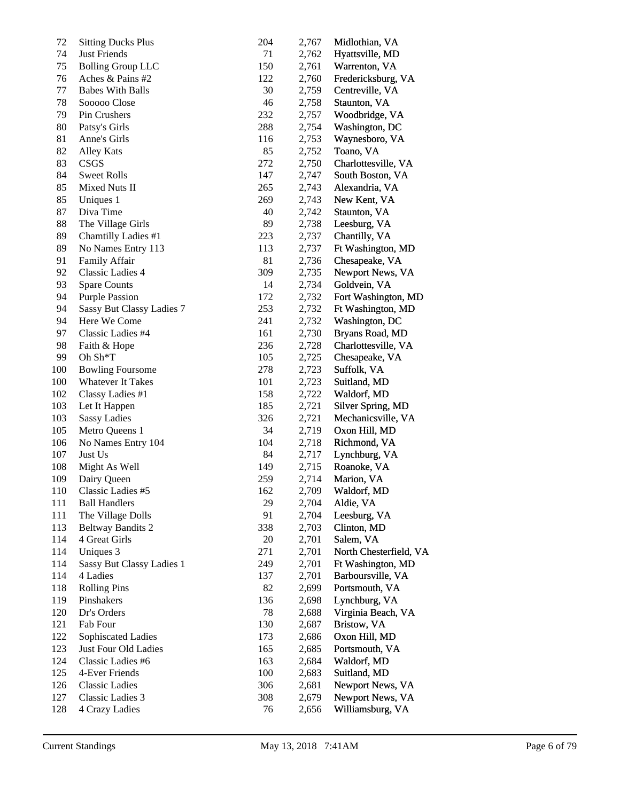| 72  | <b>Sitting Ducks Plus</b> | 204 | 2,767 | Midlothian, VA         |
|-----|---------------------------|-----|-------|------------------------|
| 74  | <b>Just Friends</b>       | 71  | 2,762 | Hyattsville, MD        |
| 75  | <b>Bolling Group LLC</b>  | 150 | 2,761 | Warrenton, VA          |
| 76  | Aches & Pains #2          | 122 | 2,760 | Fredericksburg, VA     |
| 77  | <b>Babes With Balls</b>   | 30  | 2,759 | Centreville, VA        |
| 78  | Sooooo Close              | 46  | 2,758 | Staunton, VA           |
| 79  | Pin Crushers              | 232 | 2,757 | Woodbridge, VA         |
| 80  | Patsy's Girls             | 288 | 2,754 | Washington, DC         |
| 81  | Anne's Girls              | 116 | 2,753 | Waynesboro, VA         |
| 82  | <b>Alley Kats</b>         | 85  | 2,752 | Toano, VA              |
| 83  | CSGS                      | 272 | 2,750 | Charlottesville, VA    |
| 84  | <b>Sweet Rolls</b>        | 147 | 2,747 | South Boston, VA       |
| 85  | Mixed Nuts II             | 265 | 2,743 | Alexandria, VA         |
| 85  | Uniques 1                 | 269 | 2,743 | New Kent, VA           |
| 87  | Diva Time                 | 40  | 2,742 | Staunton, VA           |
| 88  | The Village Girls         | 89  | 2,738 | Leesburg, VA           |
| 89  | Chamtilly Ladies #1       | 223 | 2,737 | Chantilly, VA          |
| 89  | No Names Entry 113        | 113 | 2,737 | Ft Washington, MD      |
| 91  | Family Affair             | 81  | 2,736 | Chesapeake, VA         |
| 92  | <b>Classic Ladies 4</b>   | 309 | 2,735 | Newport News, VA       |
| 93  | <b>Spare Counts</b>       | 14  | 2,734 | Goldvein, VA           |
| 94  | <b>Purple Passion</b>     | 172 | 2,732 | Fort Washington, MD    |
| 94  | Sassy But Classy Ladies 7 | 253 | 2,732 | Ft Washington, MD      |
| 94  | Here We Come              | 241 | 2,732 | Washington, DC         |
| 97  | Classic Ladies #4         | 161 | 2,730 | Bryans Road, MD        |
| 98  | Faith & Hope              | 236 | 2,728 | Charlottesville, VA    |
| 99  | Oh Sh*T                   | 105 | 2,725 | Chesapeake, VA         |
| 100 | <b>Bowling Foursome</b>   | 278 | 2,723 | Suffolk, VA            |
| 100 | <b>Whatever It Takes</b>  | 101 | 2,723 | Suitland, MD           |
| 102 | Classy Ladies #1          | 158 | 2,722 | Waldorf, MD            |
| 103 | Let It Happen             | 185 | 2,721 | Silver Spring, MD      |
| 103 | <b>Sassy Ladies</b>       | 326 | 2,721 | Mechanicsville, VA     |
| 105 | Metro Queens 1            | 34  | 2,719 | Oxon Hill, MD          |
| 106 | No Names Entry 104        | 104 | 2,718 | Richmond, VA           |
| 107 | Just Us                   | 84  | 2,717 | Lynchburg, VA          |
| 108 | Might As Well             | 149 | 2,715 | Roanoke, VA            |
| 109 | Dairy Queen               | 259 | 2,714 | Marion, VA             |
| 110 | Classic Ladies #5         | 162 | 2,709 | Waldorf, MD            |
| 111 | <b>Ball Handlers</b>      | 29  | 2,704 | Aldie, VA              |
| 111 | The Village Dolls         | 91  | 2,704 | Leesburg, VA           |
| 113 | <b>Beltway Bandits 2</b>  | 338 | 2,703 | Clinton, MD            |
| 114 | 4 Great Girls             | 20  | 2,701 | Salem, VA              |
| 114 | <b>Uniques 3</b>          | 271 | 2,701 | North Chesterfield, VA |
| 114 | Sassy But Classy Ladies 1 | 249 | 2,701 | Ft Washington, MD      |
| 114 | 4 Ladies                  | 137 | 2,701 | Barboursville, VA      |
| 118 | <b>Rolling Pins</b>       | 82  | 2,699 | Portsmouth, VA         |
| 119 | Pinshakers                | 136 | 2,698 | Lynchburg, VA          |
| 120 | Dr's Orders               | 78  | 2,688 | Virginia Beach, VA     |
| 121 | Fab Four                  | 130 | 2,687 | Bristow, VA            |
| 122 | Sophiscated Ladies        | 173 | 2,686 | Oxon Hill, MD          |
| 123 | Just Four Old Ladies      | 165 | 2,685 | Portsmouth, VA         |
| 124 | Classic Ladies #6         | 163 | 2,684 | Waldorf, MD            |
| 125 | 4-Ever Friends            | 100 | 2,683 | Suitland, MD           |
| 126 | <b>Classic Ladies</b>     | 306 | 2,681 | Newport News, VA       |
| 127 | Classic Ladies 3          | 308 | 2,679 | Newport News, VA       |
| 128 | 4 Crazy Ladies            | 76  | 2,656 | Williamsburg, VA       |
|     |                           |     |       |                        |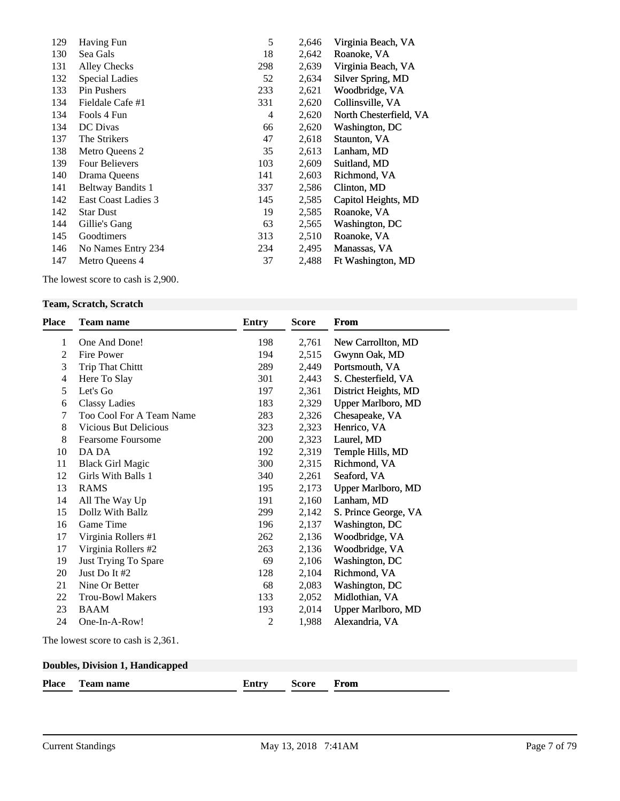| 129 | Having Fun          | 5   | 2,646 | Virginia Beach, VA     |
|-----|---------------------|-----|-------|------------------------|
| 130 | Sea Gals            | 18  | 2,642 | Roanoke, VA            |
| 131 | <b>Alley Checks</b> | 298 | 2,639 | Virginia Beach, VA     |
| 132 | Special Ladies      | 52  | 2,634 | Silver Spring, MD      |
| 133 | Pin Pushers         | 233 | 2,621 | Woodbridge, VA         |
| 134 | Fieldale Cafe #1    | 331 | 2,620 | Collinsville, VA       |
| 134 | Fools 4 Fun         | 4   | 2,620 | North Chesterfield, VA |
| 134 | DC Divas            | 66  | 2,620 | Washington, DC         |
| 137 | The Strikers        | 47  | 2,618 | Staunton, VA           |
| 138 | Metro Queens 2      | 35  | 2,613 | Lanham, MD             |
| 139 | Four Believers      | 103 | 2,609 | Suitland, MD           |
| 140 | Drama Queens        | 141 | 2,603 | Richmond, VA           |
| 141 | Beltway Bandits 1   | 337 | 2,586 | Clinton, MD            |
| 142 | East Coast Ladies 3 | 145 | 2,585 | Capitol Heights, MD    |
| 142 | <b>Star Dust</b>    | 19  | 2,585 | Roanoke, VA            |
| 144 | Gillie's Gang       | 63  | 2,565 | Washington, DC         |
| 145 | Goodtimers          | 313 | 2,510 | Roanoke, VA            |
| 146 | No Names Entry 234  | 234 | 2,495 | Manassas, VA           |
| 147 | Metro Queens 4      | 37  | 2,488 | Ft Washington, MD      |
|     |                     |     |       |                        |

The lowest score to cash is 2,900.

## **Team, Scratch, Scratch**

| <b>Place</b>   | <b>Team name</b>                        | <b>Entry</b>   | <b>Score</b> | <b>From</b>               |
|----------------|-----------------------------------------|----------------|--------------|---------------------------|
| 1              | One And Done!                           | 198            | 2,761        | New Carrollton, MD        |
| $\overline{c}$ | Fire Power                              | 194            | 2,515        | Gwynn Oak, MD             |
| 3              | <b>Trip That Chittt</b>                 | 289            | 2,449        | Portsmouth, VA            |
| 4              | Here To Slay                            | 301            | 2,443        | S. Chesterfield, VA       |
| 5              | Let's Go                                | 197            | 2,361        | District Heights, MD      |
| 6              | <b>Classy Ladies</b>                    | 183            | 2,329        | <b>Upper Marlboro, MD</b> |
| 7              | Too Cool For A Team Name                | 283            | 2,326        | Chesapeake, VA            |
| 8              | <b>Vicious But Delicious</b>            | 323            | 2,323        | Henrico, VA               |
| 8              | <b>Fearsome Foursome</b>                | 200            | 2,323        | Laurel, MD                |
| 10             | DA DA                                   | 192            | 2,319        | Temple Hills, MD          |
| 11             | <b>Black Girl Magic</b>                 | 300            | 2,315        | Richmond, VA              |
| 12             | Girls With Balls 1                      | 340            | 2,261        | Seaford, VA               |
| 13             | <b>RAMS</b>                             | 195            | 2,173        | <b>Upper Marlboro, MD</b> |
| 14             | All The Way Up                          | 191            | 2,160        | Lanham, MD                |
| 15             | Dollz With Ballz                        | 299            | 2,142        | S. Prince George, VA      |
| 16             | Game Time                               | 196            | 2,137        | Washington, DC            |
| 17             | Virginia Rollers #1                     | 262            | 2,136        | Woodbridge, VA            |
| 17             | Virginia Rollers #2                     | 263            | 2,136        | Woodbridge, VA            |
| 19             | Just Trying To Spare                    | 69             | 2,106        | Washington, DC            |
| 20             | Just Do It #2                           | 128            | 2,104        | Richmond, VA              |
| 21             | Nine Or Better                          | 68             | 2,083        | Washington, DC            |
| 22             | <b>Trou-Bowl Makers</b>                 | 133            | 2,052        | Midlothian, VA            |
| 23             | <b>BAAM</b>                             | 193            | 2,014        | <b>Upper Marlboro, MD</b> |
| 24             | One-In-A-Row!                           | $\overline{c}$ | 1,988        | Alexandria, VA            |
|                | The lowest score to cash is 2,361.      |                |              |                           |
|                | <b>Doubles, Division 1, Handicapped</b> |                |              |                           |
| Place          | <b>Team name</b>                        | Entry          | <b>Score</b> | From                      |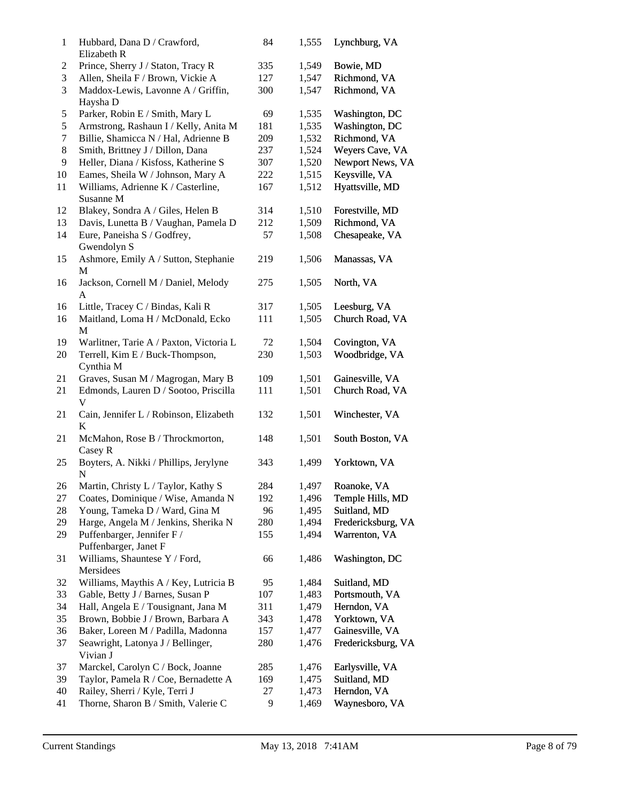| 1      | Hubbard, Dana D / Crawford,<br>Elizabeth R      | 84  | 1,555 | Lynchburg, VA      |
|--------|-------------------------------------------------|-----|-------|--------------------|
| 2      | Prince, Sherry J / Staton, Tracy R              | 335 | 1,549 | Bowie, MD          |
| 3      | Allen, Sheila F / Brown, Vickie A               | 127 | 1,547 | Richmond, VA       |
| 3      | Maddox-Lewis, Lavonne A / Griffin,<br>Haysha D  | 300 | 1,547 | Richmond, VA       |
| 5      | Parker, Robin E / Smith, Mary L                 | 69  | 1,535 | Washington, DC     |
| 5      | Armstrong, Rashaun I / Kelly, Anita M           | 181 | 1,535 | Washington, DC     |
| $\tau$ | Billie, Shamicca N / Hal, Adrienne B            | 209 | 1,532 | Richmond, VA       |
| 8      | Smith, Brittney J / Dillon, Dana                | 237 | 1,524 | Weyers Cave, VA    |
| 9      | Heller, Diana / Kisfoss, Katherine S            | 307 | 1,520 | Newport News, VA   |
| 10     | Eames, Sheila W / Johnson, Mary A               | 222 | 1,515 | Keysville, VA      |
| 11     | Williams, Adrienne K / Casterline,<br>Susanne M | 167 | 1,512 | Hyattsville, MD    |
| 12     | Blakey, Sondra A / Giles, Helen B               | 314 | 1,510 | Forestville, MD    |
| 13     | Davis, Lunetta B / Vaughan, Pamela D            | 212 | 1,509 | Richmond, VA       |
| 14     | Eure, Paneisha S / Godfrey,                     | 57  | 1,508 | Chesapeake, VA     |
|        | Gwendolyn S                                     |     |       |                    |
| 15     | Ashmore, Emily A / Sutton, Stephanie<br>М       | 219 | 1,506 | Manassas, VA       |
| 16     | Jackson, Cornell M / Daniel, Melody<br>A        | 275 | 1,505 | North, VA          |
| 16     | Little, Tracey C / Bindas, Kali R               | 317 | 1,505 | Leesburg, VA       |
| 16     | Maitland, Loma H / McDonald, Ecko<br>M          | 111 | 1,505 | Church Road, VA    |
| 19     | Warlitner, Tarie A / Paxton, Victoria L         | 72  | 1,504 | Covington, VA      |
| 20     | Terrell, Kim E / Buck-Thompson,<br>Cynthia M    | 230 | 1,503 | Woodbridge, VA     |
| 21     | Graves, Susan M / Magrogan, Mary B              | 109 | 1,501 | Gainesville, VA    |
| 21     | Edmonds, Lauren D / Sootoo, Priscilla<br>V      | 111 | 1,501 | Church Road, VA    |
| 21     | Cain, Jennifer L / Robinson, Elizabeth<br>K     | 132 | 1,501 | Winchester, VA     |
| 21     | McMahon, Rose B / Throckmorton,<br>Casey R      | 148 | 1,501 | South Boston, VA   |
| 25     | Boyters, A. Nikki / Phillips, Jerylyne<br>N     | 343 | 1,499 | Yorktown, VA       |
| 26     | Martin, Christy L / Taylor, Kathy S             | 284 | 1,497 | Roanoke, VA        |
| 27     | Coates, Dominique / Wise, Amanda N              | 192 | 1,496 | Temple Hills, MD   |
| 28     | Young, Tameka D / Ward, Gina M                  | 96  | 1,495 | Suitland, MD       |
| 29     | Harge, Angela M / Jenkins, Sherika N            | 280 | 1,494 | Fredericksburg, VA |
| 29     | Puffenbarger, Jennifer F /                      | 155 | 1,494 | Warrenton, VA      |
|        | Puffenbarger, Janet F                           |     |       |                    |
| 31     | Williams, Shauntese Y / Ford,<br>Mersidees      | 66  | 1,486 | Washington, DC     |
| 32     | Williams, Maythis A / Key, Lutricia B           | 95  | 1,484 | Suitland, MD       |
| 33     | Gable, Betty J / Barnes, Susan P                | 107 | 1,483 | Portsmouth, VA     |
| 34     | Hall, Angela E / Tousignant, Jana M             | 311 | 1,479 | Herndon, VA        |
| 35     | Brown, Bobbie J / Brown, Barbara A              | 343 | 1,478 | Yorktown, VA       |
| 36     | Baker, Loreen M / Padilla, Madonna              | 157 | 1,477 | Gainesville, VA    |
| 37     | Seawright, Latonya J / Bellinger,<br>Vivian J   | 280 | 1,476 | Fredericksburg, VA |
| 37     | Marckel, Carolyn C / Bock, Joanne               | 285 | 1,476 | Earlysville, VA    |
| 39     | Taylor, Pamela R / Coe, Bernadette A            | 169 | 1,475 | Suitland, MD       |
| 40     | Railey, Sherri / Kyle, Terri J                  | 27  | 1,473 | Herndon, VA        |
| 41     | Thorne, Sharon B / Smith, Valerie C             | 9   | 1,469 | Waynesboro, VA     |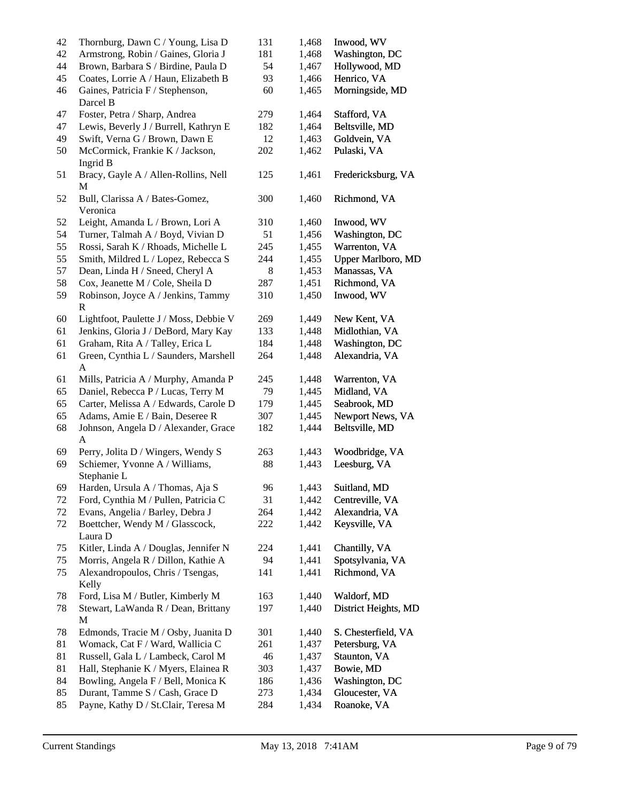| 42 | Thornburg, Dawn C / Young, Lisa D                    | 131 | 1,468 | Inwood, WV                |
|----|------------------------------------------------------|-----|-------|---------------------------|
| 42 | Armstrong, Robin / Gaines, Gloria J                  | 181 | 1,468 | Washington, DC            |
| 44 | Brown, Barbara S / Birdine, Paula D                  | 54  | 1,467 | Hollywood, MD             |
| 45 | Coates, Lorrie A / Haun, Elizabeth B                 | 93  | 1,466 | Henrico, VA               |
| 46 | Gaines, Patricia F / Stephenson,<br>Darcel B         | 60  | 1,465 | Morningside, MD           |
| 47 | Foster, Petra / Sharp, Andrea                        | 279 | 1,464 | Stafford, VA              |
| 47 | Lewis, Beverly J / Burrell, Kathryn E                | 182 | 1,464 | Beltsville, MD            |
| 49 | Swift, Verna G / Brown, Dawn E                       | 12  | 1,463 | Goldvein, VA              |
| 50 | McCormick, Frankie K / Jackson,                      | 202 | 1,462 | Pulaski, VA               |
|    | Ingrid B                                             |     |       |                           |
| 51 | Bracy, Gayle A / Allen-Rollins, Nell<br>$\mathbf{M}$ | 125 | 1,461 | Fredericksburg, VA        |
| 52 | Bull, Clarissa A / Bates-Gomez,<br>Veronica          | 300 | 1,460 | Richmond, VA              |
| 52 | Leight, Amanda L / Brown, Lori A                     | 310 | 1,460 | Inwood, WV                |
| 54 | Turner, Talmah A / Boyd, Vivian D                    | 51  | 1,456 | Washington, DC            |
| 55 | Rossi, Sarah K / Rhoads, Michelle L                  | 245 | 1,455 | Warrenton, VA             |
| 55 | Smith, Mildred L / Lopez, Rebecca S                  | 244 | 1,455 | <b>Upper Marlboro, MD</b> |
| 57 | Dean, Linda H / Sneed, Cheryl A                      | 8   | 1,453 | Manassas, VA              |
| 58 | Cox, Jeanette M / Cole, Sheila D                     | 287 | 1,451 | Richmond, VA              |
| 59 | Robinson, Joyce A / Jenkins, Tammy                   | 310 | 1,450 | Inwood, WV                |
|    | R                                                    |     |       |                           |
| 60 | Lightfoot, Paulette J / Moss, Debbie V               | 269 | 1,449 | New Kent, VA              |
| 61 | Jenkins, Gloria J / DeBord, Mary Kay                 | 133 | 1,448 | Midlothian, VA            |
| 61 | Graham, Rita A / Talley, Erica L                     | 184 | 1,448 | Washington, DC            |
| 61 | Green, Cynthia L / Saunders, Marshell                | 264 | 1,448 | Alexandria, VA            |
|    | A                                                    |     |       |                           |
| 61 | Mills, Patricia A / Murphy, Amanda P                 | 245 | 1,448 | Warrenton, VA             |
| 65 | Daniel, Rebecca P / Lucas, Terry M                   | 79  | 1,445 | Midland, VA               |
| 65 | Carter, Melissa A / Edwards, Carole D                | 179 | 1,445 | Seabrook, MD              |
| 65 | Adams, Amie E / Bain, Deseree R                      | 307 | 1,445 | Newport News, VA          |
| 68 | Johnson, Angela D / Alexander, Grace                 | 182 | 1,444 | Beltsville, MD            |
|    | A                                                    |     |       |                           |
| 69 | Perry, Jolita D / Wingers, Wendy S                   | 263 | 1,443 | Woodbridge, VA            |
| 69 | Schiemer, Yvonne A / Williams,<br>Stephanie L        | 88  | 1,443 | Leesburg, VA              |
| 69 | Harden, Ursula A / Thomas, Aja S                     | 96  | 1.443 | Suitland, MD              |
| 72 | Ford, Cynthia M / Pullen, Patricia C                 | 31  | 1,442 | Centreville, VA           |
| 72 | Evans, Angelia / Barley, Debra J                     | 264 | 1,442 | Alexandria, VA            |
| 72 | Boettcher, Wendy M / Glasscock,<br>Laura D           | 222 | 1,442 | Keysville, VA             |
| 75 | Kitler, Linda A / Douglas, Jennifer N                | 224 | 1,441 | Chantilly, VA             |
| 75 | Morris, Angela R / Dillon, Kathie A                  | 94  | 1,441 | Spotsylvania, VA          |
| 75 | Alexandropoulos, Chris / Tsengas,<br>Kelly           | 141 | 1,441 | Richmond, VA              |
| 78 | Ford, Lisa M / Butler, Kimberly M                    | 163 | 1,440 | Waldorf, MD               |
| 78 | Stewart, LaWanda R / Dean, Brittany<br>M             | 197 | 1,440 | District Heights, MD      |
| 78 | Edmonds, Tracie M / Osby, Juanita D                  | 301 | 1,440 | S. Chesterfield, VA       |
| 81 | Womack, Cat F / Ward, Wallicia C                     | 261 | 1,437 | Petersburg, VA            |
| 81 | Russell, Gala L / Lambeck, Carol M                   | 46  | 1,437 | Staunton, VA              |
| 81 | Hall, Stephanie K / Myers, Elainea R                 | 303 | 1,437 | Bowie, MD                 |
| 84 | Bowling, Angela F / Bell, Monica K                   | 186 | 1,436 | Washington, DC            |
| 85 | Durant, Tamme S / Cash, Grace D                      | 273 | 1,434 | Gloucester, VA            |
| 85 | Payne, Kathy D / St.Clair, Teresa M                  | 284 | 1,434 | Roanoke, VA               |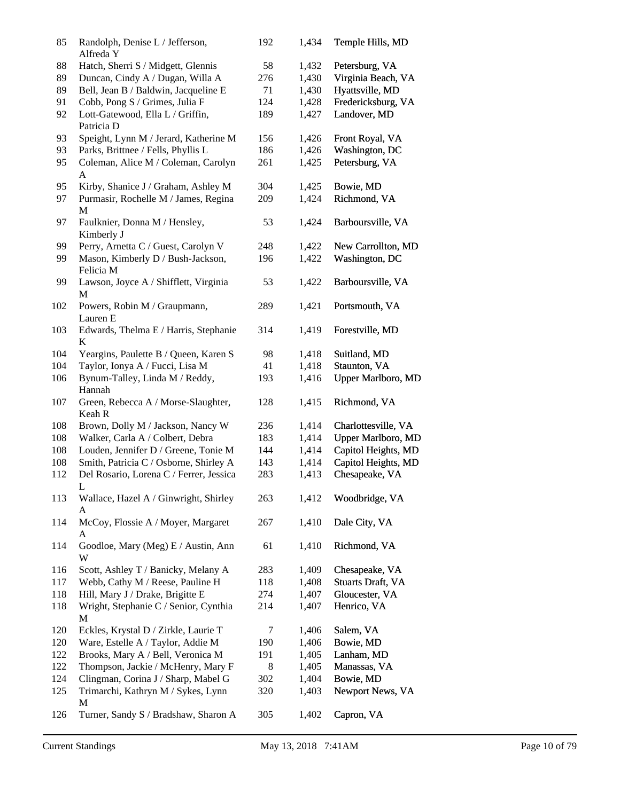| 85  | Randolph, Denise L / Jefferson,<br>Alfreda Y         | 192 | 1,434 | Temple Hills, MD          |
|-----|------------------------------------------------------|-----|-------|---------------------------|
| 88  | Hatch, Sherri S / Midgett, Glennis                   | 58  | 1,432 | Petersburg, VA            |
| 89  | Duncan, Cindy A / Dugan, Willa A                     | 276 | 1,430 | Virginia Beach, VA        |
| 89  | Bell, Jean B / Baldwin, Jacqueline E                 | 71  | 1,430 | Hyattsville, MD           |
| 91  | Cobb, Pong S / Grimes, Julia F                       | 124 | 1,428 | Fredericksburg, VA        |
| 92  | Lott-Gatewood, Ella L / Griffin,<br>Patricia D       | 189 | 1,427 | Landover, MD              |
| 93  | Speight, Lynn M / Jerard, Katherine M                | 156 | 1,426 | Front Royal, VA           |
| 93  | Parks, Brittnee / Fells, Phyllis L                   | 186 | 1,426 | Washington, DC            |
| 95  | Coleman, Alice M / Coleman, Carolyn<br>A             | 261 | 1,425 | Petersburg, VA            |
| 95  | Kirby, Shanice J / Graham, Ashley M                  | 304 | 1,425 | Bowie, MD                 |
| 97  | Purmasir, Rochelle M / James, Regina<br>M            | 209 | 1,424 | Richmond, VA              |
| 97  | Faulknier, Donna M / Hensley,<br>Kimberly J          | 53  | 1,424 | Barboursville, VA         |
| 99  | Perry, Arnetta C / Guest, Carolyn V                  | 248 | 1,422 | New Carrollton, MD        |
| 99  | Mason, Kimberly D / Bush-Jackson,<br>Felicia M       | 196 | 1,422 | Washington, DC            |
| 99  | Lawson, Joyce A / Shifflett, Virginia<br>$\mathbf M$ | 53  | 1,422 | Barboursville, VA         |
| 102 | Powers, Robin M / Graupmann,<br>Lauren E             | 289 | 1,421 | Portsmouth, VA            |
| 103 | Edwards, Thelma E / Harris, Stephanie<br>K           | 314 | 1,419 | Forestville, MD           |
| 104 | Yeargins, Paulette B / Queen, Karen S                | 98  | 1,418 | Suitland, MD              |
| 104 | Taylor, Ionya A / Fucci, Lisa M                      | 41  | 1,418 | Staunton, VA              |
| 106 | Bynum-Talley, Linda M / Reddy,<br>Hannah             | 193 | 1,416 | Upper Marlboro, MD        |
| 107 | Green, Rebecca A / Morse-Slaughter,<br>Keah R        | 128 | 1,415 | Richmond, VA              |
| 108 | Brown, Dolly M / Jackson, Nancy W                    | 236 | 1,414 | Charlottesville, VA       |
| 108 | Walker, Carla A / Colbert, Debra                     | 183 | 1,414 | <b>Upper Marlboro, MD</b> |
| 108 | Louden, Jennifer D / Greene, Tonie M                 | 144 | 1,414 | Capitol Heights, MD       |
| 108 | Smith, Patricia C / Osborne, Shirley A               | 143 | 1,414 | Capitol Heights, MD       |
| 112 | Del Rosario, Lorena C / Ferrer, Jessica<br>L         | 283 | 1,413 | Chesapeake, VA            |
| 113 | Wallace, Hazel A / Ginwright, Shirley<br>A           | 263 | 1,412 | Woodbridge, VA            |
| 114 | McCoy, Flossie A / Moyer, Margaret<br>A              | 267 | 1,410 | Dale City, VA             |
| 114 | Goodloe, Mary (Meg) E / Austin, Ann<br>W             | 61  | 1,410 | Richmond, VA              |
| 116 | Scott, Ashley T / Banicky, Melany A                  | 283 | 1,409 | Chesapeake, VA            |
| 117 | Webb, Cathy M / Reese, Pauline H                     | 118 | 1,408 | <b>Stuarts Draft, VA</b>  |
| 118 | Hill, Mary J / Drake, Brigitte E                     | 274 | 1,407 | Gloucester, VA            |
| 118 | Wright, Stephanie C / Senior, Cynthia<br>М           | 214 | 1,407 | Henrico, VA               |
| 120 | Eckles, Krystal D / Zirkle, Laurie T                 | 7   | 1,406 | Salem, VA                 |
| 120 | Ware, Estelle A / Taylor, Addie M                    | 190 | 1,406 | Bowie, MD                 |
| 122 | Brooks, Mary A / Bell, Veronica M                    | 191 | 1,405 | Lanham, MD                |
| 122 | Thompson, Jackie / McHenry, Mary F                   | 8   | 1,405 | Manassas, VA              |
| 124 | Clingman, Corina J / Sharp, Mabel G                  | 302 | 1,404 | Bowie, MD                 |
| 125 | Trimarchi, Kathryn M / Sykes, Lynn<br>М              | 320 | 1,403 | Newport News, VA          |
| 126 | Turner, Sandy S / Bradshaw, Sharon A                 | 305 | 1,402 | Capron, VA                |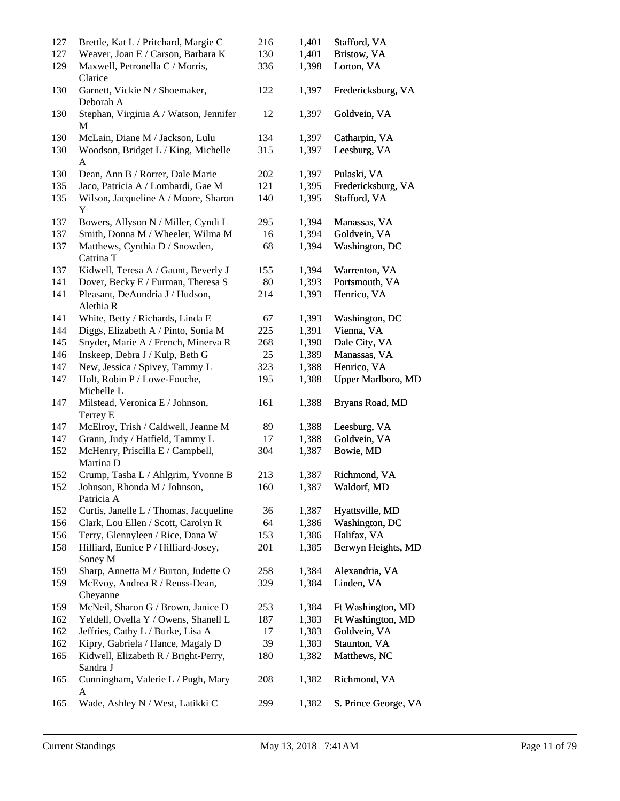| 127<br>127 | Brettle, Kat L / Pritchard, Margie C<br>Weaver, Joan E / Carson, Barbara K | 216<br>130 | 1,401<br>1,401 | Stafford, VA<br>Bristow, VA |
|------------|----------------------------------------------------------------------------|------------|----------------|-----------------------------|
| 129        | Maxwell, Petronella C / Morris,<br>Clarice                                 | 336        | 1,398          | Lorton, VA                  |
| 130        | Garnett, Vickie N / Shoemaker,<br>Deborah A                                | 122        | 1,397          | Fredericksburg, VA          |
| 130        | Stephan, Virginia A / Watson, Jennifer<br>M                                | 12         | 1,397          | Goldvein, VA                |
| 130        | McLain, Diane M / Jackson, Lulu                                            | 134        | 1,397          | Catharpin, VA               |
| 130        | Woodson, Bridget L / King, Michelle                                        | 315        | 1,397          | Leesburg, VA                |
|            | $\mathbf{A}$                                                               |            |                |                             |
| 130        | Dean, Ann B / Rorrer, Dale Marie                                           | 202        | 1,397          | Pulaski, VA                 |
| 135        | Jaco, Patricia A / Lombardi, Gae M                                         | 121        | 1,395          | Fredericksburg, VA          |
| 135        | Wilson, Jacqueline A / Moore, Sharon<br>Y                                  | 140        | 1,395          | Stafford, VA                |
| 137        | Bowers, Allyson N / Miller, Cyndi L                                        | 295        | 1,394          | Manassas, VA                |
| 137        | Smith, Donna M / Wheeler, Wilma M                                          | 16         | 1,394          | Goldvein, VA                |
| 137        | Matthews, Cynthia D / Snowden,<br>Catrina T                                | 68         | 1,394          | Washington, DC              |
| 137        | Kidwell, Teresa A / Gaunt, Beverly J                                       | 155        | 1,394          | Warrenton, VA               |
| 141        | Dover, Becky E / Furman, Theresa S                                         | 80         | 1,393          | Portsmouth, VA              |
| 141        | Pleasant, DeAundria J / Hudson,<br>Alethia R                               | 214        | 1,393          | Henrico, VA                 |
| 141        | White, Betty / Richards, Linda E                                           | 67         | 1,393          | Washington, DC              |
| 144        | Diggs, Elizabeth A / Pinto, Sonia M                                        | 225        | 1,391          | Vienna, VA                  |
| 145        | Snyder, Marie A / French, Minerva R                                        | 268        | 1,390          | Dale City, VA               |
| 146        | Inskeep, Debra J / Kulp, Beth G                                            | 25         | 1,389          | Manassas, VA                |
| 147        | New, Jessica / Spivey, Tammy L                                             | 323        | 1,388          | Henrico, VA                 |
| 147        | Holt, Robin P / Lowe-Fouche,<br>Michelle L                                 | 195        | 1,388          | <b>Upper Marlboro, MD</b>   |
| 147        | Milstead, Veronica E / Johnson,<br>Terrey E                                | 161        | 1,388          | Bryans Road, MD             |
| 147        | McElroy, Trish / Caldwell, Jeanne M                                        | 89         | 1,388          | Leesburg, VA                |
| 147        | Grann, Judy / Hatfield, Tammy L                                            | 17         | 1,388          | Goldvein, VA                |
| 152        | McHenry, Priscilla E / Campbell,<br>Martina D                              | 304        | 1,387          | Bowie, MD                   |
| 152        | Crump, Tasha L / Ahlgrim, Yvonne B                                         | 213        | 1,387          | Richmond, VA                |
| 152        | Johnson, Rhonda M / Johnson,<br>Patricia A                                 | 160        | 1,387          | Waldorf, MD                 |
| 152        | Curtis, Janelle L / Thomas, Jacqueline                                     | 36         | 1,387          | Hyattsville, MD             |
| 156        | Clark, Lou Ellen / Scott, Carolyn R                                        | 64         | 1,386          | Washington, DC              |
| 156        | Terry, Glennyleen / Rice, Dana W                                           | 153        | 1,386          | Halifax, VA                 |
| 158        | Hilliard, Eunice P / Hilliard-Josey,<br>Soney M                            | 201        | 1,385          | Berwyn Heights, MD          |
| 159        | Sharp, Annetta M / Burton, Judette O                                       | 258        | 1,384          | Alexandria, VA              |
| 159        | McEvoy, Andrea R / Reuss-Dean,<br>Cheyanne                                 | 329        | 1,384          | Linden, VA                  |
| 159        | McNeil, Sharon G / Brown, Janice D                                         | 253        | 1,384          | Ft Washington, MD           |
| 162        | Yeldell, Ovella Y / Owens, Shanell L                                       | 187        | 1,383          | Ft Washington, MD           |
| 162        | Jeffries, Cathy L / Burke, Lisa A                                          | 17         | 1,383          | Goldvein, VA                |
| 162        | Kipry, Gabriela / Hance, Magaly D                                          | 39         | 1,383          | Staunton, VA                |
| 165        | Kidwell, Elizabeth R / Bright-Perry,<br>Sandra J                           | 180        | 1,382          | Matthews, NC                |
| 165        | Cunningham, Valerie L / Pugh, Mary<br>A                                    | 208        | 1,382          | Richmond, VA                |
| 165        | Wade, Ashley N / West, Latikki C                                           | 299        | 1,382          | S. Prince George, VA        |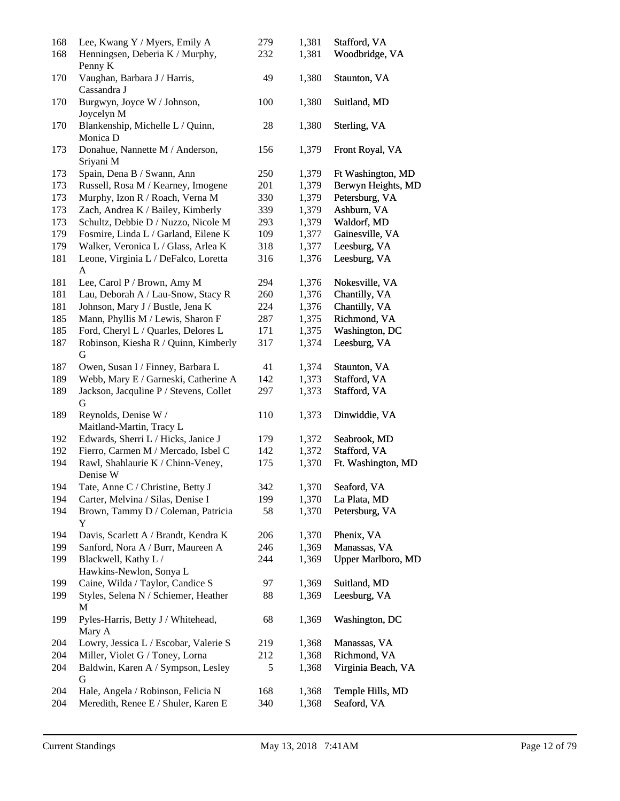| 168<br>168 | Lee, Kwang Y / Myers, Emily A<br>Henningsen, Deberia K / Murphy,          | 279<br>232 | 1,381<br>1,381 | Stafford, VA<br>Woodbridge, VA  |
|------------|---------------------------------------------------------------------------|------------|----------------|---------------------------------|
| 170        | Penny K<br>Vaughan, Barbara J / Harris,<br>Cassandra J                    | 49         | 1,380          | Staunton, VA                    |
| 170        | Burgwyn, Joyce W / Johnson,                                               | 100        | 1,380          | Suitland, MD                    |
| 170        | Joycelyn M<br>Blankenship, Michelle L / Quinn,<br>Monica D                | 28         | 1,380          | Sterling, VA                    |
| 173        | Donahue, Nannette M / Anderson,<br>Sriyani M                              | 156        | 1,379          | Front Royal, VA                 |
| 173        | Spain, Dena B / Swann, Ann                                                | 250        | 1,379          | Ft Washington, MD               |
| 173        | Russell, Rosa M / Kearney, Imogene                                        | 201        | 1,379          | Berwyn Heights, MD              |
| 173        | Murphy, Izon R / Roach, Verna M                                           | 330        | 1,379          | Petersburg, VA                  |
| 173        | Zach, Andrea K / Bailey, Kimberly                                         | 339        | 1,379          | Ashburn, VA                     |
| 173        | Schultz, Debbie D / Nuzzo, Nicole M                                       | 293        | 1,379          | Waldorf, MD                     |
| 179        | Fosmire, Linda L / Garland, Eilene K                                      | 109        | 1,377          | Gainesville, VA                 |
| 179        | Walker, Veronica L / Glass, Arlea K                                       | 318        | 1,377          | Leesburg, VA                    |
| 181        | Leone, Virginia L / DeFalco, Loretta<br>A                                 | 316        | 1,376          | Leesburg, VA                    |
| 181        | Lee, Carol P / Brown, Amy M                                               | 294        | 1,376          | Nokesville, VA                  |
| 181        | Lau, Deborah A / Lau-Snow, Stacy R                                        | 260        | 1,376          | Chantilly, VA                   |
| 181        | Johnson, Mary J / Bustle, Jena K                                          | 224        | 1,376          | Chantilly, VA                   |
| 185        | Mann, Phyllis M / Lewis, Sharon F                                         | 287        | 1,375          | Richmond, VA                    |
| 185        | Ford, Cheryl L / Quarles, Delores L                                       | 171        | 1,375          | Washington, DC                  |
| 187        | Robinson, Kiesha R / Quinn, Kimberly<br>G                                 | 317        | 1,374          | Leesburg, VA                    |
| 187        | Owen, Susan I / Finney, Barbara L                                         | 41         | 1,374          | Staunton, VA                    |
| 189        | Webb, Mary E / Garneski, Catherine A                                      | 142        | 1,373          | Stafford, VA                    |
| 189        | Jackson, Jacquline P / Stevens, Collet<br>G                               | 297        | 1,373          | Stafford, VA                    |
| 189        | Reynolds, Denise W /<br>Maitland-Martin, Tracy L                          | 110        | 1,373          | Dinwiddie, VA                   |
| 192        | Edwards, Sherri L / Hicks, Janice J                                       | 179        | 1,372          | Seabrook, MD                    |
| 192        | Fierro, Carmen M / Mercado, Isbel C                                       | 142        | 1,372          | Stafford, VA                    |
| 194        | Rawl, Shahlaurie K / Chinn-Veney,<br>Denise W                             | 175        | 1,370          | Ft. Washington, MD              |
| 194        | Tate, Anne C / Christine, Betty J                                         | 342        | 1,370          | Seaford, VA                     |
| 194        | Carter, Melvina / Silas, Denise I                                         | 199        | 1,370          | La Plata, MD                    |
| 194        | Brown, Tammy D / Coleman, Patricia<br>Y                                   | 58         | 1,370          | Petersburg, VA                  |
| 194        | Davis, Scarlett A / Brandt, Kendra K                                      | 206        | 1,370          | Phenix, VA                      |
| 199        | Sanford, Nora A / Burr, Maureen A                                         | 246        | 1,369          | Manassas, VA                    |
| 199        | Blackwell, Kathy L /<br>Hawkins-Newlon, Sonya L                           | 244        | 1,369          | <b>Upper Marlboro, MD</b>       |
| 199        | Caine, Wilda / Taylor, Candice S                                          | 97         | 1,369          | Suitland, MD                    |
| 199        | Styles, Selena N / Schiemer, Heather<br>М                                 | 88         | 1,369          | Leesburg, VA                    |
| 199        | Pyles-Harris, Betty J / Whitehead,<br>Mary A                              | 68         | 1,369          | Washington, DC                  |
| 204        | Lowry, Jessica L / Escobar, Valerie S                                     | 219        | 1,368          | Manassas, VA                    |
| 204        | Miller, Violet G / Toney, Lorna                                           | 212        | 1,368          | Richmond, VA                    |
| 204        | Baldwin, Karen A / Sympson, Lesley<br>G                                   | 5          | 1,368          | Virginia Beach, VA              |
| 204<br>204 | Hale, Angela / Robinson, Felicia N<br>Meredith, Renee E / Shuler, Karen E | 168<br>340 | 1,368<br>1,368 | Temple Hills, MD<br>Seaford, VA |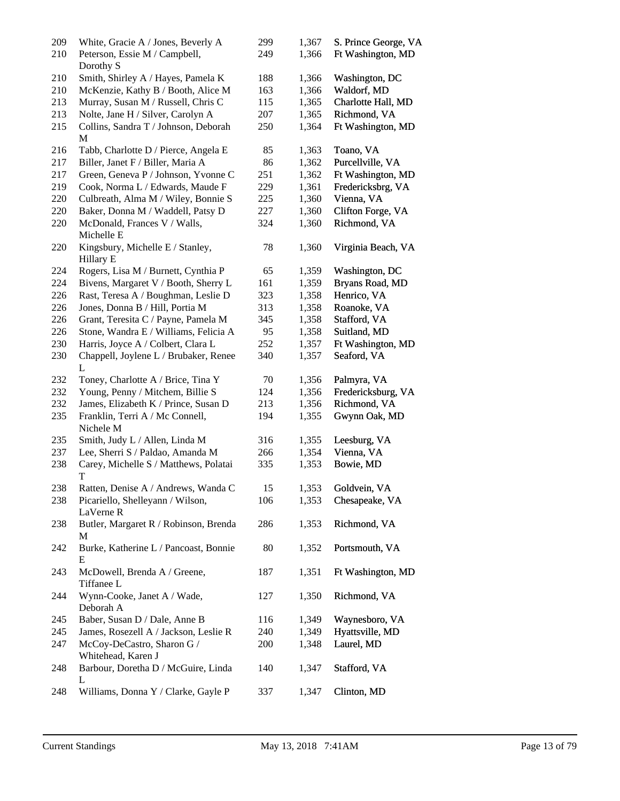| 209<br>210 | White, Gracie A / Jones, Beverly A<br>Peterson, Essie M / Campbell,<br>Dorothy S | 299<br>249 | 1,367<br>1,366 | S. Prince George, VA<br>Ft Washington, MD |
|------------|----------------------------------------------------------------------------------|------------|----------------|-------------------------------------------|
| 210        | Smith, Shirley A / Hayes, Pamela K                                               | 188        | 1,366          | Washington, DC                            |
| 210        | McKenzie, Kathy B / Booth, Alice M                                               | 163        | 1,366          | Waldorf, MD                               |
| 213        | Murray, Susan M / Russell, Chris C                                               | 115        | 1,365          | Charlotte Hall, MD                        |
| 213        | Nolte, Jane H / Silver, Carolyn A                                                | 207        | 1,365          | Richmond, VA                              |
| 215        | Collins, Sandra T / Johnson, Deborah<br>M                                        | 250        | 1,364          | Ft Washington, MD                         |
| 216        | Tabb, Charlotte D / Pierce, Angela E                                             | 85         | 1,363          | Toano, VA                                 |
| 217        | Biller, Janet F / Biller, Maria A                                                | 86         | 1,362          | Purcellville, VA                          |
| 217        | Green, Geneva P / Johnson, Yvonne C                                              | 251        | 1,362          | Ft Washington, MD                         |
| 219        | Cook, Norma L / Edwards, Maude F                                                 | 229        | 1,361          | Fredericksbrg, VA                         |
| 220        | Culbreath, Alma M / Wiley, Bonnie S                                              | 225        | 1,360          | Vienna, VA                                |
| 220        | Baker, Donna M / Waddell, Patsy D                                                | 227        | 1,360          | Clifton Forge, VA                         |
| 220        | McDonald, Frances V / Walls,<br>Michelle E                                       | 324        | 1,360          | Richmond, VA                              |
| 220        | Kingsbury, Michelle E / Stanley,<br>Hillary E                                    | 78         | 1,360          | Virginia Beach, VA                        |
| 224        | Rogers, Lisa M / Burnett, Cynthia P                                              | 65         | 1,359          | Washington, DC                            |
| 224        | Bivens, Margaret V / Booth, Sherry L                                             | 161        | 1,359          | Bryans Road, MD                           |
| 226        | Rast, Teresa A / Boughman, Leslie D                                              | 323        | 1,358          | Henrico, VA                               |
| 226        | Jones, Donna B / Hill, Portia M                                                  | 313        | 1,358          | Roanoke, VA                               |
| 226        | Grant, Teresita C / Payne, Pamela M                                              | 345        | 1,358          | Stafford, VA                              |
| 226        | Stone, Wandra E / Williams, Felicia A                                            | 95         | 1,358          | Suitland, MD                              |
| 230        | Harris, Joyce A / Colbert, Clara L                                               | 252        | 1,357          | Ft Washington, MD                         |
| 230        | Chappell, Joylene L / Brubaker, Renee<br>L                                       | 340        | 1,357          | Seaford, VA                               |
| 232        | Toney, Charlotte A / Brice, Tina Y                                               | 70         | 1,356          | Palmyra, VA                               |
| 232        | Young, Penny / Mitchem, Billie S                                                 | 124        | 1,356          | Fredericksburg, VA                        |
| 232        | James, Elizabeth K / Prince, Susan D                                             | 213        | 1,356          | Richmond, VA                              |
| 235        | Franklin, Terri A / Mc Connell,<br>Nichele M                                     | 194        | 1,355          | Gwynn Oak, MD                             |
| 235        | Smith, Judy L / Allen, Linda M                                                   | 316        | 1,355          | Leesburg, VA                              |
| 237        | Lee, Sherri S / Paldao, Amanda M                                                 | 266        | 1,354          | Vienna, VA                                |
| 238        | Carey, Michelle S / Matthews, Polatai<br>T                                       | 335        | 1,353          | Bowie, MD                                 |
| 238        | Ratten, Denise A / Andrews, Wanda C                                              | 15         | 1,353          | Goldvein, VA                              |
| 238        | Picariello, Shelleyann / Wilson,<br>LaVerne R                                    | 106        | 1,353          | Chesapeake, VA                            |
| 238        | Butler, Margaret R / Robinson, Brenda<br>M                                       | 286        | 1,353          | Richmond, VA                              |
| 242        | Burke, Katherine L / Pancoast, Bonnie<br>E                                       | 80         | 1,352          | Portsmouth, VA                            |
| 243        | McDowell, Brenda A / Greene,<br>Tiffanee L                                       | 187        | 1,351          | Ft Washington, MD                         |
| 244        | Wynn-Cooke, Janet A / Wade,<br>Deborah A                                         | 127        | 1,350          | Richmond, VA                              |
| 245        | Baber, Susan D / Dale, Anne B                                                    | 116        | 1,349          | Waynesboro, VA                            |
| 245        | James, Rosezell A / Jackson, Leslie R                                            | 240        | 1,349          | Hyattsville, MD                           |
| 247        | McCoy-DeCastro, Sharon G /<br>Whitehead, Karen J                                 | 200        | 1,348          | Laurel, MD                                |
| 248        | Barbour, Doretha D / McGuire, Linda<br>L                                         | 140        | 1,347          | Stafford, VA                              |
| 248        | Williams, Donna Y / Clarke, Gayle P                                              | 337        | 1,347          | Clinton, MD                               |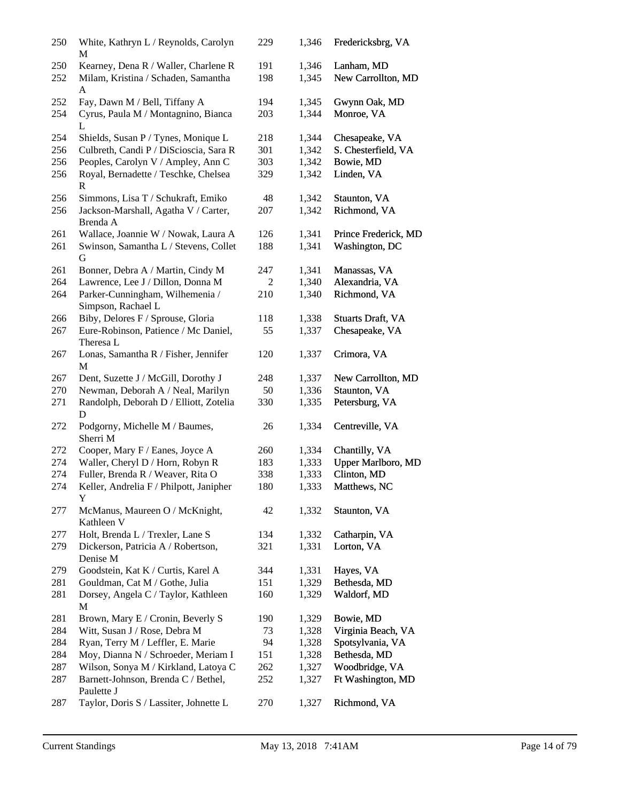| 250        | White, Kathryn L / Reynolds, Carolyn<br>M                                        | 229        | 1,346          | Fredericksbrg, VA                |
|------------|----------------------------------------------------------------------------------|------------|----------------|----------------------------------|
| 250<br>252 | Kearney, Dena R / Waller, Charlene R<br>Milam, Kristina / Schaden, Samantha<br>A | 191<br>198 | 1,346<br>1,345 | Lanham, MD<br>New Carrollton, MD |
| 252        | Fay, Dawn M / Bell, Tiffany A                                                    | 194        | 1,345          | Gwynn Oak, MD                    |
| 254        | Cyrus, Paula M / Montagnino, Bianca<br>L                                         | 203        | 1,344          | Monroe, VA                       |
| 254        | Shields, Susan P / Tynes, Monique L                                              | 218        | 1,344          | Chesapeake, VA                   |
| 256        | Culbreth, Candi P / DiScioscia, Sara R                                           | 301        | 1,342          | S. Chesterfield, VA              |
| 256        | Peoples, Carolyn V / Ampley, Ann C                                               | 303        | 1,342          | Bowie, MD                        |
| 256        | Royal, Bernadette / Teschke, Chelsea<br>R                                        | 329        | 1,342          | Linden, VA                       |
| 256        | Simmons, Lisa T / Schukraft, Emiko                                               | 48         | 1,342          | Staunton, VA                     |
| 256        | Jackson-Marshall, Agatha V / Carter,<br>Brenda A                                 | 207        | 1,342          | Richmond, VA                     |
| 261        | Wallace, Joannie W / Nowak, Laura A                                              | 126        | 1,341          | Prince Frederick, MD             |
| 261        | Swinson, Samantha L / Stevens, Collet<br>G                                       | 188        | 1,341          | Washington, DC                   |
| 261        | Bonner, Debra A / Martin, Cindy M                                                | 247        | 1,341          | Manassas, VA                     |
| 264        | Lawrence, Lee J / Dillon, Donna M                                                | 2          | 1,340          | Alexandria, VA                   |
| 264        | Parker-Cunningham, Wilhemenia /<br>Simpson, Rachael L                            | 210        | 1,340          | Richmond, VA                     |
| 266        | Biby, Delores F / Sprouse, Gloria                                                | 118        | 1,338          | Stuarts Draft, VA                |
| 267        | Eure-Robinson, Patience / Mc Daniel,<br>Theresa L                                | 55         | 1,337          | Chesapeake, VA                   |
| 267        | Lonas, Samantha R / Fisher, Jennifer<br>M                                        | 120        | 1,337          | Crimora, VA                      |
| 267        | Dent, Suzette J / McGill, Dorothy J                                              | 248        | 1,337          | New Carrollton, MD               |
| 270        | Newman, Deborah A / Neal, Marilyn                                                | 50         | 1,336          | Staunton, VA                     |
| 271        | Randolph, Deborah D / Elliott, Zotelia<br>D                                      | 330        | 1,335          | Petersburg, VA                   |
| 272        | Podgorny, Michelle M / Baumes,<br>Sherri M                                       | 26         | 1,334          | Centreville, VA                  |
| 272        | Cooper, Mary F / Eanes, Joyce A                                                  | 260        | 1,334          | Chantilly, VA                    |
| 274        | Waller, Cheryl D / Horn, Robyn R                                                 | 183        | 1,333          | Upper Marlboro, MD               |
| 274        | Fuller, Brenda R / Weaver, Rita O                                                | 338        | 1,333          | Clinton, MD                      |
| 274        | Keller, Andrelia F / Philpott, Janipher<br>Y                                     | 180        | 1,333          | Matthews, NC                     |
| 277        | McManus, Maureen O / McKnight,<br>Kathleen V                                     | 42         | 1,332          | Staunton, VA                     |
| 277        | Holt, Brenda L / Trexler, Lane S                                                 | 134        | 1,332          | Catharpin, VA                    |
| 279        | Dickerson, Patricia A / Robertson,<br>Denise M                                   | 321        | 1,331          | Lorton, VA                       |
| 279        | Goodstein, Kat K / Curtis, Karel A                                               | 344        | 1,331          | Hayes, VA                        |
| 281        | Gouldman, Cat M / Gothe, Julia                                                   | 151        | 1,329          | Bethesda, MD                     |
| 281        | Dorsey, Angela C / Taylor, Kathleen<br>M                                         | 160        | 1,329          | Waldorf, MD                      |
| 281        | Brown, Mary E / Cronin, Beverly S                                                | 190        | 1,329          | Bowie, MD                        |
| 284        | Witt, Susan J / Rose, Debra M                                                    | 73         | 1,328          | Virginia Beach, VA               |
| 284        | Ryan, Terry M / Leffler, E. Marie                                                | 94         | 1,328          | Spotsylvania, VA                 |
| 284        | Moy, Dianna N / Schroeder, Meriam I                                              | 151        | 1,328          | Bethesda, MD                     |
| 287        | Wilson, Sonya M / Kirkland, Latoya C                                             | 262        | 1,327          | Woodbridge, VA                   |
| 287        | Barnett-Johnson, Brenda C / Bethel,<br>Paulette J                                | 252        | 1,327          | Ft Washington, MD                |
| 287        | Taylor, Doris S / Lassiter, Johnette L                                           | 270        | 1,327          | Richmond, VA                     |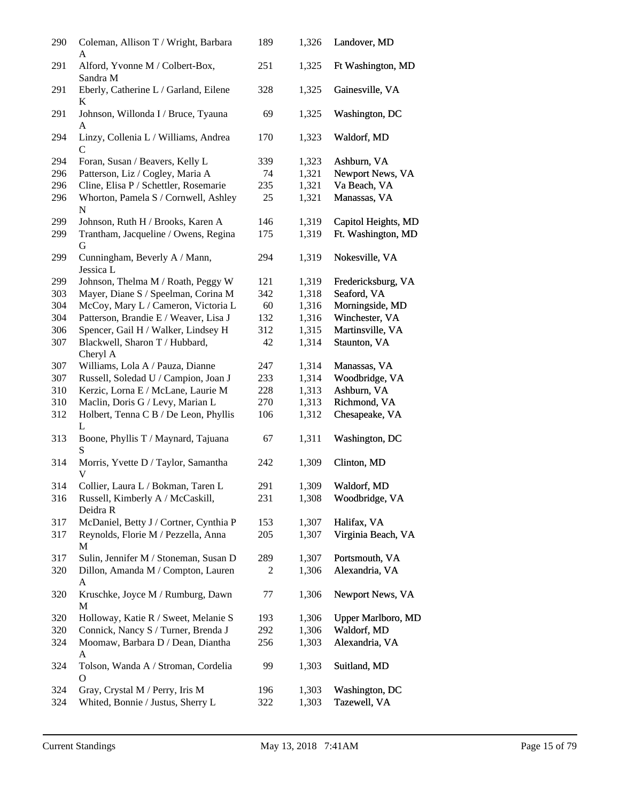| 290 | Coleman, Allison T / Wright, Barbara<br>A         | 189 | 1,326 | Landover, MD              |
|-----|---------------------------------------------------|-----|-------|---------------------------|
| 291 | Alford, Yvonne M / Colbert-Box,<br>Sandra M       | 251 | 1,325 | Ft Washington, MD         |
| 291 | Eberly, Catherine L / Garland, Eilene<br>K        | 328 | 1,325 | Gainesville, VA           |
| 291 | Johnson, Willonda I / Bruce, Tyauna<br>A          | 69  | 1,325 | Washington, DC            |
| 294 | Linzy, Collenia L / Williams, Andrea<br>C         | 170 | 1,323 | Waldorf, MD               |
| 294 | Foran, Susan / Beavers, Kelly L                   | 339 | 1,323 | Ashburn, VA               |
| 296 | Patterson, Liz / Cogley, Maria A                  | 74  | 1,321 | Newport News, VA          |
| 296 | Cline, Elisa P / Schettler, Rosemarie             | 235 | 1,321 | Va Beach, VA              |
| 296 | Whorton, Pamela S / Cornwell, Ashley<br>${\bf N}$ | 25  | 1,321 | Manassas, VA              |
| 299 | Johnson, Ruth H / Brooks, Karen A                 | 146 | 1,319 | Capitol Heights, MD       |
| 299 | Trantham, Jacqueline / Owens, Regina<br>G         | 175 | 1,319 | Ft. Washington, MD        |
| 299 | Cunningham, Beverly A / Mann,<br>Jessica L        | 294 | 1,319 | Nokesville, VA            |
| 299 | Johnson, Thelma M / Roath, Peggy W                | 121 | 1,319 | Fredericksburg, VA        |
| 303 | Mayer, Diane S / Speelman, Corina M               | 342 | 1,318 | Seaford, VA               |
| 304 | McCoy, Mary L / Cameron, Victoria L               | 60  | 1,316 | Morningside, MD           |
| 304 | Patterson, Brandie E / Weaver, Lisa J             | 132 | 1,316 | Winchester, VA            |
| 306 | Spencer, Gail H / Walker, Lindsey H               | 312 | 1,315 | Martinsville, VA          |
| 307 | Blackwell, Sharon T / Hubbard,<br>Cheryl A        | 42  | 1,314 | Staunton, VA              |
| 307 | Williams, Lola A / Pauza, Dianne                  | 247 | 1,314 | Manassas, VA              |
| 307 | Russell, Soledad U / Campion, Joan J              | 233 | 1,314 | Woodbridge, VA            |
| 310 | Kerzic, Lorna E / McLane, Laurie M                | 228 | 1,313 | Ashburn, VA               |
| 310 | Maclin, Doris G / Levy, Marian L                  | 270 | 1,313 | Richmond, VA              |
| 312 | Holbert, Tenna C B / De Leon, Phyllis<br>L        | 106 | 1,312 | Chesapeake, VA            |
| 313 | Boone, Phyllis T / Maynard, Tajuana<br>S          | 67  | 1,311 | Washington, DC            |
| 314 | Morris, Yvette D / Taylor, Samantha<br>V          | 242 | 1,309 | Clinton, MD               |
| 314 | Collier, Laura L / Bokman, Taren L                | 291 | 1,309 | Waldorf, MD               |
| 316 | Russell, Kimberly A / McCaskill,<br>Deidra R      | 231 | 1,308 | Woodbridge, VA            |
| 317 | McDaniel, Betty J / Cortner, Cynthia P            | 153 | 1,307 | Halifax, VA               |
| 317 | Reynolds, Florie M / Pezzella, Anna<br>M          | 205 | 1,307 | Virginia Beach, VA        |
| 317 | Sulin, Jennifer M / Stoneman, Susan D             | 289 | 1,307 | Portsmouth, VA            |
| 320 | Dillon, Amanda M / Compton, Lauren<br>A           | 2   | 1,306 | Alexandria, VA            |
| 320 | Kruschke, Joyce M / Rumburg, Dawn<br>М            | 77  | 1,306 | Newport News, VA          |
| 320 | Holloway, Katie R / Sweet, Melanie S              | 193 | 1,306 | <b>Upper Marlboro, MD</b> |
| 320 | Connick, Nancy S / Turner, Brenda J               | 292 | 1,306 | Waldorf, MD               |
| 324 | Moomaw, Barbara D / Dean, Diantha<br>A            | 256 | 1,303 | Alexandria, VA            |
| 324 | Tolson, Wanda A / Stroman, Cordelia<br>Ω          | 99  | 1,303 | Suitland, MD              |
| 324 | Gray, Crystal M / Perry, Iris M                   | 196 | 1,303 | Washington, DC            |
| 324 | Whited, Bonnie / Justus, Sherry L                 | 322 | 1,303 | Tazewell, VA              |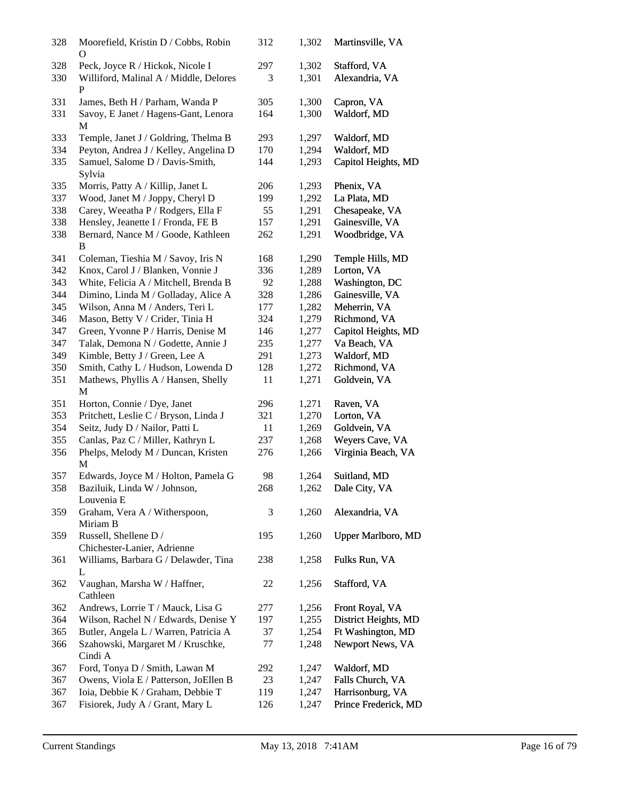| 328        | Moorefield, Kristin D / Cobbs, Robin<br>O                                       | 312      | 1,302          | Martinsville, VA               |
|------------|---------------------------------------------------------------------------------|----------|----------------|--------------------------------|
| 328<br>330 | Peck, Joyce R / Hickok, Nicole I<br>Williford, Malinal A / Middle, Delores<br>P | 297<br>3 | 1,302<br>1,301 | Stafford, VA<br>Alexandria, VA |
| 331        | James, Beth H / Parham, Wanda P                                                 | 305      | 1,300          | Capron, VA                     |
| 331        | Savoy, E Janet / Hagens-Gant, Lenora<br>M                                       | 164      | 1,300          | Waldorf, MD                    |
| 333        | Temple, Janet J / Goldring, Thelma B                                            | 293      | 1,297          | Waldorf, MD                    |
| 334        | Peyton, Andrea J / Kelley, Angelina D                                           | 170      | 1,294          | Waldorf, MD                    |
| 335        | Samuel, Salome D / Davis-Smith,<br>Sylvia                                       | 144      | 1,293          | Capitol Heights, MD            |
| 335        | Morris, Patty A / Killip, Janet L                                               | 206      | 1,293          | Phenix, VA                     |
| 337        | Wood, Janet M / Joppy, Cheryl D                                                 | 199      | 1,292          | La Plata, MD                   |
| 338        | Carey, Weeatha P / Rodgers, Ella F                                              | 55       | 1,291          | Chesapeake, VA                 |
| 338        | Hensley, Jeanette I / Fronda, FE B                                              | 157      | 1,291          | Gainesville, VA                |
| 338        | Bernard, Nance M / Goode, Kathleen<br>B                                         | 262      | 1,291          | Woodbridge, VA                 |
| 341        | Coleman, Tieshia M / Savoy, Iris N                                              | 168      | 1,290          | Temple Hills, MD               |
| 342        | Knox, Carol J / Blanken, Vonnie J                                               | 336      | 1,289          | Lorton, VA                     |
| 343        | White, Felicia A / Mitchell, Brenda B                                           | 92       | 1,288          | Washington, DC                 |
| 344        | Dimino, Linda M / Golladay, Alice A                                             | 328      | 1,286          | Gainesville, VA                |
| 345        | Wilson, Anna M / Anders, Teri L                                                 | 177      | 1,282          | Meherrin, VA                   |
| 346        | Mason, Betty V / Crider, Tinia H                                                | 324      | 1,279          | Richmond, VA                   |
| 347        | Green, Yvonne P / Harris, Denise M                                              | 146      | 1,277          | Capitol Heights, MD            |
| 347        | Talak, Demona N / Godette, Annie J                                              | 235      | 1,277          | Va Beach, VA                   |
| 349        | Kimble, Betty J / Green, Lee A                                                  | 291      | 1,273          | Waldorf, MD                    |
| 350        | Smith, Cathy L / Hudson, Lowenda D                                              | 128      | 1,272          | Richmond, VA                   |
| 351        | Mathews, Phyllis A / Hansen, Shelly<br>М                                        | 11       | 1,271          | Goldvein, VA                   |
| 351        | Horton, Connie / Dye, Janet                                                     | 296      | 1,271          | Raven, VA                      |
| 353        | Pritchett, Leslie C / Bryson, Linda J                                           | 321      | 1,270          | Lorton, VA                     |
| 354        | Seitz, Judy D / Nailor, Patti L                                                 | 11       | 1,269          | Goldvein, VA                   |
| 355        | Canlas, Paz C / Miller, Kathryn L                                               | 237      | 1,268          | Weyers Cave, VA                |
| 356        | Phelps, Melody M / Duncan, Kristen<br>М                                         | 276      | 1,266          | Virginia Beach, VA             |
| 357        | Edwards, Joyce M / Holton, Pamela G                                             | 98       | 1,264          | Suitland, MD                   |
| 358        | Baziluik, Linda W / Johnson,<br>Louvenia E                                      | 268      | 1,262          | Dale City, VA                  |
| 359        | Graham, Vera A / Witherspoon,<br>Miriam B                                       | 3        | 1,260          | Alexandria, VA                 |
| 359        | Russell, Shellene D /<br>Chichester-Lanier, Adrienne                            | 195      | 1,260          | <b>Upper Marlboro, MD</b>      |
| 361        | Williams, Barbara G / Delawder, Tina<br>L                                       | 238      | 1,258          | Fulks Run, VA                  |
| 362        | Vaughan, Marsha W / Haffner,<br>Cathleen                                        | 22       | 1,256          | Stafford, VA                   |
| 362        | Andrews, Lorrie T / Mauck, Lisa G                                               | 277      | 1,256          | Front Royal, VA                |
| 364        | Wilson, Rachel N / Edwards, Denise Y                                            | 197      | 1,255          | District Heights, MD           |
| 365        | Butler, Angela L / Warren, Patricia A                                           | 37       | 1,254          | Ft Washington, MD              |
| 366        | Szahowski, Margaret M / Kruschke,<br>Cindi A                                    | 77       | 1,248          | Newport News, VA               |
| 367        | Ford, Tonya D / Smith, Lawan M                                                  | 292      | 1,247          | Waldorf, MD                    |
| 367        | Owens, Viola E / Patterson, JoEllen B                                           | 23       | 1,247          | Falls Church, VA               |
| 367        | Ioia, Debbie K / Graham, Debbie T                                               | 119      | 1,247          | Harrisonburg, VA               |
| 367        | Fisiorek, Judy A / Grant, Mary L                                                | 126      | 1,247          | Prince Frederick, MD           |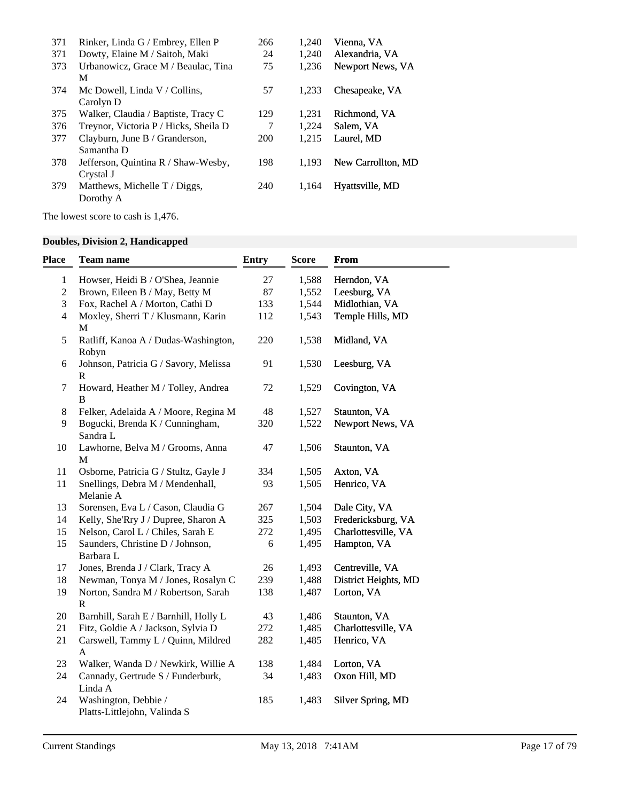| 371 | Rinker, Linda G / Embrey, Ellen P     | 266 | 1,240 | Vienna, VA         |
|-----|---------------------------------------|-----|-------|--------------------|
| 371 | Dowty, Elaine M / Saitoh, Maki        | 24  | 1,240 | Alexandria, VA     |
| 373 | Urbanowicz, Grace M / Beaulac, Tina   | 75  | 1.236 | Newport News, VA   |
|     | M                                     |     |       |                    |
| 374 | Mc Dowell, Linda $V /$ Collins,       | 57  | 1,233 | Chesapeake, VA     |
|     | Carolyn D                             |     |       |                    |
| 375 | Walker, Claudia / Baptiste, Tracy C   | 129 | 1,231 | Richmond, VA       |
| 376 | Treynor, Victoria P / Hicks, Sheila D | 7   | 1.224 | Salem, VA          |
| 377 | Clayburn, June B / Granderson,        | 200 | 1,215 | Laurel, MD         |
|     | Samantha D                            |     |       |                    |
| 378 | Jefferson, Quintina R / Shaw-Wesby,   | 198 | 1.193 | New Carrollton, MD |
|     | Crystal J                             |     |       |                    |
| 379 | Matthews, Michelle $T/Diggs$ ,        | 240 | 1.164 | Hyattsville, MD    |
|     | Dorothy A                             |     |       |                    |

The lowest score to cash is 1,476.

# **Doubles, Division 2, Handicapped**

| Place          | <b>Team name</b>                                      | <b>Entry</b> | <b>Score</b> | <b>From</b>          |
|----------------|-------------------------------------------------------|--------------|--------------|----------------------|
| $\mathbf{1}$   | Howser, Heidi B / O'Shea, Jeannie                     | 27           | 1,588        | Herndon, VA          |
| $\overline{c}$ | Brown, Eileen B / May, Betty M                        | 87           | 1,552        | Leesburg, VA         |
| 3              | Fox, Rachel A / Morton, Cathi D                       | 133          | 1,544        | Midlothian, VA       |
| $\overline{4}$ | Moxley, Sherri T / Klusmann, Karin<br>M               | 112          | 1,543        | Temple Hills, MD     |
| 5              | Ratliff, Kanoa A / Dudas-Washington,<br>Robyn         | 220          | 1,538        | Midland, VA          |
| 6              | Johnson, Patricia G / Savory, Melissa<br>$\mathbb{R}$ | 91           | 1,530        | Leesburg, VA         |
| 7              | Howard, Heather M / Tolley, Andrea<br>B               | 72           | 1,529        | Covington, VA        |
| 8              | Felker, Adelaida A / Moore, Regina M                  | 48           | 1,527        | Staunton, VA         |
| 9              | Bogucki, Brenda K / Cunningham,<br>Sandra L           | 320          | 1,522        | Newport News, VA     |
| 10             | Lawhorne, Belva M / Grooms, Anna<br>M                 | 47           | 1,506        | Staunton, VA         |
| 11             | Osborne, Patricia G / Stultz, Gayle J                 | 334          | 1,505        | Axton, VA            |
| 11             | Snellings, Debra M / Mendenhall,<br>Melanie A         | 93           | 1,505        | Henrico, VA          |
| 13             | Sorensen, Eva L / Cason, Claudia G                    | 267          | 1,504        | Dale City, VA        |
| 14             | Kelly, She'Rry J / Dupree, Sharon A                   | 325          | 1,503        | Fredericksburg, VA   |
| 15             | Nelson, Carol L / Chiles, Sarah E                     | 272          | 1,495        | Charlottesville, VA  |
| 15             | Saunders, Christine D / Johnson,<br>Barbara L         | 6            | 1,495        | Hampton, VA          |
| 17             | Jones, Brenda J / Clark, Tracy A                      | 26           | 1,493        | Centreville, VA      |
| 18             | Newman, Tonya M / Jones, Rosalyn C                    | 239          | 1,488        | District Heights, MD |
| 19             | Norton, Sandra M / Robertson, Sarah<br>$\mathbf R$    | 138          | 1,487        | Lorton, VA           |
| 20             | Barnhill, Sarah E / Barnhill, Holly L                 | 43           | 1,486        | Staunton, VA         |
| 21             | Fitz, Goldie A / Jackson, Sylvia D                    | 272          | 1,485        | Charlottesville, VA  |
| 21             | Carswell, Tammy L / Quinn, Mildred<br>A               | 282          | 1,485        | Henrico, VA          |
| 23             | Walker, Wanda D / Newkirk, Willie A                   | 138          | 1,484        | Lorton, VA           |
| 24             | Cannady, Gertrude S / Funderburk,<br>Linda A          | 34           | 1,483        | Oxon Hill, MD        |
| 24             | Washington, Debbie /<br>Platts-Littlejohn, Valinda S  | 185          | 1,483        | Silver Spring, MD    |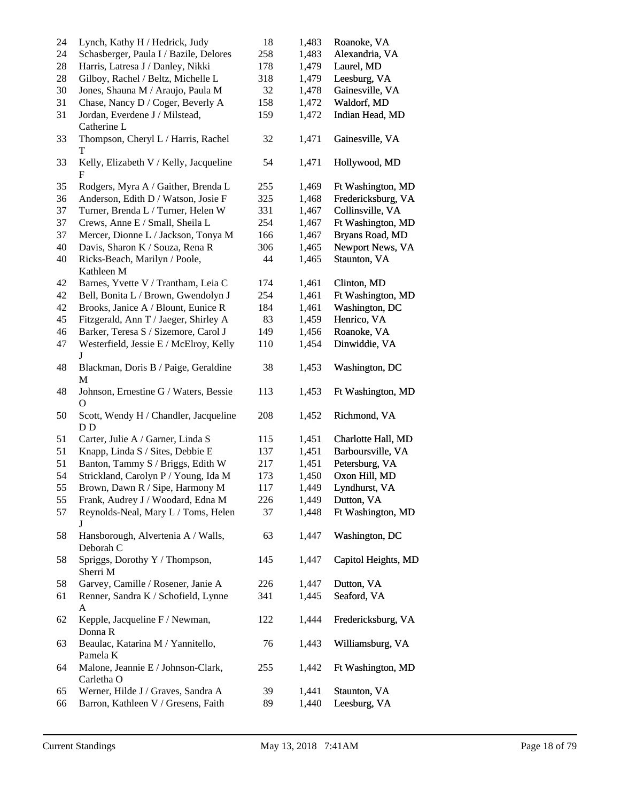| 24     | Lynch, Kathy H / Hedrick, Judy                          | 18  | 1,483 | Roanoke, VA         |
|--------|---------------------------------------------------------|-----|-------|---------------------|
| 24     | Schasberger, Paula I / Bazile, Delores                  | 258 | 1,483 | Alexandria, VA      |
| $28\,$ | Harris, Latresa J / Danley, Nikki                       | 178 | 1,479 | Laurel, MD          |
| $28\,$ | Gilboy, Rachel / Beltz, Michelle L                      | 318 | 1,479 | Leesburg, VA        |
| 30     | Jones, Shauna M / Araujo, Paula M                       | 32  | 1,478 | Gainesville, VA     |
| 31     | Chase, Nancy D / Coger, Beverly A                       | 158 | 1,472 | Waldorf, MD         |
| 31     | Jordan, Everdene J / Milstead,                          | 159 | 1,472 | Indian Head, MD     |
| 33     | Catherine L<br>Thompson, Cheryl L / Harris, Rachel<br>T | 32  | 1,471 | Gainesville, VA     |
| 33     | Kelly, Elizabeth V / Kelly, Jacqueline<br>F             | 54  | 1,471 | Hollywood, MD       |
| 35     | Rodgers, Myra A / Gaither, Brenda L                     | 255 | 1,469 | Ft Washington, MD   |
| 36     | Anderson, Edith D / Watson, Josie F                     | 325 | 1,468 | Fredericksburg, VA  |
| 37     | Turner, Brenda L / Turner, Helen W                      | 331 | 1,467 | Collinsville, VA    |
| 37     | Crews, Anne E / Small, Sheila L                         | 254 | 1,467 | Ft Washington, MD   |
| 37     | Mercer, Dionne L / Jackson, Tonya M                     | 166 | 1,467 | Bryans Road, MD     |
| 40     | Davis, Sharon K / Souza, Rena R                         | 306 | 1,465 | Newport News, VA    |
| 40     | Ricks-Beach, Marilyn / Poole,<br>Kathleen M             | 44  | 1,465 | Staunton, VA        |
| 42     | Barnes, Yvette V / Trantham, Leia C                     | 174 | 1,461 | Clinton, MD         |
| 42     | Bell, Bonita L / Brown, Gwendolyn J                     | 254 | 1,461 | Ft Washington, MD   |
| 42     | Brooks, Janice A / Blount, Eunice R                     | 184 | 1,461 | Washington, DC      |
| 45     | Fitzgerald, Ann T / Jaeger, Shirley A                   | 83  | 1,459 | Henrico, VA         |
| $46\,$ | Barker, Teresa S / Sizemore, Carol J                    | 149 | 1,456 | Roanoke, VA         |
| 47     | Westerfield, Jessie E / McElroy, Kelly                  | 110 | 1,454 | Dinwiddie, VA       |
| 48     | J<br>Blackman, Doris B / Paige, Geraldine<br>M          | 38  | 1,453 | Washington, DC      |
| 48     | Johnson, Ernestine G / Waters, Bessie<br>$\Omega$       | 113 | 1,453 | Ft Washington, MD   |
| 50     | Scott, Wendy H / Chandler, Jacqueline<br>D <sub>D</sub> | 208 | 1,452 | Richmond, VA        |
| 51     | Carter, Julie A / Garner, Linda S                       | 115 | 1,451 | Charlotte Hall, MD  |
| 51     | Knapp, Linda S / Sites, Debbie E                        | 137 | 1,451 | Barboursville, VA   |
| 51     | Banton, Tammy S / Briggs, Edith W                       | 217 | 1,451 | Petersburg, VA      |
| 54     | Strickland, Carolyn P / Young, Ida M                    | 173 | 1,450 | Oxon Hill, MD       |
| 55     | Brown, Dawn R / Sipe, Harmony M                         | 117 | 1,449 | Lyndhurst, VA       |
| 55     | Frank, Audrey J / Woodard, Edna M                       | 226 | 1,449 | Dutton, VA          |
|        |                                                         | 37  |       | Ft Washington, MD   |
| 57     | Reynolds-Neal, Mary L / Toms, Helen<br>J                |     | 1,448 |                     |
| 58     | Hansborough, Alvertenia A / Walls,<br>Deborah C         | 63  | 1,447 | Washington, DC      |
| 58     | Spriggs, Dorothy Y / Thompson,<br>Sherri M              | 145 | 1,447 | Capitol Heights, MD |
| 58     | Garvey, Camille / Rosener, Janie A                      | 226 | 1,447 | Dutton, VA          |
| 61     | Renner, Sandra K / Schofield, Lynne                     | 341 | 1,445 | Seaford, VA         |
|        | A                                                       |     |       |                     |
| 62     | Kepple, Jacqueline F / Newman,<br>Donna R               | 122 | 1,444 | Fredericksburg, VA  |
| 63     | Beaulac, Katarina M / Yannitello,<br>Pamela K           | 76  | 1,443 | Williamsburg, VA    |
| 64     | Malone, Jeannie E / Johnson-Clark,<br>Carletha O        | 255 | 1,442 | Ft Washington, MD   |
| 65     | Werner, Hilde J / Graves, Sandra A                      | 39  | 1,441 | Staunton, VA        |
| 66     | Barron, Kathleen V / Gresens, Faith                     | 89  | 1,440 | Leesburg, VA        |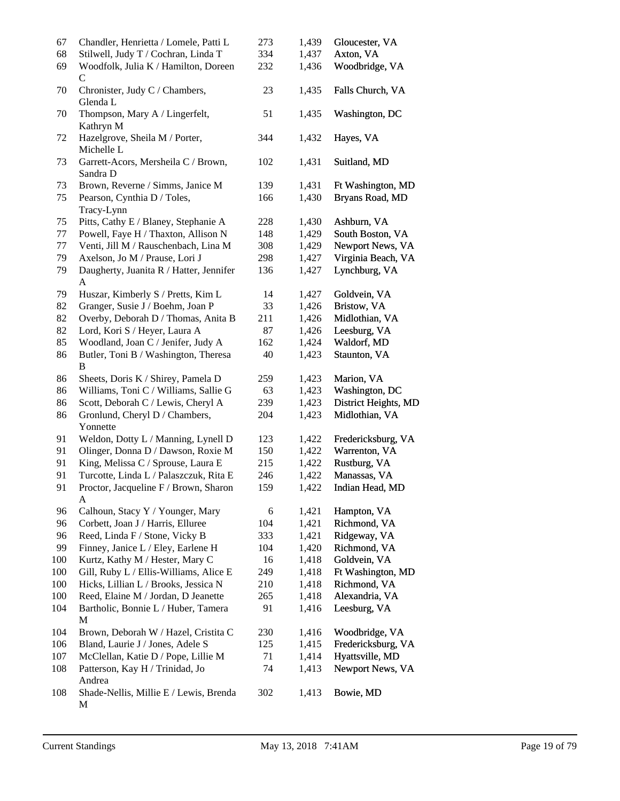| 67  | Chandler, Henrietta / Lomele, Patti L           | 273 | 1,439 | Gloucester, VA       |
|-----|-------------------------------------------------|-----|-------|----------------------|
| 68  | Stilwell, Judy T / Cochran, Linda T             | 334 | 1,437 | Axton, VA            |
| 69  | Woodfolk, Julia K / Hamilton, Doreen<br>C       | 232 | 1,436 | Woodbridge, VA       |
| 70  | Chronister, Judy C / Chambers,<br>Glenda L      | 23  | 1,435 | Falls Church, VA     |
| 70  | Thompson, Mary A / Lingerfelt,<br>Kathryn M     | 51  | 1,435 | Washington, DC       |
| 72  | Hazelgrove, Sheila M / Porter,<br>Michelle L    | 344 | 1,432 | Hayes, VA            |
| 73  | Garrett-Acors, Mersheila C / Brown,<br>Sandra D | 102 | 1,431 | Suitland, MD         |
| 73  | Brown, Reverne / Simms, Janice M                | 139 | 1,431 | Ft Washington, MD    |
| 75  | Pearson, Cynthia D / Toles,                     | 166 | 1,430 | Bryans Road, MD      |
|     | Tracy-Lynn                                      |     |       |                      |
| 75  | Pitts, Cathy E / Blaney, Stephanie A            | 228 | 1,430 | Ashburn, VA          |
| 77  | Powell, Faye H / Thaxton, Allison N             | 148 | 1,429 | South Boston, VA     |
| 77  | Venti, Jill M / Rauschenbach, Lina M            | 308 | 1,429 | Newport News, VA     |
| 79  | Axelson, Jo M / Prause, Lori J                  | 298 | 1,427 | Virginia Beach, VA   |
| 79  | Daugherty, Juanita R / Hatter, Jennifer         | 136 | 1,427 | Lynchburg, VA        |
|     | $\mathbf{A}$                                    |     |       |                      |
| 79  | Huszar, Kimberly S / Pretts, Kim L              | 14  | 1,427 | Goldvein, VA         |
| 82  | Granger, Susie J / Boehm, Joan P                | 33  | 1,426 | Bristow, VA          |
| 82  | Overby, Deborah D / Thomas, Anita B             | 211 | 1,426 | Midlothian, VA       |
| 82  | Lord, Kori S / Heyer, Laura A                   | 87  | 1,426 | Leesburg, VA         |
| 85  | Woodland, Joan C / Jenifer, Judy A              | 162 | 1,424 | Waldorf, MD          |
| 86  | Butler, Toni B / Washington, Theresa<br>B       | 40  | 1,423 | Staunton, VA         |
| 86  | Sheets, Doris K / Shirey, Pamela D              | 259 | 1,423 | Marion, VA           |
| 86  | Williams, Toni C / Williams, Sallie G           | 63  | 1,423 | Washington, DC       |
| 86  | Scott, Deborah C / Lewis, Cheryl A              | 239 | 1,423 | District Heights, MD |
| 86  | Gronlund, Cheryl D / Chambers,<br>Yonnette      | 204 | 1,423 | Midlothian, VA       |
| 91  | Weldon, Dotty L / Manning, Lynell D             | 123 | 1,422 | Fredericksburg, VA   |
| 91  | Olinger, Donna D / Dawson, Roxie M              | 150 | 1,422 | Warrenton, VA        |
| 91  | King, Melissa C / Sprouse, Laura E              | 215 | 1,422 | Rustburg, VA         |
| 91  | Turcotte, Linda L / Palaszczuk, Rita E          | 246 | 1,422 | Manassas, VA         |
| 91  | Proctor, Jacqueline F / Brown, Sharon<br>A      | 159 | 1,422 | Indian Head, MD      |
| 96  | Calhoun, Stacy Y / Younger, Mary                | 6   | 1,421 | Hampton, VA          |
| 96  | Corbett, Joan J / Harris, Elluree               | 104 | 1,421 | Richmond, VA         |
| 96  | Reed, Linda F / Stone, Vicky B                  | 333 | 1,421 | Ridgeway, VA         |
| 99  | Finney, Janice L / Eley, Earlene H              | 104 | 1,420 | Richmond, VA         |
| 100 | Kurtz, Kathy M / Hester, Mary C                 | 16  | 1,418 | Goldvein, VA         |
| 100 | Gill, Ruby L / Ellis-Williams, Alice E          | 249 | 1,418 | Ft Washington, MD    |
| 100 | Hicks, Lillian L / Brooks, Jessica N            | 210 | 1,418 | Richmond, VA         |
| 100 | Reed, Elaine M / Jordan, D Jeanette             | 265 | 1,418 | Alexandria, VA       |
| 104 | Bartholic, Bonnie L / Huber, Tamera<br>M        | 91  | 1,416 | Leesburg, VA         |
| 104 | Brown, Deborah W / Hazel, Cristita C            | 230 | 1,416 | Woodbridge, VA       |
| 106 | Bland, Laurie J / Jones, Adele S                | 125 | 1,415 | Fredericksburg, VA   |
| 107 | McClellan, Katie D / Pope, Lillie M             | 71  | 1,414 | Hyattsville, MD      |
| 108 | Patterson, Kay H / Trinidad, Jo                 | 74  | 1,413 | Newport News, VA     |
|     | Andrea                                          |     |       |                      |
| 108 | Shade-Nellis, Millie E / Lewis, Brenda<br>M     | 302 | 1,413 | Bowie, MD            |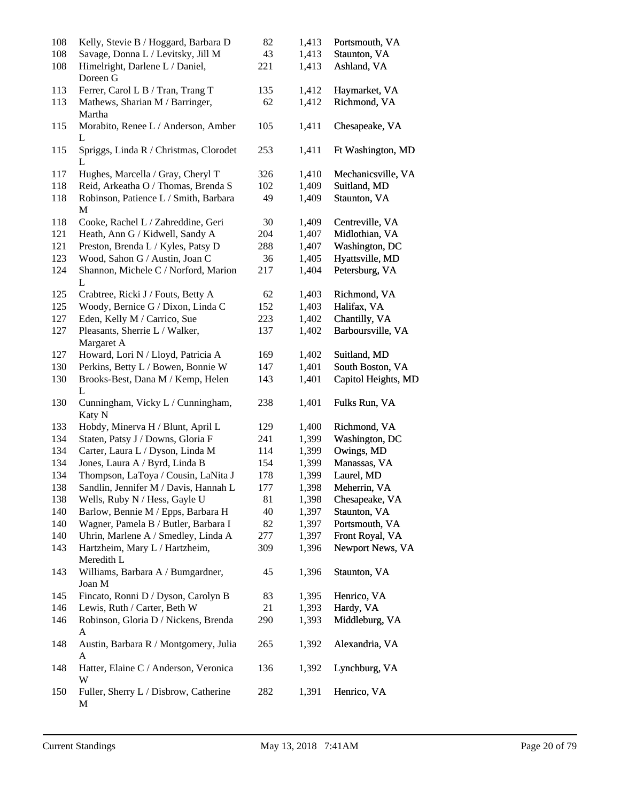| 108 | Kelly, Stevie B / Hoggard, Barbara D         | 82  | 1,413 | Portsmouth, VA      |
|-----|----------------------------------------------|-----|-------|---------------------|
| 108 | Savage, Donna L / Levitsky, Jill M           | 43  | 1,413 | Staunton, VA        |
| 108 | Himelright, Darlene L / Daniel,<br>Doreen G  | 221 | 1,413 | Ashland, VA         |
| 113 | Ferrer, Carol L B / Tran, Trang T            | 135 | 1,412 | Haymarket, VA       |
| 113 | Mathews, Sharian M / Barringer,<br>Martha    | 62  | 1,412 | Richmond, VA        |
| 115 | Morabito, Renee L / Anderson, Amber<br>L     | 105 | 1,411 | Chesapeake, VA      |
| 115 | Spriggs, Linda R / Christmas, Clorodet<br>L  | 253 | 1,411 | Ft Washington, MD   |
| 117 | Hughes, Marcella / Gray, Cheryl T            | 326 | 1,410 | Mechanicsville, VA  |
| 118 | Reid, Arkeatha O / Thomas, Brenda S          | 102 | 1,409 | Suitland, MD        |
| 118 | Robinson, Patience L / Smith, Barbara<br>M   | 49  | 1,409 | Staunton, VA        |
| 118 | Cooke, Rachel L / Zahreddine, Geri           | 30  | 1,409 | Centreville, VA     |
| 121 | Heath, Ann G / Kidwell, Sandy A              | 204 | 1,407 | Midlothian, VA      |
| 121 | Preston, Brenda L / Kyles, Patsy D           | 288 | 1,407 | Washington, DC      |
| 123 | Wood, Sahon G / Austin, Joan C               | 36  | 1,405 | Hyattsville, MD     |
| 124 | Shannon, Michele C / Norford, Marion<br>L    | 217 | 1,404 | Petersburg, VA      |
| 125 | Crabtree, Ricki J / Fouts, Betty A           | 62  | 1,403 | Richmond, VA        |
| 125 | Woody, Bernice G / Dixon, Linda C            | 152 | 1,403 | Halifax, VA         |
| 127 | Eden, Kelly M / Carrico, Sue                 | 223 | 1,402 | Chantilly, VA       |
| 127 | Pleasants, Sherrie L / Walker,               | 137 | 1,402 | Barboursville, VA   |
|     | Margaret A                                   |     |       |                     |
| 127 | Howard, Lori N / Lloyd, Patricia A           | 169 | 1,402 | Suitland, MD        |
| 130 | Perkins, Betty L / Bowen, Bonnie W           | 147 | 1,401 | South Boston, VA    |
| 130 | Brooks-Best, Dana M / Kemp, Helen<br>L       | 143 | 1,401 | Capitol Heights, MD |
| 130 | Cunningham, Vicky L / Cunningham,<br>Katy N  | 238 | 1,401 | Fulks Run, VA       |
| 133 | Hobdy, Minerva H / Blunt, April L            | 129 | 1,400 | Richmond, VA        |
| 134 | Staten, Patsy J / Downs, Gloria F            | 241 | 1,399 | Washington, DC      |
| 134 | Carter, Laura L / Dyson, Linda M             | 114 | 1,399 | Owings, MD          |
| 134 | Jones, Laura A / Byrd, Linda B               | 154 | 1,399 | Manassas, VA        |
| 134 | Thompson, LaToya / Cousin, LaNita J          | 178 | 1,399 | Laurel, MD          |
| 138 | Sandlin, Jennifer M / Davis, Hannah L        | 177 | 1,398 | Meherrin, VA        |
| 138 | Wells, Ruby N / Hess, Gayle U                | 81  | 1,398 | Chesapeake, VA      |
| 140 | Barlow, Bennie M / Epps, Barbara H           | 40  | 1,397 | Staunton, VA        |
| 140 | Wagner, Pamela B / Butler, Barbara I         | 82  | 1,397 | Portsmouth, VA      |
| 140 | Uhrin, Marlene A / Smedley, Linda A          | 277 | 1,397 | Front Royal, VA     |
| 143 | Hartzheim, Mary L / Hartzheim,<br>Meredith L | 309 | 1,396 | Newport News, VA    |
| 143 | Williams, Barbara A / Bumgardner,            | 45  | 1,396 | Staunton, VA        |
|     | Joan M                                       |     |       |                     |
| 145 | Fincato, Ronni D / Dyson, Carolyn B          | 83  | 1,395 | Henrico, VA         |
| 146 | Lewis, Ruth / Carter, Beth W                 | 21  | 1,393 | Hardy, VA           |
| 146 | Robinson, Gloria D / Nickens, Brenda<br>A    | 290 | 1,393 | Middleburg, VA      |
| 148 | Austin, Barbara R / Montgomery, Julia<br>A   | 265 | 1,392 | Alexandria, VA      |
| 148 | Hatter, Elaine C / Anderson, Veronica<br>W   | 136 | 1,392 | Lynchburg, VA       |
| 150 | Fuller, Sherry L / Disbrow, Catherine<br>М   | 282 | 1,391 | Henrico, VA         |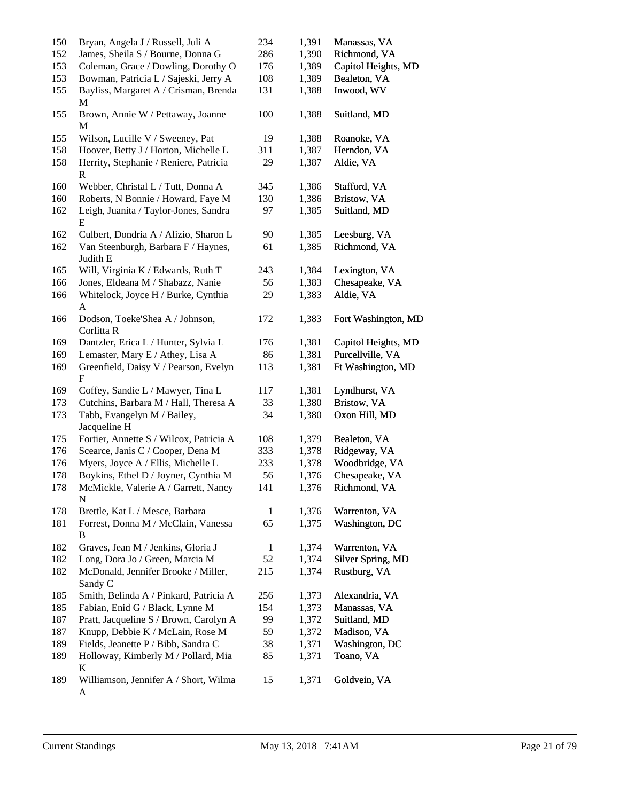| 150 | Bryan, Angela J / Russell, Juli A                     | 234          | 1,391 | Manassas, VA        |
|-----|-------------------------------------------------------|--------------|-------|---------------------|
| 152 | James, Sheila S / Bourne, Donna G                     | 286          | 1,390 | Richmond, VA        |
| 153 | Coleman, Grace / Dowling, Dorothy O                   | 176          | 1,389 | Capitol Heights, MD |
| 153 | Bowman, Patricia L / Sajeski, Jerry A                 | 108          | 1,389 | Bealeton, VA        |
| 155 | Bayliss, Margaret A / Crisman, Brenda<br>M            | 131          | 1,388 | Inwood, WV          |
| 155 | Brown, Annie W / Pettaway, Joanne<br>M                | 100          | 1,388 | Suitland, MD        |
| 155 | Wilson, Lucille V / Sweeney, Pat                      | 19           | 1,388 | Roanoke, VA         |
| 158 | Hoover, Betty J / Horton, Michelle L                  | 311          | 1,387 | Herndon, VA         |
| 158 | Herrity, Stephanie / Reniere, Patricia<br>$\mathbf R$ | 29           | 1,387 | Aldie, VA           |
| 160 | Webber, Christal L / Tutt, Donna A                    | 345          | 1,386 | Stafford, VA        |
| 160 | Roberts, N Bonnie / Howard, Faye M                    | 130          | 1,386 | Bristow, VA         |
| 162 | Leigh, Juanita / Taylor-Jones, Sandra<br>E            | 97           | 1,385 | Suitland, MD        |
| 162 | Culbert, Dondria A / Alizio, Sharon L                 | 90           | 1,385 | Leesburg, VA        |
| 162 | Van Steenburgh, Barbara F / Haynes,<br>Judith E       | 61           | 1,385 | Richmond, VA        |
| 165 | Will, Virginia K / Edwards, Ruth T                    | 243          | 1,384 | Lexington, VA       |
| 166 | Jones, Eldeana M / Shabazz, Nanie                     | 56           | 1,383 | Chesapeake, VA      |
| 166 | Whitelock, Joyce H / Burke, Cynthia                   | 29           | 1,383 | Aldie, VA           |
|     | $\mathbf{A}$                                          |              |       |                     |
| 166 | Dodson, Toeke'Shea A / Johnson,<br>Corlitta R         | 172          | 1,383 | Fort Washington, MD |
| 169 | Dantzler, Erica L / Hunter, Sylvia L                  | 176          | 1,381 | Capitol Heights, MD |
| 169 | Lemaster, Mary E / Athey, Lisa A                      | 86           | 1,381 | Purcellville, VA    |
| 169 | Greenfield, Daisy V / Pearson, Evelyn<br>$\mathbf{F}$ | 113          | 1,381 | Ft Washington, MD   |
| 169 | Coffey, Sandie L / Mawyer, Tina L                     | 117          | 1,381 | Lyndhurst, VA       |
| 173 | Cutchins, Barbara M / Hall, Theresa A                 | 33           | 1,380 | Bristow, VA         |
| 173 | Tabb, Evangelyn M / Bailey,<br>Jacqueline H           | 34           | 1,380 | Oxon Hill, MD       |
| 175 | Fortier, Annette S / Wilcox, Patricia A               | 108          | 1,379 | Bealeton, VA        |
| 176 | Scearce, Janis C / Cooper, Dena M                     | 333          | 1,378 | Ridgeway, VA        |
| 176 | Myers, Joyce A / Ellis, Michelle L                    | 233          | 1,378 | Woodbridge, VA      |
| 178 | Boykins, Ethel D / Joyner, Cynthia M                  | 56           | 1,376 | Chesapeake, VA      |
| 178 | McMickle, Valerie A / Garrett, Nancy<br>N             | 141          | 1,376 | Richmond, VA        |
| 178 | Brettle, Kat L / Mesce, Barbara                       | 1            | 1,376 | Warrenton, VA       |
| 181 | Forrest, Donna M / McClain, Vanessa<br>В              | 65           | 1,375 | Washington, DC      |
| 182 | Graves, Jean M / Jenkins, Gloria J                    | $\mathbf{1}$ | 1,374 | Warrenton, VA       |
| 182 | Long, Dora Jo / Green, Marcia M                       | 52           | 1,374 | Silver Spring, MD   |
| 182 | McDonald, Jennifer Brooke / Miller,<br>Sandy C        | 215          | 1,374 | Rustburg, VA        |
| 185 | Smith, Belinda A / Pinkard, Patricia A                | 256          | 1,373 | Alexandria, VA      |
| 185 | Fabian, Enid G / Black, Lynne M                       | 154          | 1,373 | Manassas, VA        |
| 187 | Pratt, Jacqueline S / Brown, Carolyn A                | 99           | 1,372 | Suitland, MD        |
| 187 | Knupp, Debbie K / McLain, Rose M                      | 59           | 1,372 | Madison, VA         |
| 189 | Fields, Jeanette P / Bibb, Sandra C                   | 38           | 1,371 | Washington, DC      |
| 189 | Holloway, Kimberly M / Pollard, Mia<br>K              | 85           | 1,371 | Toano, VA           |
| 189 | Williamson, Jennifer A / Short, Wilma<br>A            | 15           | 1,371 | Goldvein, VA        |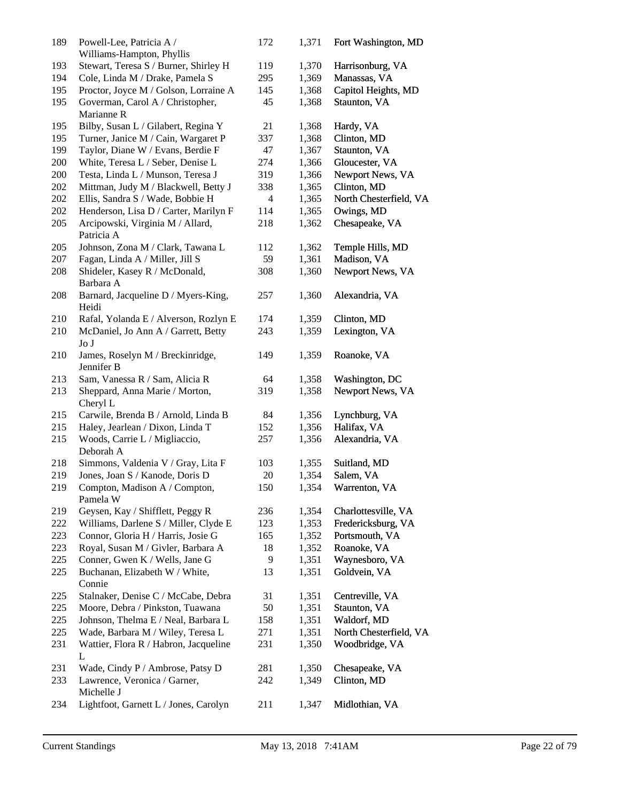| 189 | Powell-Lee, Patricia A /<br>Williams-Hampton, Phyllis | 172 | 1,371 | Fort Washington, MD    |
|-----|-------------------------------------------------------|-----|-------|------------------------|
| 193 | Stewart, Teresa S / Burner, Shirley H                 | 119 | 1,370 | Harrisonburg, VA       |
| 194 | Cole, Linda M / Drake, Pamela S                       | 295 | 1,369 | Manassas, VA           |
| 195 | Proctor, Joyce M / Golson, Lorraine A                 | 145 | 1,368 | Capitol Heights, MD    |
| 195 | Goverman, Carol A / Christopher,<br>Marianne R        | 45  | 1,368 | Staunton, VA           |
| 195 | Bilby, Susan L / Gilabert, Regina Y                   | 21  | 1,368 | Hardy, VA              |
| 195 | Turner, Janice M / Cain, Wargaret P                   | 337 | 1,368 | Clinton, MD            |
| 199 | Taylor, Diane W / Evans, Berdie F                     | 47  | 1,367 | Staunton, VA           |
| 200 | White, Teresa L / Seber, Denise L                     | 274 | 1,366 | Gloucester, VA         |
| 200 | Testa, Linda L / Munson, Teresa J                     | 319 | 1,366 | Newport News, VA       |
| 202 | Mittman, Judy M / Blackwell, Betty J                  | 338 | 1,365 | Clinton, MD            |
| 202 | Ellis, Sandra S / Wade, Bobbie H                      | 4   | 1,365 | North Chesterfield, VA |
| 202 | Henderson, Lisa D / Carter, Marilyn F                 | 114 | 1,365 | Owings, MD             |
| 205 | Arcipowski, Virginia M / Allard,<br>Patricia A        | 218 | 1,362 | Chesapeake, VA         |
| 205 | Johnson, Zona M / Clark, Tawana L                     | 112 | 1,362 | Temple Hills, MD       |
| 207 | Fagan, Linda A / Miller, Jill S                       | 59  | 1,361 | Madison, VA            |
| 208 | Shideler, Kasey R / McDonald,<br>Barbara A            | 308 | 1,360 | Newport News, VA       |
| 208 | Barnard, Jacqueline D / Myers-King,<br>Heidi          | 257 | 1,360 | Alexandria, VA         |
| 210 | Rafal, Yolanda E / Alverson, Rozlyn E                 | 174 | 1,359 | Clinton, MD            |
| 210 | McDaniel, Jo Ann A / Garrett, Betty<br>JoJ            | 243 | 1,359 | Lexington, VA          |
| 210 | James, Roselyn M / Breckinridge,<br>Jennifer B        | 149 | 1,359 | Roanoke, VA            |
| 213 | Sam, Vanessa R / Sam, Alicia R                        | 64  | 1,358 | Washington, DC         |
| 213 | Sheppard, Anna Marie / Morton,<br>Cheryl L            | 319 | 1,358 | Newport News, VA       |
| 215 | Carwile, Brenda B / Arnold, Linda B                   | 84  | 1,356 | Lynchburg, VA          |
| 215 | Haley, Jearlean / Dixon, Linda T                      | 152 | 1,356 | Halifax, VA            |
| 215 | Woods, Carrie L / Migliaccio,<br>Deborah A            | 257 | 1,356 | Alexandria, VA         |
| 218 | Simmons, Valdenia V / Gray, Lita F                    | 103 | 1,355 | Suitland, MD           |
| 219 | Jones, Joan S / Kanode, Doris D                       | 20  | 1,354 | Salem, VA              |
| 219 | Compton, Madison A / Compton,<br>Pamela W             | 150 | 1,354 | Warrenton, VA          |
| 219 | Geysen, Kay / Shifflett, Peggy R                      | 236 | 1,354 | Charlottesville, VA    |
| 222 | Williams, Darlene S / Miller, Clyde E                 | 123 | 1,353 | Fredericksburg, VA     |
| 223 | Connor, Gloria H / Harris, Josie G                    | 165 | 1,352 | Portsmouth, VA         |
| 223 | Royal, Susan M / Givler, Barbara A                    | 18  | 1,352 | Roanoke, VA            |
| 225 | Conner, Gwen K / Wells, Jane G                        | 9   | 1,351 | Waynesboro, VA         |
| 225 | Buchanan, Elizabeth W / White,<br>Connie              | 13  | 1,351 | Goldvein, VA           |
| 225 | Stalnaker, Denise C / McCabe, Debra                   | 31  | 1,351 | Centreville, VA        |
| 225 | Moore, Debra / Pinkston, Tuawana                      | 50  | 1,351 | Staunton, VA           |
| 225 | Johnson, Thelma E / Neal, Barbara L                   | 158 | 1,351 | Waldorf, MD            |
| 225 | Wade, Barbara M / Wiley, Teresa L                     | 271 | 1,351 | North Chesterfield, VA |
| 231 | Wattier, Flora R / Habron, Jacqueline<br>L            | 231 | 1,350 | Woodbridge, VA         |
| 231 | Wade, Cindy P / Ambrose, Patsy D                      | 281 | 1,350 | Chesapeake, VA         |
| 233 | Lawrence, Veronica / Garner,<br>Michelle J            | 242 | 1,349 | Clinton, MD            |
| 234 | Lightfoot, Garnett L / Jones, Carolyn                 | 211 | 1,347 | Midlothian, VA         |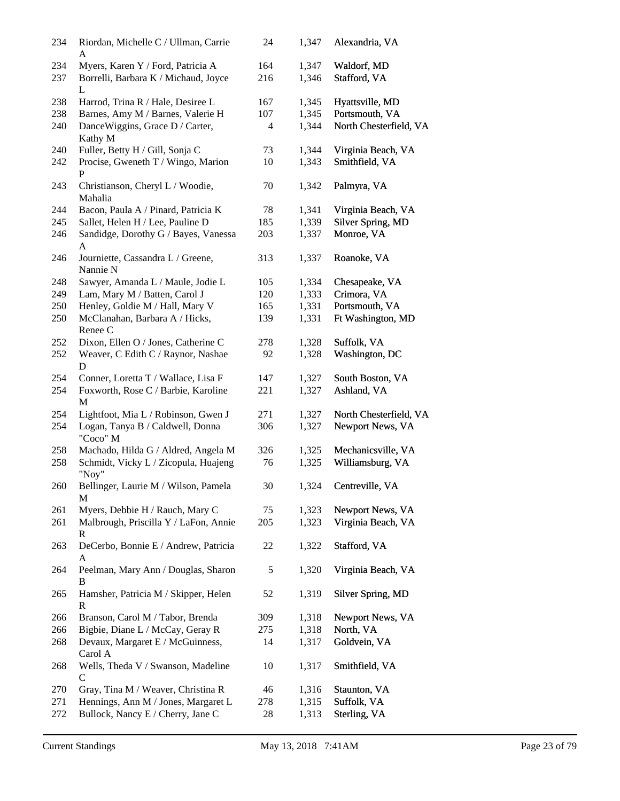| 234        | Riordan, Michelle C / Ullman, Carrie<br>A                                      | 24         | 1,347          | Alexandria, VA              |
|------------|--------------------------------------------------------------------------------|------------|----------------|-----------------------------|
| 234<br>237 | Myers, Karen Y / Ford, Patricia A<br>Borrelli, Barbara K / Michaud, Joyce<br>L | 164<br>216 | 1,347<br>1,346 | Waldorf, MD<br>Stafford, VA |
| 238        | Harrod, Trina R / Hale, Desiree L                                              | 167        | 1,345          | Hyattsville, MD             |
| 238        | Barnes, Amy M / Barnes, Valerie H                                              | 107        | 1,345          | Portsmouth, VA              |
| 240        | DanceWiggins, Grace D / Carter,<br>Kathy M                                     | 4          | 1,344          | North Chesterfield, VA      |
| 240        | Fuller, Betty H / Gill, Sonja C                                                | 73         | 1,344          | Virginia Beach, VA          |
| 242        | Procise, Gweneth T / Wingo, Marion<br>P                                        | 10         | 1,343          | Smithfield, VA              |
| 243        | Christianson, Cheryl L / Woodie,<br>Mahalia                                    | 70         | 1,342          | Palmyra, VA                 |
| 244        | Bacon, Paula A / Pinard, Patricia K                                            | 78         | 1,341          | Virginia Beach, VA          |
| 245        | Sallet, Helen H / Lee, Pauline D                                               | 185        | 1,339          | Silver Spring, MD           |
| 246        | Sandidge, Dorothy G / Bayes, Vanessa<br>A                                      | 203        | 1,337          | Monroe, VA                  |
| 246        | Journiette, Cassandra L / Greene,<br>Nannie N                                  | 313        | 1,337          | Roanoke, VA                 |
| 248        | Sawyer, Amanda L / Maule, Jodie L                                              | 105        | 1,334          | Chesapeake, VA              |
| 249        | Lam, Mary M / Batten, Carol J                                                  | 120        | 1,333          | Crimora, VA                 |
| 250        | Henley, Goldie M / Hall, Mary V                                                | 165        | 1,331          | Portsmouth, VA              |
| 250        | McClanahan, Barbara A / Hicks,<br>Renee C                                      | 139        | 1,331          | Ft Washington, MD           |
| 252        | Dixon, Ellen O / Jones, Catherine C                                            | 278        | 1,328          | Suffolk, VA                 |
| 252        | Weaver, C Edith C / Raynor, Nashae<br>D                                        | 92         | 1,328          | Washington, DC              |
| 254        | Conner, Loretta T / Wallace, Lisa F                                            | 147        | 1,327          | South Boston, VA            |
| 254        | Foxworth, Rose C / Barbie, Karoline<br>M                                       | 221        | 1,327          | Ashland, VA                 |
| 254        | Lightfoot, Mia L / Robinson, Gwen J                                            | 271        | 1,327          | North Chesterfield, VA      |
| 254        | Logan, Tanya B / Caldwell, Donna<br>"Coco" M                                   | 306        | 1,327          | Newport News, VA            |
| 258        | Machado, Hilda G / Aldred, Angela M                                            | 326        | 1,325          | Mechanicsville, VA          |
| 258        | Schmidt, Vicky L / Zicopula, Huajeng<br>"Noy"                                  | 76         | 1,325          | Williamsburg, VA            |
| 260        | Bellinger, Laurie M / Wilson, Pamela<br>М                                      | 30         | 1,324          | Centreville, VA             |
| 261        | Myers, Debbie H / Rauch, Mary C                                                | 75         | 1,323          | Newport News, VA            |
| 261        | Malbrough, Priscilla Y / LaFon, Annie<br>R                                     | 205        | 1,323          | Virginia Beach, VA          |
| 263        | DeCerbo, Bonnie E / Andrew, Patricia<br>A                                      | 22         | 1,322          | Stafford, VA                |
| 264        | Peelman, Mary Ann / Douglas, Sharon<br>B                                       | 5          | 1,320          | Virginia Beach, VA          |
| 265        | Hamsher, Patricia M / Skipper, Helen<br>R                                      | 52         | 1,319          | Silver Spring, MD           |
| 266        | Branson, Carol M / Tabor, Brenda                                               | 309        | 1,318          | Newport News, VA            |
| 266        | Bigbie, Diane L / McCay, Geray R                                               | 275        | 1,318          | North, VA                   |
| 268        | Devaux, Margaret E / McGuinness,<br>Carol A                                    | 14         | 1,317          | Goldvein, VA                |
| 268        | Wells, Theda V / Swanson, Madeline<br>C                                        | 10         | 1,317          | Smithfield, VA              |
| 270        | Gray, Tina M / Weaver, Christina R                                             | 46         | 1,316          | Staunton, VA                |
| 271        | Hennings, Ann M / Jones, Margaret L                                            | 278        | 1,315          | Suffolk, VA                 |
| 272        | Bullock, Nancy E / Cherry, Jane C                                              | 28         | 1,313          | Sterling, VA                |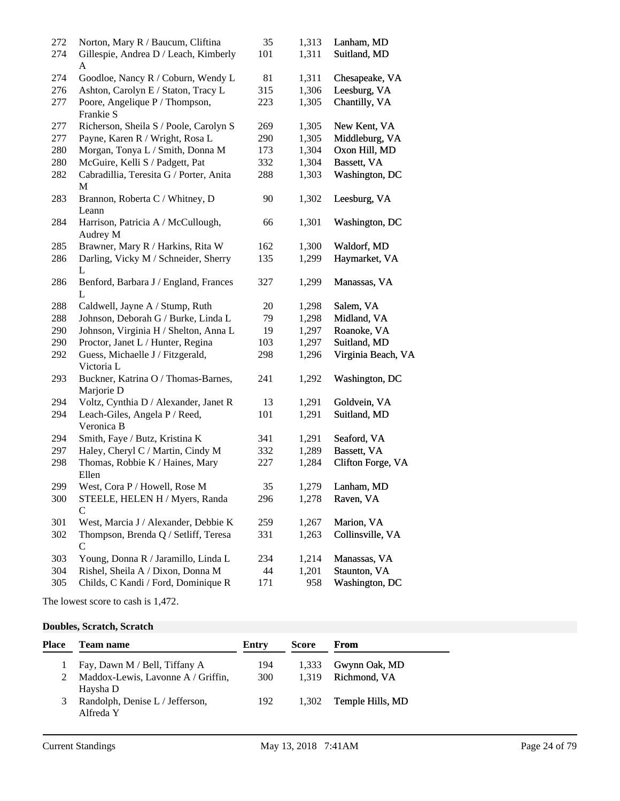| 272 | Norton, Mary R / Baucum, Cliftina                 | 35  | 1,313 | Lanham, MD         |
|-----|---------------------------------------------------|-----|-------|--------------------|
| 274 | Gillespie, Andrea D / Leach, Kimberly<br>A        | 101 | 1,311 | Suitland, MD       |
| 274 | Goodloe, Nancy R / Coburn, Wendy L                | 81  | 1,311 | Chesapeake, VA     |
| 276 | Ashton, Carolyn E / Staton, Tracy L               | 315 | 1,306 | Leesburg, VA       |
| 277 | Poore, Angelique P / Thompson,                    | 223 | 1,305 | Chantilly, VA      |
|     | Frankie S                                         |     |       |                    |
| 277 | Richerson, Sheila S / Poole, Carolyn S            | 269 | 1,305 | New Kent, VA       |
| 277 | Payne, Karen R / Wright, Rosa L                   | 290 | 1,305 | Middleburg, VA     |
| 280 | Morgan, Tonya L / Smith, Donna M                  | 173 | 1,304 | Oxon Hill, MD      |
| 280 | McGuire, Kelli S / Padgett, Pat                   | 332 | 1,304 | Bassett, VA        |
| 282 | Cabradillia, Teresita G / Porter, Anita<br>M      | 288 | 1,303 | Washington, DC     |
| 283 | Brannon, Roberta C / Whitney, D<br>Leann          | 90  | 1,302 | Leesburg, VA       |
| 284 | Harrison, Patricia A / McCullough,<br>Audrey M    | 66  | 1,301 | Washington, DC     |
| 285 | Brawner, Mary R / Harkins, Rita W                 | 162 | 1,300 | Waldorf, MD        |
| 286 | Darling, Vicky M / Schneider, Sherry<br>L         | 135 | 1,299 | Haymarket, VA      |
| 286 | Benford, Barbara J / England, Frances<br>L        | 327 | 1,299 | Manassas, VA       |
| 288 | Caldwell, Jayne A / Stump, Ruth                   | 20  | 1,298 | Salem, VA          |
| 288 | Johnson, Deborah G / Burke, Linda L               | 79  | 1,298 | Midland, VA        |
| 290 | Johnson, Virginia H / Shelton, Anna L             | 19  | 1,297 | Roanoke, VA        |
| 290 | Proctor, Janet L / Hunter, Regina                 | 103 | 1,297 | Suitland, MD       |
| 292 | Guess, Michaelle J / Fitzgerald,<br>Victoria L    | 298 | 1,296 | Virginia Beach, VA |
| 293 | Buckner, Katrina O / Thomas-Barnes,<br>Marjorie D | 241 | 1,292 | Washington, DC     |
| 294 | Voltz, Cynthia D / Alexander, Janet R             | 13  | 1,291 | Goldvein, VA       |
| 294 | Leach-Giles, Angela P / Reed,<br>Veronica B       | 101 | 1,291 | Suitland, MD       |
| 294 | Smith, Faye / Butz, Kristina K                    | 341 | 1,291 | Seaford, VA        |
| 297 | Haley, Cheryl C / Martin, Cindy M                 | 332 | 1,289 | Bassett, VA        |
| 298 | Thomas, Robbie K / Haines, Mary<br>Ellen          | 227 | 1,284 | Clifton Forge, VA  |
| 299 | West, Cora P / Howell, Rose M                     | 35  | 1,279 | Lanham, MD         |
| 300 | STEELE, HELEN H / Myers, Randa                    | 296 | 1,278 | Raven, VA          |
|     | C                                                 |     |       |                    |
| 301 | West, Marcia J / Alexander, Debbie K              | 259 | 1,267 | Marion, VA         |
| 302 | Thompson, Brenda Q / Setliff, Teresa<br>C         | 331 | 1,263 | Collinsville, VA   |
| 303 | Young, Donna R / Jaramillo, Linda L               | 234 | 1,214 | Manassas, VA       |
| 304 | Rishel, Sheila A / Dixon, Donna M                 | 44  | 1,201 | Staunton, VA       |
| 305 | Childs, C Kandi / Ford, Dominique R               | 171 | 958   | Washington, DC     |

The lowest score to cash is 1,472.

### **Doubles, Scratch, Scratch**

| Place | <b>Team name</b>                             | Entry      | <b>Score</b> | From               |
|-------|----------------------------------------------|------------|--------------|--------------------|
|       | Fay, Dawn M / Bell, Tiffany A                | 194        | 1.333        | Gwynn Oak, MD      |
|       | Maddox-Lewis, Lavonne A / Griffin,           | <b>300</b> |              | 1,319 Richmond, VA |
|       | Haysha D                                     |            |              |                    |
| 3     | Randolph, Denise L / Jefferson,<br>Alfreda Y | 192        | 1.302        | Temple Hills, MD   |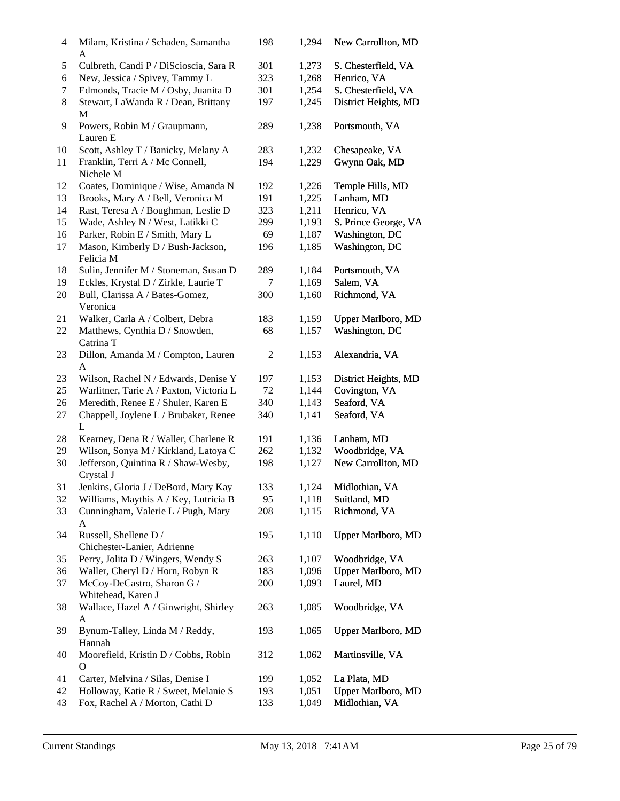| 4  | Milam, Kristina / Schaden, Samantha<br>A             | 198 | 1,294 | New Carrollton, MD        |
|----|------------------------------------------------------|-----|-------|---------------------------|
| 5  | Culbreth, Candi P / DiScioscia, Sara R               | 301 | 1,273 | S. Chesterfield, VA       |
| 6  | New, Jessica / Spivey, Tammy L                       | 323 | 1,268 | Henrico, VA               |
| 7  | Edmonds, Tracie M / Osby, Juanita D                  | 301 | 1,254 | S. Chesterfield, VA       |
| 8  | Stewart, LaWanda R / Dean, Brittany<br>М             | 197 | 1,245 | District Heights, MD      |
| 9  | Powers, Robin M / Graupmann,                         | 289 | 1,238 | Portsmouth, VA            |
|    | Lauren E                                             |     |       |                           |
| 10 | Scott, Ashley T / Banicky, Melany A                  | 283 | 1,232 | Chesapeake, VA            |
| 11 | Franklin, Terri A / Mc Connell,<br>Nichele M         | 194 | 1,229 | Gwynn Oak, MD             |
| 12 | Coates, Dominique / Wise, Amanda N                   | 192 | 1,226 | Temple Hills, MD          |
| 13 | Brooks, Mary A / Bell, Veronica M                    | 191 | 1,225 | Lanham, MD                |
| 14 | Rast, Teresa A / Boughman, Leslie D                  | 323 | 1,211 | Henrico, VA               |
| 15 | Wade, Ashley N / West, Latikki C                     | 299 | 1,193 | S. Prince George, VA      |
| 16 | Parker, Robin E / Smith, Mary L                      | 69  | 1,187 | Washington, DC            |
| 17 | Mason, Kimberly D / Bush-Jackson,<br>Felicia M       | 196 | 1,185 | Washington, DC            |
| 18 | Sulin, Jennifer M / Stoneman, Susan D                | 289 | 1,184 | Portsmouth, VA            |
| 19 | Eckles, Krystal D / Zirkle, Laurie T                 | 7   | 1,169 | Salem, VA                 |
| 20 | Bull, Clarissa A / Bates-Gomez,<br>Veronica          | 300 | 1,160 | Richmond, VA              |
| 21 | Walker, Carla A / Colbert, Debra                     | 183 | 1,159 | <b>Upper Marlboro, MD</b> |
| 22 | Matthews, Cynthia D / Snowden,<br>Catrina T          | 68  | 1,157 | Washington, DC            |
| 23 | Dillon, Amanda M / Compton, Lauren                   | 2   | 1,153 | Alexandria, VA            |
|    | A                                                    |     |       |                           |
| 23 | Wilson, Rachel N / Edwards, Denise Y                 | 197 | 1,153 | District Heights, MD      |
| 25 | Warlitner, Tarie A / Paxton, Victoria L              | 72  | 1,144 | Covington, VA             |
| 26 | Meredith, Renee E / Shuler, Karen E                  | 340 | 1,143 | Seaford, VA               |
| 27 | Chappell, Joylene L / Brubaker, Renee<br>L           | 340 | 1,141 | Seaford, VA               |
| 28 | Kearney, Dena R / Waller, Charlene R                 | 191 | 1,136 | Lanham, MD                |
| 29 | Wilson, Sonya M / Kirkland, Latoya C                 | 262 | 1,132 | Woodbridge, VA            |
| 30 | Jefferson, Quintina R / Shaw-Wesby,<br>Crystal J     | 198 | 1,127 | New Carrollton, MD        |
| 31 | Jenkins, Gloria J / DeBord, Mary Kay                 | 133 | 1,124 | Midlothian, VA            |
| 32 | Williams, Maythis A / Key, Lutricia B                | 95  | 1,118 | Suitland, MD              |
| 33 | Cunningham, Valerie L / Pugh, Mary<br>A              | 208 | 1,115 | Richmond, VA              |
| 34 | Russell, Shellene D /<br>Chichester-Lanier, Adrienne | 195 | 1,110 | <b>Upper Marlboro, MD</b> |
| 35 | Perry, Jolita D / Wingers, Wendy S                   | 263 | 1,107 | Woodbridge, VA            |
|    | Waller, Cheryl D / Horn, Robyn R                     |     |       |                           |
| 36 |                                                      | 183 | 1,096 | Upper Marlboro, MD        |
| 37 | McCoy-DeCastro, Sharon G /<br>Whitehead, Karen J     | 200 | 1,093 | Laurel, MD                |
| 38 | Wallace, Hazel A / Ginwright, Shirley<br>A           | 263 | 1,085 | Woodbridge, VA            |
| 39 | Bynum-Talley, Linda M / Reddy,<br>Hannah             | 193 | 1,065 | <b>Upper Marlboro, MD</b> |
| 40 | Moorefield, Kristin D / Cobbs, Robin<br>О            | 312 | 1,062 | Martinsville, VA          |
| 41 | Carter, Melvina / Silas, Denise I                    | 199 | 1,052 | La Plata, MD              |
| 42 | Holloway, Katie R / Sweet, Melanie S                 | 193 | 1,051 | <b>Upper Marlboro, MD</b> |
| 43 | Fox, Rachel A / Morton, Cathi D                      | 133 | 1,049 | Midlothian, VA            |
|    |                                                      |     |       |                           |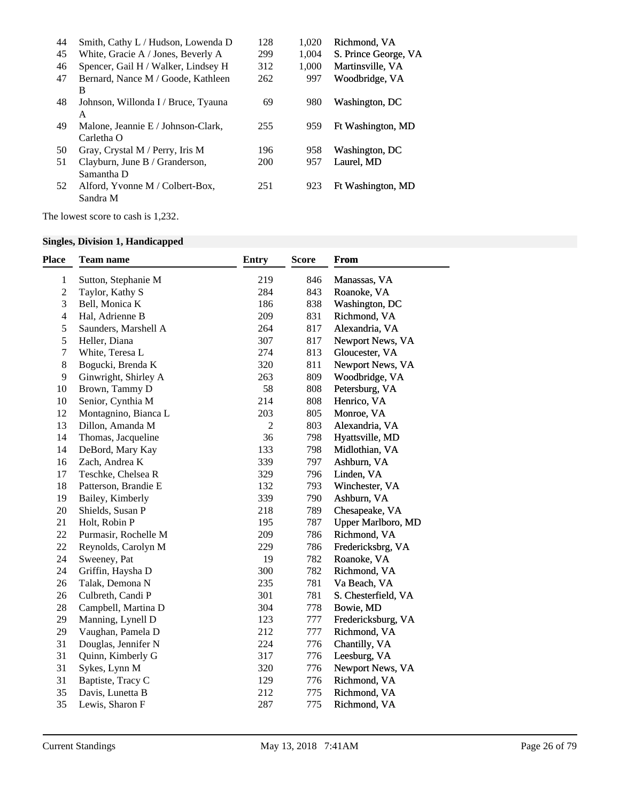| Smith, Cathy L / Hudson, Lowenda D  | 128 | 1.020 | Richmond. VA         |
|-------------------------------------|-----|-------|----------------------|
| White, Gracie A / Jones, Beverly A  | 299 | 1.004 | S. Prince George, VA |
| Spencer, Gail H / Walker, Lindsey H | 312 | 1.000 | Martinsville, VA     |
| Bernard, Nance M / Goode, Kathleen  | 262 | 997   | Woodbridge, VA       |
| B                                   |     |       |                      |
| Johnson, Willonda I / Bruce, Tyauna | 69  | 980   | Washington, DC       |
| A                                   |     |       |                      |
| Malone, Jeannie E / Johnson-Clark,  | 255 | 959   | Ft Washington, MD    |
| Carletha O                          |     |       |                      |
| Gray, Crystal M / Perry, Iris M     | 196 | 958   | Washington, DC       |
| Clayburn, June B / Granderson,      | 200 | 957   | Laurel, MD           |
| Samantha D                          |     |       |                      |
| Alford, Yvonne M / Colbert-Box,     | 251 | 923   | Ft Washington, MD    |
| Sandra M                            |     |       |                      |
|                                     |     |       |                      |

The lowest score to cash is 1,232.

# **Singles, Division 1, Handicapped**

| <b>Place</b>             | Team name            | <b>Entry</b>   | Score | From                      |
|--------------------------|----------------------|----------------|-------|---------------------------|
| $\mathbf{1}$             | Sutton, Stephanie M  | 219            | 846   | Manassas, VA              |
| $\mathbf{2}$             | Taylor, Kathy S      | 284            | 843   | Roanoke, VA               |
| 3                        | Bell, Monica K       | 186            | 838   | Washington, DC            |
| $\overline{\mathcal{L}}$ | Hal, Adrienne B      | 209            | 831   | Richmond, VA              |
| 5                        | Saunders, Marshell A | 264            | 817   | Alexandria, VA            |
| 5                        | Heller, Diana        | 307            | 817   | Newport News, VA          |
| $\boldsymbol{7}$         | White, Teresa L      | 274            | 813   | Gloucester, VA            |
| 8                        | Bogucki, Brenda K    | 320            | 811   | Newport News, VA          |
| 9                        | Ginwright, Shirley A | 263            | 809   | Woodbridge, VA            |
| 10                       | Brown, Tammy D       | 58             | 808   | Petersburg, VA            |
| 10                       | Senior, Cynthia M    | 214            | 808   | Henrico, VA               |
| 12                       | Montagnino, Bianca L | 203            | 805   | Monroe, VA                |
| 13                       | Dillon, Amanda M     | $\mathfrak{2}$ | 803   | Alexandria, VA            |
| 14                       | Thomas, Jacqueline   | 36             | 798   | Hyattsville, MD           |
| 14                       | DeBord, Mary Kay     | 133            | 798   | Midlothian, VA            |
| 16                       | Zach, Andrea K       | 339            | 797   | Ashburn, VA               |
| 17                       | Teschke, Chelsea R   | 329            | 796   | Linden, VA                |
| 18                       | Patterson, Brandie E | 132            | 793   | Winchester, VA            |
| 19                       | Bailey, Kimberly     | 339            | 790   | Ashburn, VA               |
| 20                       | Shields, Susan P     | 218            | 789   | Chesapeake, VA            |
| 21                       | Holt, Robin P        | 195            | 787   | <b>Upper Marlboro, MD</b> |
| 22                       | Purmasir, Rochelle M | 209            | 786   | Richmond, VA              |
| 22                       | Reynolds, Carolyn M  | 229            | 786   | Fredericksbrg, VA         |
| 24                       | Sweeney, Pat         | 19             | 782   | Roanoke, VA               |
| 24                       | Griffin, Haysha D    | 300            | 782   | Richmond, VA              |
| 26                       | Talak, Demona N      | 235            | 781   | Va Beach, VA              |
| 26                       | Culbreth, Candi P    | 301            | 781   | S. Chesterfield, VA       |
| 28                       | Campbell, Martina D  | 304            | 778   | Bowie, MD                 |
| 29                       | Manning, Lynell D    | 123            | 777   | Fredericksburg, VA        |
| 29                       | Vaughan, Pamela D    | 212            | 777   | Richmond, VA              |
| 31                       | Douglas, Jennifer N  | 224            | 776   | Chantilly, VA             |
| 31                       | Quinn, Kimberly G    | 317            | 776   | Leesburg, VA              |
| 31                       | Sykes, Lynn M        | 320            | 776   | Newport News, VA          |
| 31                       | Baptiste, Tracy C    | 129            | 776   | Richmond, VA              |
| 35                       | Davis, Lunetta B     | 212            | 775   | Richmond, VA              |
| 35                       | Lewis, Sharon F      | 287            | 775   | Richmond, VA              |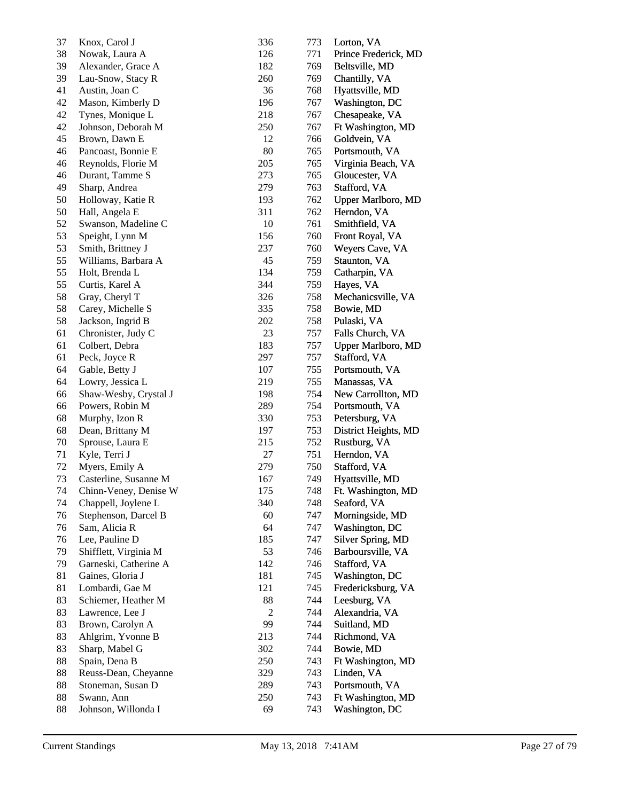| 37 | Knox, Carol J         | 336            | 773 | Lorton, VA           |
|----|-----------------------|----------------|-----|----------------------|
| 38 | Nowak, Laura A        | 126            | 771 | Prince Frederick, MD |
| 39 | Alexander, Grace A    | 182            | 769 | Beltsville, MD       |
| 39 | Lau-Snow, Stacy R     | 260            | 769 | Chantilly, VA        |
| 41 | Austin, Joan C        | 36             | 768 | Hyattsville, MD      |
| 42 | Mason, Kimberly D     | 196            | 767 | Washington, DC       |
| 42 | Tynes, Monique L      | 218            | 767 | Chesapeake, VA       |
| 42 | Johnson, Deborah M    | 250            | 767 | Ft Washington, MD    |
| 45 | Brown, Dawn E         | 12             | 766 | Goldvein, VA         |
| 46 | Pancoast, Bonnie E    | 80             | 765 | Portsmouth, VA       |
| 46 | Reynolds, Florie M    | 205            | 765 | Virginia Beach, VA   |
| 46 | Durant, Tamme S       | 273            | 765 | Gloucester, VA       |
| 49 | Sharp, Andrea         | 279            | 763 | Stafford, VA         |
| 50 | Holloway, Katie R     | 193            | 762 | Upper Marlboro, MD   |
| 50 | Hall, Angela E        | 311            | 762 | Herndon, VA          |
| 52 | Swanson, Madeline C   | 10             | 761 | Smithfield, VA       |
| 53 | Speight, Lynn M       | 156            | 760 | Front Royal, VA      |
| 53 | Smith, Brittney J     | 237            | 760 | Weyers Cave, VA      |
| 55 | Williams, Barbara A   | 45             | 759 | Staunton, VA         |
| 55 | Holt, Brenda L        | 134            | 759 | Catharpin, VA        |
| 55 | Curtis, Karel A       | 344            | 759 | Hayes, VA            |
| 58 | Gray, Cheryl T        | 326            | 758 | Mechanicsville, VA   |
| 58 | Carey, Michelle S     | 335            | 758 | Bowie, MD            |
| 58 | Jackson, Ingrid B     | 202            | 758 | Pulaski, VA          |
| 61 | Chronister, Judy C    | 23             | 757 | Falls Church, VA     |
| 61 | Colbert, Debra        | 183            | 757 | Upper Marlboro, MD   |
| 61 | Peck, Joyce R         | 297            | 757 | Stafford, VA         |
| 64 | Gable, Betty J        | 107            | 755 | Portsmouth, VA       |
| 64 | Lowry, Jessica L      | 219            | 755 | Manassas, VA         |
| 66 | Shaw-Wesby, Crystal J | 198            | 754 | New Carrollton, MD   |
| 66 | Powers, Robin M       | 289            | 754 | Portsmouth, VA       |
| 68 | Murphy, Izon R        | 330            | 753 | Petersburg, VA       |
| 68 | Dean, Brittany M      | 197            | 753 | District Heights, MD |
| 70 | Sprouse, Laura E      | 215            | 752 | Rustburg, VA         |
| 71 | Kyle, Terri J         | 27             | 751 | Herndon, VA          |
| 72 | Myers, Emily A        | 279            | 750 | Stafford, VA         |
| 73 | Casterline, Susanne M | 167            | 749 | Hyattsville, MD      |
| 74 | Chinn-Veney, Denise W | 175            | 748 | Ft. Washington, MD   |
| 74 | Chappell, Joylene L   | 340            | 748 | Seaford, VA          |
| 76 | Stephenson, Darcel B  | 60             | 747 | Morningside, MD      |
| 76 | Sam, Alicia R         | 64             | 747 | Washington, DC       |
| 76 | Lee, Pauline D        | 185            | 747 | Silver Spring, MD    |
| 79 | Shifflett, Virginia M | 53             | 746 | Barboursville, VA    |
| 79 | Garneski, Catherine A | 142            | 746 | Stafford, VA         |
| 81 | Gaines, Gloria J      | 181            | 745 | Washington, DC       |
| 81 | Lombardi, Gae M       | 121            | 745 | Fredericksburg, VA   |
| 83 | Schiemer, Heather M   | 88             | 744 | Leesburg, VA         |
| 83 | Lawrence, Lee J       | $\overline{2}$ | 744 | Alexandria, VA       |
| 83 | Brown, Carolyn A      | 99             | 744 | Suitland, MD         |
| 83 | Ahlgrim, Yvonne B     | 213            | 744 | Richmond, VA         |
| 83 | Sharp, Mabel G        | 302            | 744 | Bowie, MD            |
| 88 | Spain, Dena B         | 250            | 743 | Ft Washington, MD    |
| 88 | Reuss-Dean, Cheyanne  | 329            | 743 | Linden, VA           |
| 88 | Stoneman, Susan D     | 289            | 743 | Portsmouth, VA       |
| 88 | Swann, Ann            | 250            | 743 | Ft Washington, MD    |
| 88 | Johnson, Willonda I   | 69             | 743 | Washington, DC       |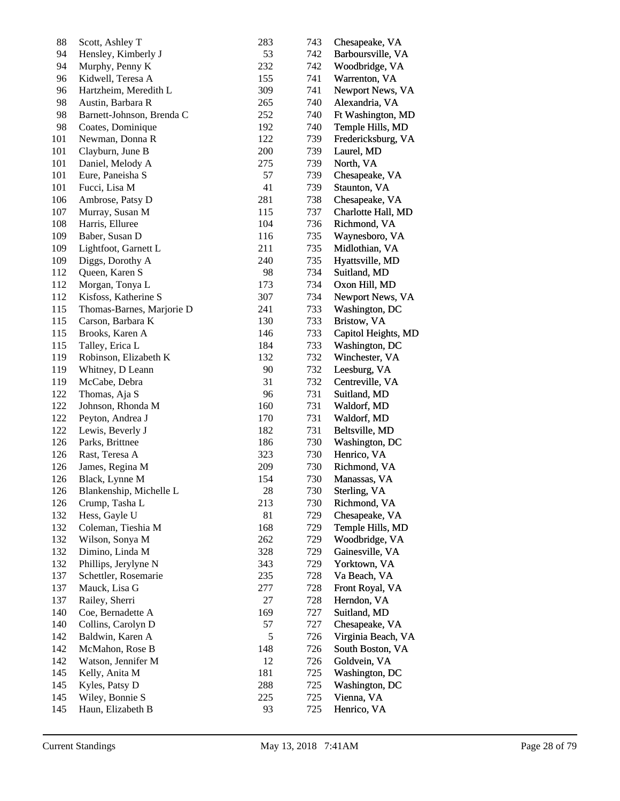| 88  | Scott, Ashley T           | 283    | 743 | Chesapeake, VA      |
|-----|---------------------------|--------|-----|---------------------|
| 94  | Hensley, Kimberly J       | 53     | 742 | Barboursville, VA   |
| 94  | Murphy, Penny K           | 232    | 742 | Woodbridge, VA      |
| 96  | Kidwell, Teresa A         | 155    | 741 | Warrenton, VA       |
| 96  | Hartzheim, Meredith L     | 309    | 741 | Newport News, VA    |
| 98  | Austin, Barbara R         | 265    | 740 | Alexandria, VA      |
| 98  | Barnett-Johnson, Brenda C | 252    | 740 | Ft Washington, MD   |
| 98  | Coates, Dominique         | 192    | 740 | Temple Hills, MD    |
| 101 | Newman, Donna R           | 122    | 739 | Fredericksburg, VA  |
| 101 | Clayburn, June B          | 200    | 739 | Laurel, MD          |
| 101 | Daniel, Melody A          | 275    | 739 | North, VA           |
| 101 | Eure, Paneisha S          | 57     | 739 | Chesapeake, VA      |
| 101 | Fucci, Lisa M             | 41     | 739 | Staunton, VA        |
| 106 | Ambrose, Patsy D          | 281    | 738 | Chesapeake, VA      |
| 107 | Murray, Susan M           | 115    | 737 | Charlotte Hall, MD  |
| 108 |                           | 104    | 736 |                     |
|     | Harris, Elluree           | 116    | 735 | Richmond, VA        |
| 109 | Baber, Susan D            |        |     | Waynesboro, VA      |
| 109 | Lightfoot, Garnett L      | 211    | 735 | Midlothian, VA      |
| 109 | Diggs, Dorothy A          | 240    | 735 | Hyattsville, MD     |
| 112 | Queen, Karen S            | 98     | 734 | Suitland, MD        |
| 112 | Morgan, Tonya L           | 173    | 734 | Oxon Hill, MD       |
| 112 | Kisfoss, Katherine S      | 307    | 734 | Newport News, VA    |
| 115 | Thomas-Barnes, Marjorie D | 241    | 733 | Washington, DC      |
| 115 | Carson, Barbara K         | 130    | 733 | Bristow, VA         |
| 115 | Brooks, Karen A           | 146    | 733 | Capitol Heights, MD |
| 115 | Talley, Erica L           | 184    | 733 | Washington, DC      |
| 119 | Robinson, Elizabeth K     | 132    | 732 | Winchester, VA      |
| 119 | Whitney, D Leann          | 90     | 732 | Leesburg, VA        |
| 119 | McCabe, Debra             | 31     | 732 | Centreville, VA     |
| 122 | Thomas, Aja S             | 96     | 731 | Suitland, MD        |
| 122 | Johnson, Rhonda M         | 160    | 731 | Waldorf, MD         |
| 122 | Peyton, Andrea J          | 170    | 731 | Waldorf, MD         |
| 122 | Lewis, Beverly J          | 182    | 731 | Beltsville, MD      |
| 126 | Parks, Brittnee           | 186    | 730 | Washington, DC      |
| 126 | Rast, Teresa A            | 323    | 730 | Henrico, VA         |
| 126 | James, Regina M           | 209    | 730 | Richmond, VA        |
| 126 | Black, Lynne M            | 154    | 730 | Manassas, VA        |
| 126 | Blankenship, Michelle L   | $28\,$ | 730 | Sterling, VA        |
| 126 | Crump, Tasha L            | 213    | 730 | Richmond, VA        |
| 132 | Hess, Gayle U             | 81     | 729 | Chesapeake, VA      |
| 132 | Coleman, Tieshia M        | 168    | 729 | Temple Hills, MD    |
| 132 | Wilson, Sonya M           | 262    | 729 | Woodbridge, VA      |
| 132 | Dimino, Linda M           | 328    | 729 | Gainesville, VA     |
| 132 | Phillips, Jerylyne N      | 343    | 729 | Yorktown, VA        |
| 137 | Schettler, Rosemarie      | 235    | 728 | Va Beach, VA        |
| 137 | Mauck, Lisa G             | 277    | 728 | Front Royal, VA     |
| 137 | Railey, Sherri            | 27     | 728 | Herndon, VA         |
| 140 | Coe, Bernadette A         | 169    | 727 | Suitland, MD        |
| 140 | Collins, Carolyn D        | 57     | 727 | Chesapeake, VA      |
|     |                           |        |     |                     |
| 142 | Baldwin, Karen A          | 5      | 726 | Virginia Beach, VA  |
| 142 | McMahon, Rose B           | 148    | 726 | South Boston, VA    |
| 142 | Watson, Jennifer M        | 12     | 726 | Goldvein, VA        |
| 145 | Kelly, Anita M            | 181    | 725 | Washington, DC      |
| 145 | Kyles, Patsy D            | 288    | 725 | Washington, DC      |
| 145 | Wiley, Bonnie S           | 225    | 725 | Vienna, VA          |
| 145 | Haun, Elizabeth B         | 93     | 725 | Henrico, VA         |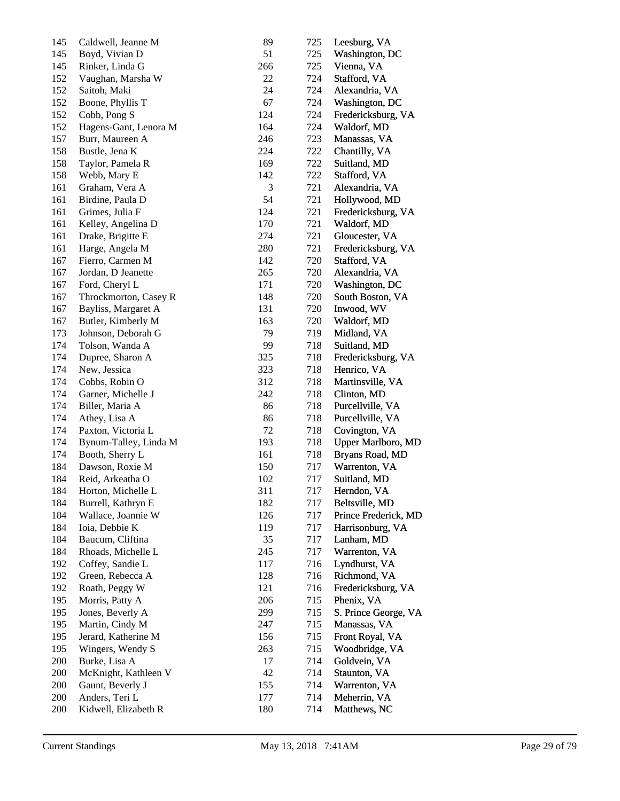| 145 | Caldwell, Jeanne M    | 89  | 725 | Leesburg, VA              |
|-----|-----------------------|-----|-----|---------------------------|
| 145 | Boyd, Vivian D        | 51  | 725 | Washington, DC            |
| 145 | Rinker, Linda G       | 266 | 725 | Vienna, VA                |
| 152 | Vaughan, Marsha W     | 22  | 724 | Stafford, VA              |
| 152 | Saitoh, Maki          | 24  | 724 | Alexandria, VA            |
| 152 | Boone, Phyllis T      | 67  | 724 | Washington, DC            |
| 152 | Cobb, Pong S          | 124 | 724 | Fredericksburg, VA        |
| 152 | Hagens-Gant, Lenora M | 164 | 724 | Waldorf, MD               |
| 157 | Burr, Maureen A       | 246 | 723 | Manassas, VA              |
| 158 | Bustle, Jena K        | 224 | 722 | Chantilly, VA             |
| 158 | Taylor, Pamela R      | 169 | 722 | Suitland, MD              |
| 158 | Webb, Mary E          | 142 | 722 | Stafford, VA              |
| 161 | Graham, Vera A        | 3   | 721 | Alexandria, VA            |
| 161 | Birdine, Paula D      | 54  | 721 | Hollywood, MD             |
| 161 | Grimes, Julia F       | 124 | 721 | Fredericksburg, VA        |
| 161 | Kelley, Angelina D    | 170 | 721 | Waldorf, MD               |
| 161 | Drake, Brigitte E     | 274 | 721 | Gloucester, VA            |
| 161 | Harge, Angela M       | 280 | 721 | Fredericksburg, VA        |
| 167 | Fierro, Carmen M      | 142 | 720 | Stafford, VA              |
|     |                       |     |     |                           |
| 167 | Jordan, D Jeanette    | 265 | 720 | Alexandria, VA            |
| 167 | Ford, Cheryl L        | 171 | 720 | Washington, DC            |
| 167 | Throckmorton, Casey R | 148 | 720 | South Boston, VA          |
| 167 | Bayliss, Margaret A   | 131 | 720 | Inwood, WV                |
| 167 | Butler, Kimberly M    | 163 | 720 | Waldorf, MD               |
| 173 | Johnson, Deborah G    | 79  | 719 | Midland, VA               |
| 174 | Tolson, Wanda A       | 99  | 718 | Suitland, MD              |
| 174 | Dupree, Sharon A      | 325 | 718 | Fredericksburg, VA        |
| 174 | New, Jessica          | 323 | 718 | Henrico, VA               |
| 174 | Cobbs, Robin O        | 312 | 718 | Martinsville, VA          |
| 174 | Garner, Michelle J    | 242 | 718 | Clinton, MD               |
| 174 | Biller, Maria A       | 86  | 718 | Purcellville, VA          |
| 174 | Athey, Lisa A         | 86  | 718 | Purcellville, VA          |
| 174 | Paxton, Victoria L    | 72  | 718 | Covington, VA             |
| 174 | Bynum-Talley, Linda M | 193 | 718 | <b>Upper Marlboro, MD</b> |
| 174 | Booth, Sherry L       | 161 | 718 | Bryans Road, MD           |
| 184 | Dawson, Roxie M       | 150 | 717 | Warrenton, VA             |
| 184 | Reid, Arkeatha O      | 102 | 717 | Suitland, MD              |
| 184 | Horton, Michelle L    | 311 | 717 | Herndon, VA               |
| 184 | Burrell, Kathryn E    | 182 | 717 | Beltsville, MD            |
| 184 | Wallace, Joannie W    | 126 | 717 | Prince Frederick, MD      |
| 184 | Ioia, Debbie K        | 119 | 717 | Harrisonburg, VA          |
| 184 | Baucum, Cliftina      | 35  | 717 | Lanham, MD                |
| 184 | Rhoads, Michelle L    | 245 | 717 | Warrenton, VA             |
| 192 | Coffey, Sandie L      | 117 | 716 | Lyndhurst, VA             |
| 192 | Green, Rebecca A      | 128 | 716 | Richmond, VA              |
| 192 | Roath, Peggy W        | 121 | 716 | Fredericksburg, VA        |
| 195 | Morris, Patty A       | 206 | 715 | Phenix, VA                |
| 195 | Jones, Beverly A      | 299 | 715 | S. Prince George, VA      |
| 195 | Martin, Cindy M       | 247 | 715 | Manassas, VA              |
| 195 | Jerard, Katherine M   | 156 | 715 | Front Royal, VA           |
| 195 | Wingers, Wendy S      | 263 | 715 | Woodbridge, VA            |
| 200 | Burke, Lisa A         | 17  | 714 | Goldvein, VA              |
| 200 | McKnight, Kathleen V  | 42  | 714 | Staunton, VA              |
| 200 | Gaunt, Beverly J      | 155 | 714 | Warrenton, VA             |
| 200 | Anders, Teri L        | 177 | 714 | Meherrin, VA              |
| 200 | Kidwell, Elizabeth R  | 180 | 714 | Matthews, NC              |
|     |                       |     |     |                           |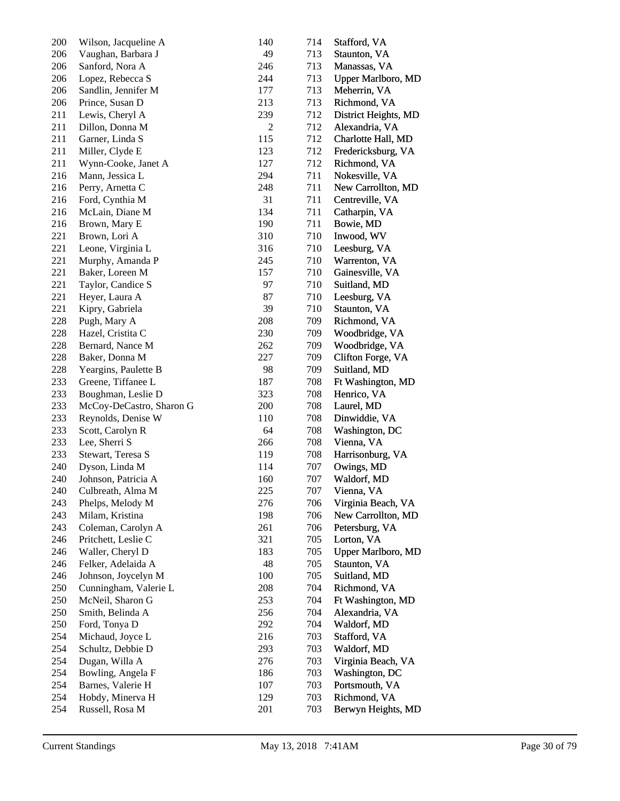| 200 | Wilson, Jacqueline A     | 140 | 714 | Stafford, VA              |
|-----|--------------------------|-----|-----|---------------------------|
| 206 | Vaughan, Barbara J       | 49  | 713 | Staunton, VA              |
| 206 | Sanford, Nora A          | 246 | 713 | Manassas, VA              |
| 206 | Lopez, Rebecca S         | 244 | 713 | Upper Marlboro, MD        |
| 206 | Sandlin, Jennifer M      | 177 | 713 | Meherrin, VA              |
| 206 | Prince, Susan D          | 213 | 713 | Richmond, VA              |
| 211 | Lewis, Cheryl A          | 239 | 712 | District Heights, MD      |
| 211 | Dillon, Donna M          | 2   | 712 | Alexandria, VA            |
| 211 | Garner, Linda S          | 115 | 712 | Charlotte Hall, MD        |
| 211 | Miller, Clyde E          | 123 | 712 | Fredericksburg, VA        |
| 211 | Wynn-Cooke, Janet A      | 127 | 712 | Richmond, VA              |
| 216 | Mann, Jessica L          | 294 | 711 | Nokesville, VA            |
| 216 | Perry, Arnetta C         | 248 | 711 | New Carrollton, MD        |
| 216 | Ford, Cynthia M          | 31  | 711 | Centreville, VA           |
| 216 | McLain, Diane M          | 134 | 711 | Catharpin, VA             |
| 216 | Brown, Mary E            | 190 | 711 | Bowie, MD                 |
| 221 | Brown, Lori A            | 310 | 710 | Inwood, WV                |
| 221 | Leone, Virginia L        | 316 | 710 | Leesburg, VA              |
| 221 | Murphy, Amanda P         | 245 | 710 | Warrenton, VA             |
| 221 | Baker, Loreen M          | 157 | 710 | Gainesville, VA           |
| 221 | Taylor, Candice S        | 97  | 710 | Suitland, MD              |
| 221 | Heyer, Laura A           | 87  | 710 | Leesburg, VA              |
| 221 | Kipry, Gabriela          | 39  | 710 | Staunton, VA              |
| 228 | Pugh, Mary A             | 208 | 709 | Richmond, VA              |
| 228 | Hazel, Cristita C        | 230 | 709 | Woodbridge, VA            |
| 228 | Bernard, Nance M         | 262 | 709 | Woodbridge, VA            |
| 228 | Baker, Donna M           | 227 | 709 | Clifton Forge, VA         |
| 228 | Yeargins, Paulette B     | 98  | 709 | Suitland, MD              |
| 233 | Greene, Tiffanee L       | 187 | 708 | Ft Washington, MD         |
| 233 | Boughman, Leslie D       | 323 | 708 | Henrico, VA               |
| 233 | McCoy-DeCastro, Sharon G | 200 | 708 | Laurel, MD                |
| 233 | Reynolds, Denise W       | 110 | 708 | Dinwiddie, VA             |
| 233 | Scott, Carolyn R         | 64  | 708 | Washington, DC            |
| 233 | Lee, Sherri S            | 266 | 708 | Vienna, VA                |
| 233 | Stewart, Teresa S        | 119 | 708 | Harrisonburg, VA          |
| 240 | Dyson, Linda M           | 114 | 707 | Owings, MD                |
| 240 | Johnson, Patricia A      | 160 | 707 | Waldorf, MD               |
| 240 | Culbreath, Alma M        | 225 | 707 | Vienna, VA                |
| 243 | Phelps, Melody M         | 276 | 706 | Virginia Beach, VA        |
| 243 | Milam, Kristina          | 198 | 706 | New Carrollton, MD        |
| 243 | Coleman, Carolyn A       | 261 | 706 | Petersburg, VA            |
| 246 | Pritchett, Leslie C      | 321 | 705 | Lorton, VA                |
| 246 | Waller, Cheryl D         | 183 | 705 | <b>Upper Marlboro, MD</b> |
| 246 | Felker, Adelaida A       | 48  | 705 | Staunton, VA              |
| 246 | Johnson, Joycelyn M      | 100 | 705 | Suitland, MD              |
| 250 | Cunningham, Valerie L    | 208 | 704 | Richmond, VA              |
| 250 | McNeil, Sharon G         | 253 | 704 | Ft Washington, MD         |
| 250 | Smith, Belinda A         | 256 | 704 | Alexandria, VA            |
| 250 | Ford, Tonya D            | 292 | 704 | Waldorf, MD               |
| 254 | Michaud, Joyce L         | 216 | 703 | Stafford, VA              |
| 254 | Schultz, Debbie D        | 293 | 703 | Waldorf, MD               |
| 254 | Dugan, Willa A           | 276 | 703 | Virginia Beach, VA        |
| 254 | Bowling, Angela F        | 186 | 703 | Washington, DC            |
| 254 | Barnes, Valerie H        | 107 | 703 | Portsmouth, VA            |
| 254 | Hobdy, Minerva H         | 129 | 703 | Richmond, VA              |
| 254 | Russell, Rosa M          | 201 | 703 | Berwyn Heights, MD        |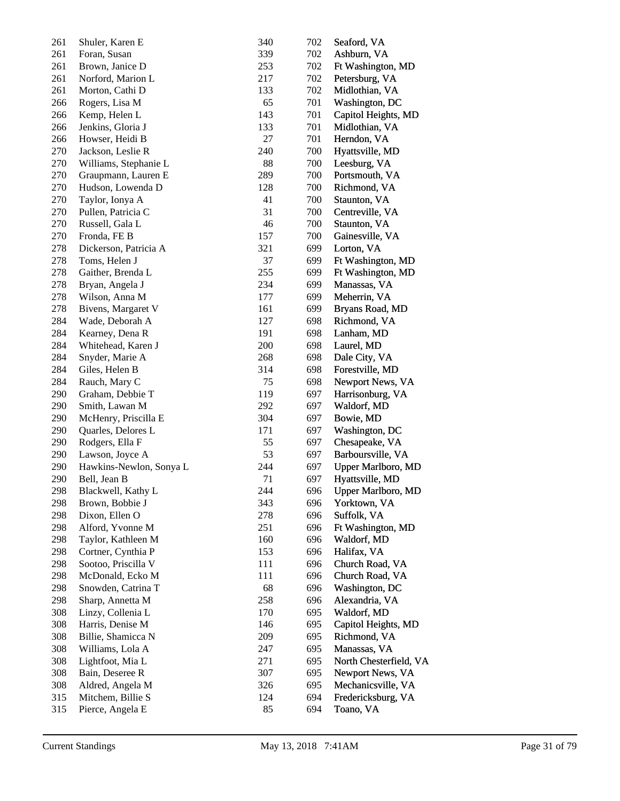| 261 | Shuler, Karen E         | 340 | 702 | Seaford, VA            |
|-----|-------------------------|-----|-----|------------------------|
| 261 | Foran, Susan            | 339 | 702 | Ashburn, VA            |
| 261 | Brown, Janice D         | 253 | 702 | Ft Washington, MD      |
| 261 | Norford, Marion L       | 217 | 702 | Petersburg, VA         |
| 261 | Morton, Cathi D         | 133 | 702 | Midlothian, VA         |
| 266 | Rogers, Lisa M          | 65  | 701 | Washington, DC         |
| 266 | Kemp, Helen L           | 143 | 701 | Capitol Heights, MD    |
| 266 | Jenkins, Gloria J       | 133 | 701 | Midlothian, VA         |
| 266 | Howser, Heidi B         | 27  | 701 | Herndon, VA            |
| 270 | Jackson, Leslie R       | 240 | 700 | Hyattsville, MD        |
| 270 | Williams, Stephanie L   | 88  | 700 | Leesburg, VA           |
| 270 | Graupmann, Lauren E     | 289 | 700 | Portsmouth, VA         |
| 270 | Hudson, Lowenda D       | 128 | 700 | Richmond, VA           |
| 270 | Taylor, Ionya A         | 41  | 700 | Staunton, VA           |
| 270 | Pullen, Patricia C      | 31  | 700 | Centreville, VA        |
| 270 | Russell, Gala L         | 46  | 700 | Staunton, VA           |
| 270 | Fronda, FE B            | 157 | 700 | Gainesville, VA        |
| 278 | Dickerson, Patricia A   | 321 | 699 | Lorton, VA             |
| 278 | Toms, Helen J           | 37  | 699 | Ft Washington, MD      |
| 278 | Gaither, Brenda L       | 255 | 699 | Ft Washington, MD      |
| 278 | Bryan, Angela J         | 234 | 699 | Manassas, VA           |
| 278 | Wilson, Anna M          | 177 | 699 | Meherrin, VA           |
| 278 | Bivens, Margaret V      | 161 | 699 | Bryans Road, MD        |
| 284 | Wade, Deborah A         | 127 | 698 | Richmond, VA           |
| 284 | Kearney, Dena R         | 191 | 698 | Lanham, MD             |
| 284 | Whitehead, Karen J      | 200 | 698 | Laurel, MD             |
| 284 | Snyder, Marie A         | 268 | 698 | Dale City, VA          |
| 284 | Giles, Helen B          | 314 | 698 | Forestville, MD        |
| 284 | Rauch, Mary C           | 75  | 698 | Newport News, VA       |
| 290 | Graham, Debbie T        | 119 | 697 | Harrisonburg, VA       |
| 290 | Smith, Lawan M          | 292 | 697 | Waldorf, MD            |
| 290 | McHenry, Priscilla E    | 304 | 697 | Bowie, MD              |
| 290 | Quarles, Delores L      | 171 | 697 | Washington, DC         |
| 290 | Rodgers, Ella F         | 55  | 697 | Chesapeake, VA         |
| 290 | Lawson, Joyce A         | 53  | 697 | Barboursville, VA      |
| 290 | Hawkins-Newlon, Sonya L | 244 | 697 | Upper Marlboro, MD     |
| 290 | Bell, Jean B            | 71  | 697 | Hyattsville, MD        |
| 298 | Blackwell, Kathy L      | 244 | 696 | Upper Marlboro, MD     |
| 298 | Brown, Bobbie J         | 343 | 696 | Yorktown, VA           |
| 298 | Dixon, Ellen O          | 278 | 696 | Suffolk, VA            |
| 298 | Alford, Yvonne M        | 251 | 696 | Ft Washington, MD      |
| 298 | Taylor, Kathleen M      | 160 | 696 | Waldorf, MD            |
| 298 | Cortner, Cynthia P      | 153 | 696 | Halifax, VA            |
| 298 | Sootoo, Priscilla V     | 111 | 696 | Church Road, VA        |
| 298 | McDonald, Ecko M        | 111 | 696 | Church Road, VA        |
| 298 | Snowden, Catrina T      | 68  | 696 | Washington, DC         |
| 298 | Sharp, Annetta M        | 258 | 696 | Alexandria, VA         |
| 308 | Linzy, Collenia L       | 170 | 695 | Waldorf, MD            |
| 308 | Harris, Denise M        | 146 | 695 | Capitol Heights, MD    |
| 308 | Billie, Shamicca N      | 209 | 695 | Richmond, VA           |
| 308 | Williams, Lola A        | 247 | 695 | Manassas, VA           |
| 308 | Lightfoot, Mia L        | 271 | 695 | North Chesterfield, VA |
| 308 | Bain, Deseree R         | 307 | 695 | Newport News, VA       |
| 308 | Aldred, Angela M        | 326 | 695 | Mechanicsville, VA     |
| 315 | Mitchem, Billie S       | 124 | 694 | Fredericksburg, VA     |
| 315 | Pierce, Angela E        | 85  | 694 | Toano, VA              |
|     |                         |     |     |                        |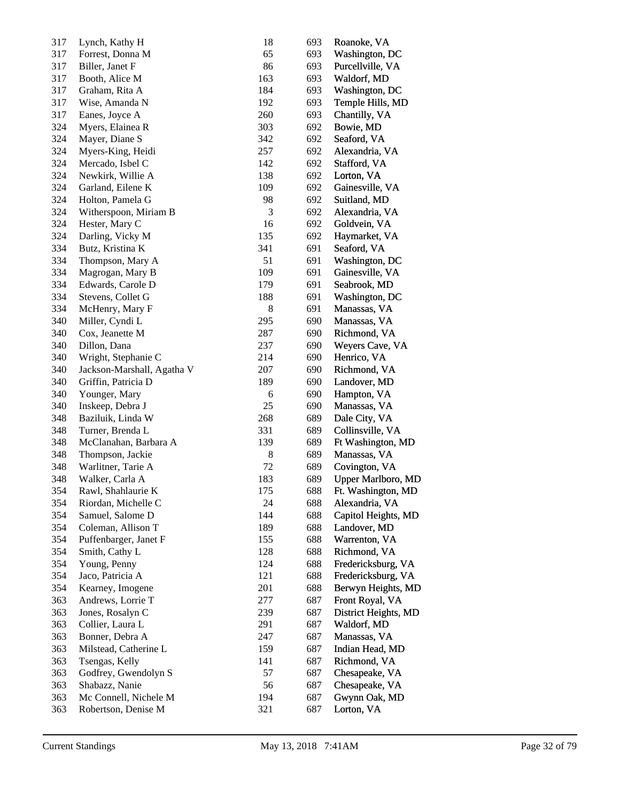| 317 | Lynch, Kathy H             | 18    | 693 | Roanoke, VA          |
|-----|----------------------------|-------|-----|----------------------|
| 317 | Forrest, Donna M           | 65    | 693 | Washington, DC       |
| 317 | Biller, Janet F            | 86    | 693 | Purcellville, VA     |
| 317 | Booth, Alice M             | 163   | 693 | Waldorf, MD          |
| 317 | Graham, Rita A             | 184   | 693 | Washington, DC       |
| 317 | Wise, Amanda N             | 192   | 693 | Temple Hills, MD     |
| 317 | Eanes, Joyce A             | 260   | 693 | Chantilly, VA        |
| 324 | Myers, Elainea R           | 303   | 692 | Bowie, MD            |
| 324 | Mayer, Diane S             | 342   | 692 | Seaford, VA          |
| 324 | Myers-King, Heidi          | 257   | 692 | Alexandria, VA       |
| 324 | Mercado, Isbel C           | 142   | 692 | Stafford, VA         |
| 324 | Newkirk, Willie A          | 138   | 692 | Lorton, VA           |
| 324 | Garland, Eilene K          | 109   | 692 | Gainesville, VA      |
| 324 | Holton, Pamela G           | 98    | 692 | Suitland, MD         |
| 324 | Witherspoon, Miriam B      | 3     | 692 | Alexandria, VA       |
| 324 | Hester, Mary C             | 16    | 692 | Goldvein, VA         |
| 324 | Darling, Vicky M           | 135   | 692 | Haymarket, VA        |
| 334 | Butz, Kristina K           | 341   | 691 | Seaford, VA          |
| 334 | Thompson, Mary A           | 51    | 691 | Washington, DC       |
| 334 | Magrogan, Mary B           | 109   | 691 | Gainesville, VA      |
|     |                            |       | 691 |                      |
| 334 | Edwards, Carole D          | 179   |     | Seabrook, MD         |
| 334 | Stevens, Collet G          | 188   | 691 | Washington, DC       |
| 334 | McHenry, Mary F            | $\,8$ | 691 | Manassas, VA         |
| 340 | Miller, Cyndi L            | 295   | 690 | Manassas, VA         |
| 340 | Cox, Jeanette M            | 287   | 690 | Richmond, VA         |
| 340 | Dillon, Dana               | 237   | 690 | Weyers Cave, VA      |
| 340 | Wright, Stephanie C        | 214   | 690 | Henrico, VA          |
| 340 | Jackson-Marshall, Agatha V | 207   | 690 | Richmond, VA         |
| 340 | Griffin, Patricia D        | 189   | 690 | Landover, MD         |
| 340 | Younger, Mary              | 6     | 690 | Hampton, VA          |
| 340 | Inskeep, Debra J           | 25    | 690 | Manassas, VA         |
| 348 | Baziluik, Linda W          | 268   | 689 | Dale City, VA        |
| 348 | Turner, Brenda L           | 331   | 689 | Collinsville, VA     |
| 348 | McClanahan, Barbara A      | 139   | 689 | Ft Washington, MD    |
| 348 | Thompson, Jackie           | 8     | 689 | Manassas, VA         |
| 348 | Warlitner, Tarie A         | 72    | 689 | Covington, VA        |
| 348 | Walker, Carla A            | 183   | 689 | Upper Marlboro, MD   |
| 354 | Rawl, Shahlaurie K         | 175   | 688 | Ft. Washington, MD   |
| 354 | Riordan, Michelle C        | 24    | 688 | Alexandria, VA       |
| 354 | Samuel, Salome D           | 144   | 688 | Capitol Heights, MD  |
| 354 | Coleman, Allison T         | 189   | 688 | Landover, MD         |
| 354 | Puffenbarger, Janet F      | 155   | 688 | Warrenton, VA        |
| 354 | Smith, Cathy L             | 128   | 688 | Richmond, VA         |
| 354 | Young, Penny               | 124   | 688 | Fredericksburg, VA   |
| 354 | Jaco, Patricia A           | 121   | 688 | Fredericksburg, VA   |
| 354 | Kearney, Imogene           | 201   | 688 | Berwyn Heights, MD   |
| 363 | Andrews, Lorrie T          | 277   | 687 | Front Royal, VA      |
| 363 | Jones, Rosalyn C           | 239   | 687 | District Heights, MD |
| 363 | Collier, Laura L           | 291   | 687 | Waldorf, MD          |
| 363 | Bonner, Debra A            | 247   | 687 | Manassas, VA         |
| 363 | Milstead, Catherine L      | 159   | 687 | Indian Head, MD      |
| 363 | Tsengas, Kelly             | 141   | 687 | Richmond, VA         |
| 363 | Godfrey, Gwendolyn S       | 57    | 687 | Chesapeake, VA       |
| 363 | Shabazz, Nanie             | 56    | 687 | Chesapeake, VA       |
| 363 | Mc Connell, Nichele M      | 194   | 687 | Gwynn Oak, MD        |
| 363 | Robertson, Denise M        | 321   | 687 | Lorton, VA           |
|     |                            |       |     |                      |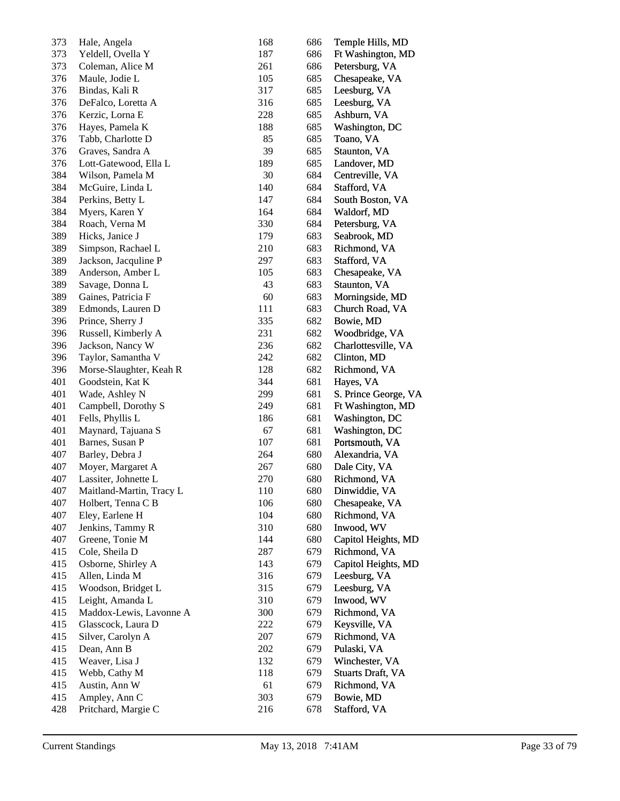| 373 | Hale, Angela             | 168 | 686 | Temple Hills, MD     |
|-----|--------------------------|-----|-----|----------------------|
| 373 | Yeldell, Ovella Y        | 187 | 686 | Ft Washington, MD    |
| 373 | Coleman, Alice M         | 261 | 686 | Petersburg, VA       |
| 376 | Maule, Jodie L           | 105 | 685 | Chesapeake, VA       |
| 376 | Bindas, Kali R           | 317 | 685 | Leesburg, VA         |
| 376 | DeFalco, Loretta A       | 316 | 685 | Leesburg, VA         |
| 376 | Kerzic, Lorna E          | 228 | 685 | Ashburn, VA          |
| 376 | Hayes, Pamela K          | 188 | 685 | Washington, DC       |
| 376 | Tabb, Charlotte D        | 85  | 685 | Toano, VA            |
| 376 | Graves, Sandra A         | 39  | 685 | Staunton, VA         |
| 376 | Lott-Gatewood, Ella L    | 189 | 685 | Landover, MD         |
| 384 | Wilson, Pamela M         | 30  | 684 | Centreville, VA      |
| 384 | McGuire, Linda L         | 140 | 684 | Stafford, VA         |
| 384 | Perkins, Betty L         | 147 | 684 | South Boston, VA     |
| 384 | Myers, Karen Y           | 164 | 684 | Waldorf, MD          |
| 384 | Roach, Verna M           | 330 | 684 | Petersburg, VA       |
| 389 | Hicks, Janice J          | 179 | 683 | Seabrook, MD         |
| 389 | Simpson, Rachael L       | 210 | 683 | Richmond, VA         |
| 389 | Jackson, Jacquline P     | 297 | 683 | Stafford, VA         |
| 389 | Anderson, Amber L        | 105 | 683 | Chesapeake, VA       |
| 389 | Savage, Donna L          | 43  | 683 | Staunton, VA         |
| 389 | Gaines, Patricia F       | 60  | 683 | Morningside, MD      |
| 389 | Edmonds, Lauren D        | 111 | 683 | Church Road, VA      |
| 396 | Prince, Sherry J         | 335 | 682 | Bowie, MD            |
| 396 | Russell, Kimberly A      | 231 | 682 | Woodbridge, VA       |
| 396 | Jackson, Nancy W         | 236 | 682 | Charlottesville, VA  |
| 396 | Taylor, Samantha V       | 242 | 682 | Clinton, MD          |
| 396 | Morse-Slaughter, Keah R  | 128 | 682 | Richmond, VA         |
| 401 | Goodstein, Kat K         | 344 | 681 | Hayes, VA            |
| 401 | Wade, Ashley N           | 299 | 681 | S. Prince George, VA |
| 401 | Campbell, Dorothy S      | 249 | 681 | Ft Washington, MD    |
| 401 | Fells, Phyllis L         | 186 | 681 | Washington, DC       |
| 401 | Maynard, Tajuana S       | 67  | 681 | Washington, DC       |
| 401 | Barnes, Susan P          | 107 | 681 | Portsmouth, VA       |
| 407 | Barley, Debra J          | 264 | 680 | Alexandria, VA       |
| 407 | Moyer, Margaret A        | 267 | 680 | Dale City, VA        |
| 407 | Lassiter, Johnette L     | 270 | 680 | Richmond, VA         |
| 407 | Maitland-Martin, Tracy L | 110 | 680 | Dinwiddie, VA        |
| 407 | Holbert, Tenna C B       | 106 | 680 | Chesapeake, VA       |
| 407 | Eley, Earlene H          | 104 | 680 | Richmond, VA         |
| 407 | Jenkins, Tammy R         | 310 | 680 | Inwood, WV           |
| 407 | Greene, Tonie M          | 144 | 680 | Capitol Heights, MD  |
| 415 | Cole, Sheila D           | 287 | 679 | Richmond, VA         |
| 415 | Osborne, Shirley A       | 143 | 679 | Capitol Heights, MD  |
| 415 | Allen, Linda M           | 316 | 679 | Leesburg, VA         |
| 415 | Woodson, Bridget L       | 315 | 679 | Leesburg, VA         |
| 415 | Leight, Amanda L         | 310 | 679 | Inwood, WV           |
| 415 | Maddox-Lewis, Lavonne A  | 300 | 679 | Richmond, VA         |
| 415 | Glasscock, Laura D       | 222 | 679 | Keysville, VA        |
| 415 | Silver, Carolyn A        | 207 | 679 | Richmond, VA         |
| 415 | Dean, Ann B              | 202 | 679 | Pulaski, VA          |
| 415 | Weaver, Lisa J           | 132 | 679 | Winchester, VA       |
| 415 | Webb, Cathy M            | 118 | 679 | Stuarts Draft, VA    |
| 415 | Austin, Ann W            | 61  | 679 | Richmond, VA         |
| 415 | Ampley, Ann C            | 303 | 679 | Bowie, MD            |
| 428 | Pritchard, Margie C      | 216 | 678 | Stafford, VA         |
|     |                          |     |     |                      |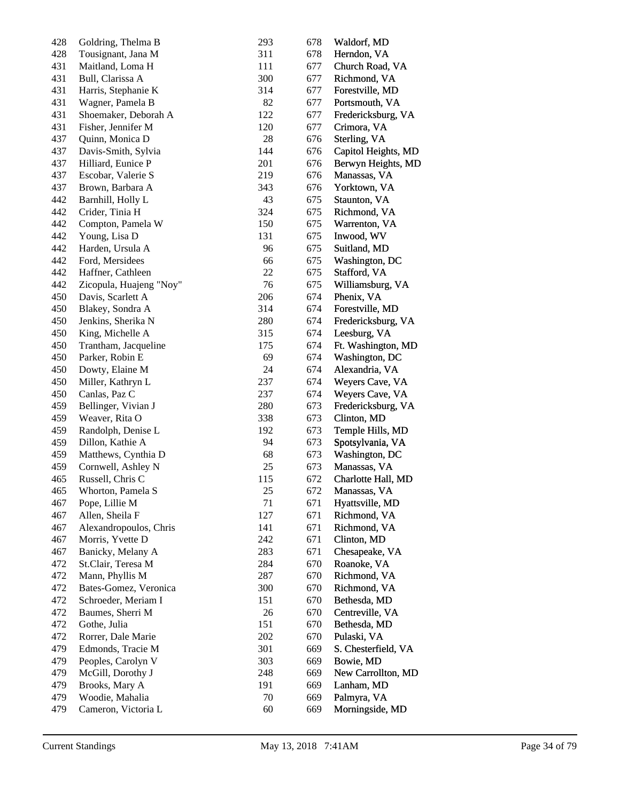| 428 | Goldring, Thelma B      | 293 | 678 | Waldorf, MD         |
|-----|-------------------------|-----|-----|---------------------|
| 428 | Tousignant, Jana M      | 311 | 678 | Herndon, VA         |
| 431 | Maitland, Loma H        | 111 | 677 | Church Road, VA     |
| 431 | Bull, Clarissa A        | 300 | 677 | Richmond, VA        |
| 431 | Harris, Stephanie K     | 314 | 677 | Forestville, MD     |
| 431 | Wagner, Pamela B        | 82  | 677 | Portsmouth, VA      |
| 431 | Shoemaker, Deborah A    | 122 | 677 | Fredericksburg, VA  |
| 431 | Fisher, Jennifer M      | 120 | 677 | Crimora, VA         |
| 437 | Quinn, Monica D         | 28  | 676 | Sterling, VA        |
| 437 | Davis-Smith, Sylvia     | 144 | 676 | Capitol Heights, MD |
| 437 | Hilliard, Eunice P      | 201 | 676 | Berwyn Heights, MD  |
| 437 | Escobar, Valerie S      | 219 | 676 | Manassas, VA        |
| 437 | Brown, Barbara A        | 343 | 676 | Yorktown, VA        |
| 442 | Barnhill, Holly L       | 43  | 675 | Staunton, VA        |
| 442 | Crider, Tinia H         | 324 | 675 | Richmond, VA        |
| 442 | Compton, Pamela W       | 150 | 675 | Warrenton, VA       |
| 442 | Young, Lisa D           | 131 | 675 | Inwood, WV          |
| 442 | Harden, Ursula A        | 96  | 675 | Suitland, MD        |
| 442 | Ford, Mersidees         | 66  | 675 | Washington, DC      |
| 442 | Haffner, Cathleen       | 22  |     | Stafford, VA        |
|     |                         |     | 675 |                     |
| 442 | Zicopula, Huajeng "Noy" | 76  | 675 | Williamsburg, VA    |
| 450 | Davis, Scarlett A       | 206 | 674 | Phenix, VA          |
| 450 | Blakey, Sondra A        | 314 | 674 | Forestville, MD     |
| 450 | Jenkins, Sherika N      | 280 | 674 | Fredericksburg, VA  |
| 450 | King, Michelle A        | 315 | 674 | Leesburg, VA        |
| 450 | Trantham, Jacqueline    | 175 | 674 | Ft. Washington, MD  |
| 450 | Parker, Robin E         | 69  | 674 | Washington, DC      |
| 450 | Dowty, Elaine M         | 24  | 674 | Alexandria, VA      |
| 450 | Miller, Kathryn L       | 237 | 674 | Weyers Cave, VA     |
| 450 | Canlas, Paz C           | 237 | 674 | Weyers Cave, VA     |
| 459 | Bellinger, Vivian J     | 280 | 673 | Fredericksburg, VA  |
| 459 | Weaver, Rita O          | 338 | 673 | Clinton, MD         |
| 459 | Randolph, Denise L      | 192 | 673 | Temple Hills, MD    |
| 459 | Dillon, Kathie A        | 94  | 673 | Spotsylvania, VA    |
| 459 | Matthews, Cynthia D     | 68  | 673 | Washington, DC      |
| 459 | Cornwell, Ashley N      | 25  | 673 | Manassas, VA        |
| 465 | Russell, Chris C        | 115 | 672 | Charlotte Hall, MD  |
| 465 | Whorton, Pamela S       | 25  | 672 | Manassas, VA        |
| 467 | Pope, Lillie M          | 71  | 671 | Hyattsville, MD     |
| 467 | Allen, Sheila F         | 127 | 671 | Richmond, VA        |
| 467 | Alexandropoulos, Chris  | 141 | 671 | Richmond, VA        |
| 467 | Morris, Yvette D        | 242 | 671 | Clinton, MD         |
| 467 | Banicky, Melany A       | 283 | 671 | Chesapeake, VA      |
| 472 | St.Clair, Teresa M      | 284 | 670 | Roanoke, VA         |
| 472 | Mann, Phyllis M         | 287 | 670 | Richmond, VA        |
| 472 | Bates-Gomez, Veronica   | 300 | 670 | Richmond, VA        |
| 472 | Schroeder, Meriam I     | 151 | 670 | Bethesda, MD        |
| 472 | Baumes, Sherri M        | 26  | 670 | Centreville, VA     |
| 472 | Gothe, Julia            | 151 | 670 | Bethesda, MD        |
| 472 | Rorrer, Dale Marie      | 202 | 670 | Pulaski, VA         |
| 479 | Edmonds, Tracie M       | 301 | 669 | S. Chesterfield, VA |
| 479 | Peoples, Carolyn V      | 303 | 669 | Bowie, MD           |
| 479 | McGill, Dorothy J       | 248 | 669 | New Carrollton, MD  |
| 479 | Brooks, Mary A          | 191 | 669 | Lanham, MD          |
| 479 | Woodie, Mahalia         | 70  | 669 | Palmyra, VA         |
| 479 | Cameron, Victoria L     | 60  | 669 | Morningside, MD     |
|     |                         |     |     |                     |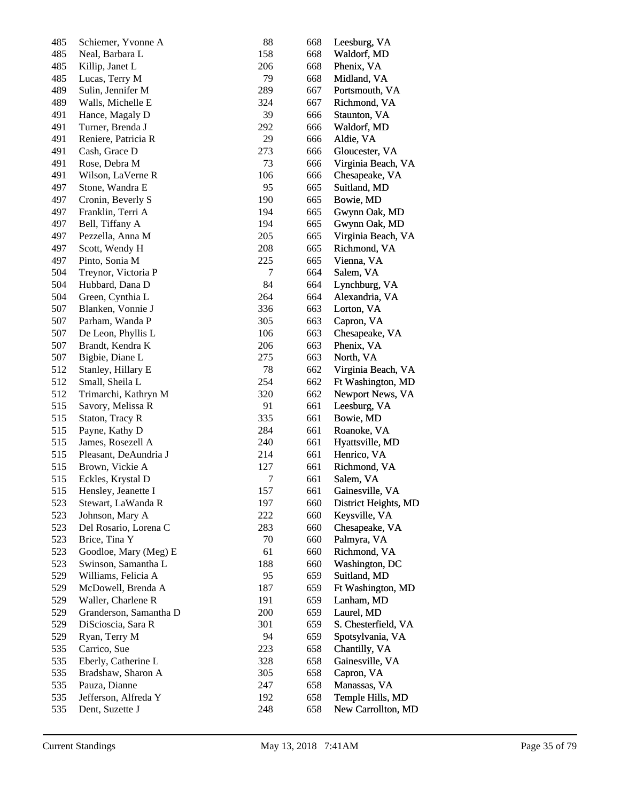| 485 | Schiemer, Yvonne A     | 88     | 668 | Leesburg, VA         |
|-----|------------------------|--------|-----|----------------------|
| 485 | Neal, Barbara L        | 158    | 668 | Waldorf, MD          |
| 485 | Killip, Janet L        | 206    | 668 | Phenix, VA           |
| 485 | Lucas, Terry M         | 79     | 668 | Midland, VA          |
| 489 | Sulin, Jennifer M      | 289    | 667 | Portsmouth, VA       |
| 489 | Walls, Michelle E      | 324    | 667 | Richmond, VA         |
| 491 | Hance, Magaly D        | 39     | 666 | Staunton, VA         |
| 491 | Turner, Brenda J       | 292    | 666 | Waldorf, MD          |
| 491 | Reniere, Patricia R    | 29     | 666 | Aldie, VA            |
| 491 | Cash, Grace D          | 273    | 666 | Gloucester, VA       |
| 491 | Rose, Debra M          | 73     | 666 | Virginia Beach, VA   |
| 491 | Wilson, LaVerne R      | 106    | 666 | Chesapeake, VA       |
| 497 | Stone, Wandra E        | 95     | 665 | Suitland, MD         |
| 497 | Cronin, Beverly S      | 190    | 665 | Bowie, MD            |
| 497 | Franklin, Terri A      | 194    | 665 | Gwynn Oak, MD        |
| 497 | Bell, Tiffany A        | 194    | 665 | Gwynn Oak, MD        |
| 497 | Pezzella, Anna M       | 205    | 665 | Virginia Beach, VA   |
| 497 | Scott, Wendy H         | 208    | 665 | Richmond, VA         |
| 497 | Pinto, Sonia M         | 225    | 665 | Vienna, VA           |
| 504 | Treynor, Victoria P    | 7      | 664 | Salem, VA            |
| 504 | Hubbard, Dana D        | 84     | 664 | Lynchburg, VA        |
| 504 | Green, Cynthia L       | 264    | 664 | Alexandria, VA       |
| 507 | Blanken, Vonnie J      | 336    | 663 | Lorton, VA           |
| 507 | Parham, Wanda P        | 305    | 663 | Capron, VA           |
| 507 | De Leon, Phyllis L     | 106    | 663 | Chesapeake, VA       |
| 507 | Brandt, Kendra K       | 206    | 663 | Phenix, VA           |
| 507 | Bigbie, Diane L        | 275    | 663 | North, VA            |
| 512 | Stanley, Hillary E     | 78     | 662 | Virginia Beach, VA   |
| 512 | Small, Sheila L        | 254    | 662 | Ft Washington, MD    |
| 512 | Trimarchi, Kathryn M   | 320    | 662 | Newport News, VA     |
| 515 | Savory, Melissa R      | 91     | 661 | Leesburg, VA         |
| 515 | Staton, Tracy R        | 335    | 661 | Bowie, MD            |
| 515 | Payne, Kathy D         | 284    | 661 | Roanoke, VA          |
|     | James, Rosezell A      | 240    | 661 |                      |
| 515 |                        |        |     | Hyattsville, MD      |
| 515 | Pleasant, DeAundria J  | 214    | 661 | Henrico, VA          |
| 515 | Brown, Vickie A        | 127    | 661 | Richmond, VA         |
| 515 | Eckles, Krystal D      | $\tau$ | 661 | Salem, VA            |
| 515 | Hensley, Jeanette I    | 157    | 661 | Gainesville, VA      |
| 523 | Stewart, LaWanda R     | 197    | 660 | District Heights, MD |
| 523 | Johnson, Mary A        | 222    | 660 | Keysville, VA        |
| 523 | Del Rosario, Lorena C  | 283    | 660 | Chesapeake, VA       |
| 523 | Brice, Tina Y          | 70     | 660 | Palmyra, VA          |
| 523 | Goodloe, Mary (Meg) E  | 61     | 660 | Richmond, VA         |
| 523 | Swinson, Samantha L    | 188    | 660 | Washington, DC       |
| 529 | Williams, Felicia A    | 95     | 659 | Suitland, MD         |
| 529 | McDowell, Brenda A     | 187    | 659 | Ft Washington, MD    |
| 529 | Waller, Charlene R     | 191    | 659 | Lanham, MD           |
| 529 | Granderson, Samantha D | 200    | 659 | Laurel, MD           |
| 529 | DiScioscia, Sara R     | 301    | 659 | S. Chesterfield, VA  |
| 529 | Ryan, Terry M          | 94     | 659 | Spotsylvania, VA     |
| 535 | Carrico, Sue           | 223    | 658 | Chantilly, VA        |
| 535 | Eberly, Catherine L    | 328    | 658 | Gainesville, VA      |
| 535 | Bradshaw, Sharon A     | 305    | 658 | Capron, VA           |
| 535 | Pauza, Dianne          | 247    | 658 | Manassas, VA         |
| 535 | Jefferson, Alfreda Y   | 192    | 658 | Temple Hills, MD     |
| 535 | Dent, Suzette J        | 248    | 658 | New Carrollton, MD   |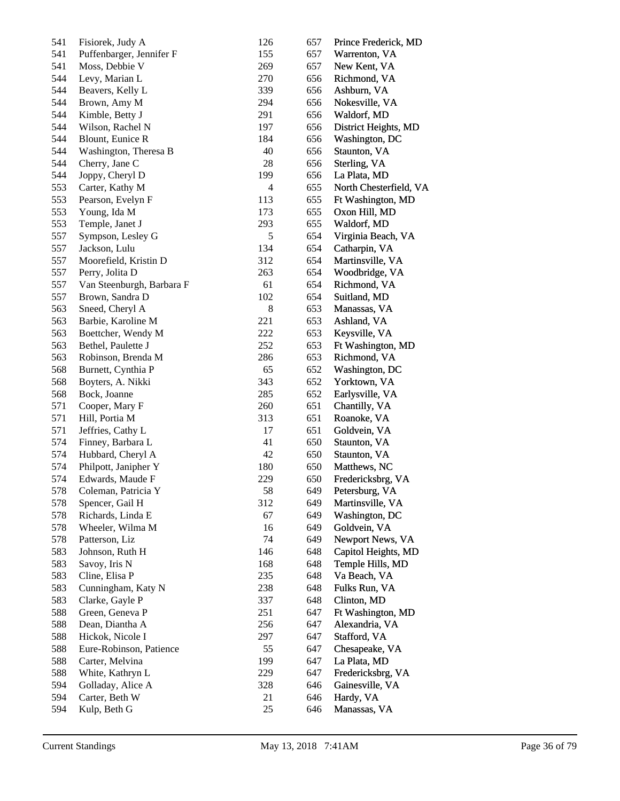| 541        | Fisiorek, Judy A                    | 126            | 657 | Prince Frederick, MD         |
|------------|-------------------------------------|----------------|-----|------------------------------|
| 541        | Puffenbarger, Jennifer F            | 155            | 657 | Warrenton, VA                |
| 541        | Moss, Debbie V                      | 269            | 657 | New Kent, VA                 |
| 544        | Levy, Marian L                      | 270            | 656 | Richmond, VA                 |
| 544        | Beavers, Kelly L                    | 339            | 656 | Ashburn, VA                  |
| 544        | Brown, Amy M                        | 294            | 656 | Nokesville, VA               |
| 544        | Kimble, Betty J                     | 291            | 656 | Waldorf, MD                  |
| 544        | Wilson, Rachel N                    | 197            | 656 | District Heights, MD         |
| 544        | Blount, Eunice R                    | 184            | 656 | Washington, DC               |
| 544        | Washington, Theresa B               | 40             | 656 | Staunton, VA                 |
| 544        | Cherry, Jane C                      | 28             | 656 | Sterling, VA                 |
| 544        | Joppy, Cheryl D                     | 199            | 656 | La Plata, MD                 |
| 553        | Carter, Kathy M                     | $\overline{4}$ | 655 | North Chesterfield, VA       |
| 553        | Pearson, Evelyn F                   | 113            | 655 | Ft Washington, MD            |
| 553        | Young, Ida M                        | 173            | 655 | Oxon Hill, MD                |
| 553        | Temple, Janet J                     | 293            | 655 | Waldorf, MD                  |
| 557        | Sympson, Lesley G                   | $\mathfrak s$  | 654 | Virginia Beach, VA           |
| 557        | Jackson, Lulu                       | 134            | 654 | Catharpin, VA                |
| 557        | Moorefield, Kristin D               | 312            | 654 | Martinsville, VA             |
| 557        | Perry, Jolita D                     | 263            | 654 | Woodbridge, VA               |
| 557        | Van Steenburgh, Barbara F           | 61             | 654 | Richmond, VA                 |
| 557        | Brown, Sandra D                     | 102            | 654 | Suitland, MD                 |
| 563        | Sneed, Cheryl A                     | $\,8$          | 653 | Manassas, VA                 |
| 563        | Barbie, Karoline M                  | 221            | 653 | Ashland, VA                  |
| 563        | Boettcher, Wendy M                  | 222            | 653 | Keysville, VA                |
| 563        | Bethel, Paulette J                  | 252            | 653 | Ft Washington, MD            |
| 563        | Robinson, Brenda M                  | 286            | 653 | Richmond, VA                 |
| 568        | Burnett, Cynthia P                  | 65             | 652 | Washington, DC               |
| 568        | Boyters, A. Nikki                   | 343            | 652 | Yorktown, VA                 |
| 568        | Bock, Joanne                        | 285            | 652 | Earlysville, VA              |
| 571        | Cooper, Mary F                      | 260            | 651 | Chantilly, VA                |
| 571        | Hill, Portia M                      | 313            | 651 | Roanoke, VA                  |
| 571        | Jeffries, Cathy L                   | 17             | 651 | Goldvein, VA                 |
| 574        | Finney, Barbara L                   | 41             | 650 | Staunton, VA                 |
| 574        | Hubbard, Cheryl A                   | 42             | 650 | Staunton, VA                 |
| 574        | Philpott, Janipher Y                | 180            | 650 | Matthews, NC                 |
| 574        | Edwards, Maude F                    | 229            | 650 | Fredericksbrg, VA            |
| 578        | Coleman, Patricia Y                 | 58             | 649 | Petersburg, VA               |
| 578        | Spencer, Gail H                     | 312            | 649 | Martinsville, VA             |
| 578        | Richards, Linda E                   | 67             | 649 | Washington, DC               |
| 578        | Wheeler, Wilma M                    | 16             | 649 | Goldvein, VA                 |
| 578        | Patterson, Liz                      | 74             | 649 | Newport News, VA             |
| 583        | Johnson, Ruth H                     | 146            | 648 | Capitol Heights, MD          |
| 583        | Savoy, Iris N                       | 168            | 648 | Temple Hills, MD             |
| 583        | Cline, Elisa P                      | 235            | 648 | Va Beach, VA                 |
| 583        | Cunningham, Katy N                  | 238            | 648 | Fulks Run, VA                |
| 583        | Clarke, Gayle P                     | 337            | 648 | Clinton, MD                  |
| 588        | Green, Geneva P                     | 251            | 647 | Ft Washington, MD            |
| 588        | Dean, Diantha A                     | 256            | 647 | Alexandria, VA               |
| 588        | Hickok, Nicole I                    | 297            | 647 | Stafford, VA                 |
| 588        | Eure-Robinson, Patience             | 55             | 647 | Chesapeake, VA               |
| 588        | Carter, Melvina                     | 199            | 647 | La Plata, MD                 |
|            |                                     | 229            | 647 |                              |
| 588<br>594 | White, Kathryn L                    | 328            | 646 | Fredericksbrg, VA            |
| 594        | Golladay, Alice A<br>Carter, Beth W | 21             | 646 | Gainesville, VA<br>Hardy, VA |
| 594        | Kulp, Beth G                        | 25             | 646 | Manassas, VA                 |
|            |                                     |                |     |                              |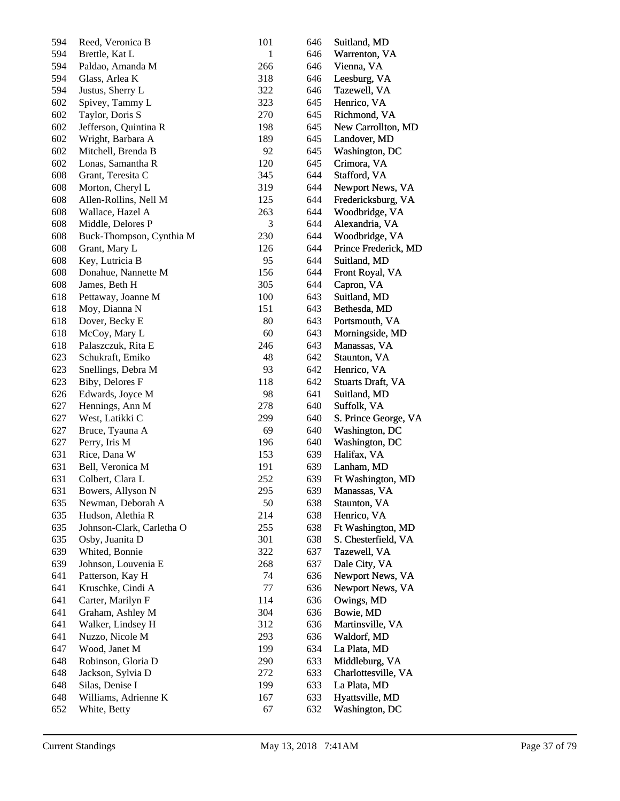| 594 | Reed, Veronica B          | 101          | 646 | Suitland, MD             |
|-----|---------------------------|--------------|-----|--------------------------|
| 594 | Brettle, Kat L            | $\mathbf{1}$ | 646 | Warrenton, VA            |
| 594 | Paldao, Amanda M          | 266          | 646 | Vienna, VA               |
| 594 | Glass, Arlea K            | 318          | 646 | Leesburg, VA             |
| 594 | Justus, Sherry L          | 322          | 646 | Tazewell, VA             |
| 602 | Spivey, Tammy L           | 323          | 645 | Henrico, VA              |
| 602 | Taylor, Doris S           | 270          | 645 | Richmond, VA             |
| 602 | Jefferson, Quintina R     | 198          | 645 | New Carrollton, MD       |
| 602 | Wright, Barbara A         | 189          | 645 | Landover, MD             |
| 602 | Mitchell, Brenda B        | 92           | 645 | Washington, DC           |
| 602 | Lonas, Samantha R         | 120          | 645 | Crimora, VA              |
| 608 | Grant, Teresita C         | 345          | 644 | Stafford, VA             |
| 608 | Morton, Cheryl L          | 319          | 644 | Newport News, VA         |
| 608 | Allen-Rollins, Nell M     | 125          | 644 | Fredericksburg, VA       |
| 608 | Wallace, Hazel A          | 263          | 644 | Woodbridge, VA           |
| 608 | Middle, Delores P         | 3            | 644 | Alexandria, VA           |
| 608 | Buck-Thompson, Cynthia M  | 230          | 644 | Woodbridge, VA           |
| 608 | Grant, Mary L             | 126          | 644 | Prince Frederick, MD     |
| 608 | Key, Lutricia B           | 95           | 644 | Suitland, MD             |
| 608 | Donahue, Nannette M       | 156          | 644 | Front Royal, VA          |
| 608 | James, Beth H             | 305          | 644 | Capron, VA               |
| 618 | Pettaway, Joanne M        | 100          | 643 | Suitland, MD             |
| 618 | Moy, Dianna N             | 151          | 643 | Bethesda, MD             |
| 618 | Dover, Becky E            | 80           | 643 | Portsmouth, VA           |
| 618 | McCoy, Mary L             | 60           | 643 | Morningside, MD          |
| 618 | Palaszczuk, Rita E        | 246          | 643 | Manassas, VA             |
| 623 | Schukraft, Emiko          | 48           | 642 | Staunton, VA             |
| 623 | Snellings, Debra M        | 93           | 642 | Henrico, VA              |
| 623 | Biby, Delores F           | 118          | 642 | <b>Stuarts Draft, VA</b> |
| 626 | Edwards, Joyce M          | 98           | 641 | Suitland, MD             |
| 627 | Hennings, Ann M           | 278          | 640 | Suffolk, VA              |
| 627 | West, Latikki C           | 299          | 640 | S. Prince George, VA     |
| 627 | Bruce, Tyauna A           | 69           | 640 | Washington, DC           |
| 627 | Perry, Iris M             | 196          | 640 | Washington, DC           |
| 631 | Rice, Dana W              | 153          | 639 | Halifax, VA              |
| 631 | Bell, Veronica M          | 191          | 639 | Lanham, MD               |
| 631 | Colbert, Clara L          | 252          | 639 | Ft Washington, MD        |
| 631 | Bowers, Allyson N         | 295          | 639 | Manassas, VA             |
| 635 | Newman, Deborah A         | 50           | 638 | Staunton, VA             |
| 635 | Hudson, Alethia R         | 214          | 638 | Henrico, VA              |
| 635 | Johnson-Clark, Carletha O | 255          | 638 | Ft Washington, MD        |
| 635 | Osby, Juanita D           | 301          | 638 | S. Chesterfield, VA      |
| 639 | Whited, Bonnie            | 322          | 637 | Tazewell, VA             |
| 639 | Johnson, Louvenia E       | 268          | 637 | Dale City, VA            |
| 641 | Patterson, Kay H          | 74           | 636 | Newport News, VA         |
| 641 | Kruschke, Cindi A         | 77           | 636 | Newport News, VA         |
| 641 | Carter, Marilyn F         | 114          | 636 | Owings, MD               |
| 641 | Graham, Ashley M          | 304          | 636 | Bowie, MD                |
| 641 | Walker, Lindsey H         | 312          | 636 | Martinsville, VA         |
| 641 | Nuzzo, Nicole M           | 293          | 636 | Waldorf, MD              |
| 647 | Wood, Janet M             | 199          | 634 | La Plata, MD             |
| 648 | Robinson, Gloria D        | 290          | 633 | Middleburg, VA           |
| 648 | Jackson, Sylvia D         | 272          | 633 | Charlottesville, VA      |
| 648 | Silas, Denise I           | 199          | 633 | La Plata, MD             |
| 648 | Williams, Adrienne K      | 167          | 633 | Hyattsville, MD          |
| 652 | White, Betty              | 67           | 632 | Washington, DC           |
|     |                           |              |     |                          |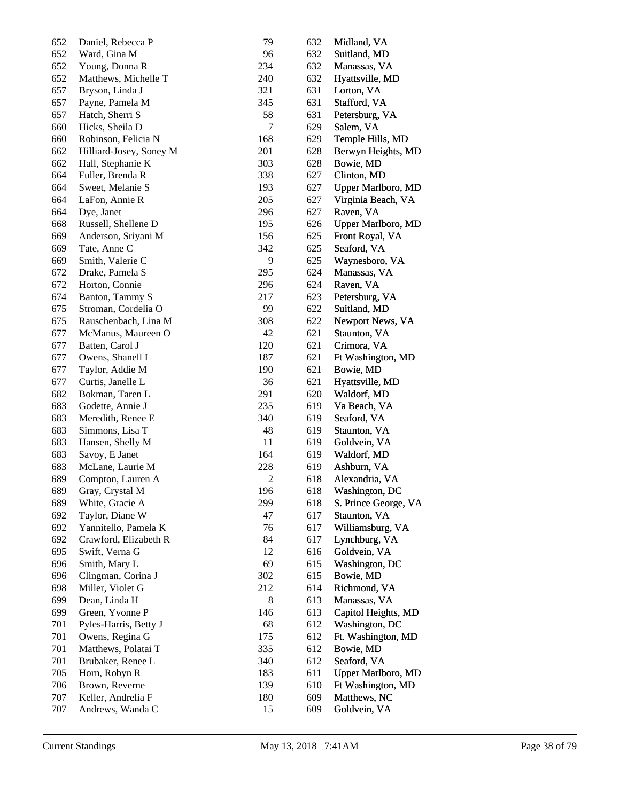| 652 | Daniel, Rebecca P       | 79           | 632 | Midland, VA               |
|-----|-------------------------|--------------|-----|---------------------------|
| 652 | Ward, Gina M            | 96           | 632 | Suitland, MD              |
| 652 | Young, Donna R          | 234          | 632 | Manassas, VA              |
| 652 | Matthews, Michelle T    | 240          | 632 | Hyattsville, MD           |
| 657 | Bryson, Linda J         | 321          | 631 | Lorton, VA                |
| 657 | Payne, Pamela M         | 345          | 631 | Stafford, VA              |
| 657 | Hatch, Sherri S         | 58           | 631 | Petersburg, VA            |
| 660 | Hicks, Sheila D         | 7            | 629 | Salem, VA                 |
| 660 | Robinson, Felicia N     | 168          | 629 | Temple Hills, MD          |
| 662 | Hilliard-Josey, Soney M | 201          | 628 | Berwyn Heights, MD        |
| 662 | Hall, Stephanie K       | 303          | 628 | Bowie, MD                 |
| 664 | Fuller, Brenda R        | 338          | 627 | Clinton, MD               |
| 664 | Sweet, Melanie S        | 193          | 627 | <b>Upper Marlboro, MD</b> |
| 664 | LaFon, Annie R          | 205          | 627 | Virginia Beach, VA        |
| 664 | Dye, Janet              | 296          | 627 | Raven, VA                 |
| 668 | Russell, Shellene D     | 195          | 626 | <b>Upper Marlboro, MD</b> |
| 669 | Anderson, Sriyani M     | 156          | 625 | Front Royal, VA           |
| 669 | Tate, Anne C            | 342          | 625 | Seaford, VA               |
| 669 | Smith, Valerie C        | 9            | 625 | Waynesboro, VA            |
| 672 | Drake, Pamela S         | 295          | 624 | Manassas, VA              |
| 672 | Horton, Connie          | 296          | 624 | Raven, VA                 |
| 674 | Banton, Tammy S         | 217          | 623 | Petersburg, VA            |
| 675 | Stroman, Cordelia O     | 99           | 622 | Suitland, MD              |
| 675 | Rauschenbach, Lina M    | 308          | 622 | Newport News, VA          |
| 677 | McManus, Maureen O      | 42           | 621 | Staunton, VA              |
| 677 | Batten, Carol J         | 120          | 621 | Crimora, VA               |
| 677 | Owens, Shanell L        | 187          | 621 | Ft Washington, MD         |
| 677 | Taylor, Addie M         | 190          | 621 | Bowie, MD                 |
| 677 | Curtis, Janelle L       | 36           | 621 | Hyattsville, MD           |
| 682 | Bokman, Taren L         | 291          | 620 | Waldorf, MD               |
| 683 | Godette, Annie J        | 235          | 619 | Va Beach, VA              |
| 683 | Meredith, Renee E       | 340          | 619 | Seaford, VA               |
| 683 | Simmons, Lisa T         | 48           | 619 | Staunton, VA              |
| 683 | Hansen, Shelly M        | 11           | 619 | Goldvein, VA              |
| 683 | Savoy, E Janet          | 164          | 619 | Waldorf, MD               |
| 683 | McLane, Laurie M        | 228          | 619 | Ashburn, VA               |
| 689 | Compton, Lauren A       | $\mathbf{2}$ | 618 | Alexandria, VA            |
| 689 | Gray, Crystal M         | 196          | 618 | Washington, DC            |
| 689 | White, Gracie A         | 299          | 618 | S. Prince George, VA      |
| 692 | Taylor, Diane W         | 47           | 617 | Staunton, VA              |
| 692 | Yannitello, Pamela K    | 76           | 617 | Williamsburg, VA          |
| 692 | Crawford, Elizabeth R   | 84           | 617 | Lynchburg, VA             |
| 695 | Swift, Verna G          | 12           | 616 | Goldvein, VA              |
| 696 | Smith, Mary L           | 69           | 615 | Washington, DC            |
| 696 | Clingman, Corina J      | 302          | 615 | Bowie, MD                 |
| 698 | Miller, Violet G        | 212          | 614 | Richmond, VA              |
| 699 | Dean, Linda H           | 8            | 613 | Manassas, VA              |
| 699 | Green, Yvonne P         | 146          | 613 | Capitol Heights, MD       |
| 701 | Pyles-Harris, Betty J   | 68           | 612 | Washington, DC            |
| 701 | Owens, Regina G         | 175          | 612 | Ft. Washington, MD        |
| 701 | Matthews, Polatai T     | 335          | 612 | Bowie, MD                 |
| 701 | Brubaker, Renee L       | 340          | 612 | Seaford, VA               |
| 705 | Horn, Robyn R           | 183          | 611 | <b>Upper Marlboro, MD</b> |
| 706 | Brown, Reverne          | 139          | 610 | Ft Washington, MD         |
| 707 | Keller, Andrelia F      | 180          | 609 | Matthews, NC              |
| 707 | Andrews, Wanda C        | 15           | 609 | Goldvein, VA              |
|     |                         |              |     |                           |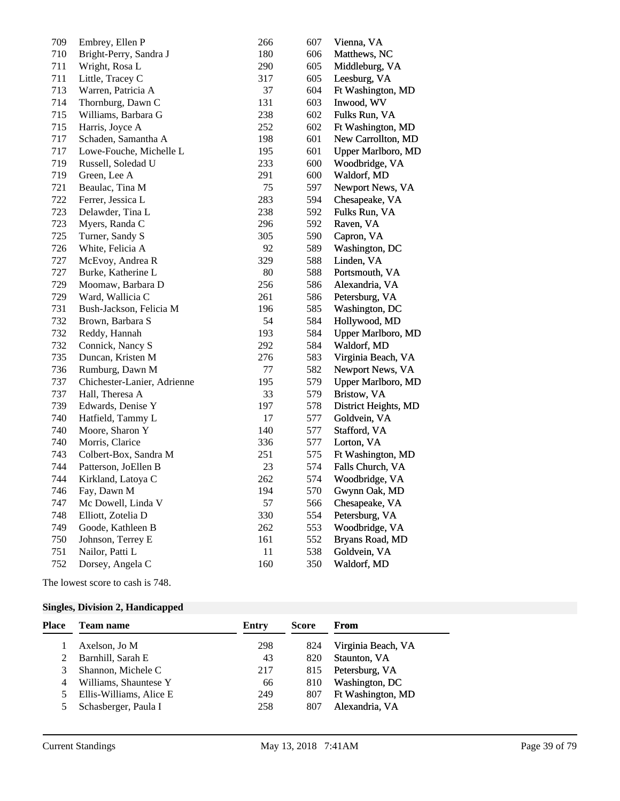| 709 | Embrey, Ellen P             | 266 | 607 | Vienna, VA                |
|-----|-----------------------------|-----|-----|---------------------------|
| 710 | Bright-Perry, Sandra J      | 180 | 606 | Matthews, NC              |
| 711 | Wright, Rosa L              | 290 | 605 | Middleburg, VA            |
| 711 | Little, Tracey C            | 317 | 605 | Leesburg, VA              |
| 713 | Warren, Patricia A          | 37  | 604 | Ft Washington, MD         |
| 714 | Thornburg, Dawn C           | 131 | 603 | Inwood, WV                |
| 715 | Williams, Barbara G         | 238 | 602 | Fulks Run, VA             |
| 715 | Harris, Joyce A             | 252 | 602 | Ft Washington, MD         |
| 717 | Schaden, Samantha A         | 198 | 601 | New Carrollton, MD        |
| 717 | Lowe-Fouche, Michelle L     | 195 | 601 | <b>Upper Marlboro, MD</b> |
| 719 | Russell, Soledad U          | 233 | 600 | Woodbridge, VA            |
| 719 | Green, Lee A                | 291 | 600 | Waldorf, MD               |
| 721 | Beaulac, Tina M             | 75  | 597 | Newport News, VA          |
| 722 | Ferrer, Jessica L           | 283 | 594 | Chesapeake, VA            |
| 723 | Delawder, Tina L            | 238 | 592 | Fulks Run, VA             |
| 723 | Myers, Randa C              | 296 | 592 | Raven, VA                 |
| 725 | Turner, Sandy S             | 305 | 590 | Capron, VA                |
| 726 | White, Felicia A            | 92  | 589 | Washington, DC            |
| 727 | McEvoy, Andrea R            | 329 | 588 | Linden, VA                |
| 727 | Burke, Katherine L          | 80  | 588 | Portsmouth, VA            |
| 729 | Moomaw, Barbara D           | 256 | 586 | Alexandria, VA            |
| 729 | Ward, Wallicia C            | 261 | 586 | Petersburg, VA            |
| 731 | Bush-Jackson, Felicia M     | 196 | 585 | Washington, DC            |
| 732 | Brown, Barbara S            | 54  | 584 | Hollywood, MD             |
| 732 | Reddy, Hannah               | 193 | 584 | <b>Upper Marlboro, MD</b> |
| 732 | Connick, Nancy S            | 292 | 584 | Waldorf, MD               |
| 735 | Duncan, Kristen M           | 276 | 583 | Virginia Beach, VA        |
| 736 | Rumburg, Dawn M             | 77  | 582 | Newport News, VA          |
| 737 | Chichester-Lanier, Adrienne | 195 | 579 | <b>Upper Marlboro, MD</b> |
| 737 | Hall, Theresa A             | 33  | 579 | Bristow, VA               |
| 739 | Edwards, Denise Y           | 197 | 578 | District Heights, MD      |
| 740 | Hatfield, Tammy L           | 17  | 577 | Goldvein, VA              |
| 740 | Moore, Sharon Y             | 140 | 577 | Stafford, VA              |
| 740 | Morris, Clarice             | 336 | 577 | Lorton, VA                |
| 743 | Colbert-Box, Sandra M       | 251 | 575 | Ft Washington, MD         |
| 744 | Patterson, JoEllen B        | 23  | 574 | Falls Church, VA          |
| 744 | Kirkland, Latoya C          | 262 | 574 | Woodbridge, VA            |
| 746 | Fay, Dawn M                 | 194 | 570 | Gwynn Oak, MD             |
| 747 | Mc Dowell, Linda V          | 57  | 566 | Chesapeake, VA            |
| 748 | Elliott, Zotelia D          | 330 | 554 | Petersburg, VA            |
| 749 | Goode, Kathleen B           | 262 | 553 | Woodbridge, VA            |
| 750 | Johnson, Terrey E           | 161 | 552 | Bryans Road, MD           |
| 751 | Nailor, Patti L             | 11  | 538 | Goldvein, VA              |
| 752 | Dorsey, Angela C            | 160 | 350 | Waldorf, MD               |

The lowest score to cash is 748.

## **Singles, Division 2, Handicapped**

| Place | Team name               | Entry | Score | From               |
|-------|-------------------------|-------|-------|--------------------|
|       | Axelson, Jo M           | 298   | 824   | Virginia Beach, VA |
|       | Barnhill, Sarah E       | 43    | 820   | Staunton, VA       |
|       | Shannon, Michele C      | 217   | 815   | Petersburg, VA     |
|       | Williams, Shauntese Y   | 66    | 810   | Washington, DC     |
|       | Ellis-Williams, Alice E | 249   | 807   | Ft Washington, MD  |
|       | Schasberger, Paula I    | 258   | 807   | Alexandria, VA     |
|       |                         |       |       |                    |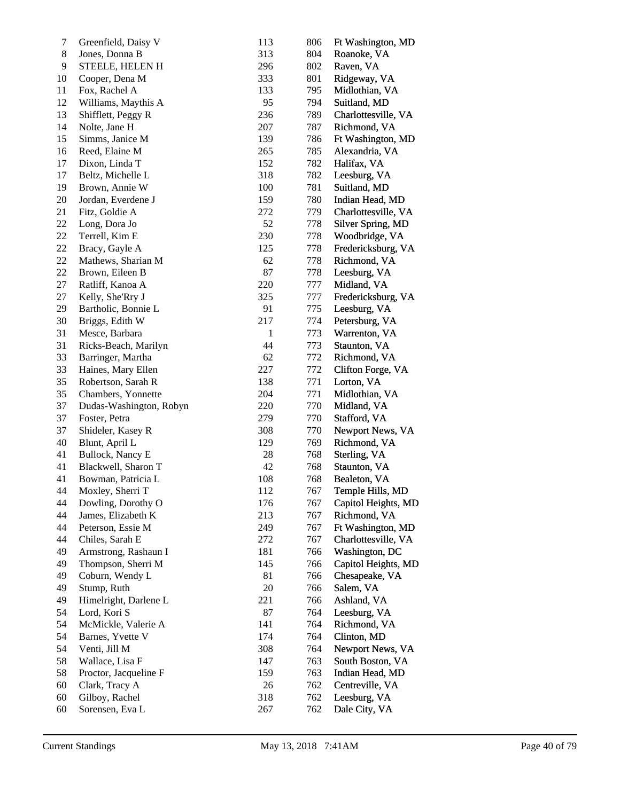| 7     | Greenfield, Daisy V     | 113          | 806 | Ft Washington, MD   |
|-------|-------------------------|--------------|-----|---------------------|
| $8\,$ | Jones, Donna B          | 313          | 804 | Roanoke, VA         |
| 9     | STEELE, HELEN H         | 296          | 802 | Raven, VA           |
| 10    | Cooper, Dena M          | 333          | 801 | Ridgeway, VA        |
| 11    | Fox, Rachel A           | 133          | 795 | Midlothian, VA      |
| 12    | Williams, Maythis A     | 95           | 794 | Suitland, MD        |
| 13    | Shifflett, Peggy R      | 236          | 789 | Charlottesville, VA |
| 14    | Nolte, Jane H           | 207          | 787 | Richmond, VA        |
| 15    | Simms, Janice M         | 139          | 786 | Ft Washington, MD   |
| 16    | Reed, Elaine M          | 265          | 785 | Alexandria, VA      |
| 17    | Dixon, Linda T          | 152          | 782 | Halifax, VA         |
| 17    | Beltz, Michelle L       | 318          | 782 | Leesburg, VA        |
| 19    | Brown, Annie W          | 100          | 781 | Suitland, MD        |
| 20    | Jordan, Everdene J      | 159          | 780 | Indian Head, MD     |
| 21    | Fitz, Goldie A          | 272          | 779 | Charlottesville, VA |
| 22    | Long, Dora Jo           | 52           | 778 | Silver Spring, MD   |
| 22    | Terrell, Kim E          | 230          | 778 | Woodbridge, VA      |
| 22    | Bracy, Gayle A          | 125          | 778 | Fredericksburg, VA  |
| 22    | Mathews, Sharian M      | 62           | 778 | Richmond, VA        |
| 22    | Brown, Eileen B         | 87           | 778 | Leesburg, VA        |
| 27    | Ratliff, Kanoa A        | 220          | 777 | Midland, VA         |
| 27    | Kelly, She'Rry J        | 325          | 777 | Fredericksburg, VA  |
| 29    | Bartholic, Bonnie L     | 91           | 775 | Leesburg, VA        |
| 30    | Briggs, Edith W         | 217          | 774 | Petersburg, VA      |
| 31    | Mesce, Barbara          | $\mathbf{1}$ | 773 | Warrenton, VA       |
| 31    | Ricks-Beach, Marilyn    | 44           | 773 | Staunton, VA        |
| 33    | Barringer, Martha       | 62           | 772 | Richmond, VA        |
| 33    | Haines, Mary Ellen      | 227          | 772 | Clifton Forge, VA   |
| 35    | Robertson, Sarah R      | 138          | 771 | Lorton, VA          |
| 35    | Chambers, Yonnette      | 204          | 771 | Midlothian, VA      |
| 37    | Dudas-Washington, Robyn | 220          | 770 | Midland, VA         |
| 37    | Foster, Petra           | 279          | 770 | Stafford, VA        |
| 37    | Shideler, Kasey R       | 308          | 770 | Newport News, VA    |
| 40    | Blunt, April L          | 129          | 769 | Richmond, VA        |
| 41    | Bullock, Nancy E        | 28           | 768 | Sterling, VA        |
| 41    | Blackwell, Sharon T     | 42           | 768 | Staunton, VA        |
| 41    | Bowman, Patricia L      | 108          | 768 | Bealeton, VA        |
| 44    | Moxley, Sherri T        | 112          | 767 | Temple Hills, MD    |
| 44    | Dowling, Dorothy O      | 176          | 767 | Capitol Heights, MD |
| 44    | James, Elizabeth K      | 213          | 767 | Richmond, VA        |
| 44    | Peterson, Essie M       | 249          | 767 | Ft Washington, MD   |
| 44    | Chiles, Sarah E         | 272          | 767 | Charlottesville, VA |
| 49    | Armstrong, Rashaun I    | 181          | 766 | Washington, DC      |
| 49    | Thompson, Sherri M      | 145          | 766 | Capitol Heights, MD |
| 49    | Coburn, Wendy L         | 81           | 766 | Chesapeake, VA      |
| 49    | Stump, Ruth             | 20           | 766 | Salem, VA           |
| 49    | Himelright, Darlene L   | 221          | 766 | Ashland, VA         |
| 54    | Lord, Kori S            | 87           | 764 | Leesburg, VA        |
| 54    | McMickle, Valerie A     | 141          | 764 | Richmond, VA        |
| 54    | Barnes, Yvette V        | 174          | 764 | Clinton, MD         |
| 54    | Venti, Jill M           | 308          | 764 | Newport News, VA    |
| 58    | Wallace, Lisa F         | 147          | 763 | South Boston, VA    |
| 58    |                         | 159          |     |                     |
| 60    | Proctor, Jacqueline F   |              | 763 | Indian Head, MD     |
| 60    | Clark, Tracy A          | 26<br>318    | 762 | Centreville, VA     |
|       | Gilboy, Rachel          |              | 762 | Leesburg, VA        |
| 60    | Sorensen, Eva L         | 267          | 762 | Dale City, VA       |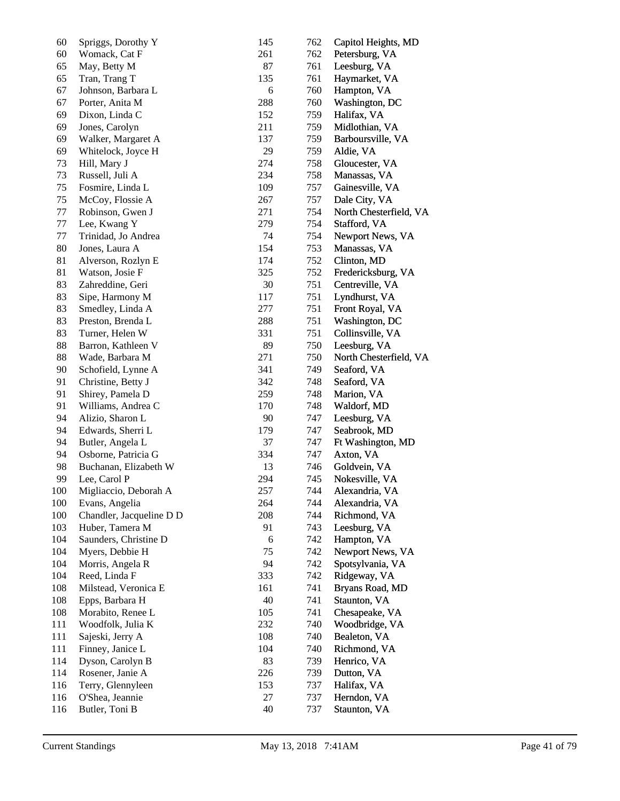| 60  | Spriggs, Dorothy Y       | 145        | 762 | Capitol Heights, MD    |
|-----|--------------------------|------------|-----|------------------------|
| 60  | Womack, Cat F            | 261        | 762 | Petersburg, VA         |
| 65  | May, Betty M             | 87         | 761 | Leesburg, VA           |
| 65  | Tran, Trang T            | 135        | 761 | Haymarket, VA          |
| 67  | Johnson, Barbara L       | 6          | 760 | Hampton, VA            |
| 67  | Porter, Anita M          | 288        | 760 | Washington, DC         |
| 69  | Dixon, Linda C           | 152        | 759 | Halifax, VA            |
| 69  | Jones, Carolyn           | 211        | 759 | Midlothian, VA         |
| 69  | Walker, Margaret A       | 137        | 759 | Barboursville, VA      |
| 69  | Whitelock, Joyce H       | 29         | 759 | Aldie, VA              |
| 73  | Hill, Mary J             | 274        | 758 | Gloucester, VA         |
| 73  | Russell, Juli A          | 234        | 758 | Manassas, VA           |
| 75  | Fosmire, Linda L         | 109        | 757 | Gainesville, VA        |
| 75  | McCoy, Flossie A         | 267        | 757 | Dale City, VA          |
| 77  | Robinson, Gwen J         | 271        | 754 | North Chesterfield, VA |
| 77  | Lee, Kwang Y             | 279        | 754 | Stafford, VA           |
| 77  | Trinidad, Jo Andrea      | 74         | 754 | Newport News, VA       |
| 80  | Jones, Laura A           | 154        | 753 | Manassas, VA           |
| 81  |                          | 174        |     | Clinton, MD            |
|     | Alverson, Rozlyn E       |            | 752 |                        |
| 81  | Watson, Josie F          | 325        | 752 | Fredericksburg, VA     |
| 83  | Zahreddine, Geri         | 30         | 751 | Centreville, VA        |
| 83  | Sipe, Harmony M          | 117        | 751 | Lyndhurst, VA          |
| 83  | Smedley, Linda A         | 277        | 751 | Front Royal, VA        |
| 83  | Preston, Brenda L        | 288        | 751 | Washington, DC         |
| 83  | Turner, Helen W          | 331        | 751 | Collinsville, VA       |
| 88  | Barron, Kathleen V       | 89         | 750 | Leesburg, VA           |
| 88  | Wade, Barbara M          | 271        | 750 | North Chesterfield, VA |
| 90  | Schofield, Lynne A       | 341        | 749 | Seaford, VA            |
| 91  | Christine, Betty J       | 342        | 748 | Seaford, VA            |
| 91  | Shirey, Pamela D         | 259        | 748 | Marion, VA             |
| 91  | Williams, Andrea C       | 170        | 748 | Waldorf, MD            |
| 94  | Alizio, Sharon L         | 90         | 747 | Leesburg, VA           |
| 94  | Edwards, Sherri L        | 179        | 747 | Seabrook, MD           |
| 94  | Butler, Angela L         | 37         | 747 | Ft Washington, MD      |
| 94  | Osborne, Patricia G      | 334        | 747 | Axton, VA              |
| 98  | Buchanan, Elizabeth W    | 13         | 746 | Goldvein, VA           |
| 99  | Lee, Carol P             | 294        | 745 | Nokesville, VA         |
| 100 | Migliaccio, Deborah A    | 257        | 744 | Alexandria, VA         |
| 100 | Evans, Angelia           | 264        | 744 | Alexandria, VA         |
| 100 | Chandler, Jacqueline D D | 208        | 744 | Richmond, VA           |
| 103 | Huber, Tamera M          | 91         | 743 | Leesburg, VA           |
| 104 | Saunders, Christine D    | $\sqrt{6}$ | 742 | Hampton, VA            |
| 104 | Myers, Debbie H          | 75         | 742 | Newport News, VA       |
| 104 | Morris, Angela R         | 94         | 742 | Spotsylvania, VA       |
| 104 | Reed, Linda F            | 333        | 742 | Ridgeway, VA           |
| 108 | Milstead, Veronica E     | 161        | 741 | Bryans Road, MD        |
| 108 | Epps, Barbara H          | 40         | 741 | Staunton, VA           |
| 108 | Morabito, Renee L        | 105        | 741 | Chesapeake, VA         |
| 111 | Woodfolk, Julia K        | 232        | 740 | Woodbridge, VA         |
| 111 | Sajeski, Jerry A         | 108        | 740 | Bealeton, VA           |
| 111 | Finney, Janice L         | 104        | 740 | Richmond, VA           |
| 114 | Dyson, Carolyn B         | 83         | 739 | Henrico, VA            |
| 114 | Rosener, Janie A         | 226        | 739 | Dutton, VA             |
| 116 | Terry, Glennyleen        | 153        | 737 | Halifax, VA            |
| 116 | O'Shea, Jeannie          | 27         | 737 | Herndon, VA            |
| 116 | Butler, Toni B           | 40         | 737 | Staunton, VA           |
|     |                          |            |     |                        |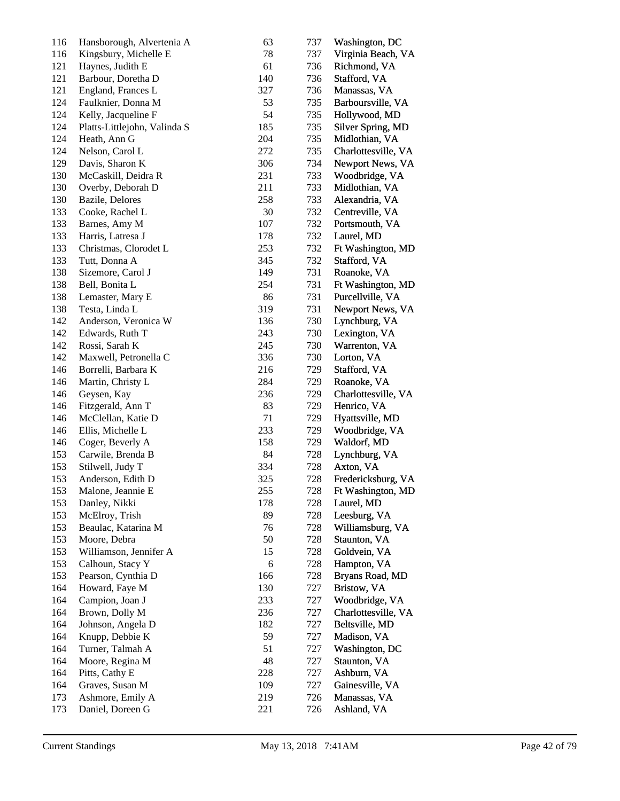| 116 | Hansborough, Alvertenia A    | 63  | 737 | Washington, DC      |
|-----|------------------------------|-----|-----|---------------------|
| 116 | Kingsbury, Michelle E        | 78  | 737 | Virginia Beach, VA  |
| 121 | Haynes, Judith E             | 61  | 736 | Richmond, VA        |
| 121 | Barbour, Doretha D           | 140 | 736 | Stafford, VA        |
| 121 | England, Frances L           | 327 | 736 | Manassas, VA        |
| 124 | Faulknier, Donna M           | 53  | 735 | Barboursville, VA   |
| 124 | Kelly, Jacqueline F          | 54  | 735 | Hollywood, MD       |
| 124 | Platts-Littlejohn, Valinda S | 185 | 735 | Silver Spring, MD   |
| 124 | Heath, Ann G                 | 204 | 735 | Midlothian, VA      |
| 124 | Nelson, Carol L              | 272 | 735 | Charlottesville, VA |
| 129 | Davis, Sharon K              | 306 | 734 | Newport News, VA    |
| 130 | McCaskill, Deidra R          | 231 | 733 | Woodbridge, VA      |
| 130 | Overby, Deborah D            | 211 | 733 | Midlothian, VA      |
| 130 | Bazile, Delores              | 258 | 733 | Alexandria, VA      |
| 133 | Cooke, Rachel L              | 30  | 732 | Centreville, VA     |
| 133 | Barnes, Amy M                | 107 | 732 | Portsmouth, VA      |
| 133 | Harris, Latresa J            | 178 | 732 | Laurel, MD          |
| 133 | Christmas, Clorodet L        | 253 | 732 | Ft Washington, MD   |
| 133 | Tutt, Donna A                | 345 | 732 | Stafford, VA        |
| 138 | Sizemore, Carol J            | 149 | 731 | Roanoke, VA         |
| 138 | Bell, Bonita L               | 254 | 731 | Ft Washington, MD   |
| 138 | Lemaster, Mary E             | 86  | 731 | Purcellville, VA    |
| 138 | Testa, Linda L               | 319 | 731 | Newport News, VA    |
| 142 | Anderson, Veronica W         | 136 | 730 | Lynchburg, VA       |
| 142 | Edwards, Ruth T              | 243 | 730 | Lexington, VA       |
| 142 | Rossi, Sarah K               | 245 | 730 | Warrenton, VA       |
| 142 | Maxwell, Petronella C        | 336 | 730 | Lorton, VA          |
| 146 | Borrelli, Barbara K          | 216 | 729 | Stafford, VA        |
| 146 | Martin, Christy L            | 284 | 729 | Roanoke, VA         |
| 146 | Geysen, Kay                  | 236 | 729 | Charlottesville, VA |
| 146 | Fitzgerald, Ann T            | 83  | 729 | Henrico, VA         |
| 146 | McClellan, Katie D           | 71  | 729 | Hyattsville, MD     |
| 146 | Ellis, Michelle L            | 233 | 729 | Woodbridge, VA      |
| 146 | Coger, Beverly A             | 158 | 729 | Waldorf, MD         |
| 153 | Carwile, Brenda B            | 84  | 728 | Lynchburg, VA       |
| 153 | Stilwell, Judy T             | 334 | 728 | Axton, VA           |
| 153 | Anderson, Edith D            | 325 | 728 | Fredericksburg, VA  |
| 153 | Malone, Jeannie E            | 255 | 728 | Ft Washington, MD   |
| 153 | Danley, Nikki                | 178 | 728 | Laurel, MD          |
| 153 | McElroy, Trish               | 89  | 728 | Leesburg, VA        |
| 153 | Beaulac, Katarina M          | 76  | 728 | Williamsburg, VA    |
| 153 | Moore, Debra                 | 50  | 728 | Staunton, VA        |
| 153 | Williamson, Jennifer A       | 15  | 728 | Goldvein, VA        |
| 153 | Calhoun, Stacy Y             | 6   | 728 | Hampton, VA         |
| 153 | Pearson, Cynthia D           | 166 | 728 | Bryans Road, MD     |
| 164 | Howard, Faye M               | 130 | 727 | Bristow, VA         |
| 164 | Campion, Joan J              | 233 | 727 | Woodbridge, VA      |
| 164 | Brown, Dolly M               | 236 | 727 | Charlottesville, VA |
| 164 | Johnson, Angela D            | 182 | 727 | Beltsville, MD      |
| 164 | Knupp, Debbie K              | 59  | 727 | Madison, VA         |
| 164 | Turner, Talmah A             | 51  | 727 | Washington, DC      |
| 164 | Moore, Regina M              | 48  | 727 | Staunton, VA        |
| 164 | Pitts, Cathy E               | 228 | 727 | Ashburn, VA         |
| 164 | Graves, Susan M              | 109 | 727 | Gainesville, VA     |
| 173 | Ashmore, Emily A             | 219 | 726 | Manassas, VA        |
| 173 | Daniel, Doreen G             | 221 | 726 | Ashland, VA         |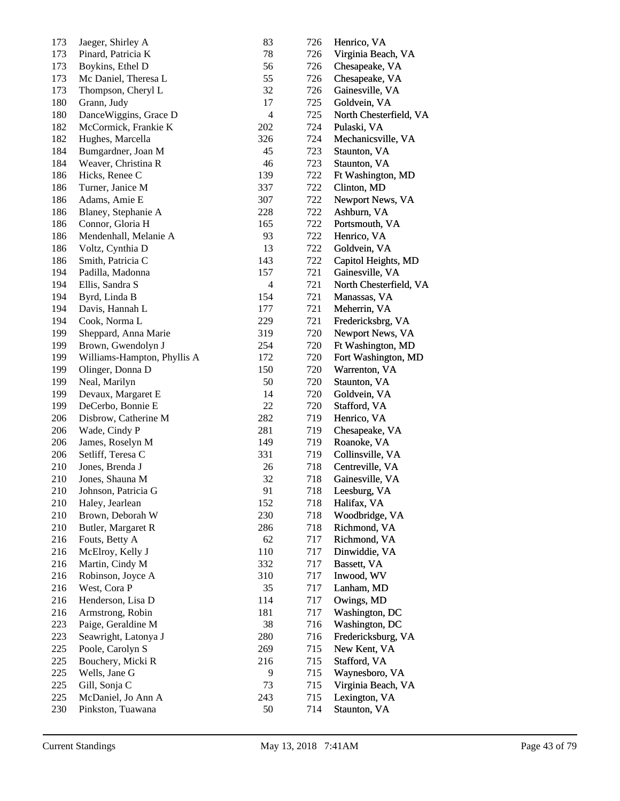| 173 | Jaeger, Shirley A           | 83             | 726 | Henrico, VA            |
|-----|-----------------------------|----------------|-----|------------------------|
| 173 | Pinard, Patricia K          | 78             | 726 | Virginia Beach, VA     |
| 173 | Boykins, Ethel D            | 56             | 726 | Chesapeake, VA         |
| 173 | Mc Daniel, Theresa L        | 55             | 726 | Chesapeake, VA         |
| 173 | Thompson, Cheryl L          | 32             | 726 | Gainesville, VA        |
| 180 | Grann, Judy                 | 17             | 725 | Goldvein, VA           |
| 180 | DanceWiggins, Grace D       | $\overline{4}$ | 725 | North Chesterfield, VA |
| 182 | McCormick, Frankie K        | 202            | 724 | Pulaski, VA            |
| 182 | Hughes, Marcella            | 326            | 724 | Mechanicsville, VA     |
| 184 | Bumgardner, Joan M          | 45             | 723 | Staunton, VA           |
| 184 | Weaver, Christina R         | 46             | 723 | Staunton, VA           |
| 186 | Hicks, Renee C              | 139            | 722 | Ft Washington, MD      |
| 186 | Turner, Janice M            | 337            | 722 | Clinton, MD            |
| 186 | Adams, Amie E               | 307            | 722 | Newport News, VA       |
| 186 | Blaney, Stephanie A         | 228            | 722 | Ashburn, VA            |
| 186 | Connor, Gloria H            | 165            | 722 | Portsmouth, VA         |
| 186 | Mendenhall, Melanie A       | 93             | 722 | Henrico, VA            |
| 186 | Voltz, Cynthia D            | 13             | 722 | Goldvein, VA           |
| 186 | Smith, Patricia C           | 143            | 722 | Capitol Heights, MD    |
| 194 | Padilla, Madonna            | 157            | 721 | Gainesville, VA        |
| 194 | Ellis, Sandra S             | $\overline{4}$ | 721 | North Chesterfield, VA |
| 194 | Byrd, Linda B               | 154            | 721 | Manassas, VA           |
| 194 | Davis, Hannah L             | 177            | 721 | Meherrin, VA           |
| 194 | Cook, Norma L               | 229            | 721 | Fredericksbrg, VA      |
| 199 | Sheppard, Anna Marie        | 319            | 720 | Newport News, VA       |
| 199 | Brown, Gwendolyn J          | 254            | 720 | Ft Washington, MD      |
| 199 | Williams-Hampton, Phyllis A | 172            | 720 | Fort Washington, MD    |
| 199 | Olinger, Donna D            | 150            | 720 | Warrenton, VA          |
| 199 | Neal, Marilyn               | 50             | 720 | Staunton, VA           |
| 199 | Devaux, Margaret E          | 14             | 720 | Goldvein, VA           |
| 199 | DeCerbo, Bonnie E           | 22             | 720 | Stafford, VA           |
| 206 | Disbrow, Catherine M        | 282            | 719 | Henrico, VA            |
| 206 | Wade, Cindy P               | 281            | 719 | Chesapeake, VA         |
| 206 | James, Roselyn M            | 149            | 719 | Roanoke, VA            |
| 206 | Setliff, Teresa C           | 331            | 719 | Collinsville, VA       |
| 210 | Jones, Brenda J             | 26             | 718 | Centreville, VA        |
| 210 | Jones, Shauna M             | 32             | 718 | Gainesville, VA        |
| 210 | Johnson, Patricia G         | 91             | 718 | Leesburg, VA           |
| 210 | Haley, Jearlean             | 152            | 718 | Halifax, VA            |
| 210 | Brown, Deborah W            | 230            | 718 | Woodbridge, VA         |
| 210 | Butler, Margaret R          | 286            | 718 | Richmond, VA           |
| 216 | Fouts, Betty A              | 62             | 717 | Richmond, VA           |
| 216 | McElroy, Kelly J            | 110            | 717 | Dinwiddie, VA          |
| 216 | Martin, Cindy M             | 332            | 717 | Bassett, VA            |
| 216 | Robinson, Joyce A           | 310            | 717 | Inwood, WV             |
| 216 | West, Cora P                | 35             | 717 | Lanham, MD             |
| 216 | Henderson, Lisa D           | 114            | 717 | Owings, MD             |
| 216 | Armstrong, Robin            | 181            | 717 | Washington, DC         |
| 223 | Paige, Geraldine M          | 38             | 716 | Washington, DC         |
| 223 | Seawright, Latonya J        | 280            | 716 | Fredericksburg, VA     |
| 225 | Poole, Carolyn S            | 269            | 715 | New Kent, VA           |
| 225 | Bouchery, Micki R           | 216            | 715 | Stafford, VA           |
| 225 | Wells, Jane G               | 9              | 715 | Waynesboro, VA         |
| 225 | Gill, Sonja C               | 73             | 715 | Virginia Beach, VA     |
| 225 | McDaniel, Jo Ann A          | 243            | 715 | Lexington, VA          |
| 230 | Pinkston, Tuawana           | 50             | 714 | Staunton, VA           |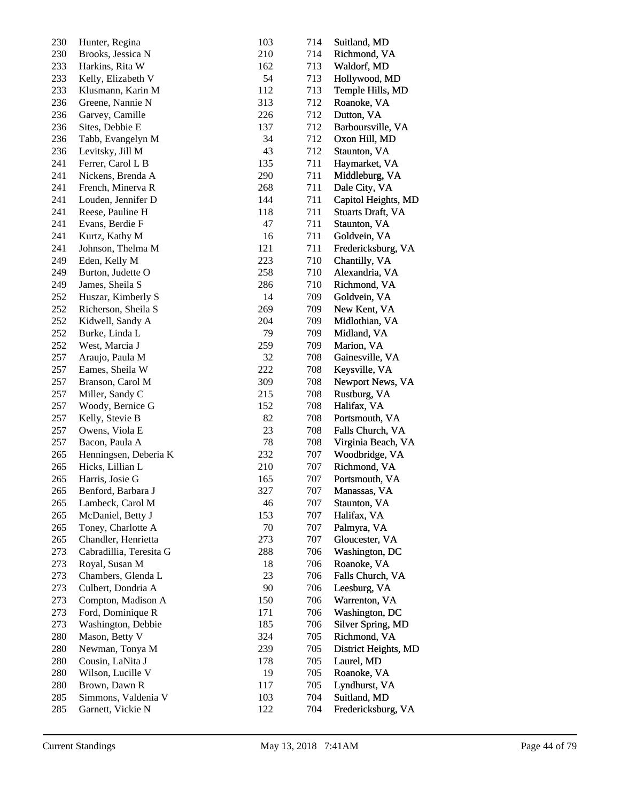| 230 | Hunter, Regina          | 103 | 714 | Suitland, MD             |
|-----|-------------------------|-----|-----|--------------------------|
| 230 | Brooks, Jessica N       | 210 | 714 | Richmond, VA             |
| 233 | Harkins, Rita W         | 162 | 713 | Waldorf, MD              |
| 233 | Kelly, Elizabeth V      | 54  | 713 | Hollywood, MD            |
| 233 | Klusmann, Karin M       | 112 | 713 | Temple Hills, MD         |
| 236 | Greene, Nannie N        | 313 | 712 | Roanoke, VA              |
| 236 | Garvey, Camille         | 226 | 712 | Dutton, VA               |
| 236 | Sites, Debbie E         | 137 | 712 | Barboursville, VA        |
| 236 | Tabb, Evangelyn M       | 34  | 712 | Oxon Hill, MD            |
| 236 | Levitsky, Jill M        | 43  | 712 | Staunton, VA             |
| 241 | Ferrer, Carol L B       | 135 | 711 | Haymarket, VA            |
| 241 | Nickens, Brenda A       | 290 | 711 | Middleburg, VA           |
| 241 | French, Minerva R       | 268 | 711 | Dale City, VA            |
| 241 | Louden, Jennifer D      | 144 | 711 | Capitol Heights, MD      |
| 241 | Reese, Pauline H        | 118 | 711 | <b>Stuarts Draft, VA</b> |
| 241 | Evans, Berdie F         | 47  | 711 | Staunton, VA             |
| 241 | Kurtz, Kathy M          | 16  | 711 | Goldvein, VA             |
| 241 | Johnson, Thelma M       | 121 | 711 | Fredericksburg, VA       |
| 249 | Eden, Kelly M           | 223 | 710 | Chantilly, VA            |
| 249 | Burton, Judette O       | 258 | 710 | Alexandria, VA           |
| 249 | James, Sheila S         | 286 | 710 | Richmond, VA             |
| 252 | Huszar, Kimberly S      | 14  | 709 | Goldvein, VA             |
| 252 | Richerson, Sheila S     | 269 | 709 | New Kent, VA             |
| 252 | Kidwell, Sandy A        | 204 | 709 | Midlothian, VA           |
| 252 | Burke, Linda L          | 79  | 709 | Midland, VA              |
| 252 | West, Marcia J          | 259 | 709 | Marion, VA               |
| 257 | Araujo, Paula M         | 32  | 708 | Gainesville, VA          |
| 257 | Eames, Sheila W         | 222 | 708 | Keysville, VA            |
| 257 | Branson, Carol M        | 309 | 708 | Newport News, VA         |
| 257 | Miller, Sandy C         | 215 | 708 | Rustburg, VA             |
| 257 | Woody, Bernice G        | 152 | 708 | Halifax, VA              |
| 257 | Kelly, Stevie B         | 82  | 708 | Portsmouth, VA           |
| 257 | Owens, Viola E          | 23  | 708 | Falls Church, VA         |
| 257 | Bacon, Paula A          | 78  | 708 | Virginia Beach, VA       |
| 265 | Henningsen, Deberia K   | 232 | 707 | Woodbridge, VA           |
| 265 | Hicks, Lillian L        | 210 | 707 | Richmond, VA             |
| 265 | Harris, Josie G         | 165 | 707 | Portsmouth, VA           |
| 265 | Benford, Barbara J      | 327 | 707 | Manassas, VA             |
| 265 | Lambeck, Carol M        | 46  | 707 | Staunton, VA             |
| 265 | McDaniel, Betty J       | 153 | 707 | Halifax, VA              |
| 265 | Toney, Charlotte A      | 70  | 707 | Palmyra, VA              |
| 265 | Chandler, Henrietta     | 273 | 707 | Gloucester, VA           |
| 273 | Cabradillia, Teresita G | 288 | 706 | Washington, DC           |
| 273 | Royal, Susan M          | 18  | 706 | Roanoke, VA              |
| 273 | Chambers, Glenda L      | 23  | 706 | Falls Church, VA         |
| 273 | Culbert, Dondria A      | 90  | 706 | Leesburg, VA             |
| 273 | Compton, Madison A      | 150 | 706 | Warrenton, VA            |
| 273 | Ford, Dominique R       | 171 | 706 | Washington, DC           |
| 273 | Washington, Debbie      | 185 | 706 | Silver Spring, MD        |
| 280 | Mason, Betty V          | 324 | 705 | Richmond, VA             |
| 280 | Newman, Tonya M         | 239 | 705 | District Heights, MD     |
| 280 | Cousin, LaNita J        | 178 | 705 | Laurel, MD               |
| 280 | Wilson, Lucille V       | 19  | 705 | Roanoke, VA              |
| 280 | Brown, Dawn R           | 117 | 705 | Lyndhurst, VA            |
| 285 | Simmons, Valdenia V     | 103 | 704 | Suitland, MD             |
| 285 | Garnett, Vickie N       | 122 | 704 | Fredericksburg, VA       |
|     |                         |     |     |                          |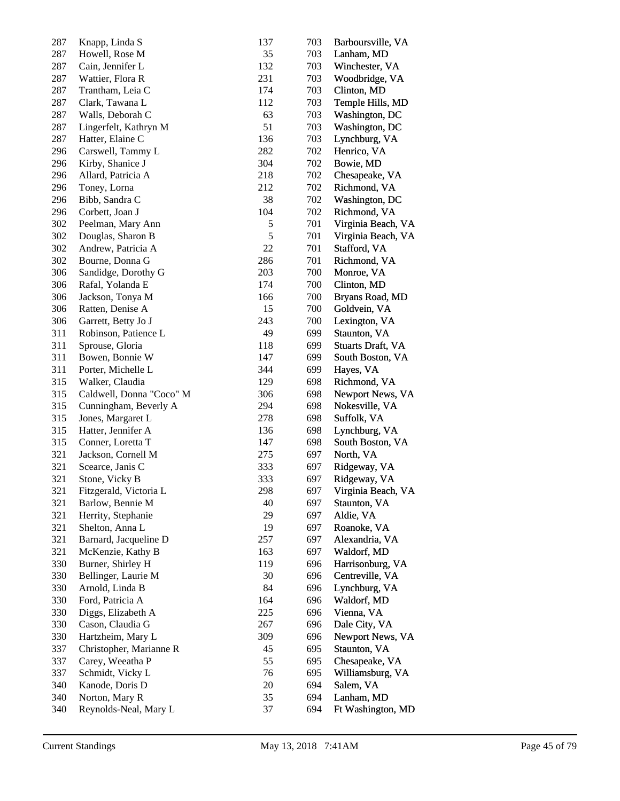| 287 | Knapp, Linda S           | 137        | 703 | Barboursville, VA  |
|-----|--------------------------|------------|-----|--------------------|
| 287 | Howell, Rose M           | 35         | 703 | Lanham, MD         |
| 287 | Cain, Jennifer L         | 132        | 703 | Winchester, VA     |
| 287 | Wattier, Flora R         | 231        | 703 | Woodbridge, VA     |
| 287 | Trantham, Leia C         | 174        | 703 | Clinton, MD        |
| 287 | Clark, Tawana L          | 112        | 703 | Temple Hills, MD   |
| 287 | Walls, Deborah C         | 63         | 703 | Washington, DC     |
| 287 | Lingerfelt, Kathryn M    | 51         | 703 | Washington, DC     |
| 287 | Hatter, Elaine C         | 136        | 703 | Lynchburg, VA      |
| 296 | Carswell, Tammy L        | 282        | 702 | Henrico, VA        |
| 296 | Kirby, Shanice J         | 304        | 702 | Bowie, MD          |
| 296 | Allard, Patricia A       | 218        | 702 | Chesapeake, VA     |
| 296 | Toney, Lorna             | 212        | 702 | Richmond, VA       |
| 296 | Bibb, Sandra C           | 38         | 702 | Washington, DC     |
| 296 | Corbett, Joan J          | 104        | 702 | Richmond, VA       |
| 302 | Peelman, Mary Ann        | $\sqrt{5}$ | 701 | Virginia Beach, VA |
| 302 | Douglas, Sharon B        | 5          | 701 | Virginia Beach, VA |
| 302 | Andrew, Patricia A       | 22         | 701 | Stafford, VA       |
| 302 | Bourne, Donna G          | 286        | 701 | Richmond, VA       |
| 306 | Sandidge, Dorothy G      | 203        | 700 | Monroe, VA         |
| 306 | Rafal, Yolanda E         | 174        | 700 | Clinton, MD        |
| 306 | Jackson, Tonya M         | 166        | 700 | Bryans Road, MD    |
| 306 | Ratten, Denise A         | 15         | 700 | Goldvein, VA       |
| 306 | Garrett, Betty Jo J      | 243        | 700 | Lexington, VA      |
| 311 | Robinson, Patience L     | 49         | 699 | Staunton, VA       |
| 311 | Sprouse, Gloria          | 118        | 699 | Stuarts Draft, VA  |
| 311 | Bowen, Bonnie W          | 147        | 699 | South Boston, VA   |
| 311 | Porter, Michelle L       | 344        | 699 | Hayes, VA          |
| 315 | Walker, Claudia          | 129        | 698 | Richmond, VA       |
| 315 | Caldwell, Donna "Coco" M | 306        | 698 | Newport News, VA   |
| 315 | Cunningham, Beverly A    | 294        | 698 | Nokesville, VA     |
| 315 | Jones, Margaret L        | 278        | 698 | Suffolk, VA        |
| 315 | Hatter, Jennifer A       | 136        | 698 | Lynchburg, VA      |
| 315 | Conner, Loretta T        | 147        | 698 | South Boston, VA   |
| 321 | Jackson, Cornell M       | 275        | 697 | North, VA          |
| 321 | Scearce, Janis C         | 333        | 697 | Ridgeway, VA       |
| 321 | Stone, Vicky B           | 333        | 697 | Ridgeway, VA       |
| 321 | Fitzgerald, Victoria L   | 298        | 697 | Virginia Beach, VA |
| 321 | Barlow, Bennie M         | 40         | 697 | Staunton, VA       |
| 321 | Herrity, Stephanie       | 29         | 697 | Aldie, VA          |
| 321 | Shelton, Anna L          | 19         | 697 | Roanoke, VA        |
| 321 | Barnard, Jacqueline D    | 257        | 697 | Alexandria, VA     |
| 321 | McKenzie, Kathy B        | 163        | 697 | Waldorf, MD        |
| 330 | Burner, Shirley H        | 119        | 696 | Harrisonburg, VA   |
| 330 | Bellinger, Laurie M      | 30         | 696 | Centreville, VA    |
| 330 | Arnold, Linda B          | 84         | 696 | Lynchburg, VA      |
| 330 | Ford, Patricia A         | 164        | 696 | Waldorf, MD        |
| 330 | Diggs, Elizabeth A       | 225        | 696 | Vienna, VA         |
| 330 | Cason, Claudia G         | 267        | 696 | Dale City, VA      |
| 330 | Hartzheim, Mary L        | 309        | 696 | Newport News, VA   |
| 337 | Christopher, Marianne R  | 45         | 695 | Staunton, VA       |
| 337 | Carey, Weeatha P         | 55         | 695 | Chesapeake, VA     |
| 337 | Schmidt, Vicky L         | 76         | 695 | Williamsburg, VA   |
| 340 | Kanode, Doris D          | 20         | 694 | Salem, VA          |
| 340 | Norton, Mary R           | 35         | 694 | Lanham, MD         |
| 340 | Reynolds-Neal, Mary L    | 37         | 694 | Ft Washington, MD  |
|     |                          |            |     |                    |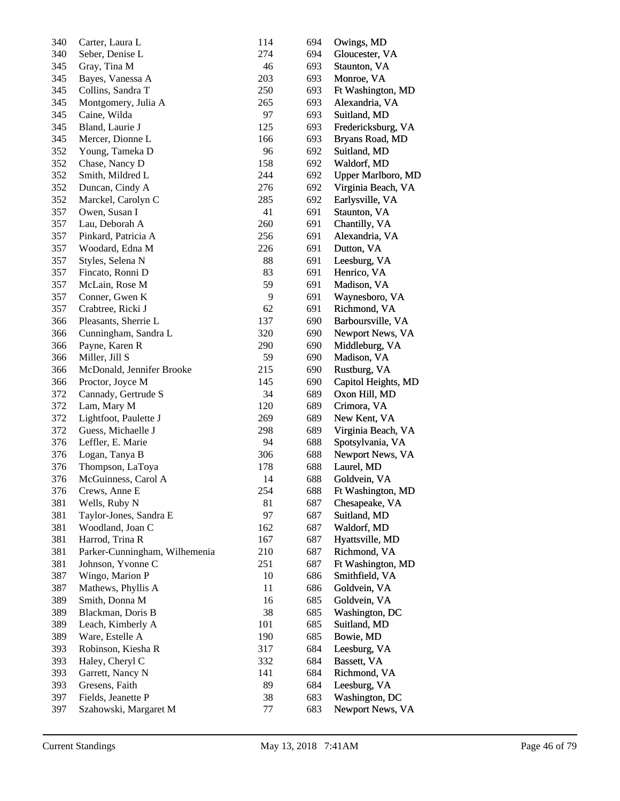| 340 | Carter, Laura L               | 114 | 694 | Owings, MD                |
|-----|-------------------------------|-----|-----|---------------------------|
| 340 | Seber, Denise L               | 274 | 694 | Gloucester, VA            |
| 345 | Gray, Tina M                  | 46  | 693 | Staunton, VA              |
| 345 | Bayes, Vanessa A              | 203 | 693 | Monroe, VA                |
| 345 | Collins, Sandra T             | 250 | 693 | Ft Washington, MD         |
| 345 | Montgomery, Julia A           | 265 | 693 | Alexandria, VA            |
| 345 | Caine, Wilda                  | 97  | 693 | Suitland, MD              |
| 345 | Bland, Laurie J               | 125 | 693 | Fredericksburg, VA        |
| 345 | Mercer, Dionne L              | 166 | 693 | Bryans Road, MD           |
| 352 | Young, Tameka D               | 96  | 692 | Suitland, MD              |
| 352 | Chase, Nancy D                | 158 | 692 | Waldorf, MD               |
| 352 | Smith, Mildred L              | 244 | 692 | <b>Upper Marlboro, MD</b> |
| 352 | Duncan, Cindy A               | 276 | 692 | Virginia Beach, VA        |
| 352 | Marckel, Carolyn C            | 285 | 692 | Earlysville, VA           |
| 357 | Owen, Susan I                 | 41  | 691 | Staunton, VA              |
| 357 | Lau, Deborah A                | 260 | 691 | Chantilly, VA             |
| 357 | Pinkard, Patricia A           | 256 | 691 | Alexandria, VA            |
| 357 | Woodard, Edna M               | 226 | 691 | Dutton, VA                |
| 357 | Styles, Selena N              | 88  | 691 | Leesburg, VA              |
| 357 | Fincato, Ronni D              | 83  | 691 | Henrico, VA               |
| 357 | McLain, Rose M                | 59  | 691 | Madison, VA               |
| 357 | Conner, Gwen K                | 9   | 691 | Waynesboro, VA            |
| 357 | Crabtree, Ricki J             | 62  | 691 | Richmond, VA              |
| 366 | Pleasants, Sherrie L          | 137 | 690 | Barboursville, VA         |
| 366 | Cunningham, Sandra L          | 320 | 690 | Newport News, VA          |
| 366 | Payne, Karen R                | 290 | 690 | Middleburg, VA            |
| 366 | Miller, Jill S                | 59  | 690 | Madison, VA               |
| 366 | McDonald, Jennifer Brooke     | 215 | 690 | Rustburg, VA              |
| 366 | Proctor, Joyce M              | 145 | 690 | Capitol Heights, MD       |
| 372 | Cannady, Gertrude S           | 34  | 689 | Oxon Hill, MD             |
| 372 | Lam, Mary M                   | 120 | 689 | Crimora, VA               |
| 372 | Lightfoot, Paulette J         | 269 | 689 | New Kent, VA              |
| 372 | Guess, Michaelle J            | 298 | 689 | Virginia Beach, VA        |
| 376 | Leffler, E. Marie             | 94  | 688 | Spotsylvania, VA          |
| 376 | Logan, Tanya B                | 306 | 688 | Newport News, VA          |
| 376 | Thompson, LaToya              | 178 | 688 | Laurel, MD                |
| 376 | McGuinness, Carol A           | 14  | 688 | Goldvein, VA              |
| 376 | Crews, Anne E                 | 254 | 688 | Ft Washington, MD         |
| 381 | Wells, Ruby N                 | 81  | 687 | Chesapeake, VA            |
| 381 | Taylor-Jones, Sandra E        | 97  | 687 | Suitland, MD              |
| 381 | Woodland, Joan C              | 162 | 687 | Waldorf, MD               |
| 381 | Harrod, Trina R               | 167 | 687 | Hyattsville, MD           |
| 381 | Parker-Cunningham, Wilhemenia | 210 | 687 | Richmond, VA              |
| 381 | Johnson, Yvonne C             | 251 | 687 | Ft Washington, MD         |
| 387 | Wingo, Marion P               | 10  | 686 | Smithfield, VA            |
| 387 | Mathews, Phyllis A            | 11  | 686 | Goldvein, VA              |
| 389 | Smith, Donna M                | 16  | 685 | Goldvein, VA              |
| 389 | Blackman, Doris B             | 38  | 685 | Washington, DC            |
| 389 | Leach, Kimberly A             | 101 | 685 | Suitland, MD              |
| 389 | Ware, Estelle A               | 190 | 685 | Bowie, MD                 |
| 393 | Robinson, Kiesha R            | 317 | 684 | Leesburg, VA              |
| 393 | Haley, Cheryl C               | 332 | 684 | Bassett, VA               |
| 393 | Garrett, Nancy N              | 141 | 684 | Richmond, VA              |
| 393 | Gresens, Faith                | 89  | 684 | Leesburg, VA              |
| 397 | Fields, Jeanette P            | 38  | 683 | Washington, DC            |
| 397 | Szahowski, Margaret M         | 77  | 683 | Newport News, VA          |
|     |                               |     |     |                           |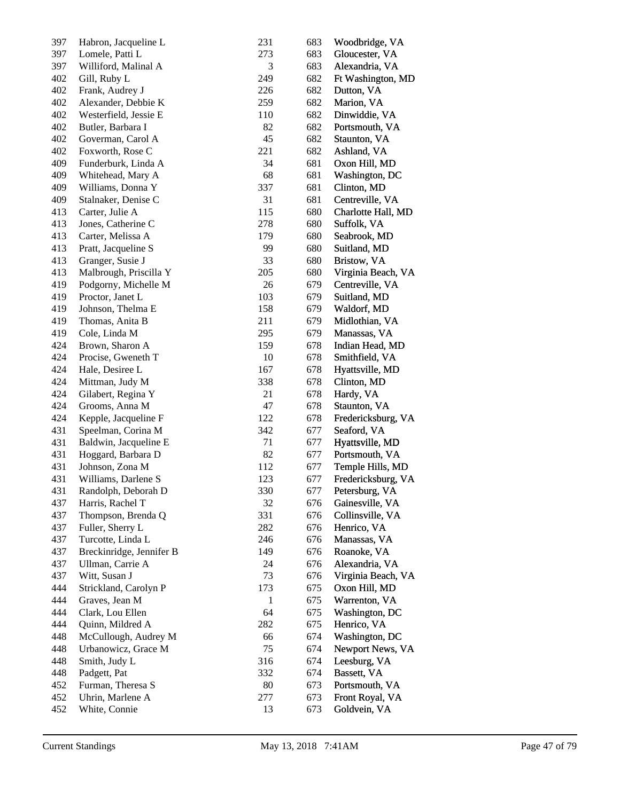| 397 | Habron, Jacqueline L     | 231          | 683 | Woodbridge, VA     |
|-----|--------------------------|--------------|-----|--------------------|
| 397 | Lomele, Patti L          | 273          | 683 | Gloucester, VA     |
| 397 | Williford, Malinal A     | 3            | 683 | Alexandria, VA     |
| 402 | Gill, Ruby L             | 249          | 682 | Ft Washington, MD  |
| 402 | Frank, Audrey J          | 226          | 682 | Dutton, VA         |
| 402 | Alexander, Debbie K      | 259          | 682 | Marion, VA         |
| 402 | Westerfield, Jessie E    | 110          | 682 | Dinwiddie, VA      |
| 402 | Butler, Barbara I        | 82           | 682 | Portsmouth, VA     |
| 402 | Goverman, Carol A        | 45           | 682 | Staunton, VA       |
| 402 | Foxworth, Rose C         | 221          | 682 | Ashland, VA        |
| 409 | Funderburk, Linda A      | 34           | 681 | Oxon Hill, MD      |
| 409 | Whitehead, Mary A        | 68           | 681 | Washington, DC     |
| 409 | Williams, Donna Y        | 337          | 681 | Clinton, MD        |
| 409 | Stalnaker, Denise C      | 31           | 681 | Centreville, VA    |
| 413 | Carter, Julie A          | 115          | 680 | Charlotte Hall, MD |
| 413 | Jones, Catherine C       | 278          | 680 | Suffolk, VA        |
| 413 | Carter, Melissa A        | 179          | 680 | Seabrook, MD       |
| 413 | Pratt, Jacqueline S      | 99           | 680 | Suitland, MD       |
| 413 | Granger, Susie J         | 33           | 680 | Bristow, VA        |
| 413 | Malbrough, Priscilla Y   | 205          | 680 | Virginia Beach, VA |
| 419 | Podgorny, Michelle M     | 26           | 679 | Centreville, VA    |
|     | Proctor, Janet L         | 103          | 679 |                    |
| 419 |                          |              |     | Suitland, MD       |
| 419 | Johnson, Thelma E        | 158          | 679 | Waldorf, MD        |
| 419 | Thomas, Anita B          | 211          | 679 | Midlothian, VA     |
| 419 | Cole, Linda M            | 295          | 679 | Manassas, VA       |
| 424 | Brown, Sharon A          | 159          | 678 | Indian Head, MD    |
| 424 | Procise, Gweneth T       | 10           | 678 | Smithfield, VA     |
| 424 | Hale, Desiree L          | 167          | 678 | Hyattsville, MD    |
| 424 | Mittman, Judy M          | 338          | 678 | Clinton, MD        |
| 424 | Gilabert, Regina Y       | 21           | 678 | Hardy, VA          |
| 424 | Grooms, Anna M           | 47           | 678 | Staunton, VA       |
| 424 | Kepple, Jacqueline F     | 122          | 678 | Fredericksburg, VA |
| 431 | Speelman, Corina M       | 342          | 677 | Seaford, VA        |
| 431 | Baldwin, Jacqueline E    | 71           | 677 | Hyattsville, MD    |
| 431 | Hoggard, Barbara D       | 82           | 677 | Portsmouth, VA     |
| 431 | Johnson, Zona M          | 112          | 677 | Temple Hills, MD   |
| 431 | Williams, Darlene S      | 123          | 677 | Fredericksburg, VA |
| 431 | Randolph, Deborah D      | 330          | 677 | Petersburg, VA     |
| 437 | Harris, Rachel T         | 32           | 676 | Gainesville, VA    |
| 437 | Thompson, Brenda Q       | 331          | 676 | Collinsville, VA   |
| 437 | Fuller, Sherry L         | 282          | 676 | Henrico, VA        |
| 437 | Turcotte, Linda L        | 246          | 676 | Manassas, VA       |
| 437 | Breckinridge, Jennifer B | 149          | 676 | Roanoke, VA        |
| 437 | Ullman, Carrie A         | 24           | 676 | Alexandria, VA     |
| 437 | Witt, Susan J            | 73           | 676 | Virginia Beach, VA |
| 444 | Strickland, Carolyn P    | 173          | 675 | Oxon Hill, MD      |
| 444 | Graves, Jean M           | $\mathbf{1}$ | 675 | Warrenton, VA      |
| 444 | Clark, Lou Ellen         | 64           | 675 | Washington, DC     |
| 444 | Quinn, Mildred A         | 282          | 675 | Henrico, VA        |
| 448 | McCullough, Audrey M     | 66           | 674 | Washington, DC     |
| 448 | Urbanowicz, Grace M      | 75           | 674 | Newport News, VA   |
| 448 | Smith, Judy L            | 316          | 674 | Leesburg, VA       |
| 448 | Padgett, Pat             | 332          | 674 | Bassett, VA        |
| 452 | Furman, Theresa S        | 80           | 673 | Portsmouth, VA     |
| 452 | Uhrin, Marlene A         | 277          | 673 | Front Royal, VA    |
| 452 | White, Connie            | 13           | 673 | Goldvein, VA       |
|     |                          |              |     |                    |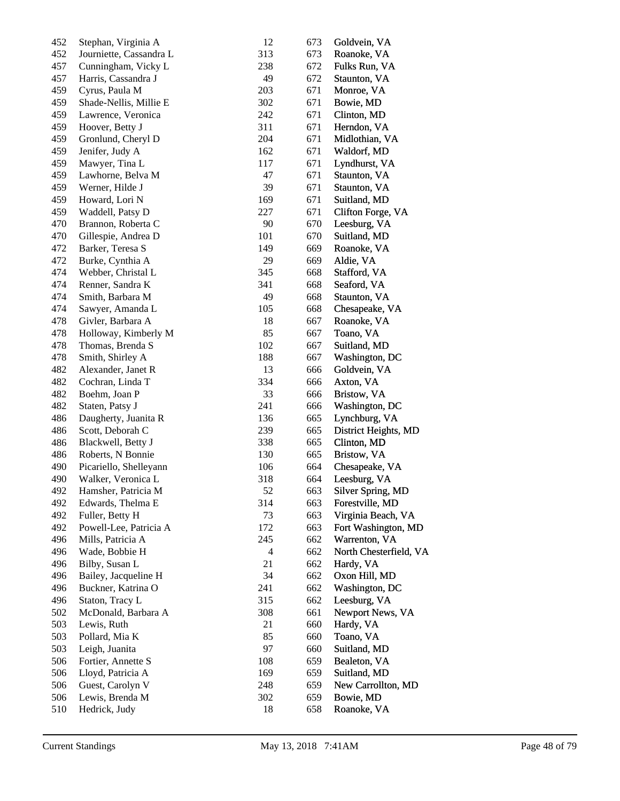| 452 | Stephan, Virginia A     | 12  | 673 | Goldvein, VA           |
|-----|-------------------------|-----|-----|------------------------|
| 452 | Journiette, Cassandra L | 313 | 673 | Roanoke, VA            |
| 457 | Cunningham, Vicky L     | 238 | 672 | Fulks Run, VA          |
| 457 | Harris, Cassandra J     | 49  | 672 | Staunton, VA           |
| 459 | Cyrus, Paula M          | 203 | 671 | Monroe, VA             |
| 459 | Shade-Nellis, Millie E  | 302 | 671 | Bowie, MD              |
| 459 | Lawrence, Veronica      | 242 | 671 | Clinton, MD            |
| 459 | Hoover, Betty J         | 311 | 671 | Herndon, VA            |
| 459 | Gronlund, Cheryl D      | 204 | 671 | Midlothian, VA         |
| 459 | Jenifer, Judy A         | 162 | 671 | Waldorf, MD            |
| 459 | Mawyer, Tina L          | 117 | 671 | Lyndhurst, VA          |
| 459 | Lawhorne, Belva M       | 47  | 671 | Staunton, VA           |
| 459 | Werner, Hilde J         | 39  | 671 | Staunton, VA           |
| 459 | Howard, Lori N          | 169 | 671 | Suitland, MD           |
| 459 | Waddell, Patsy D        | 227 | 671 | Clifton Forge, VA      |
| 470 | Brannon, Roberta C      | 90  | 670 | Leesburg, VA           |
| 470 | Gillespie, Andrea D     | 101 | 670 | Suitland, MD           |
| 472 | Barker, Teresa S        | 149 | 669 | Roanoke, VA            |
| 472 | Burke, Cynthia A        | 29  | 669 | Aldie, VA              |
| 474 | Webber, Christal L      | 345 | 668 | Stafford, VA           |
| 474 | Renner, Sandra K        | 341 | 668 | Seaford, VA            |
| 474 | Smith, Barbara M        | 49  | 668 | Staunton, VA           |
| 474 | Sawyer, Amanda L        | 105 | 668 | Chesapeake, VA         |
| 478 | Givler, Barbara A       | 18  | 667 | Roanoke, VA            |
| 478 | Holloway, Kimberly M    | 85  | 667 | Toano, VA              |
| 478 | Thomas, Brenda S        | 102 | 667 | Suitland, MD           |
| 478 | Smith, Shirley A        | 188 | 667 | Washington, DC         |
| 482 | Alexander, Janet R      | 13  | 666 | Goldvein, VA           |
| 482 |                         | 334 |     |                        |
| 482 | Cochran, Linda T        | 33  | 666 | Axton, VA              |
| 482 | Boehm, Joan P           | 241 | 666 | Bristow, VA            |
|     | Staten, Patsy J         |     | 666 | Washington, DC         |
| 486 | Daugherty, Juanita R    | 136 | 665 | Lynchburg, VA          |
| 486 | Scott, Deborah C        | 239 | 665 | District Heights, MD   |
| 486 | Blackwell, Betty J      | 338 | 665 | Clinton, MD            |
| 486 | Roberts, N Bonnie       | 130 | 665 | Bristow, VA            |
| 490 | Picariello, Shelleyann  | 106 | 664 | Chesapeake, VA         |
| 490 | Walker, Veronica L      | 318 | 664 | Leesburg, VA           |
| 492 | Hamsher, Patricia M     | 52  | 663 | Silver Spring, MD      |
| 492 | Edwards, Thelma E       | 314 | 663 | Forestville, MD        |
| 492 | Fuller, Betty H         | 73  | 663 | Virginia Beach, VA     |
| 492 | Powell-Lee, Patricia A  | 172 | 663 | Fort Washington, MD    |
| 496 | Mills, Patricia A       | 245 | 662 | Warrenton, VA          |
| 496 | Wade, Bobbie H          | 4   | 662 | North Chesterfield, VA |
| 496 | Bilby, Susan L          | 21  | 662 | Hardy, VA              |
| 496 | Bailey, Jacqueline H    | 34  | 662 | Oxon Hill, MD          |
| 496 | Buckner, Katrina O      | 241 | 662 | Washington, DC         |
| 496 | Staton, Tracy L         | 315 | 662 | Leesburg, VA           |
| 502 | McDonald, Barbara A     | 308 | 661 | Newport News, VA       |
| 503 | Lewis, Ruth             | 21  | 660 | Hardy, VA              |
| 503 | Pollard, Mia K          | 85  | 660 | Toano, VA              |
| 503 | Leigh, Juanita          | 97  | 660 | Suitland, MD           |
| 506 | Fortier, Annette S      | 108 | 659 | Bealeton, VA           |
| 506 | Lloyd, Patricia A       | 169 | 659 | Suitland, MD           |
| 506 | Guest, Carolyn V        | 248 | 659 | New Carrollton, MD     |
| 506 | Lewis, Brenda M         | 302 | 659 | Bowie, MD              |
| 510 | Hedrick, Judy           | 18  | 658 | Roanoke, VA            |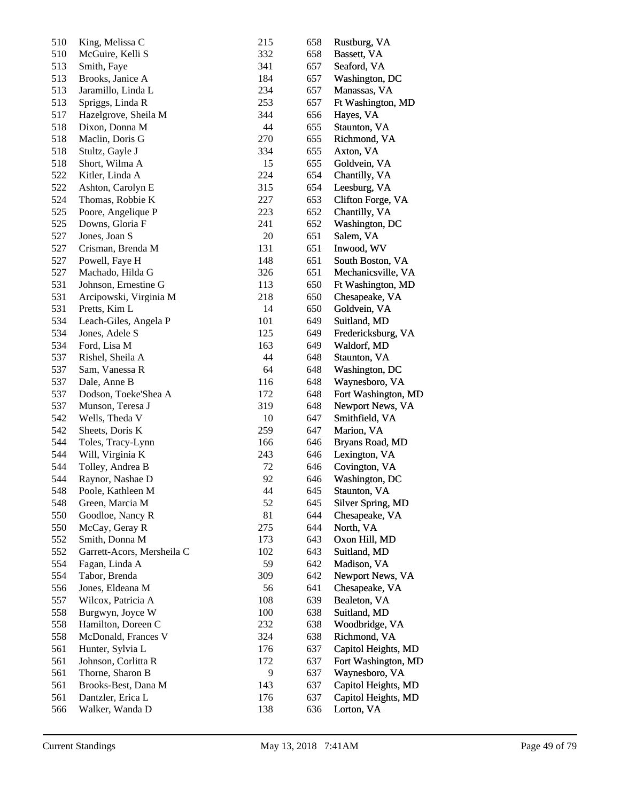| 510 | King, Melissa C            | 215 | 658 | Rustburg, VA        |
|-----|----------------------------|-----|-----|---------------------|
| 510 | McGuire, Kelli S           | 332 | 658 | Bassett, VA         |
| 513 | Smith, Faye                | 341 | 657 | Seaford, VA         |
| 513 | Brooks, Janice A           | 184 | 657 | Washington, DC      |
| 513 | Jaramillo, Linda L         | 234 | 657 | Manassas, VA        |
| 513 | Spriggs, Linda R           | 253 | 657 | Ft Washington, MD   |
| 517 | Hazelgrove, Sheila M       | 344 | 656 | Hayes, VA           |
| 518 | Dixon, Donna M             | 44  | 655 | Staunton, VA        |
| 518 | Maclin, Doris G            | 270 | 655 | Richmond, VA        |
| 518 | Stultz, Gayle J            | 334 | 655 | Axton, VA           |
| 518 | Short, Wilma A             | 15  | 655 | Goldvein, VA        |
| 522 | Kitler, Linda A            | 224 | 654 | Chantilly, VA       |
| 522 | Ashton, Carolyn E          | 315 | 654 | Leesburg, VA        |
| 524 | Thomas, Robbie K           | 227 | 653 | Clifton Forge, VA   |
| 525 | Poore, Angelique P         | 223 | 652 | Chantilly, VA       |
| 525 | Downs, Gloria F            | 241 | 652 | Washington, DC      |
| 527 | Jones, Joan S              | 20  | 651 | Salem, VA           |
| 527 | Crisman, Brenda M          | 131 | 651 | Inwood, WV          |
| 527 | Powell, Faye H             | 148 | 651 | South Boston, VA    |
| 527 | Machado, Hilda G           | 326 | 651 | Mechanicsville, VA  |
| 531 | Johnson, Ernestine G       | 113 | 650 | Ft Washington, MD   |
| 531 | Arcipowski, Virginia M     | 218 | 650 | Chesapeake, VA      |
| 531 | Pretts, Kim L              | 14  | 650 | Goldvein, VA        |
| 534 | Leach-Giles, Angela P      | 101 | 649 | Suitland, MD        |
| 534 | Jones, Adele S             | 125 | 649 | Fredericksburg, VA  |
| 534 | Ford, Lisa M               | 163 | 649 | Waldorf, MD         |
| 537 | Rishel, Sheila A           | 44  | 648 | Staunton, VA        |
| 537 | Sam, Vanessa R             | 64  | 648 | Washington, DC      |
| 537 | Dale, Anne B               | 116 | 648 | Waynesboro, VA      |
| 537 | Dodson, Toeke'Shea A       | 172 | 648 | Fort Washington, MD |
| 537 | Munson, Teresa J           | 319 | 648 | Newport News, VA    |
| 542 | Wells, Theda V             | 10  | 647 | Smithfield, VA      |
| 542 | Sheets, Doris K            | 259 | 647 | Marion, VA          |
| 544 | Toles, Tracy-Lynn          | 166 | 646 | Bryans Road, MD     |
| 544 | Will, Virginia K           | 243 | 646 | Lexington, VA       |
| 544 | Tolley, Andrea B           | 72  | 646 | Covington, VA       |
| 544 | Raynor, Nashae D           | 92  | 646 | Washington, DC      |
| 548 | Poole, Kathleen M          | 44  | 645 | Staunton, VA        |
| 548 | Green, Marcia M            | 52  | 645 | Silver Spring, MD   |
| 550 | Goodloe, Nancy R           | 81  | 644 | Chesapeake, VA      |
| 550 | McCay, Geray R             | 275 | 644 | North, VA           |
| 552 | Smith, Donna M             | 173 | 643 | Oxon Hill, MD       |
| 552 | Garrett-Acors, Mersheila C | 102 | 643 | Suitland, MD        |
| 554 | Fagan, Linda A             | 59  | 642 | Madison, VA         |
| 554 | Tabor, Brenda              | 309 | 642 | Newport News, VA    |
| 556 | Jones, Eldeana M           | 56  | 641 | Chesapeake, VA      |
| 557 | Wilcox, Patricia A         | 108 | 639 | Bealeton, VA        |
| 558 | Burgwyn, Joyce W           | 100 | 638 | Suitland, MD        |
| 558 | Hamilton, Doreen C         | 232 | 638 | Woodbridge, VA      |
| 558 | McDonald, Frances V        | 324 | 638 | Richmond, VA        |
| 561 | Hunter, Sylvia L           | 176 | 637 | Capitol Heights, MD |
| 561 | Johnson, Corlitta R        | 172 | 637 | Fort Washington, MD |
| 561 | Thorne, Sharon B           | 9   | 637 | Waynesboro, VA      |
| 561 | Brooks-Best, Dana M        | 143 | 637 | Capitol Heights, MD |
| 561 | Dantzler, Erica L          | 176 | 637 | Capitol Heights, MD |
| 566 | Walker, Wanda D            | 138 | 636 | Lorton, VA          |
|     |                            |     |     |                     |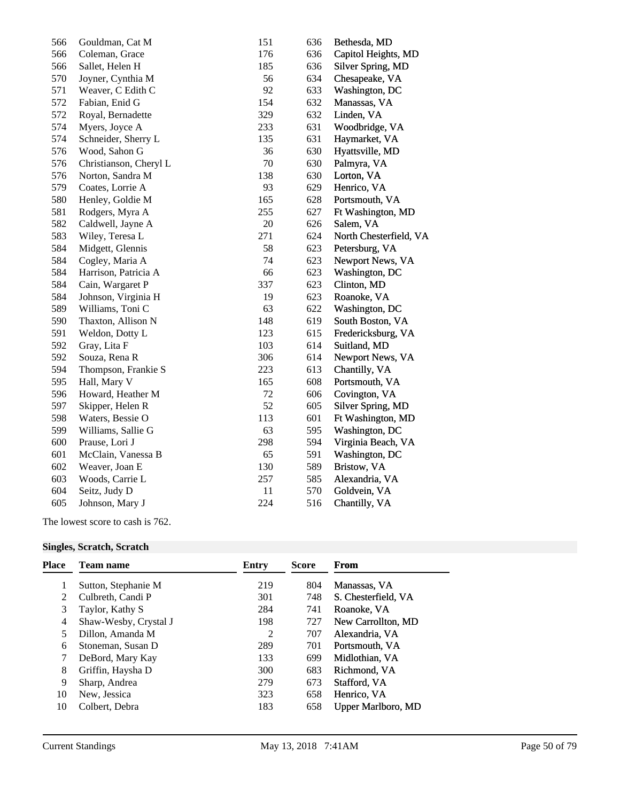| 566 | Gouldman, Cat M        | 151 | 636 | Bethesda, MD           |
|-----|------------------------|-----|-----|------------------------|
| 566 | Coleman, Grace         | 176 | 636 | Capitol Heights, MD    |
| 566 | Sallet, Helen H        | 185 | 636 | Silver Spring, MD      |
| 570 | Joyner, Cynthia M      | 56  | 634 | Chesapeake, VA         |
| 571 | Weaver, C Edith C      | 92  | 633 | Washington, DC         |
| 572 | Fabian, Enid G         | 154 | 632 | Manassas, VA           |
| 572 | Royal, Bernadette      | 329 | 632 | Linden, VA             |
| 574 | Myers, Joyce A         | 233 | 631 | Woodbridge, VA         |
| 574 | Schneider, Sherry L    | 135 | 631 | Haymarket, VA          |
| 576 | Wood, Sahon G          | 36  | 630 | Hyattsville, MD        |
| 576 | Christianson, Cheryl L | 70  | 630 | Palmyra, VA            |
| 576 | Norton, Sandra M       | 138 | 630 | Lorton, VA             |
| 579 | Coates, Lorrie A       | 93  | 629 | Henrico, VA            |
| 580 | Henley, Goldie M       | 165 | 628 | Portsmouth, VA         |
| 581 | Rodgers, Myra A        | 255 | 627 | Ft Washington, MD      |
| 582 | Caldwell, Jayne A      | 20  | 626 | Salem, VA              |
| 583 | Wiley, Teresa L        | 271 | 624 | North Chesterfield, VA |
| 584 | Midgett, Glennis       | 58  | 623 | Petersburg, VA         |
| 584 | Cogley, Maria A        | 74  | 623 | Newport News, VA       |
| 584 | Harrison, Patricia A   | 66  | 623 | Washington, DC         |
| 584 | Cain, Wargaret P       | 337 | 623 | Clinton, MD            |
| 584 | Johnson, Virginia H    | 19  | 623 | Roanoke, VA            |
| 589 | Williams, Toni C       | 63  | 622 | Washington, DC         |
| 590 | Thaxton, Allison N     | 148 | 619 | South Boston, VA       |
| 591 | Weldon, Dotty L        | 123 | 615 | Fredericksburg, VA     |
| 592 | Gray, Lita F           | 103 | 614 | Suitland, MD           |
| 592 | Souza, Rena R          | 306 | 614 | Newport News, VA       |
| 594 | Thompson, Frankie S    | 223 | 613 | Chantilly, VA          |
| 595 | Hall, Mary V           | 165 | 608 | Portsmouth, VA         |
| 596 | Howard, Heather M      | 72  | 606 | Covington, VA          |
| 597 | Skipper, Helen R       | 52  | 605 | Silver Spring, MD      |
| 598 | Waters, Bessie O       | 113 | 601 | Ft Washington, MD      |
| 599 | Williams, Sallie G     | 63  | 595 | Washington, DC         |
| 600 | Prause, Lori J         | 298 | 594 | Virginia Beach, VA     |
| 601 | McClain, Vanessa B     | 65  | 591 | Washington, DC         |
| 602 | Weaver, Joan E         | 130 | 589 | Bristow, VA            |
| 603 | Woods, Carrie L        | 257 | 585 | Alexandria, VA         |
| 604 | Seitz, Judy D          | 11  | 570 | Goldvein, VA           |
| 605 | Johnson, Mary J        | 224 | 516 | Chantilly, VA          |
|     |                        |     |     |                        |

The lowest score to cash is 762.

## **Singles, Scratch, Scratch**

| <b>Place</b> | Team name             | Entry | <b>Score</b> | From                      |
|--------------|-----------------------|-------|--------------|---------------------------|
|              | Sutton, Stephanie M   | 219   | 804          | Manassas, VA              |
| 2            | Culbreth, Candi P     | 301   | 748          | S. Chesterfield, VA       |
| 3            | Taylor, Kathy S       | 284   | 741          | Roanoke, VA               |
| 4            | Shaw-Wesby, Crystal J | 198   | 727          | New Carrollton, MD        |
| 5            | Dillon, Amanda M      | 2     | 707          | Alexandria, VA            |
| 6            | Stoneman, Susan D     | 289   | 701          | Portsmouth, VA            |
| 7            | DeBord, Mary Kay      | 133   | 699          | Midlothian, VA            |
| 8            | Griffin, Haysha D     | 300   | 683          | Richmond, VA              |
| 9            | Sharp, Andrea         | 279   | 673          | Stafford, VA              |
| 10           | New, Jessica          | 323   | 658          | Henrico, VA               |
| 10           | Colbert, Debra        | 183   | 658          | <b>Upper Marlboro, MD</b> |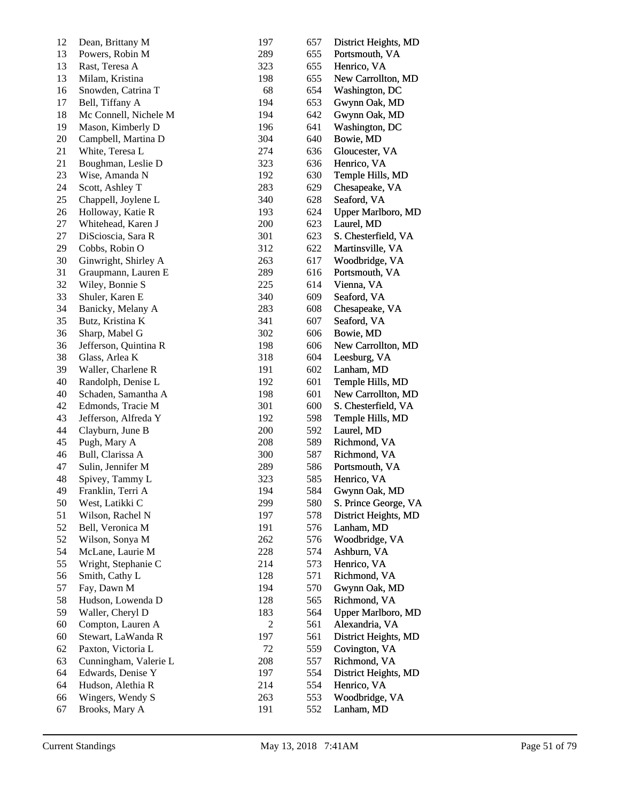| 12 | Dean, Brittany M                      | 197 | 657 | District Heights, MD                      |
|----|---------------------------------------|-----|-----|-------------------------------------------|
| 13 | Powers, Robin M                       | 289 | 655 | Portsmouth, VA                            |
| 13 | Rast, Teresa A                        | 323 | 655 | Henrico, VA                               |
| 13 | Milam, Kristina                       | 198 | 655 | New Carrollton, MD                        |
| 16 | Snowden, Catrina T                    | 68  | 654 | Washington, DC                            |
| 17 | Bell, Tiffany A                       | 194 | 653 | Gwynn Oak, MD                             |
| 18 | Mc Connell, Nichele M                 | 194 | 642 | Gwynn Oak, MD                             |
| 19 | Mason, Kimberly D                     | 196 | 641 | Washington, DC                            |
| 20 | Campbell, Martina D                   | 304 | 640 | Bowie, MD                                 |
| 21 | White, Teresa L                       | 274 | 636 | Gloucester, VA                            |
| 21 | Boughman, Leslie D                    | 323 | 636 | Henrico, VA                               |
| 23 | Wise, Amanda N                        | 192 | 630 | Temple Hills, MD                          |
| 24 | Scott, Ashley T                       | 283 | 629 | Chesapeake, VA                            |
| 25 | Chappell, Joylene L                   | 340 | 628 | Seaford, VA                               |
| 26 | Holloway, Katie R                     | 193 | 624 | <b>Upper Marlboro, MD</b>                 |
| 27 | Whitehead, Karen J                    | 200 | 623 | Laurel, MD                                |
| 27 | DiScioscia, Sara R                    | 301 | 623 | S. Chesterfield, VA                       |
| 29 | Cobbs, Robin O                        | 312 | 622 | Martinsville, VA                          |
| 30 | Ginwright, Shirley A                  | 263 | 617 | Woodbridge, VA                            |
| 31 | Graupmann, Lauren E                   | 289 | 616 | Portsmouth, VA                            |
| 32 | Wiley, Bonnie S                       | 225 | 614 | Vienna, VA                                |
| 33 | Shuler, Karen E                       | 340 | 609 | Seaford, VA                               |
| 34 | Banicky, Melany A                     | 283 | 608 | Chesapeake, VA                            |
| 35 | Butz, Kristina K                      | 341 | 607 | Seaford, VA                               |
| 36 | Sharp, Mabel G                        | 302 | 606 | Bowie, MD                                 |
| 36 | Jefferson, Quintina R                 | 198 | 606 | New Carrollton, MD                        |
| 38 | Glass, Arlea K                        | 318 | 604 | Leesburg, VA                              |
| 39 | Waller, Charlene R                    | 191 | 602 | Lanham, MD                                |
| 40 | Randolph, Denise L                    | 192 | 601 | Temple Hills, MD                          |
| 40 | Schaden, Samantha A                   | 198 | 601 | New Carrollton, MD                        |
| 42 | Edmonds, Tracie M                     | 301 | 600 | S. Chesterfield, VA                       |
| 43 | Jefferson, Alfreda Y                  | 192 | 598 | Temple Hills, MD                          |
| 44 | Clayburn, June B                      | 200 | 592 | Laurel, MD                                |
| 45 | Pugh, Mary A                          | 208 | 589 | Richmond, VA                              |
| 46 | Bull, Clarissa A                      | 300 | 587 | Richmond, VA                              |
| 47 | Sulin, Jennifer M                     | 289 | 586 | Portsmouth, VA                            |
| 48 | Spivey, Tammy L                       | 323 | 585 | Henrico, VA                               |
| 49 | Franklin, Terri A                     | 194 | 584 | Gwynn Oak, MD                             |
| 50 | West, Latikki C                       | 299 | 580 | S. Prince George, VA                      |
| 51 | Wilson, Rachel N                      | 197 | 578 | District Heights, MD                      |
| 52 | Bell, Veronica M                      | 191 | 576 | Lanham, MD                                |
| 52 | Wilson, Sonya M                       | 262 | 576 | Woodbridge, VA                            |
| 54 | McLane, Laurie M                      | 228 | 574 | Ashburn, VA                               |
| 55 | Wright, Stephanie C                   | 214 | 573 | Henrico, VA                               |
| 56 | Smith, Cathy L                        | 128 | 571 | Richmond, VA                              |
| 57 | Fay, Dawn M                           | 194 | 570 | Gwynn Oak, MD                             |
| 58 |                                       | 128 |     |                                           |
| 59 | Hudson, Lowenda D<br>Waller, Cheryl D |     | 565 | Richmond, VA<br><b>Upper Marlboro, MD</b> |
|    |                                       | 183 | 564 |                                           |
| 60 | Compton, Lauren A                     | 2   | 561 | Alexandria, VA                            |
| 60 | Stewart, LaWanda R                    | 197 | 561 | District Heights, MD                      |
| 62 | Paxton, Victoria L                    | 72  | 559 | Covington, VA                             |
| 63 | Cunningham, Valerie L                 | 208 | 557 | Richmond, VA                              |
| 64 | Edwards, Denise Y                     | 197 | 554 | District Heights, MD                      |
| 64 | Hudson, Alethia R                     | 214 | 554 | Henrico, VA                               |
| 66 | Wingers, Wendy S                      | 263 | 553 | Woodbridge, VA                            |
| 67 | Brooks, Mary A                        | 191 | 552 | Lanham, MD                                |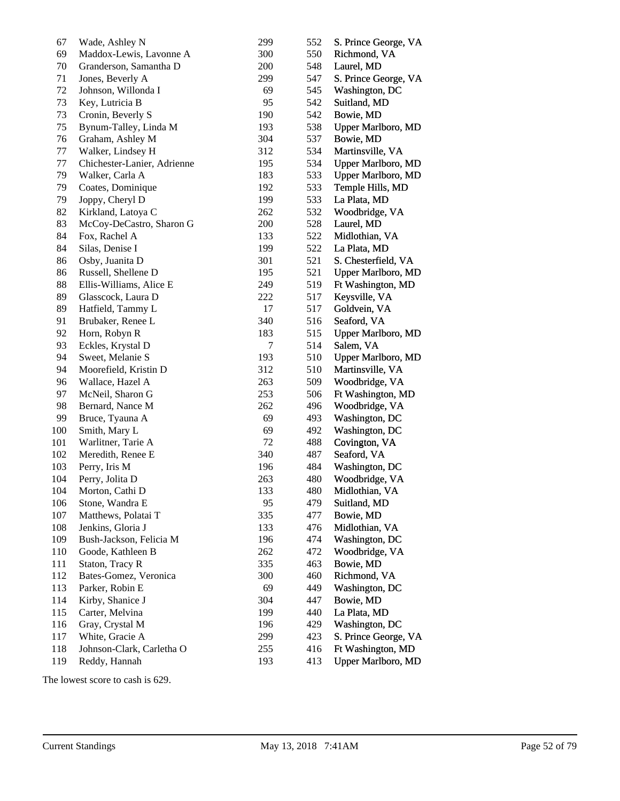| 67  | Wade, Ashley N              | 299 | 552 | S. Prince George, VA      |
|-----|-----------------------------|-----|-----|---------------------------|
| 69  | Maddox-Lewis, Lavonne A     | 300 | 550 | Richmond, VA              |
| 70  | Granderson, Samantha D      | 200 | 548 | Laurel, MD                |
| 71  | Jones, Beverly A            | 299 | 547 | S. Prince George, VA      |
| 72  | Johnson, Willonda I         | 69  | 545 | Washington, DC            |
| 73  | Key, Lutricia B             | 95  | 542 | Suitland, MD              |
| 73  | Cronin, Beverly S           | 190 | 542 | Bowie, MD                 |
| 75  | Bynum-Talley, Linda M       | 193 | 538 | Upper Marlboro, MD        |
| 76  | Graham, Ashley M            | 304 | 537 | Bowie, MD                 |
| 77  | Walker, Lindsey H           | 312 | 534 | Martinsville, VA          |
| 77  | Chichester-Lanier, Adrienne | 195 | 534 | <b>Upper Marlboro, MD</b> |
| 79  | Walker, Carla A             | 183 | 533 | <b>Upper Marlboro, MD</b> |
| 79  | Coates, Dominique           | 192 | 533 | Temple Hills, MD          |
| 79  | Joppy, Cheryl D             | 199 | 533 | La Plata, MD              |
| 82  | Kirkland, Latoya C          | 262 | 532 | Woodbridge, VA            |
| 83  | McCoy-DeCastro, Sharon G    | 200 | 528 | Laurel, MD                |
| 84  | Fox, Rachel A               | 133 | 522 | Midlothian, VA            |
| 84  | Silas, Denise I             | 199 | 522 | La Plata, MD              |
| 86  | Osby, Juanita D             | 301 | 521 | S. Chesterfield, VA       |
| 86  | Russell, Shellene D         | 195 | 521 | <b>Upper Marlboro, MD</b> |
| 88  | Ellis-Williams, Alice E     | 249 | 519 | Ft Washington, MD         |
| 89  | Glasscock, Laura D          | 222 | 517 | Keysville, VA             |
| 89  | Hatfield, Tammy L           | 17  | 517 | Goldvein, VA              |
| 91  | Brubaker, Renee L           | 340 | 516 | Seaford, VA               |
| 92  | Horn, Robyn R               | 183 | 515 | <b>Upper Marlboro, MD</b> |
| 93  | Eckles, Krystal D           | 7   | 514 | Salem, VA                 |
| 94  | Sweet, Melanie S            | 193 | 510 | <b>Upper Marlboro, MD</b> |
| 94  | Moorefield, Kristin D       | 312 | 510 | Martinsville, VA          |
| 96  | Wallace, Hazel A            | 263 | 509 | Woodbridge, VA            |
| 97  | McNeil, Sharon G            | 253 | 506 | Ft Washington, MD         |
| 98  | Bernard, Nance M            | 262 | 496 | Woodbridge, VA            |
| 99  | Bruce, Tyauna A             | 69  | 493 | Washington, DC            |
| 100 | Smith, Mary L               | 69  | 492 | Washington, DC            |
| 101 | Warlitner, Tarie A          | 72  | 488 | Covington, VA             |
| 102 | Meredith, Renee E           | 340 | 487 | Seaford, VA               |
| 103 | Perry, Iris M               | 196 | 484 | Washington, DC            |
| 104 | Perry, Jolita D             | 263 | 480 | Woodbridge, VA            |
| 104 | Morton, Cathi D             | 133 | 480 | Midlothian, VA            |
| 106 | Stone, Wandra E             | 95  | 479 | Suitland, MD              |
| 107 | Matthews, Polatai T         | 335 | 477 | Bowie, MD                 |
| 108 | Jenkins, Gloria J           | 133 | 476 | Midlothian, VA            |
| 109 | Bush-Jackson, Felicia M     | 196 | 474 | Washington, DC            |
| 110 | Goode, Kathleen B           | 262 | 472 | Woodbridge, VA            |
| 111 | Staton, Tracy R             | 335 | 463 | Bowie, MD                 |
| 112 | Bates-Gomez, Veronica       | 300 | 460 | Richmond, VA              |
| 113 | Parker, Robin E             | 69  | 449 | Washington, DC            |
| 114 | Kirby, Shanice J            | 304 | 447 | Bowie, MD                 |
| 115 | Carter, Melvina             | 199 | 440 | La Plata, MD              |
| 116 | Gray, Crystal M             | 196 | 429 | Washington, DC            |
| 117 | White, Gracie A             | 299 | 423 | S. Prince George, VA      |
| 118 | Johnson-Clark, Carletha O   | 255 | 416 | Ft Washington, MD         |
| 119 | Reddy, Hannah               | 193 | 413 | <b>Upper Marlboro, MD</b> |

The lowest score to cash is 629.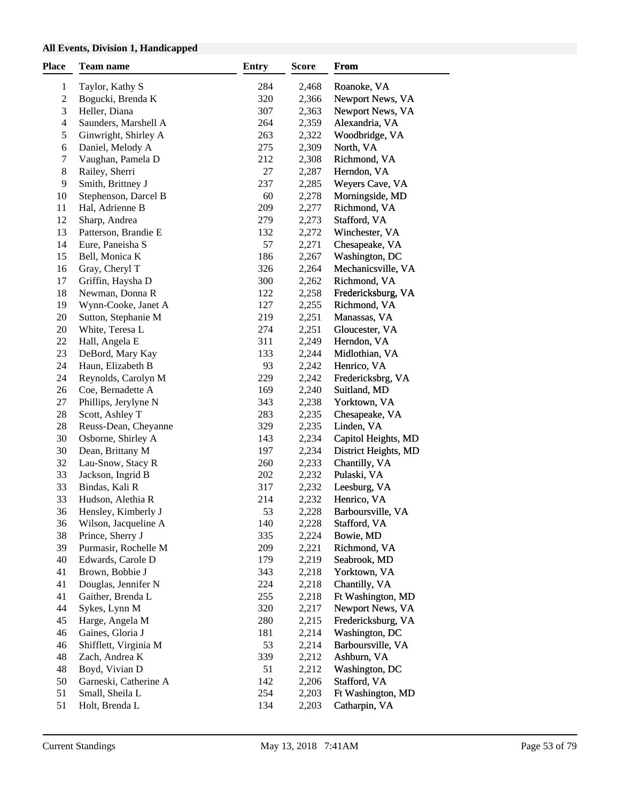## **All Events, Division 1, Handicapped**

| <b>Place</b>             | Team name                                   | <b>Entry</b> | Score          | From                                |
|--------------------------|---------------------------------------------|--------------|----------------|-------------------------------------|
| $\mathbf{1}$             | Taylor, Kathy S                             | 284          | 2,468          | Roanoke, VA                         |
| $\boldsymbol{2}$         | Bogucki, Brenda K                           | 320          | 2,366          | Newport News, VA                    |
| 3                        | Heller, Diana                               | 307          | 2,363          | Newport News, VA                    |
| $\overline{\mathcal{L}}$ | Saunders, Marshell A                        | 264          | 2,359          | Alexandria, VA                      |
| 5                        | Ginwright, Shirley A                        | 263          | 2,322          | Woodbridge, VA                      |
| 6                        | Daniel, Melody A                            | 275          | 2,309          | North, VA                           |
| 7                        | Vaughan, Pamela D                           | 212          | 2,308          | Richmond, VA                        |
| 8                        | Railey, Sherri                              | 27           | 2,287          | Herndon, VA                         |
| 9                        | Smith, Brittney J                           | 237          | 2,285          | Weyers Cave, VA                     |
| 10                       | Stephenson, Darcel B                        | 60           | 2,278          | Morningside, MD                     |
| 11                       | Hal, Adrienne B                             | 209          | 2,277          | Richmond, VA                        |
| 12                       | Sharp, Andrea                               | 279          | 2,273          | Stafford, VA                        |
| 13                       | Patterson, Brandie E                        | 132          | 2,272          | Winchester, VA                      |
| 14                       | Eure, Paneisha S                            | 57           | 2,271          | Chesapeake, VA                      |
| 15                       | Bell, Monica K                              | 186          | 2,267          | Washington, DC                      |
| 16                       | Gray, Cheryl T                              | 326          | 2,264          | Mechanicsville, VA                  |
| 17                       | Griffin, Haysha D                           | 300          | 2,262          | Richmond, VA                        |
| 18                       | Newman, Donna R                             | 122          | 2,258          | Fredericksburg, VA                  |
| 19                       | Wynn-Cooke, Janet A                         | 127          | 2,255          | Richmond, VA                        |
| 20                       | Sutton, Stephanie M                         | 219          | 2,251          | Manassas, VA                        |
| 20                       | White, Teresa L                             | 274          | 2,251          | Gloucester, VA                      |
| 22                       | Hall, Angela E                              | 311          | 2,249          | Herndon, VA                         |
| 23                       | DeBord, Mary Kay                            | 133          | 2,244          | Midlothian, VA                      |
| 24                       | Haun, Elizabeth B                           | 93           | 2,242          | Henrico, VA                         |
| 24                       |                                             |              | 2,242          |                                     |
| 26                       | Reynolds, Carolyn M<br>Coe, Bernadette A    | 229          | 2,240          | Fredericksbrg, VA                   |
| 27                       |                                             | 169<br>343   |                | Suitland, MD                        |
| $28\,$                   | Phillips, Jerylyne N                        |              | 2,238          | Yorktown, VA                        |
| 28                       | Scott, Ashley T                             | 283          | 2,235          | Chesapeake, VA<br>Linden, VA        |
| 30                       | Reuss-Dean, Cheyanne                        | 329<br>143   | 2,235<br>2,234 | Capitol Heights, MD                 |
| 30                       | Osborne, Shirley A<br>Dean, Brittany M      |              | 2,234          | District Heights, MD                |
| 32                       | Lau-Snow, Stacy R                           | 197<br>260   | 2,233          |                                     |
| 33                       | Jackson, Ingrid B                           | 202          | 2,232          | Chantilly, VA<br>Pulaski, VA        |
| 33                       | Bindas, Kali R                              | 317          | 2,232          | Leesburg, VA                        |
| 33                       | Hudson, Alethia R                           | 214          | 2,232          | Henrico, VA                         |
| 36                       |                                             | 53           | 2,228          | Barboursville, VA                   |
| 36                       | Hensley, Kimberly J<br>Wilson, Jacqueline A | 140          | 2,228          | Stafford, VA                        |
| 38                       | Prince, Sherry J                            | 335          | 2,224          | Bowie, MD                           |
| 39                       | Purmasir, Rochelle M                        | 209          | 2,221          | Richmond, VA                        |
| 40                       | Edwards, Carole D                           | 179          | 2,219          | Seabrook, MD                        |
| 41                       | Brown, Bobbie J                             | 343          | 2,218          | Yorktown, VA                        |
| 41                       | Douglas, Jennifer N                         | 224          | 2,218          | Chantilly, VA                       |
| 41                       | Gaither, Brenda L                           | 255          | 2,218          | Ft Washington, MD                   |
| 44                       |                                             | 320          | 2,217          | Newport News, VA                    |
| 45                       | Sykes, Lynn M<br>Harge, Angela M            | 280          | 2,215          | Fredericksburg, VA                  |
| 46                       | Gaines, Gloria J                            | 181          |                |                                     |
| 46                       |                                             | 53           | 2,214<br>2,214 | Washington, DC<br>Barboursville, VA |
| 48                       | Shifflett, Virginia M                       |              |                |                                     |
| 48                       | Zach, Andrea K                              | 339          | 2,212          | Ashburn, VA                         |
| 50                       | Boyd, Vivian D                              | 51<br>142    | 2,212          | Washington, DC                      |
| 51                       | Garneski, Catherine A                       | 254          | 2,206          | Stafford, VA                        |
|                          | Small, Sheila L                             |              | 2,203          | Ft Washington, MD                   |
| 51                       | Holt, Brenda L                              | 134          | 2,203          | Catharpin, VA                       |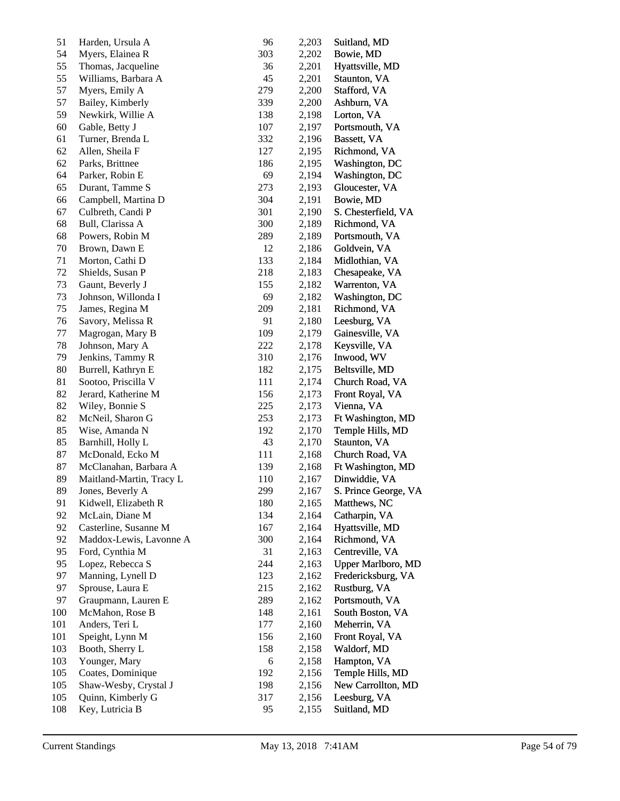| 51  | Harden, Ursula A         | 96  | 2,203 | Suitland, MD         |
|-----|--------------------------|-----|-------|----------------------|
| 54  | Myers, Elainea R         | 303 | 2,202 | Bowie, MD            |
| 55  | Thomas, Jacqueline       | 36  | 2,201 | Hyattsville, MD      |
| 55  | Williams, Barbara A      | 45  | 2,201 | Staunton, VA         |
| 57  | Myers, Emily A           | 279 | 2,200 | Stafford, VA         |
| 57  | Bailey, Kimberly         | 339 | 2,200 | Ashburn, VA          |
| 59  | Newkirk, Willie A        | 138 | 2,198 | Lorton, VA           |
| 60  | Gable, Betty J           | 107 | 2,197 | Portsmouth, VA       |
| 61  | Turner, Brenda L         | 332 | 2,196 | Bassett, VA          |
| 62  | Allen, Sheila F          | 127 | 2,195 | Richmond, VA         |
| 62  | Parks, Brittnee          | 186 | 2,195 | Washington, DC       |
| 64  | Parker, Robin E          | 69  | 2,194 | Washington, DC       |
| 65  | Durant, Tamme S          | 273 | 2,193 | Gloucester, VA       |
| 66  | Campbell, Martina D      | 304 | 2,191 | Bowie, MD            |
| 67  | Culbreth, Candi P        | 301 | 2,190 | S. Chesterfield, VA  |
| 68  | Bull, Clarissa A         | 300 | 2,189 | Richmond, VA         |
| 68  | Powers, Robin M          | 289 | 2,189 | Portsmouth, VA       |
| 70  | Brown, Dawn E            | 12  | 2,186 | Goldvein, VA         |
| 71  | Morton, Cathi D          | 133 | 2,184 | Midlothian, VA       |
| 72  | Shields, Susan P         | 218 | 2,183 | Chesapeake, VA       |
| 73  | Gaunt, Beverly J         | 155 | 2,182 | Warrenton, VA        |
| 73  | Johnson, Willonda I      | 69  | 2,182 | Washington, DC       |
| 75  | James, Regina M          | 209 | 2,181 | Richmond, VA         |
| 76  | Savory, Melissa R        | 91  | 2,180 | Leesburg, VA         |
| 77  | Magrogan, Mary B         | 109 | 2,179 | Gainesville, VA      |
| 78  | Johnson, Mary A          | 222 | 2,178 | Keysville, VA        |
| 79  | Jenkins, Tammy R         | 310 | 2,176 | Inwood, WV           |
| 80  | Burrell, Kathryn E       | 182 | 2,175 | Beltsville, MD       |
| 81  | Sootoo, Priscilla V      | 111 | 2,174 | Church Road, VA      |
| 82  | Jerard, Katherine M      | 156 | 2,173 | Front Royal, VA      |
| 82  | Wiley, Bonnie S          | 225 | 2,173 | Vienna, VA           |
| 82  | McNeil, Sharon G         | 253 | 2,173 | Ft Washington, MD    |
| 85  | Wise, Amanda N           | 192 | 2,170 | Temple Hills, MD     |
| 85  | Barnhill, Holly L        | 43  | 2,170 | Staunton, VA         |
| 87  | McDonald, Ecko M         | 111 | 2,168 | Church Road, VA      |
| 87  | McClanahan, Barbara A    | 139 | 2,168 | Ft Washington, MD    |
| 89  | Maitland-Martin, Tracy L | 110 | 2,167 | Dinwiddie, VA        |
| 89  | Jones, Beverly A         | 299 | 2,167 | S. Prince George, VA |
| 91  | Kidwell, Elizabeth R     | 180 | 2,165 | Matthews, NC         |
| 92  | McLain, Diane M          | 134 | 2,164 | Catharpin, VA        |
| 92  | Casterline, Susanne M    | 167 | 2,164 | Hyattsville, MD      |
| 92  | Maddox-Lewis, Lavonne A  | 300 | 2,164 | Richmond, VA         |
| 95  | Ford, Cynthia M          | 31  | 2,163 | Centreville, VA      |
| 95  | Lopez, Rebecca S         | 244 | 2,163 | Upper Marlboro, MD   |
| 97  | Manning, Lynell D        | 123 | 2,162 | Fredericksburg, VA   |
| 97  | Sprouse, Laura E         | 215 | 2,162 | Rustburg, VA         |
| 97  | Graupmann, Lauren E      | 289 | 2,162 | Portsmouth, VA       |
| 100 | McMahon, Rose B          | 148 | 2,161 | South Boston, VA     |
| 101 | Anders, Teri L           | 177 | 2,160 | Meherrin, VA         |
| 101 | Speight, Lynn M          | 156 | 2,160 | Front Royal, VA      |
| 103 | Booth, Sherry L          | 158 | 2,158 | Waldorf, MD          |
| 103 | Younger, Mary            | 6   | 2,158 | Hampton, VA          |
| 105 | Coates, Dominique        | 192 | 2,156 | Temple Hills, MD     |
| 105 | Shaw-Wesby, Crystal J    | 198 | 2,156 | New Carrollton, MD   |
| 105 | Quinn, Kimberly G        | 317 | 2,156 | Leesburg, VA         |
| 108 | Key, Lutricia B          | 95  | 2,155 | Suitland, MD         |
|     |                          |     |       |                      |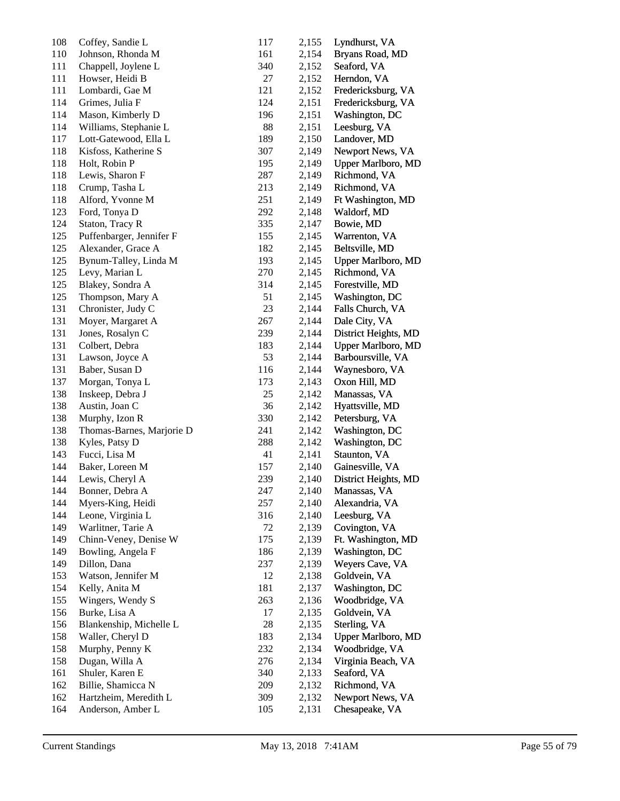| 108 | Coffey, Sandie L          | 117 | 2,155 | Lyndhurst, VA             |
|-----|---------------------------|-----|-------|---------------------------|
| 110 | Johnson, Rhonda M         | 161 | 2,154 | Bryans Road, MD           |
| 111 | Chappell, Joylene L       | 340 | 2,152 | Seaford, VA               |
| 111 | Howser, Heidi B           | 27  | 2,152 | Herndon, VA               |
| 111 | Lombardi, Gae M           | 121 | 2,152 | Fredericksburg, VA        |
| 114 | Grimes, Julia F           | 124 | 2,151 | Fredericksburg, VA        |
| 114 | Mason, Kimberly D         | 196 | 2,151 | Washington, DC            |
| 114 | Williams, Stephanie L     | 88  | 2,151 | Leesburg, VA              |
| 117 | Lott-Gatewood, Ella L     | 189 | 2,150 | Landover, MD              |
| 118 | Kisfoss, Katherine S      | 307 | 2,149 | Newport News, VA          |
| 118 | Holt, Robin P             | 195 | 2,149 | <b>Upper Marlboro, MD</b> |
| 118 | Lewis, Sharon F           | 287 | 2,149 | Richmond, VA              |
| 118 | Crump, Tasha L            | 213 | 2,149 | Richmond, VA              |
| 118 | Alford, Yvonne M          | 251 | 2,149 | Ft Washington, MD         |
| 123 | Ford, Tonya D             | 292 | 2,148 | Waldorf, MD               |
| 124 | Staton, Tracy R           | 335 | 2,147 | Bowie, MD                 |
| 125 | Puffenbarger, Jennifer F  | 155 | 2,145 | Warrenton, VA             |
| 125 | Alexander, Grace A        | 182 | 2,145 | Beltsville, MD            |
| 125 | Bynum-Talley, Linda M     | 193 | 2,145 | Upper Marlboro, MD        |
| 125 | Levy, Marian L            | 270 | 2,145 | Richmond, VA              |
| 125 | Blakey, Sondra A          | 314 | 2,145 | Forestville, MD           |
| 125 | Thompson, Mary A          | 51  | 2,145 | Washington, DC            |
| 131 | Chronister, Judy C        | 23  | 2,144 | Falls Church, VA          |
| 131 | Moyer, Margaret A         | 267 | 2,144 | Dale City, VA             |
| 131 | Jones, Rosalyn C          | 239 | 2,144 | District Heights, MD      |
| 131 | Colbert, Debra            | 183 | 2,144 | <b>Upper Marlboro, MD</b> |
| 131 | Lawson, Joyce A           | 53  | 2,144 | Barboursville, VA         |
| 131 | Baber, Susan D            | 116 | 2,144 | Waynesboro, VA            |
| 137 | Morgan, Tonya L           | 173 | 2,143 | Oxon Hill, MD             |
| 138 | Inskeep, Debra J          | 25  | 2,142 | Manassas, VA              |
| 138 | Austin, Joan C            | 36  | 2,142 | Hyattsville, MD           |
| 138 | Murphy, Izon R            | 330 | 2,142 | Petersburg, VA            |
| 138 | Thomas-Barnes, Marjorie D | 241 | 2,142 | Washington, DC            |
| 138 | Kyles, Patsy D            | 288 | 2,142 | Washington, DC            |
| 143 | Fucci, Lisa M             | 41  | 2,141 | Staunton, VA              |
| 144 | Baker, Loreen M           | 157 | 2,140 | Gainesville, VA           |
| 144 | Lewis, Cheryl A           | 239 | 2,140 | District Heights, MD      |
| 144 | Bonner, Debra A           | 247 | 2,140 | Manassas, VA              |
| 144 | Myers-King, Heidi         | 257 | 2,140 | Alexandria, VA            |
| 144 | Leone, Virginia L         | 316 | 2,140 | Leesburg, VA              |
| 149 | Warlitner, Tarie A        | 72  | 2,139 | Covington, VA             |
| 149 | Chinn-Veney, Denise W     | 175 | 2,139 | Ft. Washington, MD        |
| 149 | Bowling, Angela F         | 186 | 2,139 | Washington, DC            |
| 149 | Dillon, Dana              | 237 | 2,139 | Weyers Cave, VA           |
| 153 | Watson, Jennifer M        | 12  | 2,138 | Goldvein, VA              |
| 154 | Kelly, Anita M            | 181 | 2,137 | Washington, DC            |
| 155 | Wingers, Wendy S          | 263 | 2,136 | Woodbridge, VA            |
| 156 | Burke, Lisa A             | 17  | 2,135 | Goldvein, VA              |
| 156 | Blankenship, Michelle L   | 28  | 2,135 | Sterling, VA              |
| 158 | Waller, Cheryl D          | 183 | 2,134 | <b>Upper Marlboro, MD</b> |
| 158 | Murphy, Penny K           | 232 | 2,134 | Woodbridge, VA            |
| 158 | Dugan, Willa A            | 276 | 2,134 | Virginia Beach, VA        |
| 161 | Shuler, Karen E           | 340 | 2,133 | Seaford, VA               |
| 162 | Billie, Shamicca N        | 209 | 2,132 | Richmond, VA              |
| 162 | Hartzheim, Meredith L     | 309 | 2,132 | Newport News, VA          |
| 164 | Anderson, Amber L         | 105 | 2,131 | Chesapeake, VA            |
|     |                           |     |       |                           |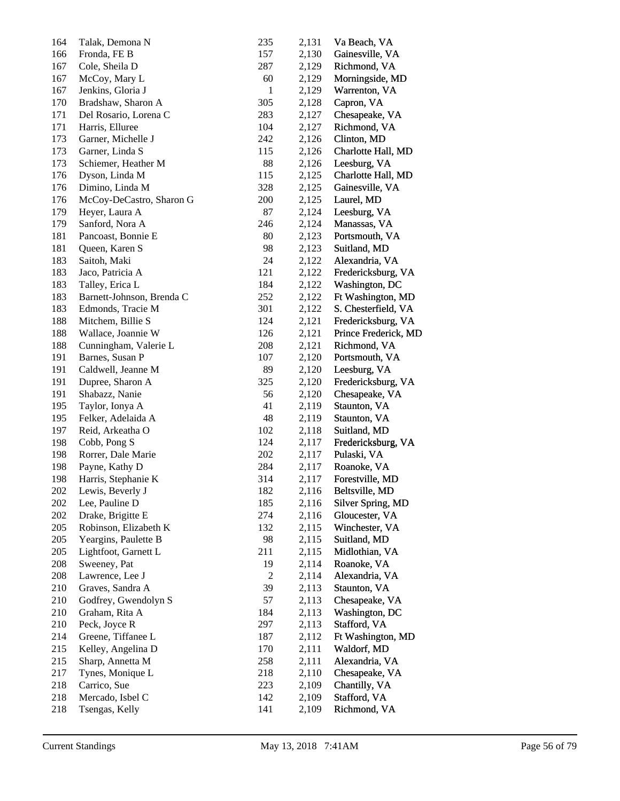| 164 | Talak, Demona N           | 235            | 2,131 | Va Beach, VA         |
|-----|---------------------------|----------------|-------|----------------------|
| 166 | Fronda, FE B              | 157            | 2,130 | Gainesville, VA      |
| 167 | Cole, Sheila D            | 287            | 2,129 | Richmond, VA         |
| 167 | McCoy, Mary L             | 60             | 2,129 | Morningside, MD      |
| 167 | Jenkins, Gloria J         | $\mathbf{1}$   | 2,129 | Warrenton, VA        |
| 170 | Bradshaw, Sharon A        | 305            | 2,128 | Capron, VA           |
| 171 | Del Rosario, Lorena C     | 283            | 2,127 | Chesapeake, VA       |
| 171 | Harris, Elluree           | 104            | 2,127 | Richmond, VA         |
| 173 | Garner, Michelle J        | 242            | 2,126 | Clinton, MD          |
| 173 | Garner, Linda S           | 115            | 2,126 | Charlotte Hall, MD   |
| 173 | Schiemer, Heather M       | 88             | 2,126 | Leesburg, VA         |
| 176 | Dyson, Linda M            | 115            | 2,125 | Charlotte Hall, MD   |
| 176 | Dimino, Linda M           | 328            | 2,125 | Gainesville, VA      |
| 176 | McCoy-DeCastro, Sharon G  | 200            | 2,125 | Laurel, MD           |
| 179 | Heyer, Laura A            | 87             | 2,124 | Leesburg, VA         |
| 179 | Sanford, Nora A           | 246            | 2,124 | Manassas, VA         |
| 181 | Pancoast, Bonnie E        | 80             | 2,123 | Portsmouth, VA       |
| 181 | Queen, Karen S            | 98             | 2,123 | Suitland, MD         |
| 183 | Saitoh, Maki              | 24             | 2,122 | Alexandria, VA       |
| 183 | Jaco, Patricia A          | 121            | 2,122 | Fredericksburg, VA   |
| 183 | Talley, Erica L           | 184            | 2,122 | Washington, DC       |
| 183 | Barnett-Johnson, Brenda C | 252            | 2,122 | Ft Washington, MD    |
| 183 | Edmonds, Tracie M         | 301            | 2,122 | S. Chesterfield, VA  |
| 188 | Mitchem, Billie S         | 124            | 2,121 | Fredericksburg, VA   |
| 188 | Wallace, Joannie W        | 126            | 2,121 | Prince Frederick, MD |
| 188 | Cunningham, Valerie L     | 208            | 2,121 | Richmond, VA         |
| 191 | Barnes, Susan P           | 107            | 2,120 |                      |
|     |                           | 89             |       | Portsmouth, VA       |
| 191 | Caldwell, Jeanne M        |                | 2,120 | Leesburg, VA         |
| 191 | Dupree, Sharon A          | 325<br>56      | 2,120 | Fredericksburg, VA   |
| 191 | Shabazz, Nanie            | 41             | 2,120 | Chesapeake, VA       |
| 195 | Taylor, Ionya A           |                | 2,119 | Staunton, VA         |
| 195 | Felker, Adelaida A        | 48             | 2,119 | Staunton, VA         |
| 197 | Reid, Arkeatha O          | 102            | 2,118 | Suitland, MD         |
| 198 | Cobb, Pong S              | 124            | 2,117 | Fredericksburg, VA   |
| 198 | Rorrer, Dale Marie        | 202            | 2,117 | Pulaski, VA          |
| 198 | Payne, Kathy D            | 284            | 2,117 | Roanoke, VA          |
| 198 | Harris, Stephanie K       | 314            | 2,117 | Forestville, MD      |
| 202 | Lewis, Beverly J          | 182            | 2,116 | Beltsville, MD       |
| 202 | Lee, Pauline D            | 185            | 2,116 | Silver Spring, MD    |
| 202 | Drake, Brigitte E         | 274            | 2,116 | Gloucester, VA       |
| 205 | Robinson, Elizabeth K     | 132            | 2,115 | Winchester, VA       |
| 205 | Yeargins, Paulette B      | 98             | 2,115 | Suitland, MD         |
| 205 | Lightfoot, Garnett L      | 211            | 2,115 | Midlothian, VA       |
| 208 | Sweeney, Pat              | 19             | 2,114 | Roanoke, VA          |
| 208 | Lawrence, Lee J           | $\overline{c}$ | 2,114 | Alexandria, VA       |
| 210 | Graves, Sandra A          | 39             | 2,113 | Staunton, VA         |
| 210 | Godfrey, Gwendolyn S      | 57             | 2,113 | Chesapeake, VA       |
| 210 | Graham, Rita A            | 184            | 2,113 | Washington, DC       |
| 210 | Peck, Joyce R             | 297            | 2,113 | Stafford, VA         |
| 214 | Greene, Tiffanee L        | 187            | 2,112 | Ft Washington, MD    |
| 215 | Kelley, Angelina D        | 170            | 2,111 | Waldorf, MD          |
| 215 | Sharp, Annetta M          | 258            | 2,111 | Alexandria, VA       |
| 217 | Tynes, Monique L          | 218            | 2,110 | Chesapeake, VA       |
| 218 | Carrico, Sue              | 223            | 2,109 | Chantilly, VA        |
| 218 | Mercado, Isbel C          | 142            | 2,109 | Stafford, VA         |
| 218 | Tsengas, Kelly            | 141            | 2,109 | Richmond, VA         |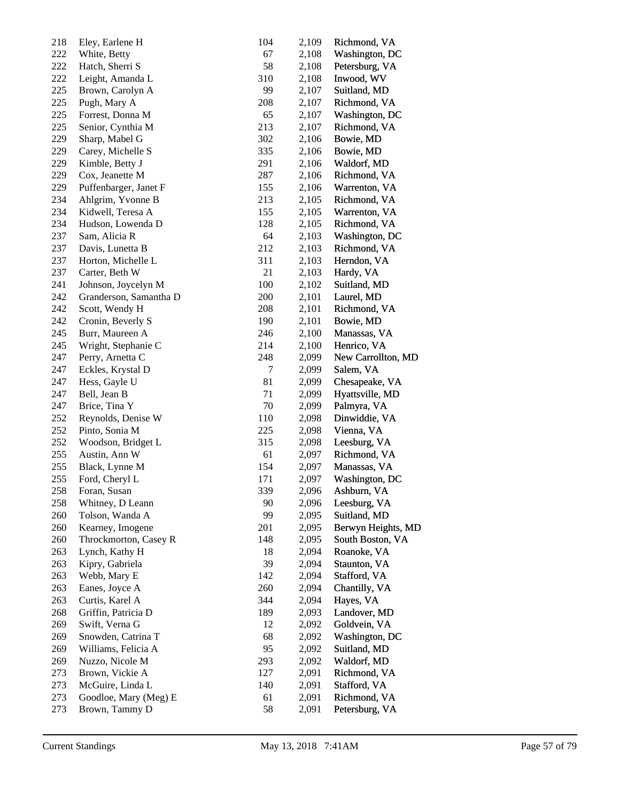| 218 | Eley, Earlene H        | 104 | 2,109 | Richmond, VA       |
|-----|------------------------|-----|-------|--------------------|
| 222 | White, Betty           | 67  | 2,108 | Washington, DC     |
| 222 | Hatch, Sherri S        | 58  | 2,108 | Petersburg, VA     |
| 222 | Leight, Amanda L       | 310 | 2,108 | Inwood, WV         |
| 225 | Brown, Carolyn A       | 99  | 2,107 | Suitland, MD       |
| 225 | Pugh, Mary A           | 208 | 2,107 | Richmond, VA       |
| 225 | Forrest, Donna M       | 65  | 2,107 | Washington, DC     |
| 225 | Senior, Cynthia M      | 213 | 2,107 | Richmond, VA       |
| 229 | Sharp, Mabel G         | 302 | 2,106 | Bowie, MD          |
| 229 | Carey, Michelle S      | 335 | 2,106 | Bowie, MD          |
| 229 | Kimble, Betty J        | 291 | 2,106 | Waldorf, MD        |
| 229 | Cox, Jeanette M        | 287 | 2,106 | Richmond, VA       |
| 229 | Puffenbarger, Janet F  | 155 | 2,106 | Warrenton, VA      |
| 234 | Ahlgrim, Yvonne B      | 213 | 2,105 | Richmond, VA       |
| 234 | Kidwell, Teresa A      | 155 | 2,105 | Warrenton, VA      |
| 234 | Hudson, Lowenda D      | 128 | 2,105 | Richmond, VA       |
| 237 | Sam, Alicia R          | 64  | 2,103 | Washington, DC     |
| 237 | Davis, Lunetta B       | 212 | 2,103 | Richmond, VA       |
| 237 | Horton, Michelle L     | 311 | 2,103 | Herndon, VA        |
| 237 | Carter, Beth W         | 21  | 2,103 | Hardy, VA          |
| 241 | Johnson, Joycelyn M    | 100 | 2,102 | Suitland, MD       |
|     |                        |     |       |                    |
| 242 | Granderson, Samantha D | 200 | 2,101 | Laurel, MD         |
| 242 | Scott, Wendy H         | 208 | 2,101 | Richmond, VA       |
| 242 | Cronin, Beverly S      | 190 | 2,101 | Bowie, MD          |
| 245 | Burr, Maureen A        | 246 | 2,100 | Manassas, VA       |
| 245 | Wright, Stephanie C    | 214 | 2,100 | Henrico, VA        |
| 247 | Perry, Arnetta C       | 248 | 2,099 | New Carrollton, MD |
| 247 | Eckles, Krystal D      | 7   | 2,099 | Salem, VA          |
| 247 | Hess, Gayle U          | 81  | 2,099 | Chesapeake, VA     |
| 247 | Bell, Jean B           | 71  | 2,099 | Hyattsville, MD    |
| 247 | Brice, Tina Y          | 70  | 2,099 | Palmyra, VA        |
| 252 | Reynolds, Denise W     | 110 | 2,098 | Dinwiddie, VA      |
| 252 | Pinto, Sonia M         | 225 | 2,098 | Vienna, VA         |
| 252 | Woodson, Bridget L     | 315 | 2,098 | Leesburg, VA       |
| 255 | Austin, Ann W          | 61  | 2,097 | Richmond, VA       |
| 255 | Black, Lynne M         | 154 | 2,097 | Manassas, VA       |
| 255 | Ford, Cheryl L         | 171 | 2,097 | Washington, DC     |
| 258 | Foran, Susan           | 339 | 2,096 | Ashburn, VA        |
| 258 | Whitney, D Leann       | 90  | 2,096 | Leesburg, VA       |
| 260 | Tolson, Wanda A        | 99  | 2,095 | Suitland, MD       |
| 260 | Kearney, Imogene       | 201 | 2,095 | Berwyn Heights, MD |
| 260 | Throckmorton, Casey R  | 148 | 2,095 | South Boston, VA   |
| 263 | Lynch, Kathy H         | 18  | 2,094 | Roanoke, VA        |
| 263 | Kipry, Gabriela        | 39  | 2,094 | Staunton, VA       |
| 263 | Webb, Mary E           | 142 | 2,094 | Stafford, VA       |
| 263 | Eanes, Joyce A         | 260 | 2,094 | Chantilly, VA      |
| 263 | Curtis, Karel A        | 344 | 2,094 | Hayes, VA          |
| 268 | Griffin, Patricia D    | 189 | 2,093 | Landover, MD       |
| 269 | Swift, Verna G         | 12  | 2,092 | Goldvein, VA       |
| 269 | Snowden, Catrina T     | 68  | 2,092 | Washington, DC     |
| 269 | Williams, Felicia A    | 95  | 2,092 | Suitland, MD       |
| 269 | Nuzzo, Nicole M        | 293 | 2,092 | Waldorf, MD        |
| 273 | Brown, Vickie A        | 127 | 2,091 | Richmond, VA       |
| 273 | McGuire, Linda L       | 140 | 2,091 | Stafford, VA       |
| 273 | Goodloe, Mary (Meg) E  | 61  | 2,091 | Richmond, VA       |
| 273 | Brown, Tammy D         | 58  | 2,091 | Petersburg, VA     |
|     |                        |     |       |                    |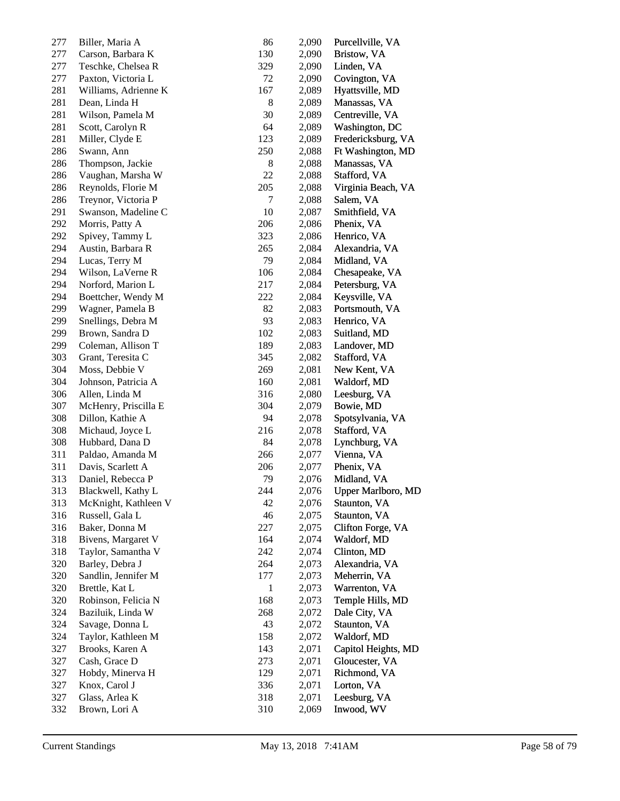| 277 | Biller, Maria A      | 86           | 2,090 | Purcellville, VA          |
|-----|----------------------|--------------|-------|---------------------------|
| 277 | Carson, Barbara K    | 130          | 2,090 | Bristow, VA               |
| 277 | Teschke, Chelsea R   | 329          | 2,090 | Linden, VA                |
| 277 | Paxton, Victoria L   | 72           | 2,090 | Covington, VA             |
| 281 | Williams, Adrienne K | 167          | 2,089 | Hyattsville, MD           |
| 281 | Dean, Linda H        | $8\,$        | 2,089 | Manassas, VA              |
| 281 | Wilson, Pamela M     | 30           | 2,089 | Centreville, VA           |
| 281 | Scott, Carolyn R     | 64           | 2,089 | Washington, DC            |
| 281 | Miller, Clyde E      | 123          | 2,089 | Fredericksburg, VA        |
| 286 | Swann, Ann           | 250          | 2,088 | Ft Washington, MD         |
| 286 | Thompson, Jackie     | 8            | 2,088 | Manassas, VA              |
| 286 | Vaughan, Marsha W    | 22           | 2,088 | Stafford, VA              |
| 286 | Reynolds, Florie M   | 205          | 2,088 | Virginia Beach, VA        |
| 286 | Treynor, Victoria P  | 7            | 2,088 | Salem, VA                 |
| 291 | Swanson, Madeline C  | 10           | 2,087 | Smithfield, VA            |
| 292 | Morris, Patty A      | 206          | 2,086 | Phenix, VA                |
| 292 | Spivey, Tammy L      | 323          | 2,086 | Henrico, VA               |
| 294 | Austin, Barbara R    | 265          | 2,084 | Alexandria, VA            |
| 294 | Lucas, Terry M       | 79           | 2,084 | Midland, VA               |
| 294 | Wilson, LaVerne R    | 106          | 2,084 | Chesapeake, VA            |
| 294 | Norford, Marion L    | 217          | 2,084 | Petersburg, VA            |
| 294 | Boettcher, Wendy M   | 222          | 2,084 | Keysville, VA             |
| 299 | Wagner, Pamela B     | 82           | 2,083 | Portsmouth, VA            |
| 299 | Snellings, Debra M   | 93           | 2,083 | Henrico, VA               |
| 299 | Brown, Sandra D      | 102          | 2,083 | Suitland, MD              |
| 299 | Coleman, Allison T   | 189          | 2,083 | Landover, MD              |
| 303 | Grant, Teresita C    | 345          | 2,082 | Stafford, VA              |
| 304 | Moss, Debbie V       | 269          | 2,081 | New Kent, VA              |
| 304 | Johnson, Patricia A  | 160          | 2,081 | Waldorf, MD               |
| 306 | Allen, Linda M       | 316          | 2,080 | Leesburg, VA              |
| 307 | McHenry, Priscilla E | 304          | 2,079 | Bowie, MD                 |
| 308 | Dillon, Kathie A     | 94           | 2,078 | Spotsylvania, VA          |
| 308 | Michaud, Joyce L     | 216          | 2,078 | Stafford, VA              |
| 308 | Hubbard, Dana D      | 84           | 2,078 | Lynchburg, VA             |
| 311 | Paldao, Amanda M     | 266          | 2,077 | Vienna, VA                |
| 311 | Davis, Scarlett A    | 206          | 2,077 | Phenix, VA                |
| 313 | Daniel, Rebecca P    | 79           | 2,076 | Midland, VA               |
| 313 | Blackwell, Kathy L   | 244          | 2,076 | <b>Upper Marlboro, MD</b> |
| 313 | McKnight, Kathleen V | 42           | 2,076 | Staunton, VA              |
| 316 | Russell, Gala L      | 46           | 2,075 | Staunton, VA              |
| 316 | Baker, Donna M       | 227          | 2,075 | Clifton Forge, VA         |
| 318 | Bivens, Margaret V   | 164          | 2,074 | Waldorf, MD               |
| 318 | Taylor, Samantha V   | 242          | 2,074 | Clinton, MD               |
| 320 | Barley, Debra J      | 264          | 2,073 | Alexandria, VA            |
| 320 | Sandlin, Jennifer M  | 177          | 2,073 | Meherrin, VA              |
| 320 | Brettle, Kat L       | $\mathbf{1}$ | 2,073 | Warrenton, VA             |
| 320 | Robinson, Felicia N  | 168          | 2,073 | Temple Hills, MD          |
| 324 | Baziluik, Linda W    | 268          | 2,072 | Dale City, VA             |
| 324 | Savage, Donna L      | 43           | 2,072 | Staunton, VA              |
| 324 | Taylor, Kathleen M   | 158          | 2,072 | Waldorf, MD               |
| 327 | Brooks, Karen A      | 143          | 2,071 | Capitol Heights, MD       |
| 327 | Cash, Grace D        | 273          | 2,071 | Gloucester, VA            |
| 327 | Hobdy, Minerva H     | 129          | 2,071 | Richmond, VA              |
| 327 | Knox, Carol J        | 336          | 2,071 |                           |
| 327 |                      |              |       | Lorton, VA                |
|     | Glass, Arlea K       | 318          | 2,071 | Leesburg, VA              |
| 332 | Brown, Lori A        | 310          | 2,069 | Inwood, WV                |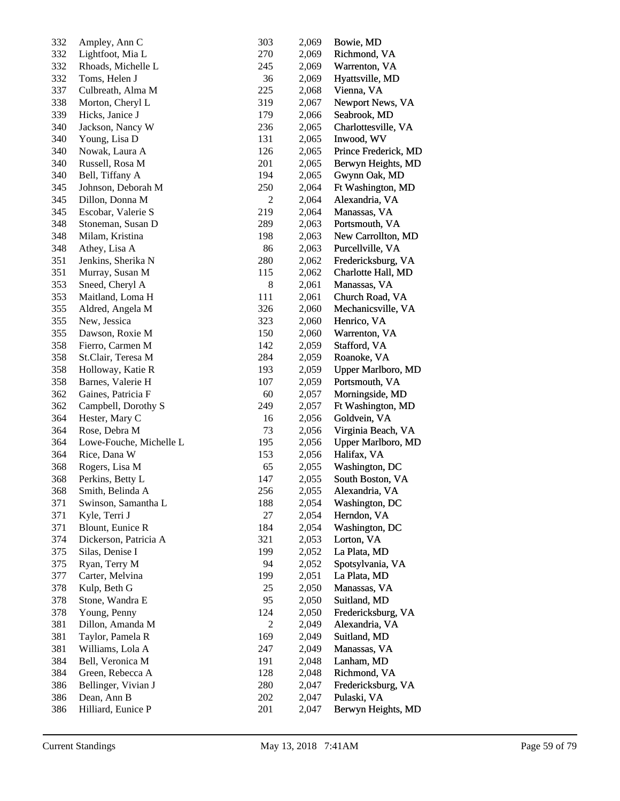| 332 | Ampley, Ann C           | 303            | 2,069 | Bowie, MD            |
|-----|-------------------------|----------------|-------|----------------------|
| 332 | Lightfoot, Mia L        | 270            | 2,069 | Richmond, VA         |
| 332 | Rhoads, Michelle L      | 245            | 2,069 | Warrenton, VA        |
| 332 | Toms, Helen J           | 36             | 2,069 | Hyattsville, MD      |
| 337 | Culbreath, Alma M       | 225            | 2,068 | Vienna, VA           |
| 338 | Morton, Cheryl L        | 319            | 2,067 | Newport News, VA     |
| 339 | Hicks, Janice J         | 179            | 2,066 | Seabrook, MD         |
| 340 | Jackson, Nancy W        | 236            | 2,065 | Charlottesville, VA  |
| 340 | Young, Lisa D           | 131            | 2,065 | Inwood, WV           |
| 340 | Nowak, Laura A          | 126            | 2,065 | Prince Frederick, MD |
| 340 | Russell, Rosa M         | 201            | 2,065 | Berwyn Heights, MD   |
| 340 | Bell, Tiffany A         | 194            | 2,065 | Gwynn Oak, MD        |
| 345 | Johnson, Deborah M      | 250            | 2,064 | Ft Washington, MD    |
| 345 | Dillon, Donna M         | $\overline{c}$ | 2,064 | Alexandria, VA       |
| 345 | Escobar, Valerie S      | 219            | 2,064 | Manassas, VA         |
| 348 | Stoneman, Susan D       | 289            | 2,063 | Portsmouth, VA       |
| 348 | Milam, Kristina         | 198            | 2,063 | New Carrollton, MD   |
| 348 | Athey, Lisa A           | 86             | 2,063 | Purcellville, VA     |
| 351 | Jenkins, Sherika N      | 280            | 2,062 | Fredericksburg, VA   |
| 351 | Murray, Susan M         | 115            | 2,062 | Charlotte Hall, MD   |
| 353 | Sneed, Cheryl A         | 8              | 2,061 | Manassas, VA         |
| 353 | Maitland, Loma H        | 111            | 2,061 | Church Road, VA      |
| 355 | Aldred, Angela M        | 326            | 2,060 | Mechanicsville, VA   |
| 355 | New, Jessica            | 323            | 2,060 | Henrico, VA          |
| 355 | Dawson, Roxie M         | 150            | 2,060 | Warrenton, VA        |
| 358 | Fierro, Carmen M        | 142            | 2,059 | Stafford, VA         |
| 358 | St.Clair, Teresa M      | 284            | 2,059 | Roanoke, VA          |
| 358 | Holloway, Katie R       | 193            | 2,059 | Upper Marlboro, MD   |
| 358 | Barnes, Valerie H       | 107            | 2,059 | Portsmouth, VA       |
| 362 | Gaines, Patricia F      | 60             | 2,057 | Morningside, MD      |
| 362 | Campbell, Dorothy S     | 249            | 2,057 | Ft Washington, MD    |
| 364 | Hester, Mary C          | 16             | 2,056 | Goldvein, VA         |
| 364 | Rose, Debra M           | 73             | 2,056 | Virginia Beach, VA   |
| 364 | Lowe-Fouche, Michelle L | 195            | 2,056 | Upper Marlboro, MD   |
| 364 | Rice, Dana W            | 153            | 2,056 | Halifax, VA          |
| 368 | Rogers, Lisa M          | 65             | 2,055 | Washington, DC       |
| 368 | Perkins, Betty L        | 147            | 2,055 | South Boston, VA     |
| 368 | Smith, Belinda A        | 256            | 2,055 | Alexandria, VA       |
| 371 | Swinson, Samantha L     | 188            | 2,054 | Washington, DC       |
| 371 | Kyle, Terri J           | 27             | 2,054 | Herndon, VA          |
| 371 | Blount, Eunice R        | 184            | 2,054 | Washington, DC       |
| 374 | Dickerson, Patricia A   | 321            | 2,053 | Lorton, VA           |
| 375 | Silas, Denise I         | 199            | 2,052 | La Plata, MD         |
| 375 | Ryan, Terry M           | 94             | 2,052 | Spotsylvania, VA     |
| 377 | Carter, Melvina         | 199            | 2,051 | La Plata, MD         |
| 378 | Kulp, Beth G            | 25             | 2,050 | Manassas, VA         |
| 378 | Stone, Wandra E         | 95             | 2,050 | Suitland, MD         |
| 378 | Young, Penny            | 124            | 2,050 | Fredericksburg, VA   |
| 381 | Dillon, Amanda M        | $\overline{c}$ | 2,049 | Alexandria, VA       |
| 381 | Taylor, Pamela R        | 169            | 2,049 | Suitland, MD         |
| 381 | Williams, Lola A        | 247            | 2,049 | Manassas, VA         |
| 384 | Bell, Veronica M        | 191            | 2,048 | Lanham, MD           |
| 384 | Green, Rebecca A        | 128            | 2,048 | Richmond, VA         |
| 386 | Bellinger, Vivian J     | 280            | 2,047 | Fredericksburg, VA   |
| 386 | Dean, Ann B             | 202            | 2,047 | Pulaski, VA          |
| 386 | Hilliard, Eunice P      | 201            | 2,047 | Berwyn Heights, MD   |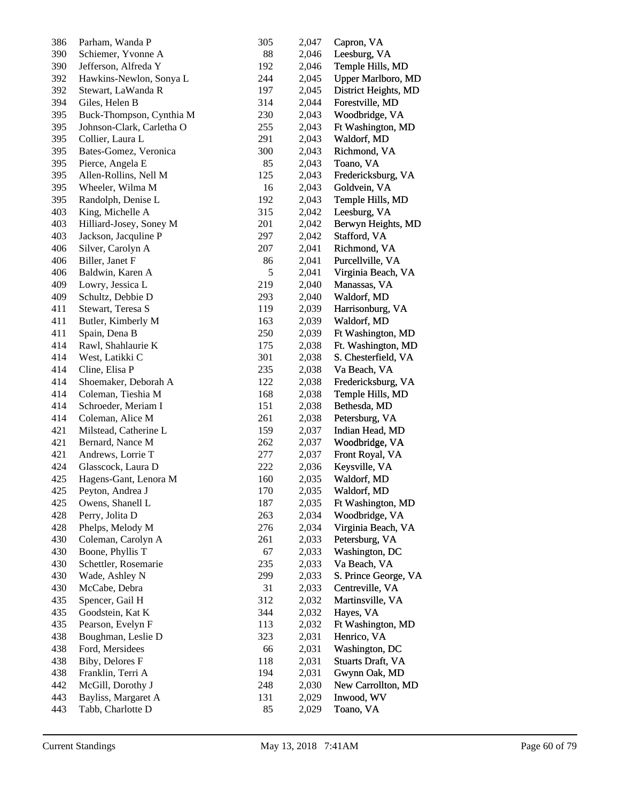| 386 | Parham, Wanda P           | 305 | 2,047 | Capron, VA               |
|-----|---------------------------|-----|-------|--------------------------|
| 390 | Schiemer, Yvonne A        | 88  | 2,046 | Leesburg, VA             |
| 390 | Jefferson, Alfreda Y      | 192 | 2,046 | Temple Hills, MD         |
| 392 | Hawkins-Newlon, Sonya L   | 244 | 2,045 | Upper Marlboro, MD       |
| 392 | Stewart, LaWanda R        | 197 | 2,045 | District Heights, MD     |
| 394 | Giles, Helen B            | 314 | 2,044 | Forestville, MD          |
| 395 | Buck-Thompson, Cynthia M  | 230 | 2,043 | Woodbridge, VA           |
| 395 | Johnson-Clark, Carletha O | 255 | 2,043 | Ft Washington, MD        |
| 395 | Collier, Laura L          | 291 | 2,043 | Waldorf, MD              |
| 395 | Bates-Gomez, Veronica     | 300 | 2,043 | Richmond, VA             |
| 395 | Pierce, Angela E          | 85  | 2,043 | Toano, VA                |
| 395 | Allen-Rollins, Nell M     | 125 | 2,043 | Fredericksburg, VA       |
| 395 | Wheeler, Wilma M          | 16  | 2,043 | Goldvein, VA             |
| 395 | Randolph, Denise L        | 192 | 2,043 | Temple Hills, MD         |
| 403 | King, Michelle A          | 315 | 2,042 | Leesburg, VA             |
| 403 | Hilliard-Josey, Soney M   | 201 | 2,042 | Berwyn Heights, MD       |
| 403 | Jackson, Jacquline P      | 297 | 2,042 | Stafford, VA             |
| 406 | Silver, Carolyn A         | 207 | 2,041 | Richmond, VA             |
| 406 | Biller, Janet F           | 86  | 2,041 | Purcellville, VA         |
| 406 | Baldwin, Karen A          | 5   | 2,041 | Virginia Beach, VA       |
| 409 | Lowry, Jessica L          | 219 | 2,040 | Manassas, VA             |
| 409 | Schultz, Debbie D         | 293 | 2,040 | Waldorf, MD              |
| 411 | Stewart, Teresa S         | 119 | 2,039 | Harrisonburg, VA         |
| 411 | Butler, Kimberly M        | 163 | 2,039 | Waldorf, MD              |
| 411 | Spain, Dena B             | 250 | 2,039 | Ft Washington, MD        |
| 414 | Rawl, Shahlaurie K        | 175 | 2,038 | Ft. Washington, MD       |
| 414 | West, Latikki C           | 301 | 2,038 | S. Chesterfield, VA      |
| 414 | Cline, Elisa P            | 235 | 2,038 | Va Beach, VA             |
| 414 | Shoemaker, Deborah A      | 122 | 2,038 | Fredericksburg, VA       |
| 414 | Coleman, Tieshia M        | 168 | 2,038 | Temple Hills, MD         |
| 414 | Schroeder, Meriam I       | 151 | 2,038 | Bethesda, MD             |
| 414 | Coleman, Alice M          | 261 | 2,038 | Petersburg, VA           |
| 421 | Milstead, Catherine L     | 159 | 2,037 | Indian Head, MD          |
| 421 | Bernard, Nance M          | 262 | 2,037 | Woodbridge, VA           |
| 421 | Andrews, Lorrie T         | 277 | 2,037 | Front Royal, VA          |
| 424 | Glasscock, Laura D        | 222 | 2,036 | Keysville, VA            |
| 425 | Hagens-Gant, Lenora M     | 160 | 2,035 | Waldorf, MD              |
| 425 | Peyton, Andrea J          | 170 | 2,035 | Waldorf, MD              |
| 425 | Owens, Shanell L          | 187 | 2,035 | Ft Washington, MD        |
| 428 | Perry, Jolita D           | 263 | 2,034 | Woodbridge, VA           |
| 428 | Phelps, Melody M          | 276 | 2,034 | Virginia Beach, VA       |
| 430 | Coleman, Carolyn A        | 261 | 2,033 | Petersburg, VA           |
| 430 | Boone, Phyllis T          | 67  | 2,033 | Washington, DC           |
| 430 | Schettler, Rosemarie      | 235 | 2,033 | Va Beach, VA             |
| 430 | Wade, Ashley N            | 299 | 2,033 | S. Prince George, VA     |
| 430 | McCabe, Debra             | 31  | 2,033 | Centreville, VA          |
| 435 | Spencer, Gail H           | 312 | 2,032 | Martinsville, VA         |
| 435 | Goodstein, Kat K          | 344 | 2,032 | Hayes, VA                |
| 435 | Pearson, Evelyn F         | 113 | 2,032 | Ft Washington, MD        |
| 438 | Boughman, Leslie D        | 323 | 2,031 | Henrico, VA              |
| 438 | Ford, Mersidees           | 66  | 2,031 | Washington, DC           |
| 438 | Biby, Delores F           | 118 | 2,031 | <b>Stuarts Draft, VA</b> |
| 438 | Franklin, Terri A         | 194 | 2,031 | Gwynn Oak, MD            |
| 442 | McGill, Dorothy J         | 248 | 2,030 | New Carrollton, MD       |
| 443 | Bayliss, Margaret A       | 131 | 2,029 | Inwood, WV               |
| 443 | Tabb, Charlotte D         | 85  | 2,029 | Toano, VA                |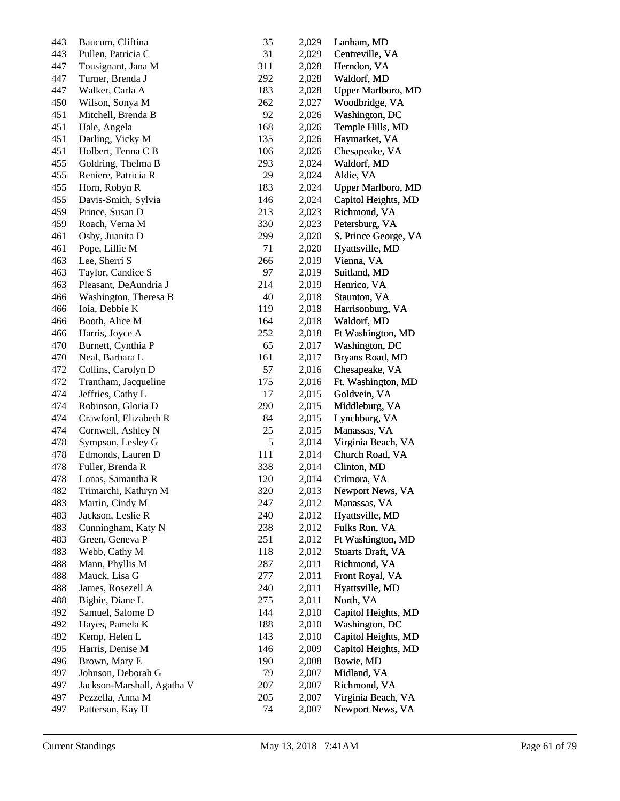| 443 | Baucum, Cliftina           | 35  | 2,029 | Lanham, MD                |
|-----|----------------------------|-----|-------|---------------------------|
| 443 | Pullen, Patricia C         | 31  | 2,029 | Centreville, VA           |
| 447 | Tousignant, Jana M         | 311 | 2,028 | Herndon, VA               |
| 447 | Turner, Brenda J           | 292 | 2,028 | Waldorf, MD               |
| 447 | Walker, Carla A            | 183 | 2,028 | <b>Upper Marlboro, MD</b> |
| 450 | Wilson, Sonya M            | 262 | 2,027 | Woodbridge, VA            |
| 451 | Mitchell, Brenda B         | 92  | 2,026 | Washington, DC            |
| 451 | Hale, Angela               | 168 | 2,026 | Temple Hills, MD          |
| 451 | Darling, Vicky M           | 135 | 2,026 | Haymarket, VA             |
| 451 | Holbert, Tenna C B         | 106 | 2,026 | Chesapeake, VA            |
| 455 | Goldring, Thelma B         | 293 | 2,024 | Waldorf, MD               |
| 455 | Reniere, Patricia R        | 29  | 2,024 | Aldie, VA                 |
| 455 | Horn, Robyn R              | 183 | 2,024 | Upper Marlboro, MD        |
| 455 | Davis-Smith, Sylvia        | 146 | 2,024 | Capitol Heights, MD       |
| 459 | Prince, Susan D            | 213 | 2,023 | Richmond, VA              |
| 459 | Roach, Verna M             | 330 | 2,023 | Petersburg, VA            |
| 461 | Osby, Juanita D            | 299 | 2,020 | S. Prince George, VA      |
| 461 | Pope, Lillie M             | 71  | 2,020 | Hyattsville, MD           |
| 463 | Lee, Sherri S              | 266 | 2,019 | Vienna, VA                |
| 463 | Taylor, Candice S          | 97  | 2,019 | Suitland, MD              |
| 463 | Pleasant, DeAundria J      | 214 | 2,019 | Henrico, VA               |
| 466 | Washington, Theresa B      | 40  | 2,018 | Staunton, VA              |
| 466 | Ioia, Debbie K             | 119 | 2,018 | Harrisonburg, VA          |
| 466 | Booth, Alice M             | 164 | 2,018 | Waldorf, MD               |
| 466 | Harris, Joyce A            | 252 | 2,018 | Ft Washington, MD         |
| 470 | Burnett, Cynthia P         | 65  | 2,017 | Washington, DC            |
| 470 | Neal, Barbara L            | 161 | 2,017 | Bryans Road, MD           |
| 472 | Collins, Carolyn D         | 57  |       | Chesapeake, VA            |
|     |                            | 175 | 2,016 |                           |
| 472 | Trantham, Jacqueline       |     | 2,016 | Ft. Washington, MD        |
| 474 | Jeffries, Cathy L          | 17  | 2,015 | Goldvein, VA              |
| 474 | Robinson, Gloria D         | 290 | 2,015 | Middleburg, VA            |
| 474 | Crawford, Elizabeth R      | 84  | 2,015 | Lynchburg, VA             |
| 474 | Cornwell, Ashley N         | 25  | 2,015 | Manassas, VA              |
| 478 | Sympson, Lesley G          | 5   | 2,014 | Virginia Beach, VA        |
| 478 | Edmonds, Lauren D          | 111 | 2,014 | Church Road, VA           |
| 478 | Fuller, Brenda R           | 338 | 2,014 | Clinton, MD               |
| 478 | Lonas, Samantha R          | 120 | 2,014 | Crimora, VA               |
| 482 | Trimarchi, Kathryn M       | 320 | 2,013 | Newport News, VA          |
| 483 | Martin, Cindy M            | 247 | 2,012 | Manassas, VA              |
| 483 | Jackson, Leslie R          | 240 | 2,012 | Hyattsville, MD           |
| 483 | Cunningham, Katy N         | 238 | 2,012 | Fulks Run, VA             |
| 483 | Green, Geneva P            | 251 | 2,012 | Ft Washington, MD         |
| 483 | Webb, Cathy M              | 118 | 2,012 | Stuarts Draft, VA         |
| 488 | Mann, Phyllis M            | 287 | 2,011 | Richmond, VA              |
| 488 | Mauck, Lisa G              | 277 | 2,011 | Front Royal, VA           |
| 488 | James, Rosezell A          | 240 | 2,011 | Hyattsville, MD           |
| 488 | Bigbie, Diane L            | 275 | 2,011 | North, VA                 |
| 492 | Samuel, Salome D           | 144 | 2,010 | Capitol Heights, MD       |
| 492 | Hayes, Pamela K            | 188 | 2,010 | Washington, DC            |
| 492 | Kemp, Helen L              | 143 | 2,010 | Capitol Heights, MD       |
| 495 | Harris, Denise M           | 146 | 2,009 | Capitol Heights, MD       |
| 496 | Brown, Mary E              | 190 | 2,008 | Bowie, MD                 |
| 497 | Johnson, Deborah G         | 79  | 2,007 | Midland, VA               |
| 497 | Jackson-Marshall, Agatha V | 207 | 2,007 | Richmond, VA              |
| 497 | Pezzella, Anna M           | 205 | 2,007 | Virginia Beach, VA        |
| 497 | Patterson, Kay H           | 74  | 2,007 | Newport News, VA          |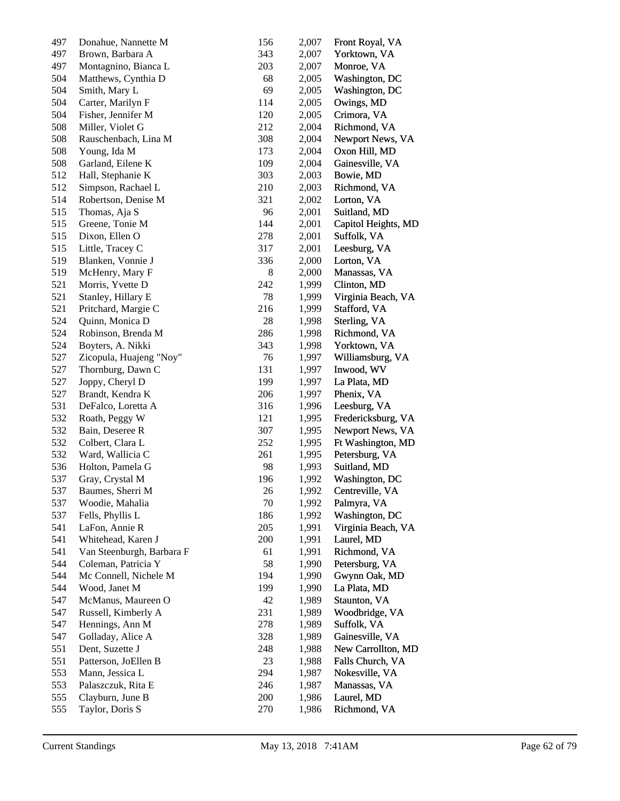| 497 | Donahue, Nannette M       | 156 | 2,007 | Front Royal, VA     |
|-----|---------------------------|-----|-------|---------------------|
| 497 | Brown, Barbara A          | 343 | 2,007 | Yorktown, VA        |
| 497 | Montagnino, Bianca L      | 203 | 2,007 | Monroe, VA          |
| 504 | Matthews, Cynthia D       | 68  | 2,005 | Washington, DC      |
| 504 | Smith, Mary L             | 69  | 2,005 | Washington, DC      |
| 504 | Carter, Marilyn F         | 114 | 2,005 | Owings, MD          |
| 504 | Fisher, Jennifer M        | 120 | 2,005 | Crimora, VA         |
| 508 | Miller, Violet G          | 212 | 2,004 | Richmond, VA        |
| 508 | Rauschenbach, Lina M      | 308 | 2,004 | Newport News, VA    |
| 508 | Young, Ida M              | 173 | 2,004 | Oxon Hill, MD       |
| 508 | Garland, Eilene K         | 109 | 2,004 | Gainesville, VA     |
| 512 | Hall, Stephanie K         | 303 | 2,003 | Bowie, MD           |
| 512 | Simpson, Rachael L        | 210 | 2,003 | Richmond, VA        |
| 514 | Robertson, Denise M       | 321 | 2,002 | Lorton, VA          |
| 515 | Thomas, Aja S             | 96  | 2,001 | Suitland, MD        |
| 515 | Greene, Tonie M           | 144 | 2,001 | Capitol Heights, MD |
| 515 | Dixon, Ellen O            | 278 | 2,001 | Suffolk, VA         |
| 515 | Little, Tracey C          | 317 | 2,001 | Leesburg, VA        |
| 519 | Blanken, Vonnie J         | 336 | 2,000 | Lorton, VA          |
| 519 | McHenry, Mary F           | 8   | 2,000 | Manassas, VA        |
| 521 | Morris, Yvette D          | 242 | 1,999 | Clinton, MD         |
| 521 | Stanley, Hillary E        | 78  | 1,999 | Virginia Beach, VA  |
| 521 | Pritchard, Margie C       | 216 | 1,999 | Stafford, VA        |
| 524 | Quinn, Monica D           | 28  | 1,998 | Sterling, VA        |
| 524 | Robinson, Brenda M        | 286 | 1,998 | Richmond, VA        |
| 524 | Boyters, A. Nikki         | 343 | 1,998 | Yorktown, VA        |
| 527 | Zicopula, Huajeng "Noy"   | 76  | 1,997 | Williamsburg, VA    |
| 527 | Thornburg, Dawn C         | 131 | 1,997 | Inwood, WV          |
| 527 | Joppy, Cheryl D           | 199 | 1,997 | La Plata, MD        |
| 527 | Brandt, Kendra K          | 206 | 1,997 | Phenix, VA          |
| 531 | DeFalco, Loretta A        | 316 | 1,996 | Leesburg, VA        |
| 532 | Roath, Peggy W            | 121 | 1,995 | Fredericksburg, VA  |
| 532 | Bain, Deseree R           | 307 | 1,995 | Newport News, VA    |
| 532 | Colbert, Clara L          | 252 | 1,995 | Ft Washington, MD   |
| 532 | Ward, Wallicia C          | 261 | 1,995 | Petersburg, VA      |
| 536 | Holton, Pamela G          | 98  | 1,993 | Suitland, MD        |
| 537 | Gray, Crystal M           | 196 | 1,992 | Washington, DC      |
| 537 | Baumes, Sherri M          | 26  | 1,992 | Centreville, VA     |
| 537 | Woodie, Mahalia           | 70  | 1,992 | Palmyra, VA         |
| 537 | Fells, Phyllis L          | 186 | 1,992 | Washington, DC      |
| 541 | LaFon, Annie R            | 205 | 1,991 | Virginia Beach, VA  |
| 541 | Whitehead, Karen J        | 200 | 1,991 | Laurel, MD          |
| 541 | Van Steenburgh, Barbara F | 61  | 1,991 | Richmond, VA        |
| 544 | Coleman, Patricia Y       | 58  | 1,990 | Petersburg, VA      |
| 544 | Mc Connell, Nichele M     | 194 | 1,990 | Gwynn Oak, MD       |
| 544 | Wood, Janet M             | 199 | 1,990 | La Plata, MD        |
| 547 | McManus, Maureen O        | 42  | 1,989 | Staunton, VA        |
| 547 | Russell, Kimberly A       | 231 | 1,989 | Woodbridge, VA      |
| 547 | Hennings, Ann M           | 278 | 1,989 | Suffolk, VA         |
| 547 | Golladay, Alice A         | 328 | 1,989 | Gainesville, VA     |
| 551 | Dent, Suzette J           | 248 | 1,988 | New Carrollton, MD  |
| 551 | Patterson, JoEllen B      | 23  | 1,988 | Falls Church, VA    |
| 553 | Mann, Jessica L           | 294 | 1,987 | Nokesville, VA      |
| 553 | Palaszczuk, Rita E        | 246 | 1,987 | Manassas, VA        |
| 555 | Clayburn, June B          | 200 | 1,986 | Laurel, MD          |
| 555 | Taylor, Doris S           | 270 | 1,986 | Richmond, VA        |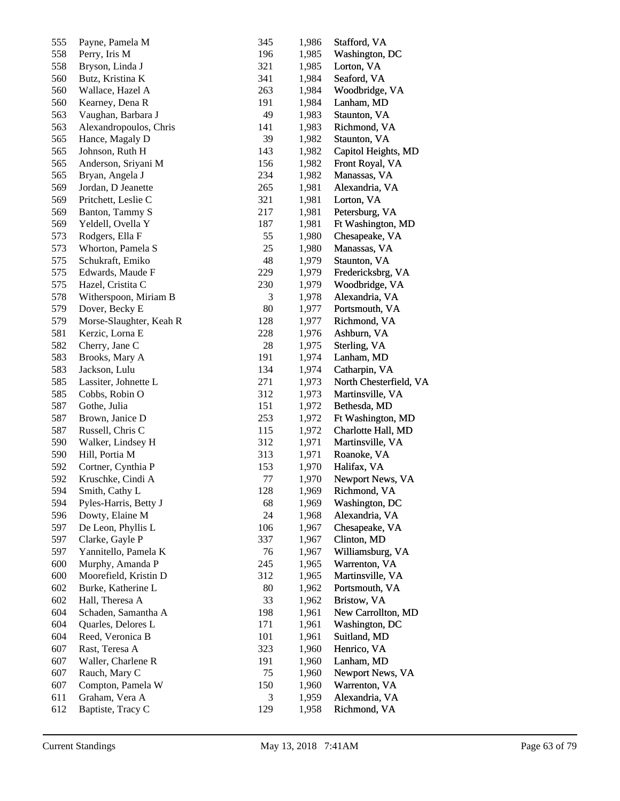| 555        | Payne, Pamela M                   | 345 | 1,986          | Stafford, VA                            |
|------------|-----------------------------------|-----|----------------|-----------------------------------------|
| 558        | Perry, Iris M                     | 196 | 1,985          | Washington, DC                          |
| 558        | Bryson, Linda J                   | 321 | 1,985          | Lorton, VA                              |
| 560        | Butz, Kristina K                  | 341 | 1,984          | Seaford, VA                             |
| 560        | Wallace, Hazel A                  | 263 | 1,984          | Woodbridge, VA                          |
| 560        | Kearney, Dena R                   | 191 | 1,984          | Lanham, MD                              |
| 563        | Vaughan, Barbara J                | 49  | 1,983          | Staunton, VA                            |
| 563        | Alexandropoulos, Chris            | 141 | 1,983          | Richmond, VA                            |
| 565        | Hance, Magaly D                   | 39  | 1,982          | Staunton, VA                            |
| 565        | Johnson, Ruth H                   | 143 | 1,982          | Capitol Heights, MD                     |
| 565        | Anderson, Sriyani M               | 156 | 1,982          | Front Royal, VA                         |
| 565        | Bryan, Angela J                   | 234 | 1,982          | Manassas, VA                            |
| 569        | Jordan, D Jeanette                | 265 | 1,981          | Alexandria, VA                          |
| 569        | Pritchett, Leslie C               | 321 | 1,981          | Lorton, VA                              |
| 569        | Banton, Tammy S                   | 217 | 1,981          | Petersburg, VA                          |
| 569        | Yeldell, Ovella Y                 | 187 | 1,981          | Ft Washington, MD                       |
| 573        | Rodgers, Ella F                   | 55  | 1,980          | Chesapeake, VA                          |
| 573        | Whorton, Pamela S                 | 25  | 1,980          | Manassas, VA                            |
| 575        | Schukraft, Emiko                  | 48  | 1,979          | Staunton, VA                            |
| 575        | Edwards, Maude F                  | 229 | 1,979          | Fredericksbrg, VA                       |
| 575        | Hazel, Cristita C                 | 230 | 1,979          | Woodbridge, VA                          |
| 578        | Witherspoon, Miriam B             | 3   | 1,978          | Alexandria, VA                          |
| 579        | Dover, Becky E                    | 80  | 1,977          | Portsmouth, VA                          |
|            |                                   | 128 |                |                                         |
| 579<br>581 | Morse-Slaughter, Keah R           | 228 | 1,977          | Richmond, VA                            |
| 582        | Kerzic, Lorna E<br>Cherry, Jane C | 28  | 1,976<br>1,975 | Ashburn, VA<br>Sterling, VA             |
| 583        | Brooks, Mary A                    | 191 | 1,974          | Lanham, MD                              |
| 583        | Jackson, Lulu                     | 134 | 1,974          | Catharpin, VA                           |
|            |                                   | 271 |                |                                         |
| 585        | Lassiter, Johnette L              | 312 | 1,973          | North Chesterfield, VA                  |
| 585<br>587 | Cobbs, Robin O<br>Gothe, Julia    | 151 | 1,973<br>1,972 | Martinsville, VA<br>Bethesda, MD        |
| 587        | Brown, Janice D                   | 253 | 1,972          |                                         |
|            |                                   | 115 |                | Ft Washington, MD<br>Charlotte Hall, MD |
| 587        | Russell, Chris C                  |     | 1,972          |                                         |
| 590        | Walker, Lindsey H                 | 312 | 1,971          | Martinsville, VA                        |
| 590        | Hill, Portia M                    | 313 | 1,971          | Roanoke, VA                             |
| 592        | Cortner, Cynthia P                | 153 | 1,970          | Halifax, VA                             |
| 592        | Kruschke, Cindi A                 | 77  | 1,970          | Newport News, VA                        |
| 594        | Smith, Cathy L                    | 128 | 1,969          | Richmond, VA                            |
| 594        | Pyles-Harris, Betty J             | 68  | 1,969          | Washington, DC                          |
| 596        | Dowty, Elaine M                   | 24  | 1,968          | Alexandria, VA                          |
| 597        | De Leon, Phyllis L                | 106 | 1,967          | Chesapeake, VA                          |
| 597        | Clarke, Gayle P                   | 337 | 1,967          | Clinton, MD                             |
| 597        | Yannitello, Pamela K              | 76  | 1,967          | Williamsburg, VA                        |
| 600        | Murphy, Amanda P                  | 245 | 1,965          | Warrenton, VA                           |
| 600        | Moorefield, Kristin D             | 312 | 1,965          | Martinsville, VA                        |
| 602        | Burke, Katherine L                | 80  | 1,962          | Portsmouth, VA                          |
| 602        | Hall, Theresa A                   | 33  | 1,962          | Bristow, VA                             |
| 604        | Schaden, Samantha A               | 198 | 1,961          | New Carrollton, MD                      |
| 604        | Quarles, Delores L                | 171 | 1,961          | Washington, DC                          |
| 604        | Reed, Veronica B                  | 101 | 1,961          | Suitland, MD                            |
| 607        | Rast, Teresa A                    | 323 | 1,960          | Henrico, VA                             |
| 607        | Waller, Charlene R                | 191 | 1,960          | Lanham, MD                              |
| 607        | Rauch, Mary C                     | 75  | 1,960          | Newport News, VA                        |
| 607        | Compton, Pamela W                 | 150 | 1,960          | Warrenton, VA                           |
| 611        | Graham, Vera A                    | 3   | 1,959          | Alexandria, VA                          |
| 612        | Baptiste, Tracy C                 | 129 | 1,958          | Richmond, VA                            |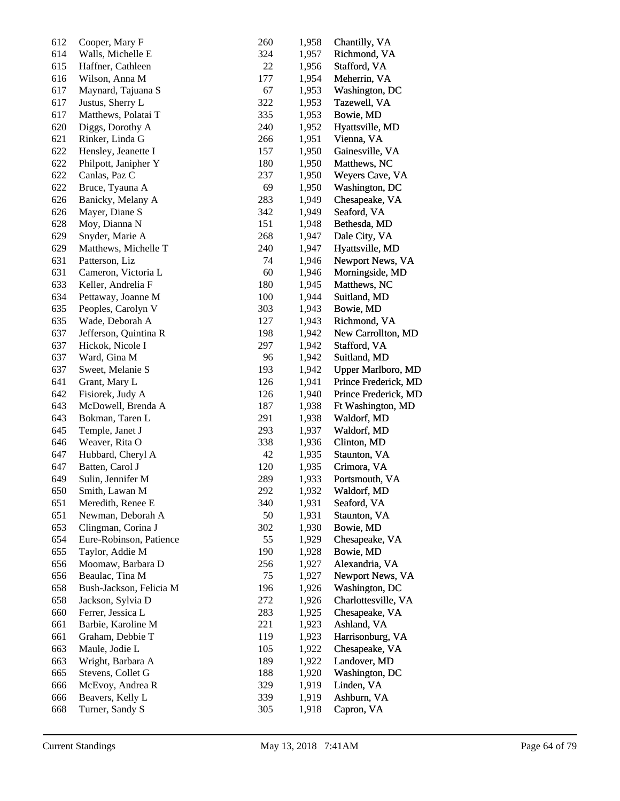| 612 | Cooper, Mary F          | 260 | 1,958 | Chantilly, VA             |
|-----|-------------------------|-----|-------|---------------------------|
| 614 | Walls, Michelle E       | 324 | 1,957 | Richmond, VA              |
| 615 | Haffner, Cathleen       | 22  | 1,956 | Stafford, VA              |
| 616 | Wilson, Anna M          | 177 | 1,954 | Meherrin, VA              |
| 617 | Maynard, Tajuana S      | 67  | 1,953 | Washington, DC            |
| 617 | Justus, Sherry L        | 322 | 1,953 | Tazewell, VA              |
| 617 | Matthews, Polatai T     | 335 | 1,953 | Bowie, MD                 |
| 620 | Diggs, Dorothy A        | 240 | 1,952 | Hyattsville, MD           |
| 621 | Rinker, Linda G         | 266 | 1,951 | Vienna, VA                |
| 622 | Hensley, Jeanette I     | 157 | 1,950 | Gainesville, VA           |
| 622 | Philpott, Janipher Y    | 180 | 1,950 | Matthews, NC              |
| 622 | Canlas, Paz C           | 237 | 1,950 | Weyers Cave, VA           |
| 622 | Bruce, Tyauna A         | 69  | 1,950 | Washington, DC            |
| 626 | Banicky, Melany A       | 283 | 1,949 | Chesapeake, VA            |
| 626 | Mayer, Diane S          | 342 | 1,949 | Seaford, VA               |
| 628 | Moy, Dianna N           | 151 | 1,948 | Bethesda, MD              |
| 629 | Snyder, Marie A         | 268 | 1,947 | Dale City, VA             |
| 629 | Matthews, Michelle T    | 240 | 1,947 | Hyattsville, MD           |
| 631 | Patterson, Liz          | 74  | 1,946 | Newport News, VA          |
| 631 | Cameron, Victoria L     | 60  | 1,946 | Morningside, MD           |
| 633 | Keller, Andrelia F      | 180 | 1,945 | Matthews, NC              |
| 634 | Pettaway, Joanne M      | 100 | 1,944 | Suitland, MD              |
| 635 | Peoples, Carolyn V      | 303 | 1,943 | Bowie, MD                 |
| 635 | Wade, Deborah A         | 127 | 1,943 | Richmond, VA              |
| 637 | Jefferson, Quintina R   | 198 | 1,942 | New Carrollton, MD        |
| 637 | Hickok, Nicole I        | 297 | 1,942 | Stafford, VA              |
| 637 | Ward, Gina M            | 96  | 1,942 | Suitland, MD              |
| 637 | Sweet, Melanie S        | 193 | 1,942 | <b>Upper Marlboro, MD</b> |
| 641 | Grant, Mary L           | 126 | 1,941 | Prince Frederick, MD      |
| 642 | Fisiorek, Judy A        | 126 | 1,940 | Prince Frederick, MD      |
| 643 | McDowell, Brenda A      | 187 | 1,938 | Ft Washington, MD         |
| 643 | Bokman, Taren L         | 291 | 1,938 | Waldorf, MD               |
| 645 | Temple, Janet J         | 293 | 1,937 | Waldorf, MD               |
| 646 | Weaver, Rita O          | 338 | 1,936 | Clinton, MD               |
| 647 | Hubbard, Cheryl A       | 42  | 1,935 | Staunton, VA              |
| 647 | Batten, Carol J         | 120 | 1,935 | Crimora, VA               |
| 649 | Sulin, Jennifer M       | 289 | 1,933 | Portsmouth, VA            |
| 650 | Smith, Lawan M          | 292 | 1,932 | Waldorf, MD               |
| 651 | Meredith, Renee E       | 340 | 1,931 | Seaford, VA               |
| 651 | Newman, Deborah A       | 50  | 1,931 | Staunton, VA              |
| 653 | Clingman, Corina J      | 302 | 1,930 | Bowie, MD                 |
| 654 | Eure-Robinson, Patience | 55  | 1,929 | Chesapeake, VA            |
| 655 | Taylor, Addie M         | 190 | 1,928 | Bowie, MD                 |
| 656 | Moomaw, Barbara D       | 256 | 1,927 | Alexandria, VA            |
| 656 | Beaulac, Tina M         | 75  | 1,927 | Newport News, VA          |
| 658 | Bush-Jackson, Felicia M | 196 | 1,926 | Washington, DC            |
| 658 | Jackson, Sylvia D       | 272 | 1,926 | Charlottesville, VA       |
| 660 | Ferrer, Jessica L       | 283 | 1,925 | Chesapeake, VA            |
| 661 | Barbie, Karoline M      | 221 | 1,923 | Ashland, VA               |
| 661 | Graham, Debbie T        | 119 | 1,923 | Harrisonburg, VA          |
| 663 | Maule, Jodie L          | 105 | 1,922 | Chesapeake, VA            |
| 663 | Wright, Barbara A       | 189 | 1,922 | Landover, MD              |
| 665 | Stevens, Collet G       | 188 | 1,920 | Washington, DC            |
| 666 | McEvoy, Andrea R        | 329 | 1,919 | Linden, VA                |
| 666 | Beavers, Kelly L        | 339 | 1,919 | Ashburn, VA               |
| 668 | Turner, Sandy S         | 305 | 1,918 | Capron, VA                |
|     |                         |     |       |                           |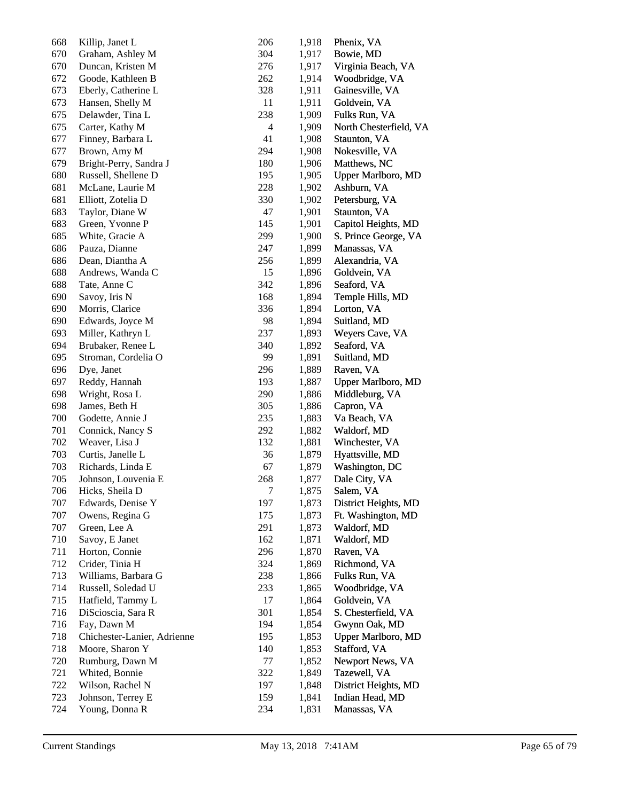| 668 | Killip, Janet L             | 206            | 1,918 | Phenix, VA                |
|-----|-----------------------------|----------------|-------|---------------------------|
| 670 | Graham, Ashley M            | 304            | 1,917 | Bowie, MD                 |
| 670 | Duncan, Kristen M           | 276            | 1,917 | Virginia Beach, VA        |
| 672 | Goode, Kathleen B           | 262            | 1,914 | Woodbridge, VA            |
| 673 | Eberly, Catherine L         | 328            | 1,911 | Gainesville, VA           |
| 673 | Hansen, Shelly M            | 11             | 1,911 | Goldvein, VA              |
| 675 | Delawder, Tina L            | 238            | 1,909 | Fulks Run, VA             |
| 675 | Carter, Kathy M             | 4              | 1,909 | North Chesterfield, VA    |
| 677 | Finney, Barbara L           | 41             | 1,908 | Staunton, VA              |
| 677 | Brown, Amy M                | 294            | 1,908 | Nokesville, VA            |
| 679 | Bright-Perry, Sandra J      | 180            | 1,906 | Matthews, NC              |
| 680 | Russell, Shellene D         | 195            | 1,905 | <b>Upper Marlboro, MD</b> |
| 681 | McLane, Laurie M            | 228            | 1,902 | Ashburn, VA               |
| 681 | Elliott, Zotelia D          | 330            | 1,902 | Petersburg, VA            |
| 683 | Taylor, Diane W             | 47             | 1,901 | Staunton, VA              |
| 683 | Green, Yvonne P             | 145            | 1,901 | Capitol Heights, MD       |
| 685 | White, Gracie A             | 299            | 1,900 | S. Prince George, VA      |
| 686 | Pauza, Dianne               | 247            | 1,899 | Manassas, VA              |
| 686 | Dean, Diantha A             | 256            | 1,899 | Alexandria, VA            |
| 688 | Andrews, Wanda C            | 15             | 1,896 | Goldvein, VA              |
| 688 | Tate, Anne C                | 342            | 1,896 | Seaford, VA               |
| 690 | Savoy, Iris N               | 168            | 1,894 | Temple Hills, MD          |
| 690 | Morris, Clarice             | 336            | 1,894 | Lorton, VA                |
| 690 | Edwards, Joyce M            | 98             | 1,894 | Suitland, MD              |
| 693 | Miller, Kathryn L           | 237            | 1,893 | Weyers Cave, VA           |
| 694 | Brubaker, Renee L           | 340            | 1,892 | Seaford, VA               |
| 695 | Stroman, Cordelia O         | 99             | 1,891 | Suitland, MD              |
| 696 | Dye, Janet                  | 296            | 1,889 | Raven, VA                 |
| 697 | Reddy, Hannah               | 193            | 1,887 | <b>Upper Marlboro, MD</b> |
| 698 | Wright, Rosa L              | 290            | 1,886 | Middleburg, VA            |
| 698 | James, Beth H               | 305            | 1,886 | Capron, VA                |
| 700 | Godette, Annie J            | 235            | 1,883 | Va Beach, VA              |
| 701 | Connick, Nancy S            | 292            | 1,882 | Waldorf, MD               |
| 702 | Weaver, Lisa J              | 132            | 1,881 | Winchester, VA            |
| 703 | Curtis, Janelle L           | 36             | 1,879 | Hyattsville, MD           |
| 703 | Richards, Linda E           | 67             | 1,879 | Washington, DC            |
| 705 | Johnson, Louvenia E         | 268            | 1,877 | Dale City, VA             |
| 706 | Hicks, Sheila D             | $\overline{7}$ | 1,875 | Salem, VA                 |
| 707 | Edwards, Denise Y           | 197            | 1,873 | District Heights, MD      |
| 707 | Owens, Regina G             | 175            | 1,873 | Ft. Washington, MD        |
| 707 | Green, Lee A                | 291            | 1,873 | Waldorf, MD               |
| 710 | Savoy, E Janet              | 162            | 1,871 | Waldorf, MD               |
| 711 | Horton, Connie              | 296            | 1,870 | Raven, VA                 |
| 712 | Crider, Tinia H             | 324            | 1,869 | Richmond, VA              |
| 713 | Williams, Barbara G         | 238            | 1,866 | Fulks Run, VA             |
| 714 | Russell, Soledad U          | 233            | 1,865 | Woodbridge, VA            |
| 715 | Hatfield, Tammy L           | 17             | 1,864 | Goldvein, VA              |
| 716 | DiScioscia, Sara R          | 301            | 1,854 | S. Chesterfield, VA       |
| 716 | Fay, Dawn M                 | 194            | 1,854 | Gwynn Oak, MD             |
| 718 | Chichester-Lanier, Adrienne | 195            | 1,853 | <b>Upper Marlboro, MD</b> |
| 718 | Moore, Sharon Y             | 140            | 1,853 | Stafford, VA              |
| 720 | Rumburg, Dawn M             | 77             | 1,852 | Newport News, VA          |
| 721 | Whited, Bonnie              | 322            | 1,849 | Tazewell, VA              |
| 722 | Wilson, Rachel N            | 197            | 1,848 | District Heights, MD      |
| 723 | Johnson, Terrey E           | 159            | 1,841 | Indian Head, MD           |
| 724 | Young, Donna R              | 234            | 1,831 | Manassas, VA              |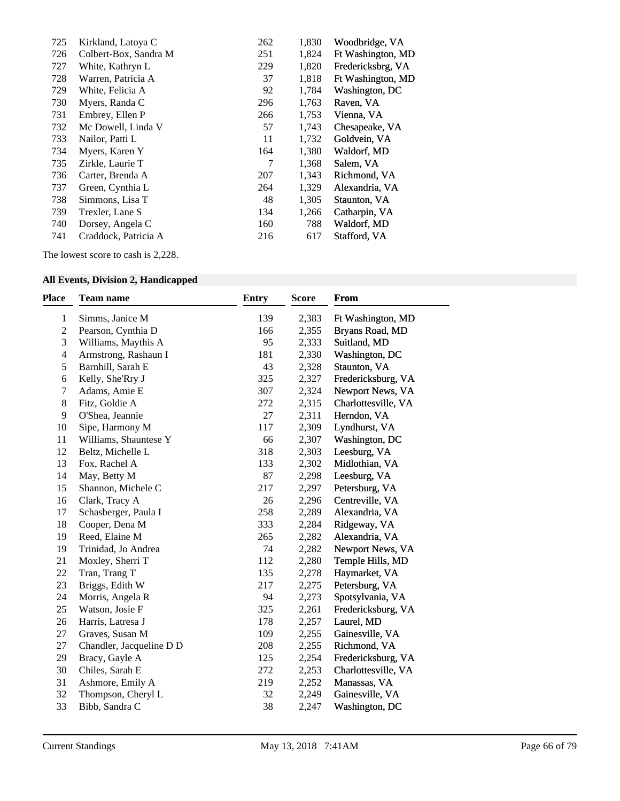| 725 | Kirkland, Latoya C    | 262 | 1,830 | Woodbridge, VA    |
|-----|-----------------------|-----|-------|-------------------|
| 726 | Colbert-Box, Sandra M | 251 | 1,824 | Ft Washington, MD |
| 727 | White, Kathryn L      | 229 | 1,820 | Fredericksbrg, VA |
| 728 | Warren, Patricia A    | 37  | 1,818 | Ft Washington, MD |
| 729 | White, Felicia A      | 92  | 1,784 | Washington, DC    |
| 730 | Myers, Randa C        | 296 | 1,763 | Raven, VA         |
| 731 | Embrey, Ellen P       | 266 | 1,753 | Vienna, VA        |
| 732 | Mc Dowell, Linda V    | 57  | 1,743 | Chesapeake, VA    |
| 733 | Nailor, Patti L       | 11  | 1,732 | Goldvein, VA      |
| 734 | Myers, Karen Y        | 164 | 1,380 | Waldorf, MD       |
| 735 | Zirkle, Laurie T      | 7   | 1,368 | Salem, VA         |
| 736 | Carter, Brenda A      | 207 | 1,343 | Richmond, VA      |
| 737 | Green, Cynthia L      | 264 | 1,329 | Alexandria, VA    |
| 738 | Simmons, Lisa T       | 48  | 1,305 | Staunton, VA      |
| 739 | Trexler, Lane S       | 134 | 1,266 | Catharpin, VA     |
| 740 | Dorsey, Angela C      | 160 | 788   | Waldorf, MD       |
| 741 | Craddock, Patricia A  | 216 | 617   | Stafford, VA      |
|     |                       |     |       |                   |

The lowest score to cash is 2,228.

## **All Events, Division 2, Handicapped**

| <b>Place</b>             | <b>Team name</b>         | <b>Entry</b> | <b>Score</b> | <b>From</b>         |
|--------------------------|--------------------------|--------------|--------------|---------------------|
| 1                        | Simms, Janice M          | 139          | 2,383        | Ft Washington, MD   |
| $\overline{c}$           | Pearson, Cynthia D       | 166          | 2,355        | Bryans Road, MD     |
| 3                        | Williams, Maythis A      | 95           | 2,333        | Suitland, MD        |
| $\overline{\mathcal{L}}$ | Armstrong, Rashaun I     | 181          | 2,330        | Washington, DC      |
| 5                        | Barnhill, Sarah E        | 43           | 2,328        | Staunton, VA        |
| 6                        | Kelly, She'Rry J         | 325          | 2,327        | Fredericksburg, VA  |
| 7                        | Adams, Amie E            | 307          | 2,324        | Newport News, VA    |
| 8                        | Fitz, Goldie A           | 272          | 2,315        | Charlottesville, VA |
| 9                        | O'Shea, Jeannie          | 27           | 2,311        | Herndon, VA         |
| 10                       | Sipe, Harmony M          | 117          | 2,309        | Lyndhurst, VA       |
| 11                       | Williams, Shauntese Y    | 66           | 2,307        | Washington, DC      |
| 12                       | Beltz, Michelle L        | 318          | 2,303        | Leesburg, VA        |
| 13                       | Fox, Rachel A            | 133          | 2,302        | Midlothian, VA      |
| 14                       | May, Betty M             | 87           | 2,298        | Leesburg, VA        |
| 15                       | Shannon, Michele C       | 217          | 2,297        | Petersburg, VA      |
| 16                       | Clark, Tracy A           | 26           | 2,296        | Centreville, VA     |
| 17                       | Schasberger, Paula I     | 258          | 2,289        | Alexandria, VA      |
| 18                       | Cooper, Dena M           | 333          | 2,284        | Ridgeway, VA        |
| 19                       | Reed, Elaine M           | 265          | 2,282        | Alexandria, VA      |
| 19                       | Trinidad, Jo Andrea      | 74           | 2,282        | Newport News, VA    |
| 21                       | Moxley, Sherri T         | 112          | 2,280        | Temple Hills, MD    |
| 22                       | Tran, Trang T            | 135          | 2,278        | Haymarket, VA       |
| 23                       | Briggs, Edith W          | 217          | 2,275        | Petersburg, VA      |
| 24                       | Morris, Angela R         | 94           | 2,273        | Spotsylvania, VA    |
| 25                       | Watson, Josie F          | 325          | 2,261        | Fredericksburg, VA  |
| 26                       | Harris, Latresa J        | 178          | 2,257        | Laurel, MD          |
| 27                       | Graves, Susan M          | 109          | 2,255        | Gainesville, VA     |
| 27                       | Chandler, Jacqueline D D | 208          | 2,255        | Richmond, VA        |
| 29                       | Bracy, Gayle A           | 125          | 2,254        | Fredericksburg, VA  |
| 30                       | Chiles, Sarah E          | 272          | 2,253        | Charlottesville, VA |
| 31                       | Ashmore, Emily A         | 219          | 2,252        | Manassas, VA        |
| 32                       | Thompson, Cheryl L       | 32           | 2,249        | Gainesville, VA     |
| 33                       | Bibb, Sandra C           | 38           | 2,247        | Washington, DC      |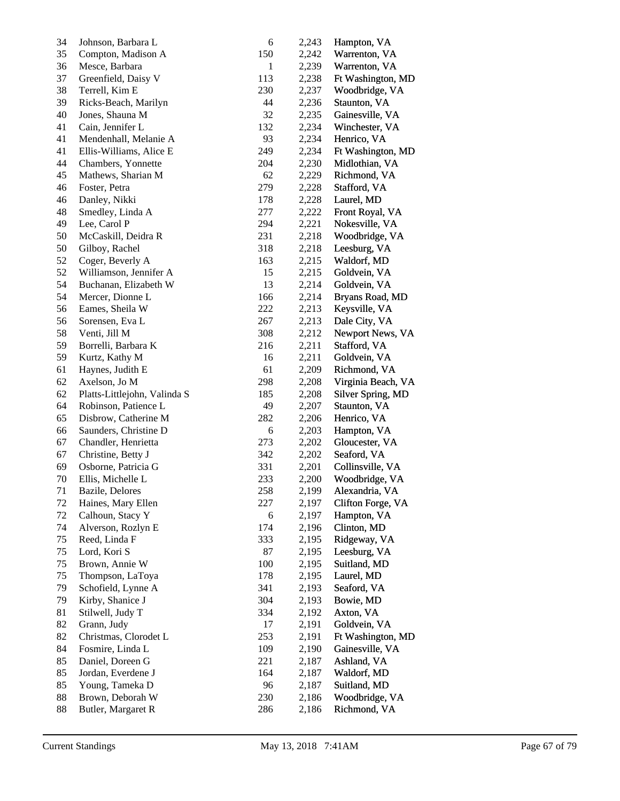| 34 | Johnson, Barbara L           | 6            | 2,243 | Hampton, VA        |
|----|------------------------------|--------------|-------|--------------------|
| 35 | Compton, Madison A           | 150          | 2,242 | Warrenton, VA      |
| 36 | Mesce, Barbara               | $\mathbf{1}$ | 2,239 | Warrenton, VA      |
| 37 | Greenfield, Daisy V          | 113          | 2,238 | Ft Washington, MD  |
| 38 | Terrell, Kim E               | 230          | 2,237 | Woodbridge, VA     |
| 39 | Ricks-Beach, Marilyn         | 44           | 2,236 | Staunton, VA       |
| 40 | Jones, Shauna M              | 32           | 2,235 | Gainesville, VA    |
| 41 | Cain, Jennifer L             | 132          | 2,234 | Winchester, VA     |
| 41 | Mendenhall, Melanie A        | 93           | 2,234 | Henrico, VA        |
| 41 | Ellis-Williams, Alice E      | 249          | 2,234 | Ft Washington, MD  |
| 44 | Chambers, Yonnette           | 204          | 2,230 | Midlothian, VA     |
| 45 | Mathews, Sharian M           | 62           | 2,229 | Richmond, VA       |
| 46 | Foster, Petra                | 279          | 2,228 | Stafford, VA       |
| 46 | Danley, Nikki                | 178          | 2,228 | Laurel, MD         |
| 48 | Smedley, Linda A             | 277          | 2,222 | Front Royal, VA    |
| 49 | Lee, Carol P                 | 294          | 2,221 | Nokesville, VA     |
| 50 | McCaskill, Deidra R          | 231          | 2,218 | Woodbridge, VA     |
| 50 | Gilboy, Rachel               | 318          | 2,218 | Leesburg, VA       |
| 52 | Coger, Beverly A             | 163          | 2,215 | Waldorf, MD        |
| 52 | Williamson, Jennifer A       | 15           | 2,215 | Goldvein, VA       |
| 54 | Buchanan, Elizabeth W        | 13           | 2,214 | Goldvein, VA       |
| 54 | Mercer, Dionne L             | 166          | 2,214 | Bryans Road, MD    |
| 56 | Eames, Sheila W              | 222          | 2,213 | Keysville, VA      |
| 56 | Sorensen, Eva L              | 267          | 2,213 | Dale City, VA      |
| 58 | Venti, Jill M                | 308          | 2,212 | Newport News, VA   |
| 59 | Borrelli, Barbara K          | 216          | 2,211 | Stafford, VA       |
| 59 | Kurtz, Kathy M               | 16           | 2,211 | Goldvein, VA       |
| 61 | Haynes, Judith E             | 61           | 2,209 | Richmond, VA       |
| 62 | Axelson, Jo M                | 298          | 2,208 | Virginia Beach, VA |
| 62 | Platts-Littlejohn, Valinda S | 185          | 2,208 | Silver Spring, MD  |
| 64 | Robinson, Patience L         | 49           | 2,207 | Staunton, VA       |
| 65 | Disbrow, Catherine M         | 282          | 2,206 | Henrico, VA        |
| 66 | Saunders, Christine D        | 6            | 2,203 | Hampton, VA        |
| 67 | Chandler, Henrietta          | 273          | 2,202 | Gloucester, VA     |
| 67 | Christine, Betty J           | 342          | 2,202 | Seaford, VA        |
| 69 | Osborne, Patricia G          | 331          | 2,201 | Collinsville, VA   |
| 70 | Ellis, Michelle L            | 233          | 2,200 | Woodbridge, VA     |
| 71 | Bazile, Delores              | 258          | 2,199 | Alexandria, VA     |
| 72 | Haines, Mary Ellen           | 227          | 2,197 | Clifton Forge, VA  |
| 72 | Calhoun, Stacy Y             | 6            | 2,197 | Hampton, VA        |
| 74 | Alverson, Rozlyn E           | 174          | 2,196 | Clinton, MD        |
| 75 | Reed, Linda F                | 333          | 2,195 | Ridgeway, VA       |
| 75 | Lord, Kori S                 | 87           | 2,195 | Leesburg, VA       |
| 75 | Brown, Annie W               | 100          | 2,195 | Suitland, MD       |
| 75 | Thompson, LaToya             | 178          | 2,195 | Laurel, MD         |
| 79 | Schofield, Lynne A           | 341          | 2,193 | Seaford, VA        |
| 79 | Kirby, Shanice J             | 304          | 2,193 | Bowie, MD          |
| 81 | Stilwell, Judy T             | 334          | 2,192 | Axton, VA          |
| 82 | Grann, Judy                  | 17           | 2,191 | Goldvein, VA       |
| 82 | Christmas, Clorodet L        | 253          | 2,191 | Ft Washington, MD  |
| 84 | Fosmire, Linda L             | 109          | 2,190 | Gainesville, VA    |
| 85 | Daniel, Doreen G             | 221          | 2,187 | Ashland, VA        |
| 85 | Jordan, Everdene J           | 164          | 2,187 | Waldorf, MD        |
| 85 | Young, Tameka D              | 96           | 2,187 | Suitland, MD       |
| 88 | Brown, Deborah W             | 230          | 2,186 | Woodbridge, VA     |
| 88 | Butler, Margaret R           | 286          | 2,186 | Richmond, VA       |
|    |                              |              |       |                    |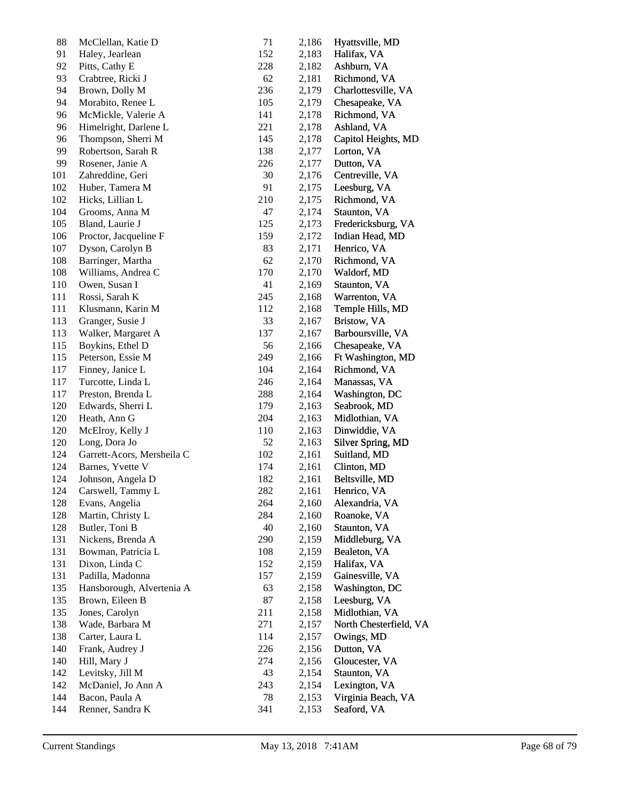| 88  | McClellan, Katie D         | 71  | 2,186 | Hyattsville, MD        |
|-----|----------------------------|-----|-------|------------------------|
| 91  | Haley, Jearlean            | 152 | 2,183 | Halifax, VA            |
| 92  | Pitts, Cathy E             | 228 | 2,182 | Ashburn, VA            |
| 93  | Crabtree, Ricki J          | 62  | 2,181 | Richmond, VA           |
| 94  | Brown, Dolly M             | 236 | 2,179 | Charlottesville, VA    |
| 94  | Morabito, Renee L          | 105 | 2,179 | Chesapeake, VA         |
| 96  | McMickle, Valerie A        | 141 | 2,178 | Richmond, VA           |
| 96  | Himelright, Darlene L      | 221 | 2,178 | Ashland, VA            |
| 96  | Thompson, Sherri M         | 145 | 2,178 | Capitol Heights, MD    |
| 99  | Robertson, Sarah R         | 138 | 2,177 | Lorton, VA             |
| 99  | Rosener, Janie A           | 226 | 2,177 | Dutton, VA             |
| 101 | Zahreddine, Geri           | 30  | 2,176 | Centreville, VA        |
| 102 | Huber, Tamera M            | 91  | 2,175 | Leesburg, VA           |
| 102 | Hicks, Lillian L           | 210 | 2,175 | Richmond, VA           |
| 104 | Grooms, Anna M             | 47  | 2,174 | Staunton, VA           |
| 105 | Bland, Laurie J            | 125 | 2,173 | Fredericksburg, VA     |
| 106 | Proctor, Jacqueline F      | 159 | 2,172 | Indian Head, MD        |
| 107 | Dyson, Carolyn B           | 83  | 2,171 | Henrico, VA            |
| 108 | Barringer, Martha          | 62  | 2,170 | Richmond, VA           |
| 108 | Williams, Andrea C         | 170 | 2,170 | Waldorf, MD            |
| 110 | Owen, Susan I              | 41  | 2,169 | Staunton, VA           |
| 111 | Rossi, Sarah K             | 245 | 2,168 | Warrenton, VA          |
| 111 | Klusmann, Karin M          | 112 | 2,168 | Temple Hills, MD       |
| 113 | Granger, Susie J           | 33  | 2,167 | Bristow, VA            |
| 113 | Walker, Margaret A         | 137 | 2,167 | Barboursville, VA      |
| 115 | Boykins, Ethel D           | 56  | 2,166 | Chesapeake, VA         |
| 115 | Peterson, Essie M          | 249 | 2,166 | Ft Washington, MD      |
| 117 | Finney, Janice L           | 104 | 2,164 | Richmond, VA           |
| 117 | Turcotte, Linda L          | 246 | 2,164 | Manassas, VA           |
| 117 | Preston, Brenda L          | 288 | 2,164 | Washington, DC         |
| 120 | Edwards, Sherri L          | 179 | 2,163 | Seabrook, MD           |
| 120 | Heath, Ann G               | 204 | 2,163 | Midlothian, VA         |
| 120 | McElroy, Kelly J           | 110 | 2,163 | Dinwiddie, VA          |
| 120 | Long, Dora Jo              | 52  | 2,163 | Silver Spring, MD      |
| 124 | Garrett-Acors, Mersheila C | 102 | 2,161 | Suitland, MD           |
| 124 | Barnes, Yvette V           | 174 | 2,161 | Clinton, MD            |
| 124 | Johnson, Angela D          | 182 | 2,161 | Beltsville, MD         |
| 124 | Carswell, Tammy L          | 282 | 2,161 | Henrico, VA            |
| 128 | Evans, Angelia             | 264 | 2,160 | Alexandria, VA         |
| 128 | Martin, Christy L          | 284 | 2,160 | Roanoke, VA            |
| 128 | Butler, Toni B             | 40  | 2,160 | Staunton, VA           |
| 131 | Nickens, Brenda A          | 290 | 2,159 | Middleburg, VA         |
| 131 | Bowman, Patricia L         | 108 | 2,159 | Bealeton, VA           |
| 131 | Dixon, Linda C             | 152 | 2,159 | Halifax, VA            |
| 131 | Padilla, Madonna           | 157 | 2,159 | Gainesville, VA        |
| 135 | Hansborough, Alvertenia A  | 63  | 2,158 | Washington, DC         |
| 135 | Brown, Eileen B            | 87  | 2,158 | Leesburg, VA           |
| 135 | Jones, Carolyn             | 211 | 2,158 | Midlothian, VA         |
| 138 | Wade, Barbara M            | 271 | 2,157 | North Chesterfield, VA |
| 138 | Carter, Laura L            | 114 | 2,157 | Owings, MD             |
| 140 | Frank, Audrey J            | 226 | 2,156 | Dutton, VA             |
| 140 | Hill, Mary J               | 274 | 2,156 | Gloucester, VA         |
| 142 | Levitsky, Jill M           | 43  | 2,154 | Staunton, VA           |
| 142 | McDaniel, Jo Ann A         | 243 | 2,154 | Lexington, VA          |
| 144 | Bacon, Paula A             | 78  | 2,153 | Virginia Beach, VA     |
| 144 | Renner, Sandra K           | 341 |       | Seaford, VA            |
|     |                            |     | 2,153 |                        |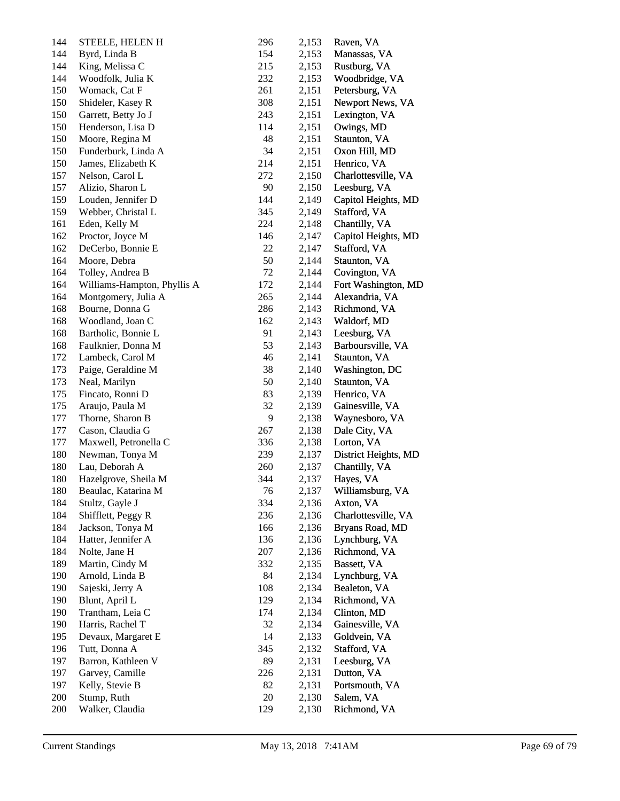| 144 | STEELE, HELEN H             | 296 | 2,153 | Raven, VA            |
|-----|-----------------------------|-----|-------|----------------------|
| 144 | Byrd, Linda B               | 154 | 2,153 | Manassas, VA         |
| 144 | King, Melissa C             | 215 | 2,153 | Rustburg, VA         |
| 144 | Woodfolk, Julia K           | 232 | 2,153 | Woodbridge, VA       |
| 150 | Womack, Cat F               | 261 | 2,151 | Petersburg, VA       |
| 150 | Shideler, Kasey R           | 308 | 2,151 | Newport News, VA     |
| 150 | Garrett, Betty Jo J         | 243 | 2,151 | Lexington, VA        |
| 150 | Henderson, Lisa D           | 114 | 2,151 | Owings, MD           |
| 150 | Moore, Regina M             | 48  | 2,151 | Staunton, VA         |
| 150 | Funderburk, Linda A         | 34  | 2,151 | Oxon Hill, MD        |
| 150 | James, Elizabeth K          | 214 | 2,151 | Henrico, VA          |
| 157 | Nelson, Carol L             | 272 | 2,150 | Charlottesville, VA  |
| 157 | Alizio, Sharon L            | 90  | 2,150 | Leesburg, VA         |
| 159 | Louden, Jennifer D          | 144 | 2,149 | Capitol Heights, MD  |
| 159 | Webber, Christal L          | 345 | 2,149 | Stafford, VA         |
| 161 | Eden, Kelly M               | 224 | 2,148 | Chantilly, VA        |
| 162 | Proctor, Joyce M            | 146 | 2,147 | Capitol Heights, MD  |
| 162 | DeCerbo, Bonnie E           | 22  | 2,147 | Stafford, VA         |
| 164 | Moore, Debra                | 50  | 2,144 | Staunton, VA         |
| 164 | Tolley, Andrea B            | 72  | 2,144 | Covington, VA        |
| 164 | Williams-Hampton, Phyllis A | 172 | 2,144 | Fort Washington, MD  |
| 164 | Montgomery, Julia A         | 265 | 2,144 | Alexandria, VA       |
| 168 | Bourne, Donna G             | 286 | 2,143 | Richmond, VA         |
| 168 | Woodland, Joan C            | 162 | 2,143 | Waldorf, MD          |
| 168 | Bartholic, Bonnie L         | 91  | 2,143 | Leesburg, VA         |
| 168 | Faulknier, Donna M          | 53  | 2,143 | Barboursville, VA    |
| 172 | Lambeck, Carol M            | 46  | 2,141 | Staunton, VA         |
| 173 | Paige, Geraldine M          | 38  | 2,140 | Washington, DC       |
| 173 | Neal, Marilyn               | 50  | 2,140 | Staunton, VA         |
| 175 | Fincato, Ronni D            | 83  | 2,139 | Henrico, VA          |
| 175 | Araujo, Paula M             | 32  | 2,139 | Gainesville, VA      |
| 177 | Thorne, Sharon B            | 9   | 2,138 | Waynesboro, VA       |
| 177 | Cason, Claudia G            | 267 | 2,138 | Dale City, VA        |
| 177 | Maxwell, Petronella C       | 336 | 2,138 | Lorton, VA           |
| 180 | Newman, Tonya M             | 239 | 2,137 | District Heights, MD |
| 180 | Lau, Deborah A              | 260 | 2,137 | Chantilly, VA        |
| 180 | Hazelgrove, Sheila M        | 344 | 2,137 | Hayes, VA            |
| 180 | Beaulac, Katarina M         | 76  | 2,137 | Williamsburg, VA     |
| 184 | Stultz, Gayle J             | 334 | 2,136 | Axton, VA            |
| 184 | Shifflett, Peggy R          | 236 | 2,136 | Charlottesville, VA  |
| 184 | Jackson, Tonya M            | 166 | 2,136 | Bryans Road, MD      |
| 184 | Hatter, Jennifer A          | 136 | 2,136 | Lynchburg, VA        |
| 184 | Nolte, Jane H               | 207 | 2,136 | Richmond, VA         |
| 189 | Martin, Cindy M             | 332 | 2,135 | Bassett, VA          |
| 190 | Arnold, Linda B             | 84  | 2,134 | Lynchburg, VA        |
| 190 | Sajeski, Jerry A            | 108 | 2,134 | Bealeton, VA         |
| 190 | Blunt, April L              | 129 | 2,134 | Richmond, VA         |
| 190 | Trantham, Leia C            | 174 | 2,134 | Clinton, MD          |
| 190 | Harris, Rachel T            | 32  | 2,134 | Gainesville, VA      |
| 195 | Devaux, Margaret E          | 14  | 2,133 | Goldvein, VA         |
| 196 | Tutt, Donna A               | 345 | 2,132 | Stafford, VA         |
| 197 | Barron, Kathleen V          | 89  | 2,131 | Leesburg, VA         |
| 197 | Garvey, Camille             | 226 | 2,131 | Dutton, VA           |
| 197 | Kelly, Stevie B             | 82  | 2,131 | Portsmouth, VA       |
| 200 | Stump, Ruth                 | 20  | 2,130 | Salem, VA            |
| 200 | Walker, Claudia             | 129 | 2,130 | Richmond, VA         |
|     |                             |     |       |                      |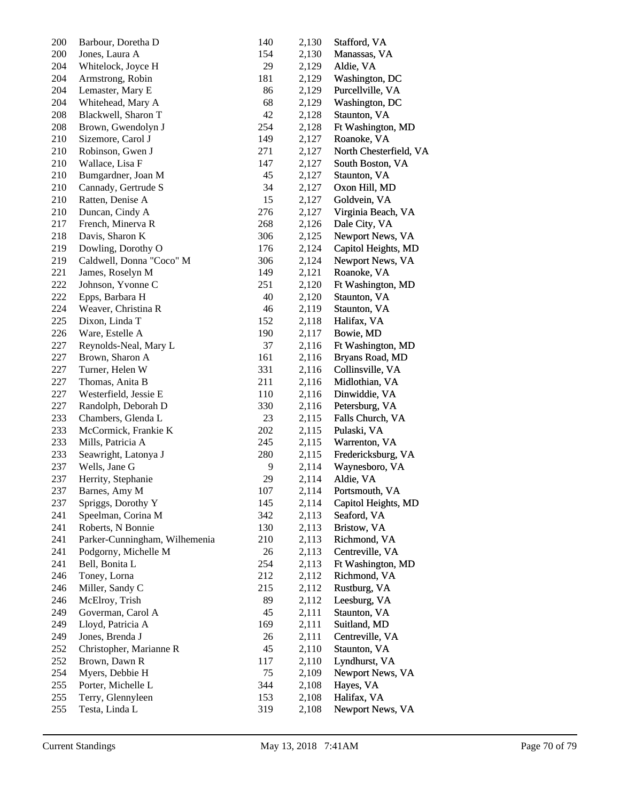| 200 | Barbour, Doretha D            | 140 | 2,130 | Stafford, VA           |
|-----|-------------------------------|-----|-------|------------------------|
| 200 | Jones, Laura A                | 154 | 2,130 | Manassas, VA           |
| 204 | Whitelock, Joyce H            | 29  | 2,129 | Aldie, VA              |
| 204 | Armstrong, Robin              | 181 | 2,129 | Washington, DC         |
| 204 | Lemaster, Mary E              | 86  | 2,129 | Purcellville, VA       |
| 204 | Whitehead, Mary A             | 68  | 2,129 | Washington, DC         |
| 208 | Blackwell, Sharon T           | 42  | 2,128 | Staunton, VA           |
| 208 | Brown, Gwendolyn J            | 254 | 2,128 | Ft Washington, MD      |
| 210 | Sizemore, Carol J             | 149 | 2,127 | Roanoke, VA            |
| 210 | Robinson, Gwen J              | 271 | 2,127 | North Chesterfield, VA |
| 210 | Wallace, Lisa F               | 147 | 2,127 | South Boston, VA       |
| 210 | Bumgardner, Joan M            | 45  | 2,127 | Staunton, VA           |
| 210 | Cannady, Gertrude S           | 34  | 2,127 | Oxon Hill, MD          |
| 210 | Ratten, Denise A              | 15  | 2,127 | Goldvein, VA           |
| 210 | Duncan, Cindy A               | 276 | 2,127 | Virginia Beach, VA     |
| 217 | French, Minerva R             | 268 | 2,126 | Dale City, VA          |
| 218 | Davis, Sharon K               | 306 | 2,125 | Newport News, VA       |
| 219 | Dowling, Dorothy O            | 176 | 2,124 | Capitol Heights, MD    |
| 219 | Caldwell, Donna "Coco" M      | 306 | 2,124 | Newport News, VA       |
| 221 | James, Roselyn M              | 149 | 2,121 | Roanoke, VA            |
| 222 | Johnson, Yvonne C             | 251 | 2,120 | Ft Washington, MD      |
| 222 | Epps, Barbara H               | 40  | 2,120 | Staunton, VA           |
| 224 | Weaver, Christina R           | 46  | 2,119 | Staunton, VA           |
| 225 | Dixon, Linda T                | 152 | 2,118 | Halifax, VA            |
| 226 | Ware, Estelle A               | 190 | 2,117 | Bowie, MD              |
| 227 | Reynolds-Neal, Mary L         | 37  | 2,116 | Ft Washington, MD      |
| 227 | Brown, Sharon A               | 161 | 2,116 | Bryans Road, MD        |
| 227 | Turner, Helen W               | 331 | 2,116 | Collinsville, VA       |
| 227 | Thomas, Anita B               | 211 | 2,116 | Midlothian, VA         |
| 227 | Westerfield, Jessie E         | 110 | 2,116 | Dinwiddie, VA          |
| 227 | Randolph, Deborah D           | 330 | 2,116 | Petersburg, VA         |
| 233 | Chambers, Glenda L            | 23  | 2,115 | Falls Church, VA       |
| 233 | McCormick, Frankie K          | 202 | 2,115 | Pulaski, VA            |
| 233 | Mills, Patricia A             | 245 | 2,115 | Warrenton, VA          |
| 233 | Seawright, Latonya J          | 280 | 2,115 | Fredericksburg, VA     |
| 237 | Wells, Jane G                 | 9   | 2,114 | Waynesboro, VA         |
| 237 | Herrity, Stephanie            | 29  | 2,114 | Aldie, VA              |
| 237 | Barnes, Amy M                 | 107 | 2,114 | Portsmouth, VA         |
| 237 | Spriggs, Dorothy Y            | 145 | 2,114 | Capitol Heights, MD    |
| 241 | Speelman, Corina M            | 342 | 2,113 | Seaford, VA            |
| 241 | Roberts, N Bonnie             | 130 | 2,113 | Bristow, VA            |
| 241 | Parker-Cunningham, Wilhemenia | 210 | 2,113 | Richmond, VA           |
| 241 | Podgorny, Michelle M          | 26  | 2,113 | Centreville, VA        |
| 241 | Bell, Bonita L                | 254 | 2,113 | Ft Washington, MD      |
| 246 | Toney, Lorna                  | 212 | 2,112 | Richmond, VA           |
| 246 | Miller, Sandy C               | 215 | 2,112 | Rustburg, VA           |
| 246 | McElroy, Trish                | 89  | 2,112 | Leesburg, VA           |
| 249 | Goverman, Carol A             | 45  | 2,111 | Staunton, VA           |
| 249 | Lloyd, Patricia A             | 169 | 2,111 | Suitland, MD           |
| 249 | Jones, Brenda J               | 26  | 2,111 | Centreville, VA        |
| 252 | Christopher, Marianne R       | 45  | 2,110 | Staunton, VA           |
| 252 | Brown, Dawn R                 | 117 | 2,110 | Lyndhurst, VA          |
| 254 | Myers, Debbie H               | 75  | 2,109 | Newport News, VA       |
| 255 | Porter, Michelle L            | 344 | 2,108 | Hayes, VA              |
| 255 | Terry, Glennyleen             | 153 | 2,108 | Halifax, VA            |
| 255 | Testa, Linda L                | 319 | 2,108 | Newport News, VA       |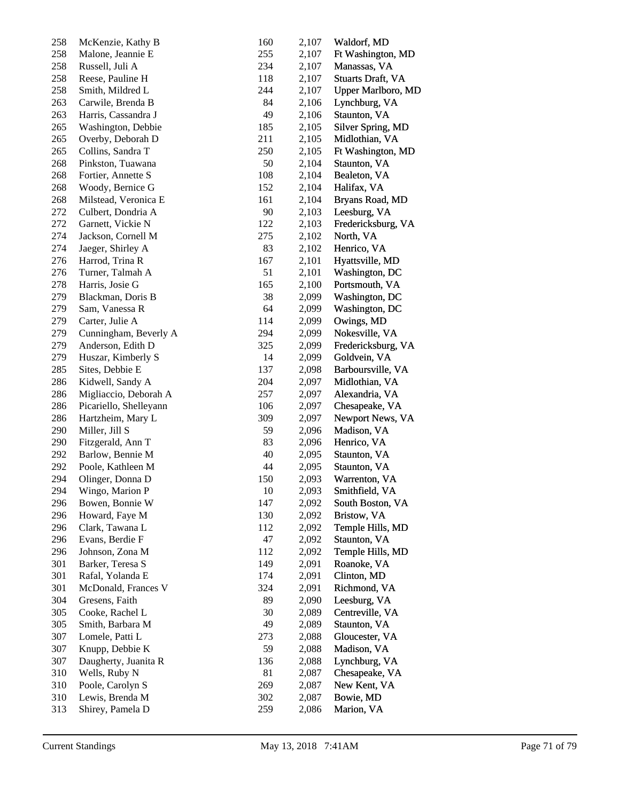| 258 | McKenzie, Kathy B      | 160 | 2,107 | Waldorf, MD               |
|-----|------------------------|-----|-------|---------------------------|
| 258 | Malone, Jeannie E      | 255 | 2,107 | Ft Washington, MD         |
| 258 | Russell, Juli A        | 234 | 2,107 | Manassas, VA              |
| 258 | Reese, Pauline H       | 118 | 2,107 | <b>Stuarts Draft, VA</b>  |
| 258 | Smith, Mildred L       | 244 | 2,107 | <b>Upper Marlboro, MD</b> |
| 263 | Carwile, Brenda B      | 84  | 2,106 | Lynchburg, VA             |
| 263 | Harris, Cassandra J    | 49  | 2,106 | Staunton, VA              |
| 265 | Washington, Debbie     | 185 | 2,105 | Silver Spring, MD         |
| 265 | Overby, Deborah D      | 211 | 2,105 | Midlothian, VA            |
| 265 | Collins, Sandra T      | 250 | 2,105 | Ft Washington, MD         |
| 268 | Pinkston, Tuawana      | 50  | 2,104 | Staunton, VA              |
| 268 | Fortier, Annette S     | 108 | 2,104 | Bealeton, VA              |
| 268 | Woody, Bernice G       | 152 | 2,104 | Halifax, VA               |
| 268 | Milstead, Veronica E   | 161 | 2,104 | Bryans Road, MD           |
| 272 | Culbert, Dondria A     | 90  | 2,103 | Leesburg, VA              |
| 272 | Garnett, Vickie N      | 122 | 2,103 | Fredericksburg, VA        |
| 274 | Jackson, Cornell M     | 275 | 2,102 | North, VA                 |
| 274 | Jaeger, Shirley A      | 83  | 2,102 | Henrico, VA               |
| 276 | Harrod, Trina R        | 167 | 2,101 | Hyattsville, MD           |
| 276 | Turner, Talmah A       | 51  | 2,101 | Washington, DC            |
| 278 | Harris, Josie G        | 165 | 2,100 | Portsmouth, VA            |
|     | Blackman, Doris B      | 38  |       |                           |
| 279 |                        |     | 2,099 | Washington, DC            |
| 279 | Sam, Vanessa R         | 64  | 2,099 | Washington, DC            |
| 279 | Carter, Julie A        | 114 | 2,099 | Owings, MD                |
| 279 | Cunningham, Beverly A  | 294 | 2,099 | Nokesville, VA            |
| 279 | Anderson, Edith D      | 325 | 2,099 | Fredericksburg, VA        |
| 279 | Huszar, Kimberly S     | 14  | 2,099 | Goldvein, VA              |
| 285 | Sites, Debbie E        | 137 | 2,098 | Barboursville, VA         |
| 286 | Kidwell, Sandy A       | 204 | 2,097 | Midlothian, VA            |
| 286 | Migliaccio, Deborah A  | 257 | 2,097 | Alexandria, VA            |
| 286 | Picariello, Shelleyann | 106 | 2,097 | Chesapeake, VA            |
| 286 | Hartzheim, Mary L      | 309 | 2,097 | Newport News, VA          |
| 290 | Miller, Jill S         | 59  | 2,096 | Madison, VA               |
| 290 | Fitzgerald, Ann T      | 83  | 2,096 | Henrico, VA               |
| 292 | Barlow, Bennie M       | 40  | 2,095 | Staunton, VA              |
| 292 | Poole, Kathleen M      | 44  | 2,095 | Staunton, VA              |
| 294 | Olinger, Donna D       | 150 | 2,093 | Warrenton, VA             |
| 294 | Wingo, Marion P        | 10  | 2,093 | Smithfield, VA            |
| 296 | Bowen, Bonnie W        | 147 | 2,092 | South Boston, VA          |
| 296 | Howard, Faye M         | 130 | 2,092 | Bristow, VA               |
| 296 | Clark, Tawana L        | 112 | 2,092 | Temple Hills, MD          |
| 296 | Evans, Berdie F        | 47  | 2,092 | Staunton, VA              |
| 296 | Johnson, Zona M        | 112 | 2,092 | Temple Hills, MD          |
| 301 | Barker, Teresa S       | 149 | 2,091 | Roanoke, VA               |
| 301 | Rafal, Yolanda E       | 174 | 2,091 | Clinton, MD               |
| 301 | McDonald, Frances V    | 324 | 2,091 | Richmond, VA              |
| 304 | Gresens, Faith         | 89  | 2,090 | Leesburg, VA              |
| 305 | Cooke, Rachel L        | 30  | 2,089 | Centreville, VA           |
| 305 | Smith, Barbara M       | 49  | 2,089 | Staunton, VA              |
| 307 | Lomele, Patti L        | 273 | 2,088 | Gloucester, VA            |
| 307 | Knupp, Debbie K        | 59  | 2,088 | Madison, VA               |
| 307 | Daugherty, Juanita R   | 136 | 2,088 | Lynchburg, VA             |
| 310 | Wells, Ruby N          | 81  | 2,087 | Chesapeake, VA            |
| 310 | Poole, Carolyn S       | 269 | 2,087 | New Kent, VA              |
| 310 | Lewis, Brenda M        | 302 | 2,087 | Bowie, MD                 |
| 313 | Shirey, Pamela D       | 259 | 2,086 | Marion, VA                |
|     |                        |     |       |                           |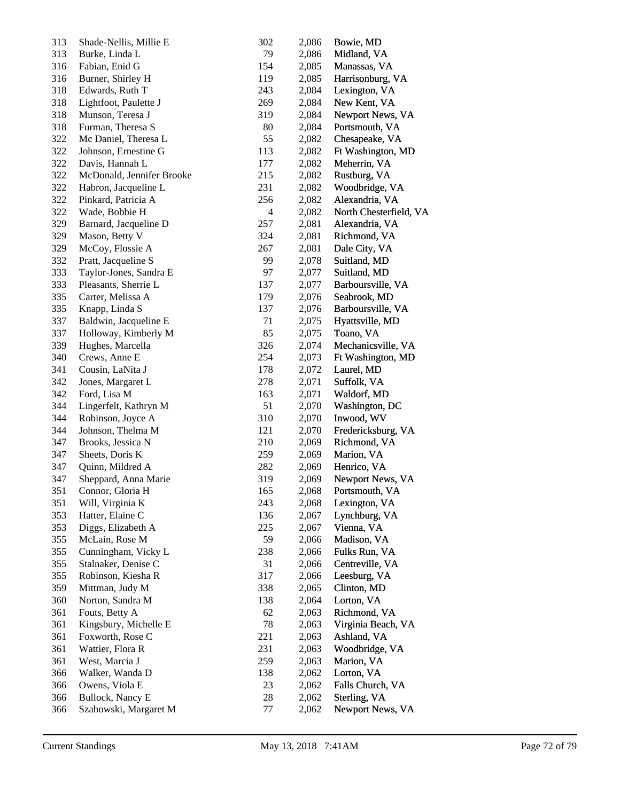| 313        | Shade-Nellis, Millie E               | 302            | 2,086          | Bowie, MD                      |
|------------|--------------------------------------|----------------|----------------|--------------------------------|
| 313        | Burke, Linda L                       | 79             | 2,086          | Midland, VA                    |
| 316        | Fabian, Enid G                       | 154            | 2,085          | Manassas, VA                   |
| 316        | Burner, Shirley H                    | 119            | 2,085          | Harrisonburg, VA               |
| 318        | Edwards, Ruth T                      | 243            | 2,084          | Lexington, VA                  |
| 318        | Lightfoot, Paulette J                | 269            | 2,084          | New Kent, VA                   |
| 318        | Munson, Teresa J                     | 319            | 2,084          | Newport News, VA               |
| 318        | Furman, Theresa S                    | 80             | 2,084          | Portsmouth, VA                 |
| 322        | Mc Daniel, Theresa L                 | 55             | 2,082          | Chesapeake, VA                 |
| 322        | Johnson, Ernestine G                 | 113            | 2,082          | Ft Washington, MD              |
| 322        | Davis, Hannah L                      | 177            | 2,082          | Meherrin, VA                   |
| 322        | McDonald, Jennifer Brooke            | 215            | 2,082          | Rustburg, VA                   |
| 322        | Habron, Jacqueline L                 | 231            | 2,082          | Woodbridge, VA                 |
| 322        | Pinkard, Patricia A                  | 256            | 2,082          | Alexandria, VA                 |
| 322        | Wade, Bobbie H                       | $\overline{4}$ | 2,082          | North Chesterfield, VA         |
| 329        | Barnard, Jacqueline D                | 257            | 2,081          | Alexandria, VA                 |
| 329        | Mason, Betty V                       | 324            | 2,081          | Richmond, VA                   |
| 329        | McCoy, Flossie A                     | 267            | 2,081          | Dale City, VA                  |
| 332        | Pratt, Jacqueline S                  | 99             | 2,078          | Suitland, MD                   |
| 333        | Taylor-Jones, Sandra E               | 97             | 2,077          | Suitland, MD                   |
| 333        | Pleasants, Sherrie L                 | 137            | 2,077          | Barboursville, VA              |
| 335        | Carter, Melissa A                    | 179            | 2,076          | Seabrook, MD                   |
| 335        | Knapp, Linda S                       | 137            | 2,076          | Barboursville, VA              |
| 337        | Baldwin, Jacqueline E                | 71             | 2,075          | Hyattsville, MD                |
| 337        | Holloway, Kimberly M                 | 85             | 2,075          | Toano, VA                      |
| 339        | Hughes, Marcella                     | 326            | 2,074          | Mechanicsville, VA             |
| 340        | Crews, Anne E                        | 254            | 2,073          | Ft Washington, MD              |
| 341        | Cousin, LaNita J                     | 178            | 2,072          | Laurel, MD                     |
| 342        | Jones, Margaret L                    | 278            | 2,071          | Suffolk, VA                    |
| 342        | Ford, Lisa M                         | 163            | 2,071          | Waldorf, MD                    |
| 344        | Lingerfelt, Kathryn M                | 51             | 2,070          | Washington, DC                 |
| 344        | Robinson, Joyce A                    | 310            | 2,070          | Inwood, WV                     |
| 344        | Johnson, Thelma M                    | 121            | 2,070          | Fredericksburg, VA             |
| 347        | Brooks, Jessica N                    | 210            | 2,069          | Richmond, VA                   |
| 347        | Sheets, Doris K                      | 259            |                | Marion, VA                     |
| 347        | Quinn, Mildred A                     | 282            | 2,069<br>2,069 | Henrico, VA                    |
| 347        | Sheppard, Anna Marie                 | 319            |                | Newport News, VA               |
| 351        | Connor, Gloria H                     |                | 2,069<br>2,068 | Portsmouth, VA                 |
|            | Will, Virginia K                     | 165            |                |                                |
| 351        | Hatter, Elaine C                     | 243            | 2,068          | Lexington, VA<br>Lynchburg, VA |
| 353<br>353 |                                      | 136            | 2,067          |                                |
|            | Diggs, Elizabeth A<br>McLain, Rose M | 225            | 2,067          | Vienna, VA                     |
| 355        |                                      | 59             | 2,066          | Madison, VA                    |
| 355        | Cunningham, Vicky L                  | 238            | 2,066          | Fulks Run, VA                  |
| 355        | Stalnaker, Denise C                  | 31             | 2,066          | Centreville, VA                |
| 355        | Robinson, Kiesha R                   | 317            | 2,066          | Leesburg, VA                   |
| 359        | Mittman, Judy M                      | 338            | 2,065          | Clinton, MD                    |
| 360        | Norton, Sandra M                     | 138            | 2,064          | Lorton, VA                     |
| 361        | Fouts, Betty A                       | 62             | 2,063          | Richmond, VA                   |
| 361        | Kingsbury, Michelle E                | 78             | 2,063          | Virginia Beach, VA             |
| 361        | Foxworth, Rose C                     | 221            | 2,063          | Ashland, VA                    |
| 361        | Wattier, Flora R                     | 231            | 2,063          | Woodbridge, VA                 |
| 361        | West, Marcia J                       | 259            | 2,063          | Marion, VA                     |
| 366        | Walker, Wanda D                      | 138            | 2,062          | Lorton, VA                     |
| 366        | Owens, Viola E                       | 23             | 2,062          | Falls Church, VA               |
| 366        | Bullock, Nancy E                     | 28             | 2,062          | Sterling, VA                   |
| 366        | Szahowski, Margaret M                | 77             | 2,062          | Newport News, VA               |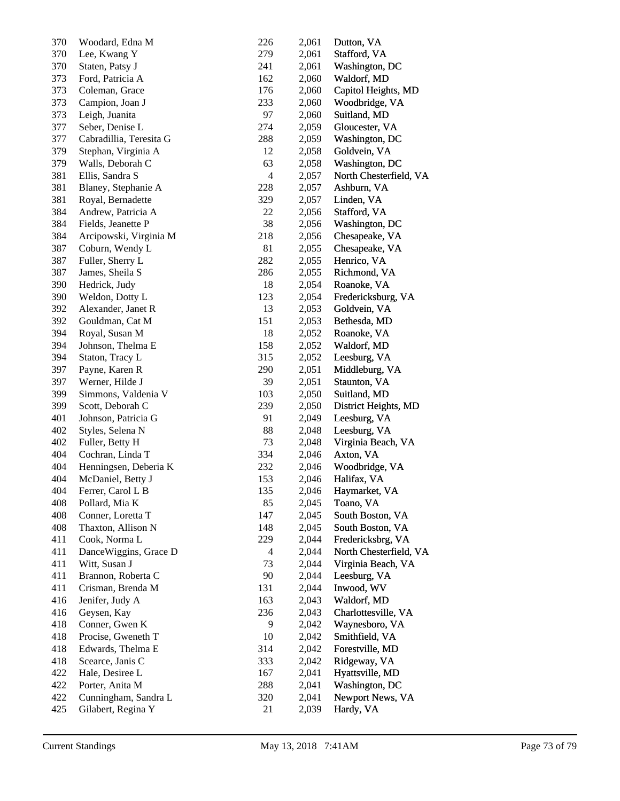| 370 | Woodard, Edna M         | 226            | 2,061 | Dutton, VA             |
|-----|-------------------------|----------------|-------|------------------------|
| 370 | Lee, Kwang Y            | 279            | 2,061 | Stafford, VA           |
| 370 | Staten, Patsy J         | 241            | 2,061 | Washington, DC         |
| 373 | Ford, Patricia A        | 162            | 2,060 | Waldorf, MD            |
| 373 | Coleman, Grace          | 176            | 2,060 | Capitol Heights, MD    |
| 373 | Campion, Joan J         | 233            | 2,060 | Woodbridge, VA         |
| 373 | Leigh, Juanita          | 97             | 2,060 | Suitland, MD           |
| 377 | Seber, Denise L         | 274            | 2,059 | Gloucester, VA         |
| 377 | Cabradillia, Teresita G | 288            | 2,059 | Washington, DC         |
| 379 | Stephan, Virginia A     | 12             | 2,058 | Goldvein, VA           |
| 379 | Walls, Deborah C        | 63             | 2,058 | Washington, DC         |
| 381 | Ellis, Sandra S         | $\overline{4}$ | 2,057 | North Chesterfield, VA |
| 381 | Blaney, Stephanie A     | 228            | 2,057 | Ashburn, VA            |
| 381 | Royal, Bernadette       | 329            | 2,057 | Linden, VA             |
| 384 | Andrew, Patricia A      | 22             | 2,056 | Stafford, VA           |
| 384 | Fields, Jeanette P      | 38             | 2,056 | Washington, DC         |
| 384 | Arcipowski, Virginia M  | 218            | 2,056 | Chesapeake, VA         |
| 387 | Coburn, Wendy L         | 81             | 2,055 | Chesapeake, VA         |
| 387 | Fuller, Sherry L        | 282            | 2,055 | Henrico, VA            |
| 387 | James, Sheila S         | 286            | 2,055 | Richmond, VA           |
| 390 | Hedrick, Judy           | 18             | 2,054 | Roanoke, VA            |
| 390 | Weldon, Dotty L         | 123            | 2,054 | Fredericksburg, VA     |
| 392 | Alexander, Janet R      | 13             | 2,053 | Goldvein, VA           |
| 392 | Gouldman, Cat M         | 151            | 2,053 | Bethesda, MD           |
| 394 | Royal, Susan M          | 18             | 2,052 | Roanoke, VA            |
| 394 | Johnson, Thelma E       | 158            | 2,052 | Waldorf, MD            |
| 394 | Staton, Tracy L         | 315            | 2,052 | Leesburg, VA           |
| 397 | Payne, Karen R          | 290            | 2,051 | Middleburg, VA         |
| 397 | Werner, Hilde J         | 39             | 2,051 | Staunton, VA           |
| 399 | Simmons, Valdenia V     | 103            | 2,050 | Suitland, MD           |
| 399 | Scott, Deborah C        | 239            | 2,050 | District Heights, MD   |
| 401 | Johnson, Patricia G     | 91             | 2,049 | Leesburg, VA           |
| 402 | Styles, Selena N        | 88             | 2,048 | Leesburg, VA           |
| 402 | Fuller, Betty H         | 73             | 2,048 | Virginia Beach, VA     |
| 404 | Cochran, Linda T        | 334            | 2,046 | Axton, VA              |
| 404 | Henningsen, Deberia K   | 232            | 2,046 | Woodbridge, VA         |
| 404 | McDaniel, Betty J       | 153            | 2,046 | Halifax, VA            |
| 404 | Ferrer, Carol L B       | 135            | 2,046 | Haymarket, VA          |
| 408 | Pollard, Mia K          | 85             | 2,045 | Toano, VA              |
| 408 | Conner, Loretta T       | 147            | 2,045 | South Boston, VA       |
| 408 | Thaxton, Allison N      | 148            | 2,045 | South Boston, VA       |
| 411 | Cook, Norma L           | 229            | 2,044 | Fredericksbrg, VA      |
| 411 | DanceWiggins, Grace D   | 4              | 2,044 | North Chesterfield, VA |
| 411 | Witt, Susan J           | 73             | 2,044 | Virginia Beach, VA     |
| 411 | Brannon, Roberta C      | 90             | 2,044 | Leesburg, VA           |
| 411 | Crisman, Brenda M       | 131            | 2,044 | Inwood, WV             |
| 416 | Jenifer, Judy A         | 163            | 2,043 | Waldorf, MD            |
| 416 | Geysen, Kay             | 236            | 2,043 | Charlottesville, VA    |
| 418 | Conner, Gwen K          | 9              | 2,042 | Waynesboro, VA         |
| 418 | Procise, Gweneth T      | 10             | 2,042 | Smithfield, VA         |
| 418 | Edwards, Thelma E       | 314            | 2,042 | Forestville, MD        |
| 418 | Scearce, Janis C        | 333            | 2,042 | Ridgeway, VA           |
| 422 | Hale, Desiree L         | 167            | 2,041 | Hyattsville, MD        |
| 422 | Porter, Anita M         | 288            | 2,041 | Washington, DC         |
| 422 | Cunningham, Sandra L    | 320            | 2,041 | Newport News, VA       |
| 425 | Gilabert, Regina Y      | 21             | 2,039 | Hardy, VA              |
|     |                         |                |       |                        |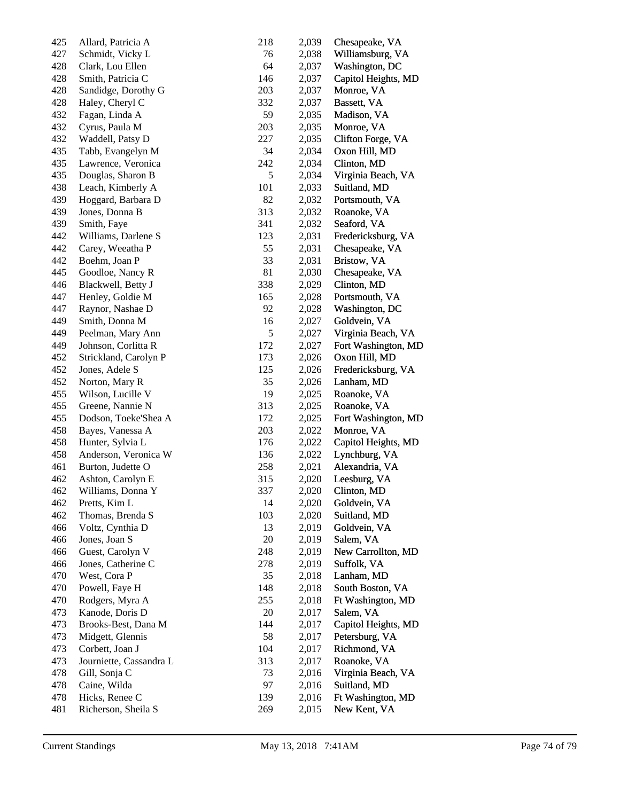| 425 | Allard, Patricia A      | 218 | 2,039 | Chesapeake, VA      |
|-----|-------------------------|-----|-------|---------------------|
| 427 | Schmidt, Vicky L        | 76  | 2,038 | Williamsburg, VA    |
| 428 | Clark, Lou Ellen        | 64  | 2,037 | Washington, DC      |
| 428 | Smith, Patricia C       | 146 | 2,037 | Capitol Heights, MD |
| 428 | Sandidge, Dorothy G     | 203 | 2,037 | Monroe, VA          |
| 428 | Haley, Cheryl C         | 332 | 2,037 | Bassett, VA         |
| 432 | Fagan, Linda A          | 59  | 2,035 | Madison, VA         |
| 432 | Cyrus, Paula M          | 203 | 2,035 | Monroe, VA          |
| 432 | Waddell, Patsy D        | 227 | 2,035 | Clifton Forge, VA   |
| 435 | Tabb, Evangelyn M       | 34  | 2,034 | Oxon Hill, MD       |
| 435 | Lawrence, Veronica      | 242 | 2,034 | Clinton, MD         |
| 435 | Douglas, Sharon B       | 5   | 2,034 | Virginia Beach, VA  |
| 438 | Leach, Kimberly A       | 101 | 2,033 | Suitland, MD        |
| 439 | Hoggard, Barbara D      | 82  | 2,032 | Portsmouth, VA      |
|     |                         |     |       |                     |
| 439 | Jones, Donna B          | 313 | 2,032 | Roanoke, VA         |
| 439 | Smith, Faye             | 341 | 2,032 | Seaford, VA         |
| 442 | Williams, Darlene S     | 123 | 2,031 | Fredericksburg, VA  |
| 442 | Carey, Weeatha P        | 55  | 2,031 | Chesapeake, VA      |
| 442 | Boehm, Joan P           | 33  | 2,031 | Bristow, VA         |
| 445 | Goodloe, Nancy R        | 81  | 2,030 | Chesapeake, VA      |
| 446 | Blackwell, Betty J      | 338 | 2,029 | Clinton, MD         |
| 447 | Henley, Goldie M        | 165 | 2,028 | Portsmouth, VA      |
| 447 | Raynor, Nashae D        | 92  | 2,028 | Washington, DC      |
| 449 | Smith, Donna M          | 16  | 2,027 | Goldvein, VA        |
| 449 | Peelman, Mary Ann       | 5   | 2,027 | Virginia Beach, VA  |
| 449 | Johnson, Corlitta R     | 172 | 2,027 | Fort Washington, MD |
| 452 | Strickland, Carolyn P   | 173 | 2,026 | Oxon Hill, MD       |
| 452 | Jones, Adele S          | 125 | 2,026 | Fredericksburg, VA  |
| 452 | Norton, Mary R          | 35  | 2,026 | Lanham, MD          |
| 455 | Wilson, Lucille V       | 19  | 2,025 | Roanoke, VA         |
| 455 | Greene, Nannie N        | 313 | 2,025 | Roanoke, VA         |
| 455 | Dodson, Toeke'Shea A    | 172 | 2,025 | Fort Washington, MD |
| 458 | Bayes, Vanessa A        | 203 | 2,022 | Monroe, VA          |
| 458 | Hunter, Sylvia L        | 176 | 2,022 | Capitol Heights, MD |
| 458 | Anderson, Veronica W    | 136 | 2,022 | Lynchburg, VA       |
| 461 | Burton, Judette O       | 258 | 2,021 | Alexandria, VA      |
| 462 | Ashton, Carolyn E       | 315 | 2,020 | Leesburg, VA        |
| 462 | Williams, Donna Y       | 337 | 2,020 | Clinton, MD         |
| 462 | Pretts, Kim L           | 14  | 2,020 | Goldvein, VA        |
| 462 | Thomas, Brenda S        | 103 | 2,020 | Suitland, MD        |
| 466 | Voltz, Cynthia D        | 13  | 2,019 | Goldvein, VA        |
| 466 | Jones, Joan S           | 20  | 2,019 | Salem, VA           |
| 466 | Guest, Carolyn V        | 248 | 2,019 | New Carrollton, MD  |
| 466 | Jones, Catherine C      | 278 | 2,019 | Suffolk, VA         |
| 470 | West, Cora P            | 35  | 2,018 | Lanham, MD          |
| 470 |                         | 148 |       | South Boston, VA    |
|     | Powell, Faye H          |     | 2,018 |                     |
| 470 | Rodgers, Myra A         | 255 | 2,018 | Ft Washington, MD   |
| 473 | Kanode, Doris D         | 20  | 2,017 | Salem, VA           |
| 473 | Brooks-Best, Dana M     | 144 | 2,017 | Capitol Heights, MD |
| 473 | Midgett, Glennis        | 58  | 2,017 | Petersburg, VA      |
| 473 | Corbett, Joan J         | 104 | 2,017 | Richmond, VA        |
| 473 | Journiette, Cassandra L | 313 | 2,017 | Roanoke, VA         |
| 478 | Gill, Sonja C           | 73  | 2,016 | Virginia Beach, VA  |
| 478 | Caine, Wilda            | 97  | 2,016 | Suitland, MD        |
| 478 | Hicks, Renee C          | 139 | 2,016 | Ft Washington, MD   |
| 481 | Richerson, Sheila S     | 269 | 2,015 | New Kent, VA        |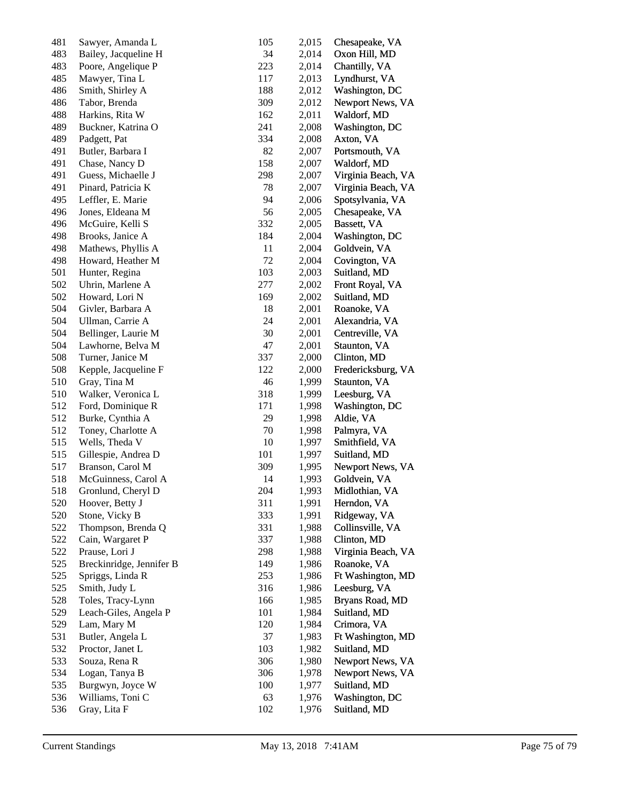| 481 | Sawyer, Amanda L         | 105 | 2,015 | Chesapeake, VA     |
|-----|--------------------------|-----|-------|--------------------|
| 483 | Bailey, Jacqueline H     | 34  | 2,014 | Oxon Hill, MD      |
| 483 | Poore, Angelique P       | 223 | 2,014 | Chantilly, VA      |
| 485 | Mawyer, Tina L           | 117 | 2,013 | Lyndhurst, VA      |
| 486 | Smith, Shirley A         | 188 | 2,012 | Washington, DC     |
| 486 | Tabor, Brenda            | 309 | 2,012 | Newport News, VA   |
| 488 | Harkins, Rita W          | 162 | 2,011 | Waldorf, MD        |
| 489 | Buckner, Katrina O       | 241 | 2,008 | Washington, DC     |
| 489 | Padgett, Pat             | 334 | 2,008 | Axton, VA          |
| 491 | Butler, Barbara I        | 82  | 2,007 | Portsmouth, VA     |
| 491 | Chase, Nancy D           | 158 | 2,007 | Waldorf, MD        |
| 491 | Guess, Michaelle J       | 298 | 2,007 | Virginia Beach, VA |
| 491 | Pinard, Patricia K       | 78  | 2,007 | Virginia Beach, VA |
| 495 | Leffler, E. Marie        | 94  | 2,006 | Spotsylvania, VA   |
| 496 | Jones, Eldeana M         | 56  | 2,005 | Chesapeake, VA     |
| 496 | McGuire, Kelli S         | 332 | 2,005 | Bassett, VA        |
| 498 | Brooks, Janice A         | 184 | 2,004 | Washington, DC     |
| 498 | Mathews, Phyllis A       | 11  | 2,004 | Goldvein, VA       |
| 498 | Howard, Heather M        | 72  | 2,004 | Covington, VA      |
|     |                          |     |       |                    |
| 501 | Hunter, Regina           | 103 | 2,003 | Suitland, MD       |
| 502 | Uhrin, Marlene A         | 277 | 2,002 | Front Royal, VA    |
| 502 | Howard, Lori N           | 169 | 2,002 | Suitland, MD       |
| 504 | Givler, Barbara A        | 18  | 2,001 | Roanoke, VA        |
| 504 | Ullman, Carrie A         | 24  | 2,001 | Alexandria, VA     |
| 504 | Bellinger, Laurie M      | 30  | 2,001 | Centreville, VA    |
| 504 | Lawhorne, Belva M        | 47  | 2,001 | Staunton, VA       |
| 508 | Turner, Janice M         | 337 | 2,000 | Clinton, MD        |
| 508 | Kepple, Jacqueline F     | 122 | 2,000 | Fredericksburg, VA |
| 510 | Gray, Tina M             | 46  | 1,999 | Staunton, VA       |
| 510 | Walker, Veronica L       | 318 | 1,999 | Leesburg, VA       |
| 512 | Ford, Dominique R        | 171 | 1,998 | Washington, DC     |
| 512 | Burke, Cynthia A         | 29  | 1,998 | Aldie, VA          |
| 512 | Toney, Charlotte A       | 70  | 1,998 | Palmyra, VA        |
| 515 | Wells, Theda V           | 10  | 1,997 | Smithfield, VA     |
| 515 | Gillespie, Andrea D      | 101 | 1,997 | Suitland, MD       |
| 517 | Branson, Carol M         | 309 | 1,995 | Newport News, VA   |
| 518 | McGuinness, Carol A      | 14  | 1,993 | Goldvein, VA       |
| 518 | Gronlund, Cheryl D       | 204 | 1,993 | Midlothian, VA     |
| 520 | Hoover, Betty J          | 311 | 1,991 | Herndon, VA        |
| 520 | Stone, Vicky B           | 333 | 1,991 | Ridgeway, VA       |
| 522 | Thompson, Brenda Q       | 331 | 1,988 | Collinsville, VA   |
| 522 | Cain, Wargaret P         | 337 | 1,988 | Clinton, MD        |
| 522 | Prause, Lori J           | 298 | 1,988 | Virginia Beach, VA |
| 525 | Breckinridge, Jennifer B | 149 | 1,986 | Roanoke, VA        |
| 525 | Spriggs, Linda R         | 253 | 1,986 | Ft Washington, MD  |
| 525 | Smith, Judy L            | 316 | 1,986 | Leesburg, VA       |
| 528 | Toles, Tracy-Lynn        | 166 | 1,985 | Bryans Road, MD    |
| 529 | Leach-Giles, Angela P    | 101 | 1,984 | Suitland, MD       |
| 529 | Lam, Mary M              | 120 | 1,984 | Crimora, VA        |
| 531 | Butler, Angela L         | 37  | 1,983 | Ft Washington, MD  |
| 532 | Proctor, Janet L         | 103 | 1,982 | Suitland, MD       |
| 533 | Souza, Rena R            | 306 | 1,980 |                    |
|     |                          |     |       | Newport News, VA   |
| 534 | Logan, Tanya B           | 306 | 1,978 | Newport News, VA   |
| 535 | Burgwyn, Joyce W         | 100 | 1,977 | Suitland, MD       |
| 536 | Williams, Toni C         | 63  | 1,976 | Washington, DC     |
| 536 | Gray, Lita F             | 102 | 1,976 | Suitland, MD       |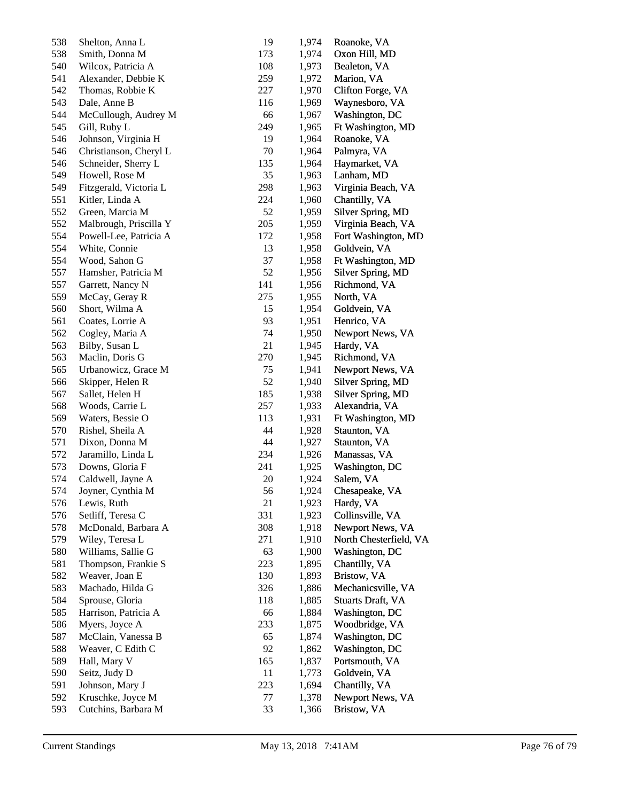| 538        | Shelton, Anna L                        | 19  | 1,974          | Roanoke, VA              |
|------------|----------------------------------------|-----|----------------|--------------------------|
| 538        | Smith, Donna M                         | 173 | 1,974          | Oxon Hill, MD            |
| 540        | Wilcox, Patricia A                     | 108 | 1,973          | Bealeton, VA             |
| 541        | Alexander, Debbie K                    | 259 | 1,972          | Marion, VA               |
| 542        | Thomas, Robbie K                       | 227 | 1,970          | Clifton Forge, VA        |
| 543        | Dale, Anne B                           | 116 | 1,969          | Waynesboro, VA           |
| 544        | McCullough, Audrey M                   | 66  | 1,967          | Washington, DC           |
| 545        | Gill, Ruby L                           | 249 | 1,965          | Ft Washington, MD        |
| 546        | Johnson, Virginia H                    | 19  | 1,964          | Roanoke, VA              |
| 546        | Christianson, Cheryl L                 | 70  | 1,964          | Palmyra, VA              |
| 546        | Schneider, Sherry L                    | 135 | 1,964          | Haymarket, VA            |
| 549        | Howell, Rose M                         | 35  | 1,963          | Lanham, MD               |
| 549        | Fitzgerald, Victoria L                 | 298 | 1,963          | Virginia Beach, VA       |
| 551        | Kitler, Linda A                        | 224 | 1,960          | Chantilly, VA            |
| 552        | Green, Marcia M                        | 52  | 1,959          | Silver Spring, MD        |
| 552        | Malbrough, Priscilla Y                 | 205 | 1,959          | Virginia Beach, VA       |
| 554        | Powell-Lee, Patricia A                 | 172 | 1,958          | Fort Washington, MD      |
| 554        | White, Connie                          | 13  | 1,958          | Goldvein, VA             |
| 554        | Wood, Sahon G                          | 37  | 1,958          | Ft Washington, MD        |
| 557        | Hamsher, Patricia M                    | 52  | 1,956          | Silver Spring, MD        |
| 557        | Garrett, Nancy N                       | 141 | 1,956          | Richmond, VA             |
| 559        | McCay, Geray R                         | 275 | 1,955          | North, VA                |
| 560        | Short, Wilma A                         | 15  | 1,954          | Goldvein, VA             |
| 561        | Coates, Lorrie A                       | 93  | 1,951          | Henrico, VA              |
| 562        | Cogley, Maria A                        | 74  | 1,950          | Newport News, VA         |
| 563        | Bilby, Susan L                         | 21  | 1,945          | Hardy, VA                |
| 563        | Maclin, Doris G                        | 270 | 1,945          | Richmond, VA             |
| 565        | Urbanowicz, Grace M                    | 75  | 1,941          | Newport News, VA         |
| 566        | Skipper, Helen R                       | 52  | 1,940          | Silver Spring, MD        |
| 567        | Sallet, Helen H                        | 185 | 1,938          | Silver Spring, MD        |
| 568        | Woods, Carrie L                        | 257 | 1,933          | Alexandria, VA           |
| 569        | Waters, Bessie O                       | 113 | 1,931          | Ft Washington, MD        |
| 570        | Rishel, Sheila A                       | 44  | 1,928          | Staunton, VA             |
| 571        | Dixon, Donna M                         | 44  | 1,927          | Staunton, VA             |
| 572        | Jaramillo, Linda L                     | 234 | 1,926          | Manassas, VA             |
| 573        | Downs, Gloria F                        | 241 | 1,925          | Washington, DC           |
| 574        | Caldwell, Jayne A                      | 20  | 1,924          | Salem, VA                |
| 574        |                                        | 56  | 1,924          | Chesapeake, VA           |
|            | Joyner, Cynthia M<br>Lewis, Ruth       | 21  | 1,923          | Hardy, VA                |
| 576<br>576 | Setliff, Teresa C                      | 331 |                | Collinsville, VA         |
| 578        |                                        | 308 | 1,923<br>1,918 |                          |
|            | McDonald, Barbara A<br>Wiley, Teresa L | 271 |                | Newport News, VA         |
| 579        |                                        | 63  | 1,910          | North Chesterfield, VA   |
| 580        | Williams, Sallie G                     |     | 1,900          | Washington, DC           |
| 581        | Thompson, Frankie S                    | 223 | 1,895          | Chantilly, VA            |
| 582        | Weaver, Joan E                         | 130 | 1,893          | Bristow, VA              |
| 583        | Machado, Hilda G                       | 326 | 1,886          | Mechanicsville, VA       |
| 584        | Sprouse, Gloria                        | 118 | 1,885          | <b>Stuarts Draft, VA</b> |
| 585        | Harrison, Patricia A                   | 66  | 1,884          | Washington, DC           |
| 586        | Myers, Joyce A                         | 233 | 1,875          | Woodbridge, VA           |
| 587        | McClain, Vanessa B                     | 65  | 1,874          | Washington, DC           |
| 588        | Weaver, C Edith C                      | 92  | 1,862          | Washington, DC           |
| 589        | Hall, Mary V                           | 165 | 1,837          | Portsmouth, VA           |
| 590        | Seitz, Judy D                          | 11  | 1,773          | Goldvein, VA             |
| 591        | Johnson, Mary J                        | 223 | 1,694          | Chantilly, VA            |
| 592        | Kruschke, Joyce M                      | 77  | 1,378          | Newport News, VA         |
| 593        | Cutchins, Barbara M                    | 33  | 1,366          | Bristow, VA              |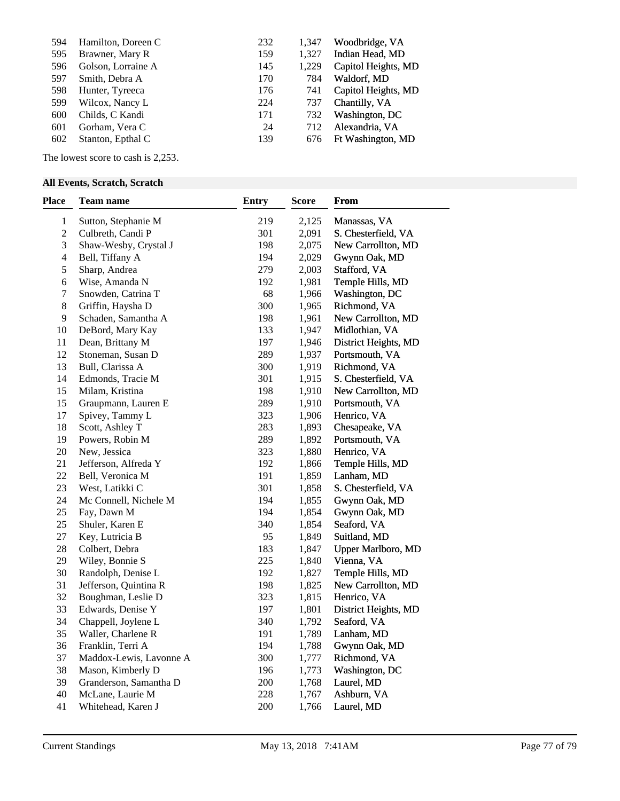| 594 | Hamilton, Doreen C | 232 | 1,347 | Woodbridge, VA      |
|-----|--------------------|-----|-------|---------------------|
|     |                    |     |       |                     |
| 595 | Brawner, Mary R    | 159 | 1,327 | Indian Head, MD     |
| 596 | Golson, Lorraine A | 145 | 1,229 | Capitol Heights, MD |
| 597 | Smith, Debra A     | 170 | 784   | Waldorf, MD         |
| 598 | Hunter, Tyreeca    | 176 | 741   | Capitol Heights, MD |
| 599 | Wilcox, Nancy L    | 224 | 737   | Chantilly, VA       |
| 600 | Childs, C Kandi    | 171 | 732   | Washington, DC      |
| 601 | Gorham, Vera C     | 24  | 712   | Alexandria, VA      |
| 602 | Stanton, Epthal C  | 139 | 676   | Ft Washington, MD   |
|     |                    |     |       |                     |

The lowest score to cash is 2,253.

## **All Events, Scratch, Scratch**

| <b>Place</b>             | Team name               | <b>Entry</b> | <b>Score</b> | From                      |
|--------------------------|-------------------------|--------------|--------------|---------------------------|
| 1                        | Sutton, Stephanie M     | 219          | 2,125        | Manassas, VA              |
| $\overline{2}$           | Culbreth, Candi P       | 301          | 2,091        | S. Chesterfield, VA       |
| 3                        | Shaw-Wesby, Crystal J   | 198          | 2,075        | New Carrollton, MD        |
| $\overline{\mathcal{L}}$ | Bell, Tiffany A         | 194          | 2,029        | Gwynn Oak, MD             |
| 5                        | Sharp, Andrea           | 279          | 2,003        | Stafford, VA              |
| 6                        | Wise, Amanda N          | 192          | 1,981        | Temple Hills, MD          |
| $\tau$                   | Snowden, Catrina T      | 68           | 1,966        | Washington, DC            |
| 8                        | Griffin, Haysha D       | 300          | 1,965        | Richmond, VA              |
| 9                        | Schaden, Samantha A     | 198          | 1,961        | New Carrollton, MD        |
| 10                       | DeBord, Mary Kay        | 133          | 1,947        | Midlothian, VA            |
| 11                       | Dean, Brittany M        | 197          | 1,946        | District Heights, MD      |
| 12                       | Stoneman, Susan D       | 289          | 1,937        | Portsmouth, VA            |
| 13                       | Bull, Clarissa A        | 300          | 1,919        | Richmond, VA              |
| 14                       | Edmonds, Tracie M       | 301          | 1,915        | S. Chesterfield, VA       |
| 15                       | Milam, Kristina         | 198          | 1,910        | New Carrollton, MD        |
| 15                       | Graupmann, Lauren E     | 289          | 1,910        | Portsmouth, VA            |
| 17                       | Spivey, Tammy L         | 323          | 1,906        | Henrico, VA               |
| 18                       | Scott, Ashley T         | 283          | 1,893        | Chesapeake, VA            |
| 19                       | Powers, Robin M         | 289          | 1,892        | Portsmouth, VA            |
| 20                       | New, Jessica            | 323          | 1,880        | Henrico, VA               |
| 21                       | Jefferson, Alfreda Y    | 192          | 1,866        | Temple Hills, MD          |
| 22                       | Bell, Veronica M        | 191          | 1,859        | Lanham, MD                |
| 23                       | West, Latikki C         | 301          | 1,858        | S. Chesterfield, VA       |
| 24                       | Mc Connell, Nichele M   | 194          | 1,855        | Gwynn Oak, MD             |
| 25                       | Fay, Dawn M             | 194          | 1,854        | Gwynn Oak, MD             |
| 25                       | Shuler, Karen E         | 340          | 1,854        | Seaford, VA               |
| 27                       | Key, Lutricia B         | 95           | 1,849        | Suitland, MD              |
| 28                       | Colbert, Debra          | 183          | 1,847        | <b>Upper Marlboro, MD</b> |
| 29                       | Wiley, Bonnie S         | 225          | 1,840        | Vienna, VA                |
| 30                       | Randolph, Denise L      | 192          | 1,827        | Temple Hills, MD          |
| 31                       | Jefferson, Quintina R   | 198          | 1,825        | New Carrollton, MD        |
| 32                       | Boughman, Leslie D      | 323          | 1,815        | Henrico, VA               |
| 33                       | Edwards, Denise Y       | 197          | 1,801        | District Heights, MD      |
| 34                       | Chappell, Joylene L     | 340          | 1,792        | Seaford, VA               |
| 35                       | Waller, Charlene R      | 191          | 1,789        | Lanham, MD                |
| 36                       | Franklin, Terri A       | 194          | 1,788        | Gwynn Oak, MD             |
| 37                       | Maddox-Lewis, Lavonne A | 300          | 1,777        | Richmond, VA              |
| 38                       | Mason, Kimberly D       | 196          | 1,773        | Washington, DC            |
| 39                       | Granderson, Samantha D  | 200          | 1,768        | Laurel, MD                |
| 40                       | McLane, Laurie M        | 228          | 1,767        | Ashburn, VA               |
| 41                       | Whitehead, Karen J      | 200          | 1,766        | Laurel, MD                |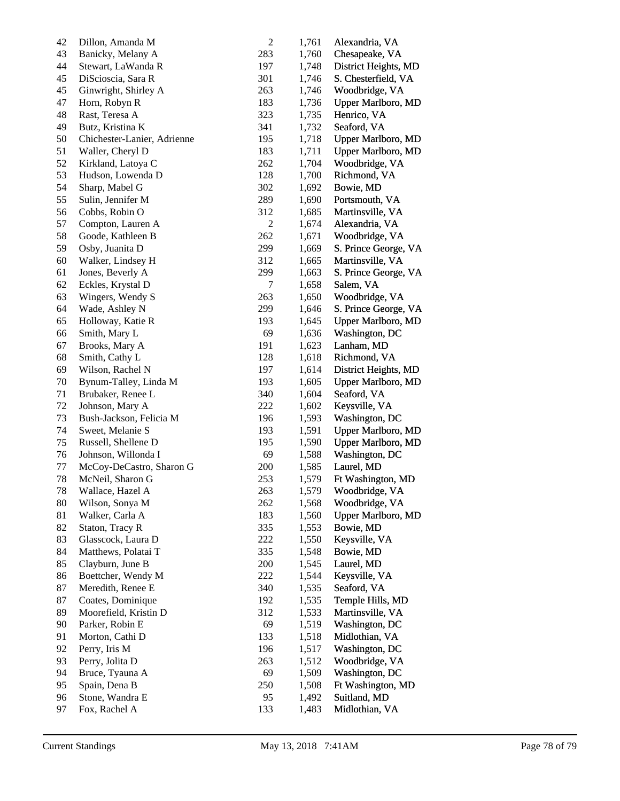| 42 | Dillon, Amanda M            | $\overline{c}$ | 1,761 | Alexandria, VA            |
|----|-----------------------------|----------------|-------|---------------------------|
| 43 | Banicky, Melany A           | 283            | 1,760 | Chesapeake, VA            |
| 44 | Stewart, LaWanda R          | 197            | 1,748 | District Heights, MD      |
| 45 | DiScioscia, Sara R          | 301            | 1,746 | S. Chesterfield, VA       |
| 45 | Ginwright, Shirley A        | 263            | 1,746 | Woodbridge, VA            |
| 47 | Horn, Robyn R               | 183            | 1,736 | <b>Upper Marlboro, MD</b> |
| 48 | Rast, Teresa A              | 323            | 1,735 | Henrico, VA               |
| 49 | Butz, Kristina K            | 341            | 1,732 | Seaford, VA               |
| 50 | Chichester-Lanier, Adrienne | 195            | 1,718 | Upper Marlboro, MD        |
| 51 | Waller, Cheryl D            | 183            | 1,711 | Upper Marlboro, MD        |
| 52 | Kirkland, Latoya C          | 262            | 1,704 | Woodbridge, VA            |
| 53 | Hudson, Lowenda D           | 128            | 1,700 | Richmond, VA              |
| 54 | Sharp, Mabel G              | 302            | 1,692 | Bowie, MD                 |
| 55 | Sulin, Jennifer M           | 289            | 1,690 | Portsmouth, VA            |
| 56 | Cobbs, Robin O              | 312            | 1,685 | Martinsville, VA          |
| 57 | Compton, Lauren A           | $\overline{c}$ | 1,674 | Alexandria, VA            |
| 58 | Goode, Kathleen B           | 262            | 1,671 | Woodbridge, VA            |
| 59 | Osby, Juanita D             | 299            | 1,669 | S. Prince George, VA      |
| 60 | Walker, Lindsey H           | 312            | 1,665 | Martinsville, VA          |
| 61 | Jones, Beverly A            | 299            | 1,663 | S. Prince George, VA      |
| 62 | Eckles, Krystal D           | 7              | 1,658 | Salem, VA                 |
| 63 | Wingers, Wendy S            | 263            | 1,650 | Woodbridge, VA            |
| 64 | Wade, Ashley N              | 299            | 1,646 | S. Prince George, VA      |
| 65 | Holloway, Katie R           | 193            | 1,645 | Upper Marlboro, MD        |
| 66 | Smith, Mary L               | 69             | 1,636 | Washington, DC            |
| 67 | Brooks, Mary A              | 191            | 1,623 | Lanham, MD                |
| 68 | Smith, Cathy L              | 128            | 1,618 | Richmond, VA              |
| 69 | Wilson, Rachel N            | 197            | 1,614 | District Heights, MD      |
| 70 | Bynum-Talley, Linda M       | 193            | 1,605 | Upper Marlboro, MD        |
| 71 | Brubaker, Renee L           | 340            | 1,604 | Seaford, VA               |
| 72 | Johnson, Mary A             | 222            | 1,602 | Keysville, VA             |
| 73 | Bush-Jackson, Felicia M     | 196            | 1,593 | Washington, DC            |
| 74 | Sweet, Melanie S            | 193            | 1,591 | <b>Upper Marlboro, MD</b> |
| 75 | Russell, Shellene D         | 195            | 1,590 | <b>Upper Marlboro, MD</b> |
| 76 | Johnson, Willonda I         | 69             | 1,588 | Washington, DC            |
| 77 | McCoy-DeCastro, Sharon G    | 200            | 1,585 | Laurel, MD                |
| 78 | McNeil, Sharon G            | 253            | 1,579 | Ft Washington, MD         |
| 78 | Wallace, Hazel A            | 263            | 1,579 | Woodbridge, VA            |
| 80 | Wilson, Sonya M             | 262            | 1,568 | Woodbridge, VA            |
| 81 | Walker, Carla A             | 183            | 1,560 | Upper Marlboro, MD        |
| 82 | Staton, Tracy R             | 335            | 1,553 | Bowie, MD                 |
| 83 | Glasscock, Laura D          | 222            | 1,550 | Keysville, VA             |
| 84 | Matthews, Polatai T         | 335            | 1,548 | Bowie, MD                 |
| 85 | Clayburn, June B            | 200            | 1,545 | Laurel, MD                |
| 86 | Boettcher, Wendy M          | 222            | 1,544 | Keysville, VA             |
| 87 | Meredith, Renee E           | 340            | 1,535 | Seaford, VA               |
| 87 | Coates, Dominique           | 192            | 1,535 | Temple Hills, MD          |
| 89 | Moorefield, Kristin D       | 312            | 1,533 | Martinsville, VA          |
| 90 | Parker, Robin E             | 69             | 1,519 | Washington, DC            |
| 91 | Morton, Cathi D             | 133            | 1,518 | Midlothian, VA            |
| 92 | Perry, Iris M               | 196            | 1,517 | Washington, DC            |
| 93 | Perry, Jolita D             | 263            | 1,512 | Woodbridge, VA            |
| 94 | Bruce, Tyauna A             | 69             | 1,509 | Washington, DC            |
| 95 | Spain, Dena B               | 250            | 1,508 | Ft Washington, MD         |
| 96 | Stone, Wandra E             | 95             | 1,492 | Suitland, MD              |
| 97 | Fox, Rachel A               | 133            | 1,483 | Midlothian, VA            |